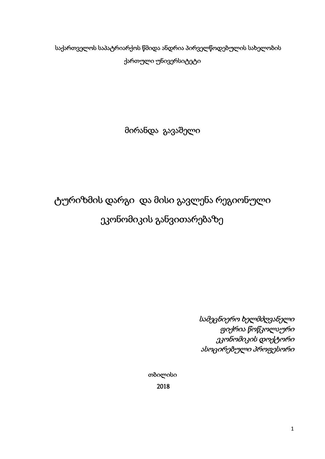საქართველოს საპატრიარქოს წმიდა ანდრია პირველწოდებულის სახელობის ქართული უნივერსიტეტი

მირანდა გავაშელი

# ტურიზმის დარგი და მისი გავლენა რეგიონული ეკონომიკის განვითარებაზე

 სამეცნიერო ხელმძღვანელი ფიქრია წოწკოლაური ეკონომიკის დოქტორი ასოცირებული პროფესორი

თბილისი 2018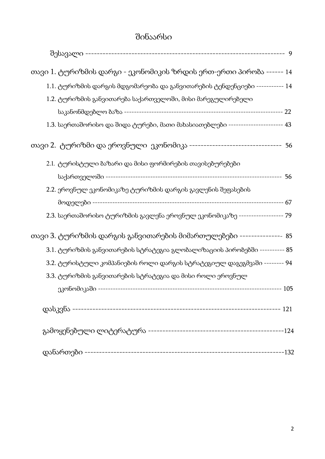# შინაარსი

| თავი 1. ტურიზმის დარგი - ეკონომიკის ზრდის ერთ-ერთი პირობა ------ 14                |    |
|------------------------------------------------------------------------------------|----|
| $1.1$ . ტურიზმის დარგის მდგომარეობა და განვითარების ტენდენციები ----------- $14\,$ |    |
| 1.2. ტურიზმის განვითარება საქართველოში, მისი მარეგულირებელი                        |    |
|                                                                                    |    |
| $1.3$ . საერთაშორისო და შიდა ტურები, მათი მახასიათებლები ---------------------- 43 |    |
| თავი 2.  ტურიზმი და ეროვნული  ეკონომიკა ---------------------------------  56      |    |
| 2.1. ტურისტული ბაზარი და მისი ფორმირების თავისებურებები                            |    |
|                                                                                    | 56 |
| 2.2. ეროვნულ ეკონომიკაზე ტურიზმის დარგის გავლენის შეფასების                        |    |
|                                                                                    |    |
| 2.3. საერთაშორისო ტურიზმის გავლენა ეროვნულ ეკონომიკაზე ------------------ 79       |    |
| თავი 3. ტურიზმის დარგის განვითარების მიმართულებები --------------- 85              |    |
| 3.1. ტურიზმის განვითარების სტრატეგია გლობალიზაციის პირობებში ---------- 85         |    |
| 3.2. ტურისტული კომპანიების როლი დარგის სტრატეგიულ დაგეგმვაში -------- 94           |    |
| 3.3. ტურიზმის განვითარების სტრატეგია და მისი როლი ეროვნულ                          |    |
|                                                                                    |    |
|                                                                                    |    |
|                                                                                    |    |
|                                                                                    |    |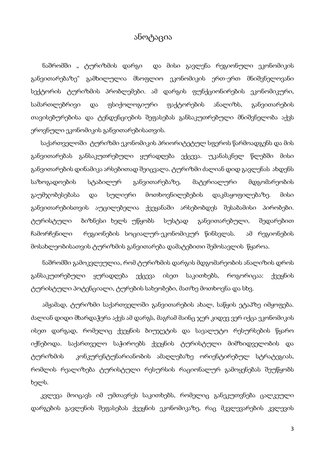### ანოტაცია

 ნაშრომში " ტურიზმის დარგი და მისი გავლენა რეგიონული ეკონომიკის განვითარებაზე" გამხილულია მსოფლიო ეკონომიკის ერთ-ერთ მნიშვნელოვანი სექტორის ტურიზმის პრობლემები. ამ დარგის ფუნქციონირების ეკონომიკური, სამართლებრივი და ფსიქოლოგიური ფაქტორების ანალიზს, განვითარების თავისებურებისა და ტენდენციების შეფასებას განსაკუთრებული მნიშვნელობა აქვს ეროვნული ეკონომიკის განვითარებისათვის.

 საქართველოში ტურიზმი ეკონომიკის პრიორიტეტულ სფეროს წარმოადგენს და მის განვითარებას განსაკუთრებული ყურადღება ექცევა. უკანასკნელ წლებში მისი განვითარების დინამიკა არსებითად შეიცვალა. ტურიზმი ძალიან დიდ გავლენას ახდენს საზოგადოების სტაბილურ განვითარებაზე, მატერიალური მდგომარეობის გაუმჯობესებასა და სულიერი მოთხოვნილებების დაკმაყოფილებაზე. მისი განვითარებისთვის აუცილებელია ქვეყანაში არსებობდეს შესაბამისი პირობები. ტურისტული ბიზნესი ხელს უწყობს სუსტად განვითარებული, შედარებით ჩამორჩენილი რეგიონების სოციალურ-ეკონომიკურ წინსვლას. ამ რეგიონების მოსახლეობისათვის ტურიზმის განვითარება დამატებითი შემოსავლის წყაროა.

 ნაშრომში გამოკვლეულია, რომ ტურიზმის დარგის მდგომარეობის ანალიზის დროს განსაკუთრებული ყურადღება ექცევა ისეთ საკითხებს, როგორიცაა: ქვეყნის ტურისტული პოტენციალი, ტურების სახეობები, მათზე მოთხოვნა და სხვ.

 ამჟამად, ტურიზმი საქართველოში განვითარების ახალ, საწყის ეტაპზე იმყოფება. ძალიან დიდი მხარდაჭერა აქვს ამ დარგს, მაგრამ მაინც ჯერ კიდევ ვერ იქცა ეკონომიკის ისეთ დარგად, რომელიც ქვეყნის ბიუჯეტის და სავალუტო რესურსების წყარო იქნებოდა. საქართველო საჭიროებს ქვეყნის ტურისტული მიმზიდველობის და ტურიზმის კონკურენტუნარიანობის ამაღლებაზე ორიენტირებულ სტრატეგიას, რომლის რეალიზება ტურისტული რესურსის რაციონალურ გამოყენებას შეუწყობს ხელს.

 კვლევა მოიცავს იმ უმთავრეს საკითხებს, რომელიც განეკუთვნება ცალკეული დარგების გავლენის შეფასებას ქვეყნის ეკონომიკაზე, რაც მკვლევარების კვლევის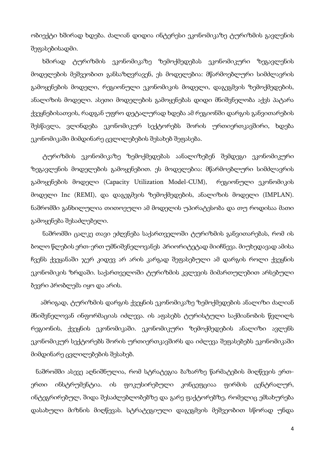ობიექტი ხშირად ხდება. ძალიან დიდია ინტერესი ეკონომიკაზე ტურიზმის გავლენის შეფასებისადმი.

 ხშირად ტურიზმის ეკონომიკაზე ზემოქმედებას ეკონომიკური ზეგავლენის მოდელების მეშვეობით განსაზღვრავენ, ეს მოდელებია: მწარმოებლური სიმძლავრის გამოყენების მოდელი, რეგიონული ეკონომიკის მოდელი, დაგეგმვის ზემოქმედების, ანალიზის მოდელი. ასეთი მოდელების გამოყენებას დიდი მნიშვნელობა აქვს პატარა ქვეყნებისათვის, რადგან უფრო დეტალურად ხდება ამ რეგიონში დარგის განვითარების შესწავლა, ვლინდება ეკონომიკურ სექტორებს შორის ურთიერთკავშირი, ხდება ეკონომიკაში მიმდინარე ცვლილებების შესახებ შეფასება.

ტურიზმის ეკონომიკაზე ზემოქმედებას აანალიზებენ შემდეგი ეკონომიკური ზეგავლენის მოდელების გამოყენებით. ეს მოდელებია: მწარმოებლური სიმძლავრის გამოყენების მოდელი (Capacity Utilization Model-CUM), რეგიონული ეკონომიკის მოდელი Inc (REMI), და დაგეგმვის ზემოქმედების, ანალიზის მოდელი (IMPLAN). ნაშრომში განხილულია თითოეული ამ მოდელის უპირატესობა და თუ როდისაა მათი გამოყენება შესაძლებელი.

ნაშრომში ცალკე თავი ეძღვნება საქართველოში ტურიზმის განვითარებას, რომ ის ბოლო წლების ერთ-ერთ უმნიშვნელოვანეს პრიორიტეტად მიიჩნევა. მიუხედავად ამისა ჩვენს ქვეყანაში ჯერ კიდევ არ არის კარგად შეფასებული ამ დარგის როლი ქვეყნის ეკონომიკის ზრდაში. საქართველოში ტურიზმის კვლევის მიმართულებით არსებული ბევრი პრობლემა იყო და არის.

 ამრიგად, ტურიზმის დარგის ქვეყნის ეკონომიკაზე ზემოქმედების ანალიზი ძალიან მნიშვნელოვან ინფორმაციას იძლევა. ის აფასებს ტურისტული საქმიანობის წვლილს რეგიონის, ქვეყნის ეკონომიკაში. ეკონომიკური ზემოქმედების ანალიზი ავლენს ეკონომიკურ სექტორებს შორის ურთიერთკავშირს და იძლევა შეფასებებს ეკონომიკაში მიმდინარე ცვლილებების შესახებ.

 ნაშრომში ასევე აღნიშნულია, რომ სტრატეგია ბაზარზე წარმატების მიღწევის ერთერთი ინსტრუმენტია. ის ფოკუსირებული კონცეფციაა ფირმის ცენტრალურ, ინტეგრირებულ, შიდა შესაძლებლობებზე და გარე ფაქტორებზე, რომელიც ემსახურება დასახული მიზნის მიღწევას. სტრატეგიული დაგეგმვის მეშვეობით სწორად უნდა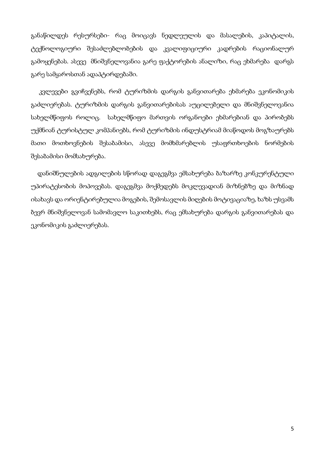განაწილდეს რესურსები- რაც მოიცავს ნედლეულის და მასალების, კაპიტალის, ტექნოლოგიური შესაძლებლობების და კვალიფიციური კადრების რაციონალურ გამოყენებას. ასევე მნიშვნელოვანია გარე ფაქტორების ანალიზი, რაც ეხმარება დარგს გარე სამყაროსთან ადაპტირდებაში.

კვლევები გვიჩვენებს, რომ ტურიზმის დარგის განვითარება ეხმარება ეკონომიკის გაძლიერებას. ტურიზმის დარგის განვითარებისას აუცილებელი და მნიშვნელოვანია სახელმწიფოს როლიც. სახელმწიფო მართვის ორგანოები ეხმარებიან და პირობებს უქმნიან ტურისტულ კომპანიებს, რომ ტურიზმის ინდუსტრიამ მიაწოდოს მოგზაურებს მათი მოთხოვნების შესაბამისი, ასევე მომხმარებლის უსაფრთხოების ნორმების შესაბამისი მომსახურება.

 დანიშნულების ადგილების სწორად დაგეგმვა ემსახურება ბაზარზე კონკურენტული უპირატესობის მოპოვებას. დაგეგმვა მოქმედებს მოკლევადიან მიზნებზე და მიზნად ისახავს და ორიენტირებულია მოგების, შემოსავლის მიღების მოტივაციაზე, ხაზს უსვამს ბევრ მნიშვნელოვან სამომავლო საკითხებს, რაც ემსახურება დარგის განვითარებას და ეკონომიკის გაძლიერებას.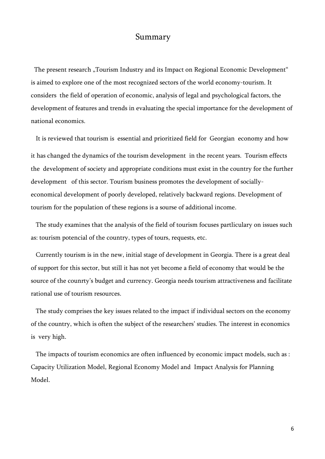#### Summary

The present research "Tourism Industry and its Impact on Regional Economic Development" is aimed to explore one of the most recognized sectors of the world economy-tourism. It considers the field of operation of economic, analysis of legal and psychological factors, the development of features and trends in evaluating the special importance for the development of national economics.

 It is reviewed that tourism is essential and prioritized field for Georgian economy and how it has changed the dynamics of the tourism development in the recent years. Tourism effects the development of society and appropriate conditions must exist in the country for the further development of this sector. Tourism business promotes the development of sociallyeconomical development of poorly developed, relatively backward regions. Development of tourism for the population of these regions is a sourse of additional income.

 The study examines that the analysis of the field of tourism focuses partliculary on issues such as: tourism potencial of the country, types of tours, requests, etc.

 Currently tourism is in the new, initial stage of development in Georgia. There is a great deal of support for this sector, but still it has not yet become a field of economy that would be the source of the counrty's budget and currency. Georgia needs tourism attractiveness and facilitate rational use of tourism resources.

 The study comprises the key issues related to the impact if individual sectors on the economy of the country, which is often the subject of the researchers' studies. The interest in economics is very high.

 The impacts of tourism economics are often influenced by economic impact models, such as : Capacity Utilization Model, Regional Economy Model and Impact Analysis for Planning Model.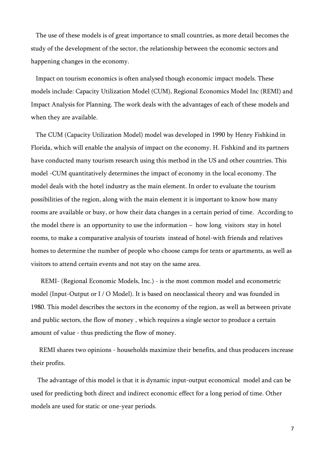The use of these models is of great importance to small countries, as more detail becomes the study of the development of the sector, the relationship between the economic sectors and happening changes in the economy.

 Impact on tourism economics is often analysed though economic impact models. These models include: Capacity Utilization Model (CUM), Regional Economics Model Inc (REMI) and Impact Analysis for Planning. The work deals with the advantages of each of these models and when they are available.

 The CUM (Capacity Utilization Model) model was developed in 1990 by Henry Fishkind in Florida, which will enable the analysis of impact on the economy. H. Fishkind and its partners have conducted many tourism research using this method in the US and other countries. This model -CUM quantitatively determines the impact of economy in the local economy. The model deals with the hotel industry as the main element. In order to evaluate the tourism possibilities of the region, along with the main element it is important to know how many rooms are available or busy, or how their data changes in a certain period of time. According to the model there is an opportunity to use the information – how long visitors stay in hotel rooms, to make a comparative analysis of tourists instead of hotel-with friends and relatives homes to determine the number of people who choose camps for tents or apartments, as well as visitors to attend certain events and not stay on the same area.

 REMI- (Regional Economic Models, Inc.) - is the most common model and econometric model (Input-Output or I / O Model). It is based on neoclassical theory and was founded in 1980. This model describes the sectors in the economy of the region, as well as between private and public sectors, the flow of money , which requires a single sector to produce a certain amount of value - thus predicting the flow of money.

 REMI shares two opinions - households maximize their benefits, and thus producers increase their profits.

 The advantage of this model is that it is dynamic input-output economical model and can be used for predicting both direct and indirect economic effect for a long period of time. Other models are used for static or one-year periods.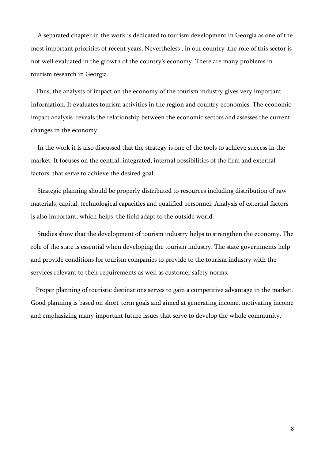A separated chapter in the work is dedicated to tourism development in Georgia as one of the most important priorities of recent years. Nevertheless , in our country ,the role of this sector is not well evaluated in the growth of the country's economy. There are many problems in tourism research in Georgia.

 Thus, the analysts of impact on the economy of the tourism industry gives very important information. It evaluates tourism activities in the region and country economics. The economic impact analysis reveals the relationship between the economic sectors and assesses the current changes in the economy.

 In the work it is also discussed that the strategy is one of the tools to achieve success in the market. It focuses on the central, integrated, internal possibilities of the firm and external factors that serve to achieve the desired goal.

 Strategic planning should be properly distributed to resources including distribution of raw materials, capital, technological capacities and qualified personnel. Analysis of external factors is also important, which helps the field adapt to the outside world.

 Studies show that the development of tourism industry helps to strengthen the economy. The role of the state is essential when developing the tourism industry. The state governments help and provide conditions for tourism companies to provide to the tourism industry with the services relevant to their requirements as well as customer safety norms.

 Proper planning of touristic destinations serves to gain a competitive advantage in the market. Good planning is based on short-term goals and aimed at generating income, motivating income and emphasizing many important future issues that serve to develop the whole community.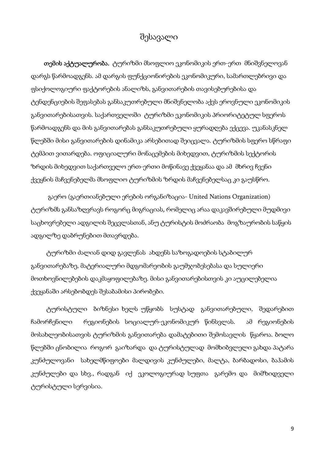## შესავალი

 თემის აქტუალურობა. ტურიზმი მსოფლიო ეკონომიკის ერთ-ერთ მნიშვნელოვან დარგს წარმოადგენს. ამ დარგის ფუნქციონირების ეკონომიკური, სამართლებრივი და ფსიქოლოგიური ფაქტორების ანალიზს, განვითარების თავისებურებისა და ტენდენციების შეფასებას განსაკუთრებული მნიშვნელობა აქვს ეროვნული ეკონომიკის განვითარებისათვის. საქართველოში ტურიზმი ეკონომიკის პრიორიტეტულ სფეროს წარმოადგენს და მის განვითარებას განსაკუთრებული ყურადღება ექცევა. უკანასკნელ წლებში მისი განვითარების დინამიკა არსებითად შეიცვალა. ტურიზმის სფერო სწრაფი ტემპით ვითარდება. ოფიციალური მონაცემების მიხედვით, ტურიზმის სექტორის ზრდის მიხედვით საქართველო ერთ-ერთი მოწინავე ქვეყანაა და ამ მხრივ ჩვენი ქვეყნის მაჩვენებელმა მსოფლიო ტურიზმის ზრდის მაჩვენებელსაც კი გაუსწრო.

 გაერო (გაერთიანებული ერების ორგანიზაცია- United Nations Organization) ტურიზმს განსაზღვრავს როგორც მიგრაციას, რომელიც არაა დაკავშირებული მუდმივი საცხოვრებელი ადგილის შეცვლასთან, ანუ ტურისტის მოძრაობა მოგზაურობის საწყის ადგილზე დაბრუნებით მთავრდება.

ტურიზმი ძალიან დიდ გავლენას ახდენს საზოგადოების სტაბილურ განვითარებაზე, მატერიალური მდგომარეობის გაუმჯობესებასა და სულიერი მოთხოვნილებების დაკმაყოფილებაზე. მისი განვითარებისთვის კი აუცილებელია ქვეყანაში არსებობდეს შესაბამისი პირობები.

ტურისტული ბიზნესი ხელს უწყობს სუსტად განვითარებული, შედარებით ჩამორჩენილი რეგიონების სოციალურ-ეკონომიკურ წინსვლას. ამ რეგიონების მოსახლეობისათვის ტურიზმის განვითარება დამატებითი შემოსავლის წყაროა. ბოლო წლებში ცნობილია როგორ გაიზარდა და ტურისტულად მომხიბვლელი გახდა პატარა კუნძულოვანი სახელმწიფოები მალდივის კუნძულები, მალტა, ბარბადოსი, ბაჰამის კუნძულები და სხვ., რადგან იქ ეკოლოგიურად სუფთა გარემო და მიმზიდველი ტურისტული სერვისია.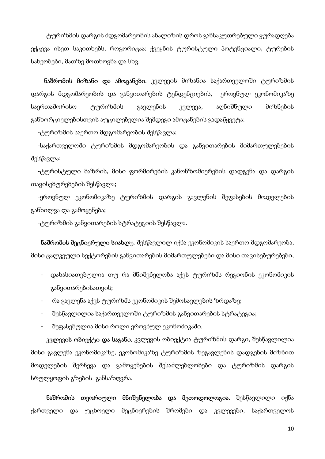ტურიზმის დარგის მდგომარეობის ანალიზის დროს განსაკუთრებული ყურადღება ექცევა ისეთ საკითხებს, როგორიცაა: ქვეყნის ტურისტული პოტენციალი, ტურების სახეობები, მათზე მოთხოვნა და სხვ.

 ნაშრომის მიზანი და ამოცანები. კვლევის მიზანია საქართველოში ტურიზმის დარგის მდგომარეობის და განვითარების ტენდენციების, ეროვნულ ეკონომიკაზე საერთაშორისო ტურიზმის გავლენის კვლევა, აღნიშნული მიზნების განხორციელებისთვის აუცილებელია შემდეგი ამოცანების გადაწყვეტა:

-ტურიზმის საერთო მდგომარეობის შესწავლა;

 -საქართველოში ტურიზმის მდგომარეობის და განვითარების მიმართულებების შესწავლა;

 -ტურისტული ბაზრის, მისი ფორმირების კანონზომიერების დადგენა და დარგის თავისებურებების შესწავლა;

 -ეროვნულ ეკონომიკაზე ტურიზმის დარგის გავლენის შეფასების მოდელების განხილვა და გამოყენება;

-ტურიზმის განვითარების სტრატეგიის შესწავლა.

 ნაშრომის მეცნიერული სიახლე. შესწავლილ იქნა ეკონომიკის საერთო მდგომარეობა, მისი ცალკეული სექტორების განვითარების მიმართულებები და მისი თავისებურებები,

- დახასიათებულია თუ რა მნიშვნელობა აქვს ტურიზმს რეგიონის ეკონომიკის განვითარებისათვის;
- რა გავლენა აქვს ტურიზმს ეკონომიკის შემოსავლების ზრდაზე;
- შესწავლილია საქართველოში ტურიზმის განვითარების სტრატეგია;
- შეფასებულია მისი როლი ეროვნულ ეკონომიკაში.

**კვლევის ობიექტი და საგანი.** კვლევის ობიექტია ტურიზმის დარგი, შესწავლილია მისი გავლენა ეკონომიკაზე, ეკონომიკაზე ტურიზმის ზეგავლენის დადგენის მიზნით მოდელების შერჩევა და გამოყენების შესაძლებლობები და ტურიზმის დარგის სრულყოფის გზების განსაზღვრა.

ნაშრომის თეორიული მნიშვნელობა და მეთოდოლოგია. შესწავლილი იქნა ქართველი და უცხოელი მეცნიერების შრომები და კვლევები, საქართველოს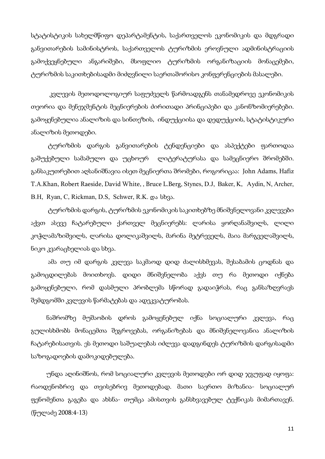სტატისტიკის სახელმწიფო დეპარტამენტის, საქართველოს ეკონომიკის და მდგრადი განვითარების სამინისტროს, საქართველოს ტურიზმის ეროვნული ადმინისტრაციის გამოქვეყნებული ანგარიშები, მსოფლიო ტურიზმის ორგანიზაციის მონაცემები, ტურიზმის საკითხებისადმი მიძღვნილი საერთაშორისო კონფერენციების მასალები.

 კვლევის მეთოდოლოგიურ საფუძველს წარმოადგენს თანამედროვე ეკონომიკის თეორია და მენეჯმენტის მეცნიერების ძირითადი პრინციპები და კანონზომიერებები. გამოყენებულია ანალიზის და სინთეზის, ინდუქციისა და დედუქციის, სტატისტიკური ანალიზის მეთოდები.

 ტურიზმის დარგის განვითარების ტენდენციები და ასპექტები ფართოდაა გაშუქებული სამამულო და უცხოურ ლიტერატურასა და სამეცნიერო შრომებში. განსაკუთრებით აღსანიშნავია ისეთ მეცნიერთა შრომები, როგორიცაა: John Adams, Hafiz T.A.Khan, Robert Raeside, David White, , Bruce L.Berg, Stynes, D.J, Baker, K, Aydin, N, Archer, B.H, Ryan, C, Rickman, D.S, Schwer, R.K. და სხვა.

 ტურიზმის დარგის, ტურიზმის ეკონომიკის საკითხებზე მნიშვნელოვანი კვლევები აქვთ ასევე ჩატარებული ქართველ მეცნიერებს: ლარისა ყორღანაშვილს, ლილი კოჭლამაზიშვილს, ლარისა დოლიკაშვილს, მარინა მეტრეველს, მაია მარგველაშვილს, ნიკო კვარაცხელიას და სხვა.

 ამა თუ იმ დარგის კვლევა საკმაოდ დიდ ძალისხმევას, შესაბამის ცოდნას და გამოცდილებას მოითხოვს. დიდი მნიშვნელობა აქვს თუ რა მეთოდი იქნება გამოყენებული, რომ დასმული პრობლემა სწორად გადაიჭრას, რაც განსაზღვრავს შემდგომში კვლევის წარმატებას და ადეკვატურობას.

ნაშრომზე მუშაობის დროს გამოყენებულ იქნა სოციალური კვლევა, რაც გულისხმობს მონაცემთა შეგროვებას, ორგანიზებას და მნიშვნელოვანია ანალიზის ჩატარებისათვის. ეს მეთოდი საშუალებას იძლევა დადგინდეს ტურიზმის დარგისადმი საზოგადოების დამოკიდებულება.

უნდა აღინიშნოს, რომ სოციალური კვლევის მეთოდები ორ დიდ ჯგუფად იყოფა: რაოდენობრივ და თვისებრივ მეთოდებად. მათი საერთო მიზანია- სოციალურ ფენომენთა გაგება და ახსნა- თუმცა ამისთვის განსხვავებულ ტექნიკას მიმართავენ. (წულაძე 2008:4-13)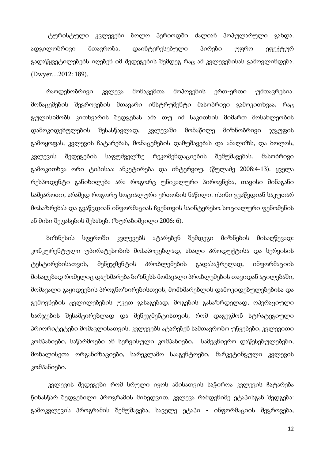ტურისტული კვლევები ბოლო პერიოდში ძალიან პოპულარული გახდა. ადგილობრივი მთავრობა, დაინტერესებული პირები უფრო ეფექტურ გადაწყვეტილებებს იღებენ იმ შედეგების შემდეგ რაც ამ კვლევებისას გამოვლინდება. (Dwyer…2012: 189).

რაოდენობრივი კვლევა მონაცემთა მოპოვების ერთ-ერთი უმთავრესია. მონაცემების შეგროვების მთავარი ინსტრუმენტი მასობრივი გამოკითხვაა, რაც გულისხმობს კითხვარის შედგენას ამა თუ იმ საკითხის მიმართ მოსახლეობის დამოკიდებულების შესასწავლად, კვლევაში მონაწილე მიზნობრივი ჯგუფის გამოყოფას, კვლევის ჩატარებას, მონაცემების დამუშავებას და ანალიზს, და ბოლოს, კვლევის შედეგების საფუძველზე რეკომენდაციების შემუშავებას. მასობრივი გამოკითხვა ორი ტიპისაა: ანკეტირება და ინტერვიუ. (წულაძე 2008:4-13). ყველა რესპოდენტი განიხილება არა როგორც უნიკალური პიროვნება, თავისი შინაგანი სამყაროთი, არამედ როგორც სოციალური ერთობის ნაწილი. ისინი გვაწვდიან საკუთარ მოსაზრებას და გვაწვდიან ინფორმაციას ჩვენთვის საინტერესო სოციალური ფენომენის ან მისი შეფასების შესახებ. (ზურაბიშვილი 2006: 6).

ბიზნესის სფეროში კვლევებს ატარებენ შემდეგი მიზნების მისაღწევად: კონკურენტული უპირატესობის მოსაპოვებლად, ახალი პროდუქტისა და სერვისის ტესტირებისათვის, მენეჯმენტის პრობლემების გადასაჭრელად, ინფორმაციის მისაღებად რომელიც დაეხმარება ბიზნესს მომავალი პრობლემების თავიდან აცილებაში, მომავალი გაყიდვების პროგნოზირებისთვის, მომხმარებლის დამოკიდებულებებისა და გემოვნების ცვლილებების უკეთ გასაგებად, მოგების გასაზრდელად, ოპერაციული ხარჯების შესამცირებლად და მენეჯმენტისთვის, რომ დაგეგმონ სტრატეგიული პრიორიტეტები მომავლისათვის. კვლევებს ატარებენ სამთავრობო უწყებები, კვლევითი კომპანიები, საწარმოები ან სერვისული კომპანიები, სამეცნიერო დაწესებულებები, მოხალისეთა ორგანიზაციები, სარეკლამო სააგენტოები, მარკეტინგული კვლევის კომპანიები.

კვლევის შედეგები რომ სრული იყოს ამისათვის საჭიროა კვლევის ჩატარება წინასწარ შედგენილი პროგრამის მიხედვით. კვლევა რამდენიმე ეტაპისგან შედგება: გამოკვლევის პროგრამის შემუშავება, საველე ეტაპი - ინფორმაციის შეგროვება,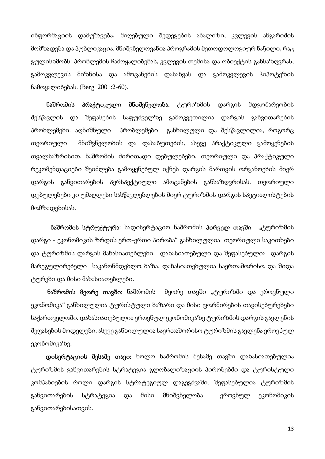ინფორმაციის დამუშავება, მიღებული შედეგების ანალიზი, კვლევის ანგარიშის მომზადება და პუბლიკაცია. მნიშვნელოვანია პროგრამის მეთოდოლოგიურ ნაწილი, რაც გულისხმობს: პრობლემის ჩამოყალიბებას, კვლევის თემისა და ობიექტის განსაზღვრას, გამოკვლევის მიზნისა და ამოცანების დასახვას და გამოკვლევის ჰიპოტეზის ჩამოყალიბებას. (Berg 2001:2-60).

ნაშრომის პრაქტიკული მნიშვნელობა. ტურიზმის დარგის მდგომარეობის შესწავლის და შეფასების საფუძველზე გამოკვეთილია დარგის განვითარების პრობლემები. აღნიშნული პრობლემები განხილული და შესწავლილია, როგორც თეორიული მნიშვნელობის და დასაბუთების, ასევე პრაქტიკული გამოყენების თვალსაზრისით. ნაშრომის ძირითადი დებულებები, თეორიული და პრაქტიკული რეკომენდაციები შეიძლება გამოყენებულ იქნეს დარგის მართვის ორგანოების მიერ დარგის განვითარების პერსპექტიული ამოცანების განსაზღვრისას. თეორიული დებულებები კი უმაღლესი სასწავლებლების მიერ ტურიზმის დარგის სპეციალისტების მომზადებისას.

ნაშრომის სტრუქტურა: სადისერტაციო ნაშრომის პირველ თავში "ტურიზმის დარგი - ეკონომიკის ზრდის ერთ-ერთი პირობა" განხილულია თეორიული საკითხები და ტურიზმის დარგის მახასიათებლები. დახასიათებული და შეფასებულია დარგის მარეგულირებელი საკანონმდებლო ბაზა. დახასიათებულია საერთაშორისო და შიდა ტურები და მისი მახასიათებლები.

ნაშრომის მეორე თავში: ნაშრომის მეორე თავში "ტურიზმი და ეროვნული ეკონომიკა" განხილულია ტურისტული ბაზარი და მისი ფორმირების თავისებურებები საქართველოში. დახასიათებულია ეროვნულ ეკონომიკაზე ტურიზმის დარგის გავლენის შეფასების მოდელები. ასევე განხილულია საერთაშორისო ტურიზმის გავლენა ეროვნულ ეკონომიკაზე.

 დისერტაციის მესამე თავი: ხოლო ნაშრომის მესამე თავში დახასიათებულია ტურიზმის განვითარების სტრატეგია გლობალიზაციის პირობებში და ტურისტული კომპანიების როლი დარგის სტრატეგიულ დაგეგმვაში. შეფასებულია ტურიზმის განვითარების სტრატეგია და მისი მნიშვნელობა ეროვნულ ეკონომიკის განვითარებისათვის.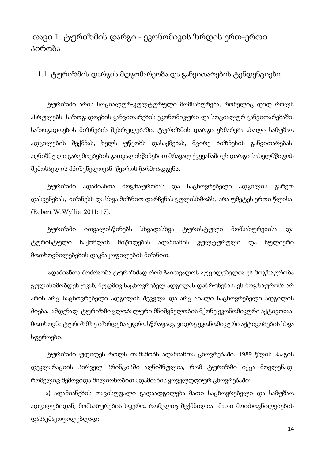### თავი 1. ტურიზმის დარგი - ეკონომიკის ზრდის ერთ-ერთი პირობა

1.1. ტურიზმის დარგის მდგომარეობა და განვითარების ტენდენციები

ტურიზმი არის სოციალურ-კულტურული მომსახურება, რომელიც დიდ როლს ასრულებს საზოგადოების განვითარების ეკონომიკური და სოციალურ განვითარებაში, საზოგადოების მიზნების შესრულებაში. ტურიზმის დარგი ეხმარება ახალი სამუშაო ადგილების შექმნას, ხელს უწყობს დასაქმებას, მცირე ბიზნესის განვითარებას. აღნიშნული გარემოებების გათვალისწინებით მრავალ ქვეყანაში ეს დარგი სახელმწიფოს შემოსავლის მნიშვნელოვან წყაროს წარმოადგენს.

ტურიზმი ადამიანთა მოგზაურობას და საცხოვრებელი ადგილის გარეთ დასვენებას, ბიზნესს და სხვა მიზნით დარჩენას გულისხმობს, არა უმეტეს ერთი წლისა. (Robert W.Wyllie 2011: 17).

ტურიზმი ითვალისწინებს სხვადასხვა ტურისტული მომსახურებისა და ტურისტული საქონლის მიწოდებას ადამიანის კულტურული და სულიერი მოთხოვნილებების დაკმაყოფილების მიზნით.

 ადამიანთა მოძრაობა ტურიზმად რომ ჩაითვალოს აუცილებელია ეს მოგზაურობა გულისხმობდეს უკან, მუდმივ საცხოვრებელ ადგილას დაბრუნებას. ეს მოგზაურობა არ არის არც საცხოვრებელი ადგილის შეცვლა და არც ახალი საცხოვრებელი ადგილის ძიება. ამდენად ტურიზმი გლობალური მნიშვნელობის მქონე ეკონომიკური აქტივობაა. მოთხოვნა ტურიზმზე იზრდება უფრო სწრაფად, ვიდრე ეკონომიკური აქტივობების სხვა სფეროები.

ტურიზმი უდიდეს როლს თამაშობს ადამიანთა ცხოვრებაში. 1989 წლის ჰააგის დეკლარაციის პირველ პრინციპში აღნიშნულია, რომ ტურიზმი იქცა მოვლენად, რომელიც შემოვიდა მილიონობით ადამიანის ყოველდღიურ ცხოვრებაში:

 ა) ადამიანების თავისუფალი გადაადგილება მათი საცხოვრებელი და სამუშაო ადგილებიდან, მომსახურების სფერო, რომელიც შექმნილია მათი მოთხოვნილებების დასაკმაყოფილებლად;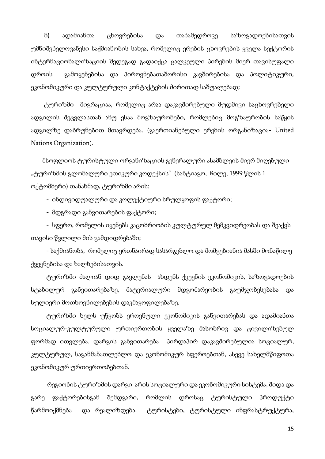ბ) ადამიანთა ცხოვრებისა და თანამედროვე საზოგადოებისათვის უმნიშვნელოვანესი საქმიანობის სახეა, რომელიც ერების ცხოვრების ყველა სექტორის ინტერნაციონალიზაციის შედეგად გადაიქცა ცალკეული პირების მიერ თავისუფალი დროის გამოყენებისა და პიროვნებათაშორისი კავშირებისა და პოლიტიკური, ეკონომიკური და კულტურული კონტაქტების ძირითად საშუალებად;

 ტურიზმი მიგრაციაა, რომელიც არაა დაკავშირებული მუდმივი საცხოვრებელი ადგილის შეცვლასთან ანუ ესაა მოგზაურობები, რომლებიც მოგზაურობის საწყის ადგილზე დაბრუნებით მთავრდება. (გაერთიანებული ერების ორგანიზაცია- United Nations Organization).

 მსოფლიოს ტურისტული ორგანიზაციის გენერალური ასამბლეის მიერ მიღებული "ტურიზმის გლობალური ეთიკური კოდექსის" (სანტიაგო, ჩილე, 1999 წლის 1 ოქტომბერი) თანახმად, ტურიზმი არის:

- ინდივიდუალური და კოლექტიური სრულყოფის ფაქტორი;

- მდგრადი განვითარების ფაქტორი;

- სფერო, რომელის იყენებს კაცობრიობის კულტურულ მემკვიდრეობას და შეაქვს თავისი წვლილი მის გამდიდრებაში;

- საქმიანობა, რომელიც ერთნაირად სასარგებლო და მომგებიანია მასში მონაწილე ქვეყნებისა და ხალხებისათვის.

ტურიზმი ძალიან დიდ გავლენას ახდენს ქვეყნის ეკონომიკის, საზოგადოების სტაბილურ განვითარებაზე, მატერიალური მდგომარეობის გაუმჯობესებასა და სულიერი მოთხოვნილებების დაკმაყოფილებაზე.

ტურიზმი ხელს უწყობს ეროვნული ეკონომიკის განვითარებას და ადამიანთა სოციალურ-კულტურული ურთიერთობის ყველაზე მასობრივ და ცივილიზებულ ფორმად ითვლება. დარგის განვითარება პირდაპირ დაკავშირებულია სოციალურ, კულტურულ, საგანმანათლებლო და ეკონომიკურ სფეროებთან, ასევე სახელმწიფოთა ეკონომიკურ ურთიერთობებთან.

 რეგიონის ტურიზმის დარგი არის სოციალური და ეკონომიკური სისტემა, შიდა და გარე ფაქტორებისგან შემდგარი, რომლის დროსაც ტურისტული პროდუქტი წარმოიქმნება და რეალიზდება. ტურისტები, ტურისტული ინფრასტრუქტურა,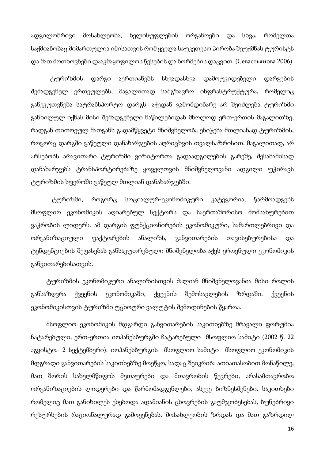ადგილობრივი მოსახლეობა, ხელისუფლების ორგანოები და სხვა, რომელთა საქმიანობაც მიმართულია იმისათვის რომ ყველა საუკეთესო პირობა შეუქმნას ტურისტს და მათ მოთხოვნები დააკმაყოფილოს წესების და ნორმების დაცვით. (Севастьянова 2006).

ტურიზმის დარგი აერთიანებს სხვადასხვა დამოუკიდებელი დარგების შემადგენელ ერთეულებს, მაგალითად სამგზავრო ინფრასტრუქტურა, რომელიც განეკუთვნება სატრანსპორტო დარგს. აქედან გამომდინარე არ შეიძლება ტურიზმი განხილულ იქნას მისი შემადგენელი ნაწილებიდან მხოლოდ ერთ-ერთის მაგალითზე, რადგან თითოეულ მათგანს გადამწყვეტი მნიშვნელობა ენიჭება მთლიანად ტურიზმის, როგორც დარგში გაწეული დანახარჯების აღრიცხვის თვალსაზრისით. მაგალითად, არ არსებობს არავითარი ტურიზმი ვიზიტორთა გადაადგილების გარეშე, შესაბამისად დანახარჯებს ტრანსპორტირებაზე ყოველთვის მნიშვნელოვანი ადგილი უჭირავს ტურიზმის სფეროში გაწეულ მთლიან დანახარჯებში.

 ტურიზმი, როგორც სოციალურ-ეკონომიკური კატეგორია, წარმოადგენს მსოფლიო ეკონომიკის აღიარებულ სექტორს და საერთაშორისო მომსახურებით ვაჭრობის ლიდერს. ამ დარგის ფუნქციონირების ეკონომიკური, სამართლებრივი და ორგანიზაციული ფაქტორების ანალიზს, განვითარების თავისებურებისა და ტენდენციების შეფასებას განსაკუთრებული მნიშვნელობა აქვს ეროვნული ეკონომიკის განვითარებისათვის.

ტურიზმის ეკონომიკური ანალიზისთვის ძალიან მნიშვნელოვანია მისი როლის განსაზღვრა ქვეყნის ეკონომიკაში, ქვეყნის შემოსავლების ზრდაში. ქვეყნის ეკონომიკისთვის ტურიზმი უცხოური ვალუტის შემოდინების წყაროა.

მსოფლიო ეკონომიკის მდგარდი განვითარების საკითხებზე მრავალი ფორუმია ჩატარებული, ერთ-ერთია იოჰანესბურგში ჩატარებული მსოფლიო სამიტი (2002 წ. 22 აგვისტო- 2 სექტემბერი). იოჰანესბურგის მსოფლიო სამიტი მსოფლიო ეკონომიკის მდგრადი განვითარების საკითხებზე მოეწყო, სადაც შეიკრიბა ათიათასობით მონაწილე, მათ შორის სახელმწიფოს მეთაურები და მთავრობის წევრები, არასამთავრობო ორგანიზაციების ლიდერები და წარმომადგენლები, ასევე ბიზნესმენები. საკითხები რომელიც მათ განიხილეს ეხებოდა ადამიანის ცხოვრების გაუმჯობესებას, ბუნებრივი რესურსების რაციონალურად გამოყენებას, მოსახლეობის ზრდას და მათ გაზრდილ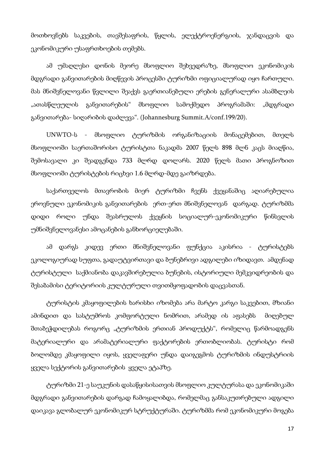მოთხოვნებს საკვების, თავშესაფრის, წყლის, ელექტროენერგიის, ჯანდაცვის და ეკონომიკური უსაფრთხოების თემებს.

ამ უმაღლესი დონის მეორე მსოფლიო შეხვედრაზე, მსოფლიო ეკონომიკის მდგრადი განვითარების მიღწევის პროცესში ტურიზმი ოფიციალურად იყო ჩართული. მას მნიშვნელოვანი წვლილი შეაქვს გაერთიანებული ერების გენერალური ასამბლეის "ათასწლეულის განვითარების" მსოფლიო სამოქმედო პროგრამაში: "მდგრადი განვითარება- სიღარიბის დაძლევა". (Johannesburg Summit.A/conf.199/20).

UNWTO-ს - მსოფლიო ტურიზმის ორგანიზაციის მონაცემებით, მთელს მსოფლიოში საერთაშორისო ტურისტთა ნაკადმა 2007 წელს 898 მლნ კაცს მიაღწია, შემოსავალი კი შეადგენდა 733 მლრდ დოლარს. 2020 წელს მათი პროგნოზით მსოფლიოში ტურისტების რიცხვი 1.6 მლრდ-მდე გაიზრდება.

საქართველოს მთავრობის მიერ ტურიზმი ჩვენს ქვეყანაშიც აღიარებულია ეროვნული ეკონომიკის განვითარების ერთ-ერთ მნიშვნელოვან დარგად. ტურიზმმა დიდი როლი უნდა შეასრულოს ქვეყნის სოციალურ-ეკონომიკური წინსვლის უმნიშვნელოვანესი ამოცანების განხორციელებაში.

ამ დარგს კიდევ ერთი მნიშვნელოვანი ფუნქცია აკისრია - ტურისტებს ეკოლოგიურად სუფთა, გადაუტვირთავი და ბუნებრივი ადგილები იზიდავთ. ამდენად ტურისტული საქმიანობა დაკავშირებულია ბუნების, ისტორიული მემკვიდრეობის და შესაბამისი ტერიტორიის კულტურული თვითმყოფადობის დაცვასთან.

ტურისტის კმაყოფილების ხარისხი იზომება არა მარტო კარგი საკვებით, მზიანი ამინდით და სასტუმროს კომფორტული ნომრით, არამედ ის აფასებს მიღებულ შთაბეჭდილებას როგორც "ტურიზმის ერთიან პროდუქტს", რომელიც წარმოადგენს მატერიალური და არამატერიალური ფაქტორების ერთობლიობას. ტურისტი რომ ბოლომდე კმაყოფილი იყოს, ყველაფერი უნდა დაიგეგმოს ტურიზმის ინდუსტრიის ყველა სექტორის განვითარების ყველა ეტაპზე.

ტურიზმი 21-ე საუკუნის დასაწყისისათვის მსოფლიო კულტურასა და ეკონომიკაში მდგრადი განვითარების დარგად ჩამოყალიბდა, რომელმაც განსაკუთრებული ადგილი დაიკავა გლობალურ ეკონომიკურ სტრუქტურაში. ტურიზმმა რომ ეკონომიკური მოგება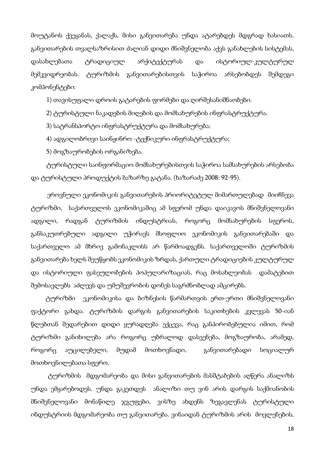მოუტანოს ქვეყანას, ქალაქს, მისი განვითარება უნდა ატარებდეს მდგრად ხასიათს. განვითარების თვალსაზრისით ძალიან დიდი მნიშვნელობა აქვს განახლების სისტემას, დასახლებათა ტრადიციულ არქიტექტურას და ისტორიულ-კულტურულ მემკვიდრეობას. ტურიზმის განვითარებისთვის საჭიროა არსებობდეს შემდეგი კომპონენტები:

1) თავისუფალი დროის გატარების ფორმები და ღირშესანიშნაობები.

2) ტურისტული ნაკადების მიღების და მომსახურების ინფრასტრუქტურა.

3) სატრანსპორტო ინფრასტრუქტურა და მომსახურება;

4) ადგილობრივი საინჟინრო -ტექნიკური ინფრასტრუქტურა;

5) მოგზაურობების ორგანიზება.

ტურისტული საინფორმაციო მომსახურებისთვის საჭიროა სამსახურების არსებობა და ტურისტული პროდუქტის ბაზარზე გატანა. (ხაზარაძე 2008: 92-95).

 ეროვნული ეკონომიკის განვითარების პრიორიტეტულ მიმართულებად მიიჩნევა ტურიზმი, საქართველოს ეკონომიკაშიც ამ სფერომ უნდა დაიკავოს მნიშვნელოვანი ადგილი, რადგან ტურიზმის ინდუსტრიას, როგორც მომსახურების სფეროს, განსაკუთრებული ადგილი უჭირავს მსოფლიო ეკონომიკის განვითარებაში და საქართველო ამ მხრივ გამონაკლისს არ წარმოადგენს. საქართველოში ტურიზმის განვითარება ხელს შეუწყობს ეკონომიკის ზრდას, ქართული ტრადიციების კულტურულ და ისტორიული ფასეულობების პოპულარიზაციას, რაც მოსახლეობას დამატებით შემოსავლებს აძლევს და უმუშევრობის დონეს საგრძნობლად ამცირებს.

 ტურიზმი ეკონომიკისა და ბიზნესის წარმართვის ერთ-ერთი მნიშვნელოვანი ფაქტორი გახდა. ტურიზმის დარგის განვითარების საკითხების კვლევას 50-იან წლებთან შედარებით დიდი ყურადღება ექცევა, რაც განპირობებულია იმით, რომ ტურიზმი განიხილება არა როგორც უბრალოდ დასვენება, მოგზაურობა, არამედ, როგორც აუცილებელი, მუდამ მოთხოვნადი, განვითარებადი სოციალურ მოთხოვნილებათა სფერო.

 ტურიზმის მდგომარეობა და მისი განვითარების მასშტაბების აღწერა ანალიზს უნდა ემყარებოდეს. უნდა გაკეთდეს ანალიზი თუ ვინ არის დარგის საქმიანობის მნიშვნელოვანი მონაწილე ჯგუფები, ვისზე ახდენს ზეგავლენას ტურისტული ინდუსტრიის მდგომარეობა თუ განვითარება. ვინაიდან ტურიზმის არის მოვლენების,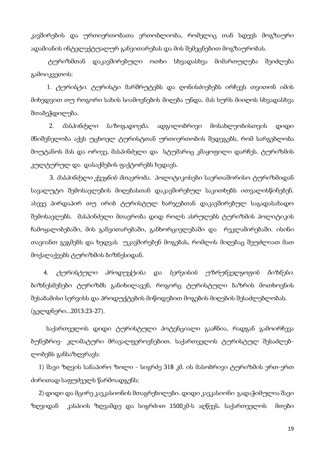კავშირების და ურთიერთობათა ერთობლიობა, რომელიც თან სდევს მოგზაური ადამიანის ინტელექტუალურ განვითარებას და მის შემეცნებით მოგზაურობას.

 ტურიზმთან დაკავშირებული ოთხი სხვადასხვა მიმართულება შეიძლება გამოიკვეთოს:

1. *ტურისტი.* ტურისტი მარშრუტებს და ღონისძიებებს ირჩევს თვითონ იმის მიხედვით თუ როგორი სახის სიამოვნების მიღება უნდა. მას სურს მიიღოს სხვადასხვა შთაბეჭდილება.

 2. მასპინძელი საზოგადოება. ადგილობრივი მოსახლეობისთვის დიდი მნიშვნელობა აქვს უცხოელ ტურისტთან ურთიერთობის შედეგებს, რომ სარგებლობა მოუტანოს მას და ორივე, მასპინძელი და სტუმარიც კმაყოფილი დარჩეს. ტურიზმის კულტურულ და დასაქმების ფაქტორებს ხედავს.

3. *მასპინძელი ქვეყნის მთავრობა.* პოლიტიკოსები საერთაშორისო ტურიზმიდან სავალუტო შემოსავლების მიღებასთან დაკავშირებულ საკითხებს ითვალისწინებენ. ასევე პირდაპირ თუ ირიბ ტურისტულ ხარჯებთან დაკავშირებულ საგადასახადო შემოსავლებს. მასპინძელი მთავრობა დიდ როლს ასრულებს ტურიზმის პოლიტიკის ჩამოყალიბებაში, მის განვითარებაში, განხორციელებაში და რეკლამირებაში. ისინი თავიანთ გეგმებს და ხედვას უკავშირებენ მოგებას, რომლის მიღებაც შეუძლიათ მათ მოქალაქეებს ტურიზმის ბიზნესიდან.

 4. ტურისტული პროდუქტისა და სერვისის უზრუნველყოფის ბიზნესი. ბიზნესმენები ტურიზმს განიხილავენ, როგორც ტურისტული ბაზრის მოთხოვნის შესაბამისი სერვისს და პროდუქტების მიწოდებით მოგების მიღების შესაძლებლობას. (გელდნერი...2013:23-27).

საქართველოს დიდი ტურისტული პოტენციალი გააჩნია, რადგან გამოირჩევა ბუნებრივ- კლიმატური მრავალფეროვნებით. საქართველოს ტურისტულ შესაძლებლობებს განსაზღვრავს:

1) შავი ზღვის სანაპირო ზოლი - სიგრძე 318 კმ. ის მასობრივი ტურიზმის ერთ-ერთ ძირითად საფუძველს წარმოადგენს;

2) დიდი და მცირე კავკასიონის მთაგრეხილები. დიდი კავკასიონი გადაჭიმულია შავი ზღვიდან კასპიის ზღვამდე და სიგრძით 1500კმ-ს აღწევს. საქართველოს მთები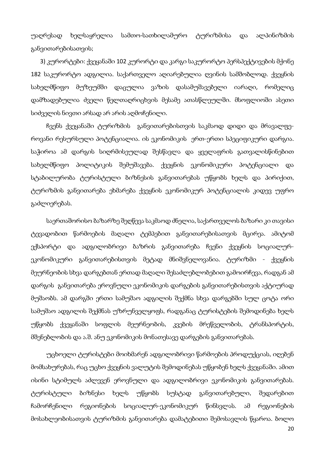უაღრესად ხელსაყრელია სამთო-სათხილამურო ტურიზმისა და ალპინიზმის განვითარებისათვის;

 3) კურორტები: ქვეყანაში 102 კურორტი და კარგი საკურორტო პერსპექტივების მქონე 182 საკურორტო ადგილია. საქართველო აღიარებულია ღვინის სამშობლოდ. ქვეყნის სახელმწიფო მუზეუმში დაცულია ვაზის დასამუშავებელი იარაღი, რომელიც დამზადებულია ძველი წელთაღრიცხვის მესამე ათასწლეულში. მსოფლიოში ასეთი სიძველის ნივთი არსად არ არის აღმოჩენილი.

ჩვენს ქვეყანაში ტურიზმის განვითარებისთვის საკმაოდ დიდი და მრავალფეროვანი რესურსული პოტენციალია. ის ეკონომიკის ერთ-ერთი სპეციფიკური დარგია. საჭიროა ამ დარგის სიღრმისეულად შესწავლა და ყველაფრის გათვალისწინებით სახელმწიფო პოლიტიკის შემუშავება. ქვეყნის ეკონომიკური პოტენციალი და სტაბილურობა ტურისტული ბიზნესის განვითარებას უწყობს ხელს და პირიქით, ტურიზმის განვითარება ეხმარება ქვეყნის ეკონომიკურ პოტენციალის კიდევ უფრო გაძლიერებას.

საერთაშორისო ბაზარზე შეღწევა საკმაოდ ძნელია, საქართველოს ბაზარი კი თავისი ტევადობით წარმოების მაღალი ტემპებით განვითარებისათვის მცირეა. ამიტომ ექსპორტი და ადგილობრივი ბაზრის განვითარება ჩვენი ქვეყნის სოციალურეკონომიკური განვითარებისთვის მეტად მნიშვნელოვანია. ტურიზმი - ქვეყნის მეურნეობის სხვა დარგებთან ერთად მაღალი შესაძლებლობებით გამოირჩევა, რადგან ამ დარგის განვითარება ეროვნული ეკონომიკის დარგების განვითარებისთვის აქტიურად მუშაობს. ამ დარგში ერთი სამუშაო ადგილის შექმნა სხვა დარგებში სულ ცოტა ორი სამუშაო ადგილის შექმნას უზრუნველყოფს, რადგანაც ტურისტების შემოდინება ხელს უწყობს ქვეყანაში სოფლის მეურნეობის, კვების მრეწველობის, ტრანსპორტის, მშენებლობის და ა.შ. ანუ ეკონომიკის მონათესავე დარგების განვითარებას.

უცხოელი ტურისტები მოიხმარენ ადგილობრივი წარმოების პროდუქციას, იღებენ მომსახურებას, რაც უცხო ქვეყნის ვალუტის შემოდინებას უწყობენ ხელს ქვეყანაში. ამით ისინი სტიმულს აძლევენ ეროვნული და ადგილობრივი ეკონომიკის განვითარებას. ტურისტული ბიზნესი ხელს უწყობს სუსტად განვითარებული, შედარებით ჩამორჩენილი რეგიონების სოციალურ-ეკონომიკურ წინსვლას. ამ რეგიონების მოსახლეობისათვის ტურიზმის განვითარება დამატებითი შემოსავლის წყაროა. ბოლო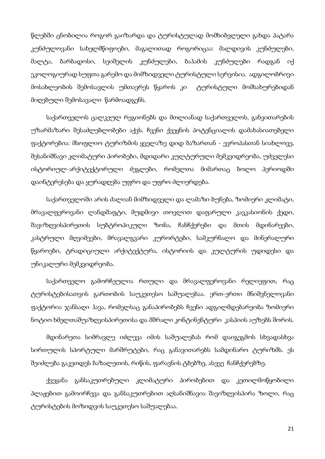წლებში ცნობილია როგორ გაიზარდა და ტურისტულად მომხიბვლელი გახდა პატარა კუნძულოვანი სახელმწიფოები, მაგალითად როგორიცაა: მალდივის კუნძულები, მალტა, ბარბადოსი, სეიშელის კუნძულები, ბაჰამის კუნძულები რადგან იქ ეკოლოგიურად სუფთა გარემო და მიმზიდველი ტურისტული სერვისია. ადგილობრივი მოსახლეობის შემოსავლის უმთავრეს წყაროს კი ტურისტული მომსახურებიდან მიღებული შემოსავალი წარმოადგენს.

საქართველოს ცალკეულ რეგიონებს და მთლიანად საქართველოს, განვითარების უზარმაზარი შესაძლებლობები აქვს. ჩვენი ქვეყნის პოტენციალის დამახასიათებელი ფაქტორებია: მსოფლიო ტურიზმის ყველაზე დიდ ბაზართან - ევროპასთან სიახლოვე, შესანიშნავი კლიმატური პირობები, მდიდარი კულტურული მემკვიდრეობა, უძველესი ისტორიულ-არქიტექტორული ძეგლები, რომელთა მიმართაც ბოლო პერიოდში დაინტერესება და ყურადღება უფრო და უფრო ძლიერდება.

საქართველოში არის ძალიან მიმზიდველი და ლამაზი ბუნება, ზომიერი კლიმატი, მრავალფეროვანი ლანდშაფტი, მუდმივი თოვლით დაფარული კავკასიონის ქედი, შავიზღვისპირეთის სუბტროპიკული ზონა, ჩანჩქერები და მთის მდინარეები, კასტრული მღვიმეები, მრავალგვარი კურორტები, სამკურნალო და მინერალური წყაროები, ტრადიციული არქიტექტურა, ისტორიის და კულტურის უდიდესი და უნიკალური მემკვიდრეობა.

საქართველო გამორჩეულია რთული და მრავალფეროვანი რელიეფით, რაც ტურისტებისათვის გართობის საუკეთესო საშუალებაა. ერთ-ერთი მნიშვნელოვანი ფაქტორია ჯანსაღი ჰავა, რომელსაც განაპირობებს ჩვენი ადგილმდებარეობა ზომიერი ნოტიო ხმელთაშუაზღვისპირეთისა და მშრალი კონტინენტური კასპიის აუზებს შორის.

მდინარეთა სიმრავლე იძლევა იმის საშუალებას რომ დაიგეგმოს სხვადასხვა სირთულის სპორტული მარშრუტები, რაც განავითარებს სამდინარო ტურიზმს. ეს შეიძლება გაკეთდეს ბაზალეთის, რიწის, ფარავნის ტბებზე, ასევე ჩანჩქერებზე.

ქვეყანა განსაკუთრებული კლიმატური პირობებით და კეთილმოწყობილი პლაჟებით გამოირჩევა და განსაკუთრებით აღსანიშნავია შავიზღვისპირა ზოლი, რაც ტურისტების მოზიდვის საუკეთესო საშუალებაა.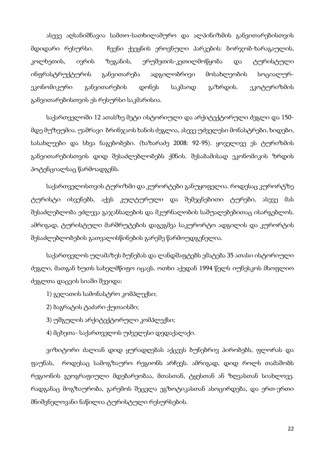ასევე აღსანიშნავია სამთო-სათხილამურო და ალპინიზმის განვითარებისთვის მდიდარი რესურსი. ჩვენი ქვეყნის ეროვნული პარკების: ბორჯობ-ხარაგაულის, კოლხეთის, ივრის ზეგანის, ერუშეთის-კეთილმოწყობა და ტურისტული ინფრასტრუქტურის განვითარება ადგილობრივი მოსახლეობის სოციალურეკონომიკური განვითარების დონეს საკმაოდ გაზრდის. ეკოტურიზმის განვითარებისთვის ეს რესურსი საკმარისია.

საქართველოში 12 ათასზე მეტი ისტორიული და არქიტექტორული ძეგლი და 150 მდე მუზეუმია. უამრავი ბრინჯაოს ხანის ძეგლია, ასევე უძველესი მონასტრები, ხიდები, სასახლეები და სხვა ნაგებობები. (ხაზარაძე 2008: 92-95). ყოველივე ეს ტურიზმის განვითარებისთვის დიდ შესაძლებლობებს ქმნის. შესაბამისად ეკონომიკის ზრდის პოტენციალსაც წარმოადგენს.

საქართველოსთვის ტურიზმი და კურორტები განუყოფელია. როდესაც კურორტზე ტურისტი ისვენებს, აქვს კულტურული და შემეცნებითი ტურები, ასევე მას შესაძლებლობა ეძლევა გაჯანსაღების და მკურნალობის საშუალებებითაც ისარგებლოს. ამრიგად, ტურისტული მარშრუტების დაგეგმვა საკურორტო ადგილის და კურორტის შესაძლებლობების გათვალისწინების გარეშე წარმოუდგენელია.

საქართველოს ულამაზეს ბუნებას და ლანდშაფტებს ემატება 35 ათასი ისტორიული ძეგლი, მათგან ხუთს სახელმწიფო იცავს. ოთხი აქედან 1994 წელს იუნესკოს მსოფლიო ძეგლთა დაცვის სიაში შევიდა:

1) გელათის სამონასტრო კომპლექსი;

- 2) ბაგრატის ტაძარი ქუთაისში;
- 3) უშგულის არქიტექტორული კომპლექსი;
- 4) მცხეთა- საქართველოს უძველესი დედაქალაქი.

ვიზიტორი ძალიან დიდ ყურადღებას აქცევს ბუნებრივ პირობებს, ფლორას და ფაუნას, როდესაც სამოგზაურო რეგიონს არჩევს. ამრიგად, დიდ როლს თამაშობს რეგიონის გეოგრაფიული მდებარეობაა, მთასთან, ტყესთან ან ზღვასთან სიახლოვე. რადგანაც მოგზაურობა, გარემოს შეცვლა ეგზოტიკასთან ასოცირდება, და ერთ-ერთი მნიშვნელოვანი ნაწილია ტურისტული რესურსების.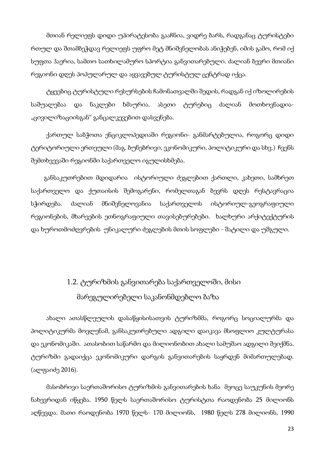მთიან რელიეფს დიდი უპირატესობა გააჩნია, ვიდრე ბარს, რადგანაც ტურისტები რთულ და შთამბეჭდავ რელიეფს უფრო მეტ მნიშვნელობას ანიჭებენ, იმის გამო, რომ იქ სუფთა ჰაერია, სამთო სათხილამურო სპორტია განვითარებული. ძალიან ბევრი მთიანი რეგიონი დღეს პოპულარულ და აყვავებულ ტურისტულ ცენტრად იქცა.

ტყეებიც ტურისტული რესურსების ჩამონათვალში შედის, რადგან იქ იზოლირების საშუალებაა და ნაკლები ხმაურია. ასეთი ტურებიც ძალიან მოთხოვნადია- "ცივილიზაციისგან" განცალკევებით დასვენება.

ქართულ საბჭოთა ენციკლოპედიაში რეგიონი- განმარტებულია, როგორც დიდი ტერიტორიული ერთეული (მაგ. ბუნებრივი, ეკონომიკური, პოლიტიკური და სხვ.) ჩვენს შემთხვევაში რეგიონში საქართველო იგულისხმება.

 განსაკუთრებით მდიდარია ისტორიული ძეგლებით ქართლი, კახეთი, სამხრეთ საქართველო და ქუთაისის შემოგარენი, რომელთაგან ბევრს დღეს რესტავრაცია სჭირდება. ძალიან მნიშვნელოვანია საქართველოს ისტორიულ-გეოგრაფიული რეგიონების, მხარეების ეთნოგრაფიული თავისებურებები. ხალხური არქიტექტურის და ხუროთმოძღვრების უნიკალური ძეგლების მთის სოფლები - შატილი და უშგული.

# 1.2. ტურიზმის განვითარება საქართველოში, მისი მარეგულირებელი საკანონმდებლო ბაზა

ახალი ათასწლეულის დასაწყისისათვის ტურიზმმა, როგორც სოციალურმა და პოლიტიკურმა მოვლენამ, განსაკუთრებული ადგილი დაიკავა მსოფლიო კულტურასა და ეკონომიკაში. ათასობით საწარმო და მილიონობით ახალი სამუშაო ადგილი შეიქმნა. ტურიზმი გადაიქცა ეკონომიკური დარგის განვითარების საყრდენ მიმართულებად. (ალფაიძე 2016).

მასობრივი საერთაშორისო ტურიზმის განვითარების ხანა მეოცე საუკუნის მეორე ნახევრიდან იწყება. 1950 წელს საერთაშორისო ტურისტთა რაოდენობა 25 მილიონს აღწევდა. მათი რაოდენობა 1970 წელს- 170 მილიონს, 1980 წელს 278 მილიონს, 1990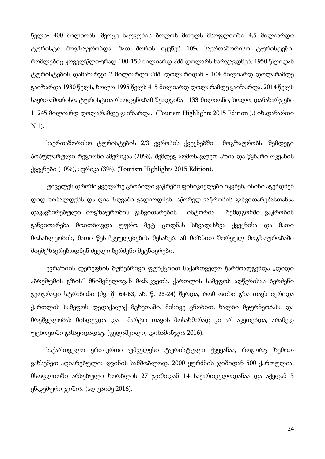წელს- 400 მილიონს. მეოცე საუკუნის ბოლოს მთელს მსოფლიოში 4,5 მილიარდი ტურისტი მოგზაურობდა, მათ შორის იყვნენ 10% საერთაშორისო ტურისტები, რომლებიც ყოველწლიურად 100-150 მილიარდ აშშ დოლარს ხარჯავდნენ. 1950 წლიდან ტურისტების დანახარჯი 2 მილიარდი აშშ. დოლარიდან - 104 მილიარდ დოლარამდე გაიზარდა 1980 წელს, ხოლო 1995 წელს 415 მილიარდ დოლარამდე გაიზარდა. 2014 წელს საერთაშორისო ტურისტთა რაოდენობამ შეადგინა 1133 მილიონი, ხოლო დანახარჯები 11245 მილიარდ დოლარამდე გაიზარდა. (Tourism Highlights 2015 Edition ).( იხ.დანართი N 1).

საერთაშორისო ტურისტების 2/3 ევროპის ქვეყნებში მოგზაურობს. შემდეგი პოპულარული რეგიონი ამერიკაა (20%), შემდეგ აღმოსავლეთ აზია და წყნარი ოკეანის ქვეყნები (10%), აფრიკა (3%). (Tourism Highlights 2015 Edition).

უძველეს დროში ყველაზე ცნობილი ვაჭრები ფინიკიელები იყვნენ, ისინი აგებდნენ დიდ ხომალდებს და ღია ზღვაში გადიოდნენ. სწორედ ვაჭრობის განვითარებასთანაა დაკავშირებული მოგზაურობის განვითარების ისტორია. შემდგომში ვაჭრობის განვითარება მოითხოვდა უფრო მეტ ცოდნას სხვადასხვა ქვეყნისა და მათი მოსახლეობის, მათი წეს-ჩვეულებების შესახებ. ამ მიზნით შორეულ მოგზაურობაში მიემგზავრებოდნენ ძველი ბერძენი მეცნიერები.

ევრაზიის დერეფნის ბუნებრივი ფუნქციით საქართველო წარმოადგენდა "დიდი აბრეშუმის გზის" მნიშვნელოვან მონაკვეთს, ქართლის სამეფოს აღწერისას ბერძენი გეოგრაფი სტრაბონი (ძვ. წ. 64-63, ახ. წ. 23-24) წერდა, რომ ოთხი გზა თავს იყრიდა ქართლის სამეფოს დედაქალაქ მცხეთაში. მისივე ცნობით, ხალხი მეურნეობასა და მრეწველობას მისდევდა და მარტო თავის მოსახმარად კი არ აკეთებდა, არამედ უცხოეთში გასაყიდადაც. (გელაშვილი, დიხამინჯია 2016).

საქართველო ერთ-ერთი უძველესი ტურისტული ქვეყანაა, როგორც ზემოთ ვახსენეთ აღიარებულია ღვინის სამშობლოდ. 2000 ყურძნის ჯიშიდან 500 ქართულია, მსოფლიოში არსებული ხორბლის 27 ჯიშიდან 14 საქართველოდანაა და აქედან 5 ენდემური ჯიშია. (ალფაიძე 2016).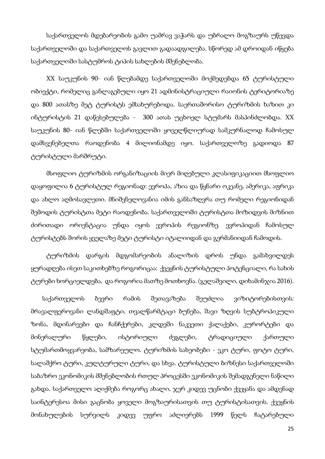საქართველოს მდებარეობის გამო უამრავ ვაჭარს და უბრალო მოგზაურს უწევდა საქართველოში და საქართველოს გავლით გადაადგილება. სწორედ ამ დროიდან იწყება საქართველოში სასტუმროს ტიპის სახლების მშენებლობა.

XX საუკუნის 90- იან წლებამდე საქართველოში მოქმედებდა 65 ტურისტული ობიექტი, რომელიც განლაგებული იყო 21 ადმინისტრაციული რაიონის ტერიტორიაზე და 800 ათასზე მეტ ტურისტს ემსახურებოდა. საერთაშორისო ტურიზმის ხაზით კი ინტურისტის 21 დაწესებულება - 300 ათას უცხოელ სტუმარს მასპინძლობდა. XX საუკუნის 80- იან წლებში საქართველოში ყოველწლიურად სამკურნალოდ ჩამოსულ დამსვენებელთა რაოდენობა 4 მილიონამდე იყო. საქართველოზე გადიოდა 87 ტურისტული მარშრუტი.

მსოფლიო ტურიზმის ორგანიზაციის მიერ მიღებული კლასიფიკაციით მსოფლიო დაყოფილია 6 ტურისტულ რეგიონად: ევროპა, აზია და წყნარი ოკეანე, ამერიკა, აფრიკა და ახლო აღმოსავლეთი. მნიშვნელოვანია იმის განსაზღვრა თუ რომელი რეგიონიდან შემოდის ტურისტთა მეტი რაოდენობა. საქართველოში ტურისტთა მოზიდვის მიზნით ძირითადი ორიენტაცია უნდა იყოს ევროპის რეგიონზე. ევროპიდან ჩამოსულ ტურისტებს შორის ყველაზე მეტი ტურისტი იტალიიდან და გერმანიიდან ჩამოდის.

ტურიზმის დარგის მდგომარეობის ანალიზის დროს უნდა გამახვილდეს ყურადღება ისეთ საკითხებზე როგორიცაა: ქვეყნის ტურისტული პოტენციალი, რა სახის ტურები ხორციელდება, და როგორია მათზე მოთხოვნა. (გელაშვილი, დიხამინჯია 2016).

 საქართველოს ბევრი რამის შეთავაზება შეუძლია ვიზიტორებისთვის: მრავალფეროვანი ლანდშაფტი, თვალწარმტაცი ბუნება, შავი ზღვის სუბტროპიკული ზონა, მდინარეები და ჩანჩქერები, კლდეში ნაკვეთი ქალაქები, კურორტები და მინერალური წყლები, ისტორიული ძეგლები, ტრადიციული ქართული სტუმართმოყვარეობა, სამზარეულო. ტურიზმის სახეობები - ეკო ტური, ფოტო ტური, სალაშქრო ტური, კულტურული ტური, და სხვა. ტურისტული ბიზნესი საქართველოში საბაზრო ეკონომიკის მშენებლობის რთულ პროცესში ეკონომიკის შემადგენელი ნაწილი გახდა. საქართველო აღიქმება როგორც ახალი, ჯერ კიდევ უცნობი ქვეყანა და ამდენად საინტერესოა მისი გაცნობა ყოველი მოგზაურისათვის თუ ტურისტისათვის. ქვეყნის მონახულების სურვილს კიდევ უფრო აძლიერებს 1999 წელს ჩატარებული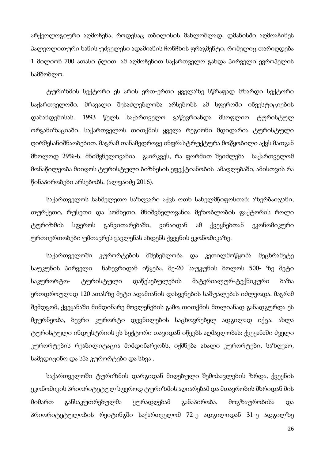არქეოლოგიური აღმოჩენა, როდესაც თბილისის მახლობლად, დმანისში აღმოაჩინეს პალეოლითური ხანის უძველესი ადამიანის ჩონჩხის ფრაგმენტი, რომელიც თარიღდება 1 მილიონ 700 ათასი წლით. ამ აღმოჩენით საქართველო გახდა პირველი ევროპელის სამშობლო.

ტურიზმის სექტორი ეს არის ერთ-ერთი ყველაზე სწრაფად მზარდი სექტორი საქართველოში. მრავალი შესაძლებლობა არსებობს ამ სფეროში ინვესტიციების დაბანდებისას. 1993 წელს საქართველო გაწევრიანდა მსოფლიო ტურისტულ ორგანიზაციაში. საქართველოს თითქმის ყველა რეგიონი მდიდარია ტურისტული ღირშესანიშნაობებით. მაგრამ თანამედროვე ინფრასტრუქტურა მოწყობილი აქვს მათგან მხოლოდ 29%-ს. მნიშვნელოვანია გაირკვეს, რა ფორმით შეიძლება საქართველომ მონაწილეობა მიიღოს ტურისტული ბიზნესის ეფექტიანობის ამაღლებაში, ამისთვის რა წინაპირობები არსებობს. (ალფაიძე 2016).

საქართველოს სახმელეთო საზღვარი აქვს ოთხ სახელმწიფოსთან: აზერბაიჯანი, თურქეთი, რუსეთი და სომხეთი. მნიშვნელოვანია მეზობლობის ფაქტორის როლი ტურიზმის სფეროს განვითარებაში, ვინაიდან ამ ქვეყნებთან ეკონომიკური ურთიერთობები უმთავრეს გავლენას ახდენს ქვეყნის ეკონომიკაზე.

საქართველოში კურორტების მშენებლობა და კეთილმოწყობა მეცხრამეტე საუკუნის პირველი ნახევრიდან იწყება. მე-20 საუკუნის ბოლოს 500- ზე მეტი საკურორტო- ტურისტული დაწესებულების მატერიალურ-ტექნიკური ბაზა ერთდროულად 120 ათასზე მეტი ადამიანის დასვენების საშუალებას იძლეოდა. მაგრამ შემდგომ, ქვეყანაში მიმდინარე მოვლენების გამო თითქმის მთლიანად განადგურდა ეს მეურნეობა, ბევრი კურორტი დევნილების საცხოვრებელ ადგილად იქცა. ახლა ტურისტული ინდუსტრიის ეს სექტორი თავიდან იწყებს აღმავლობას: ქვეყანაში ძველი კურორტების რეაბილიტაცია მიმდინარეობს, იქმნება ახალი კურორტები, საზღვაო, სამედიცინო და სპა კურორტები და სხვა .

საქართველოში ტურიზმის დარგიდან მიღებული შემოსავლების ზრდა, ქვეყნის ეკონომიკის პრიორიტეტულ სფეროდ ტურიზმის აღიარებამ და მთავრობის მხრიდან მის მიმართ განსაკუთრებულმა ყურადღებამ განაპირობა. მოგზაურობისა და პრიორიტეტულობის რეიტინგში საქართველომ 72-ე ადგილიდან 31-ე ადგილზე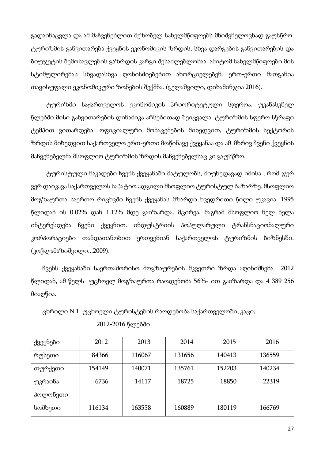გადაინაცვლა და ამ მაჩვენებლით მეზობელ სახელმწიფოებს მნიშვნელოვნად გაუსწრო. ტურიზმის განვითარება ქვეყნის ეკონომიკის ზრდის, სხვა დარგების განვითარების და ბიუჯეტის შემოსავლების გაზრდის კარგი შესაძლებლობაა. ამიტომ სახელმწიფოები მის სტიმულირებას სხვადასხვა ღონისძიებებით ახორციელებენ. ერთ-ერთი მათგანია თავისუფალი ეკონომიკური ზონების შექმნა. (გელაშვილი, დიხამინჯია 2016).

ტურიზმი საქართველოს ეკონომიკის პრიორიტეტული სფეროა. უკანასკნელ წლებში მისი განვითარების დინამიკა არსებითად შეიცვალა. ტურიზმის სფერო სწრაფი ტემპით ვითარდება. ოფიციალური მონაცემების მიხედვით, ტურიზმის სექტორის ზრდის მიხედვით საქართველო ერთ-ერთი მოწინავე ქვეყანაა და ამ მხრივ ჩვენი ქვეყნის მაჩვენებელმა მსოფლიო ტურიზმის ზრდის მაჩვენებელსაც კი გაუსწრო.

ტურისტული ნაკადები ჩვენს ქვეყანაში მატულობს, მიუხედავად იმისა , რომ ჯერ ვერ დაიკავა საქართველოს საპატიო ადგილი მსოფლიო ტურისტულ ბაზარზე. მსოფლიო მოგზაურთა საერთო რიცხვში ჩვენს ქვეყანას მზარდი ხვედრითი წილი უკავია. 1995 წლიდან ის 0.02% დან 1.12% მდე გაიზარდა. მცირეა, მაგრამ მსოფლიო ნელ ნელა ინტერესდება ჩვენი ქვეყნით. ინდუსტრიის პოპულარული ტრანსნაციონალური კორპორაციები თანდათანობით ერთვებიან საქართველოს ტურიზმის ბიზნესში. (კოჭლამაზიშვილი...2009).

 ჩვენს ქვეყანაში საერთაშორისო მოგზაურების მკვეთრი ზრდა აღინიშნება 2012 წლიდან, ამ წელს უცხოელ მოგზაურთა რაოდენობა 56%- ით გაიზარდა და 4 389 256 მიაღწია.

ცხრილი N 1. უცხოელი ტურისტების რაოდენობა საქართველოში, კაცი,

| ქვეყნები | 2012   | 2013   | 2014   | 2015   | 2016   |
|----------|--------|--------|--------|--------|--------|
| რუსეთი   | 84366  | 116067 | 131656 | 140413 | 136559 |
| თურქეთი  | 154149 | 140071 | 135761 | 152203 | 140234 |
| უკრაინა  | 6736   | 14117  | 18725  | 18850  | 22319  |
| პოლონეთი |        |        |        |        |        |
| სომხეთი  | 116134 | 163558 | 160889 | 180119 | 166769 |
|          |        |        |        |        |        |

2012-2016 წლებში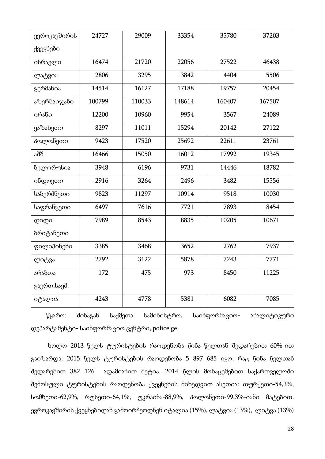| ევროკავშირის | 24727  | 29009  | 33354  | 35780  | 37203  |
|--------------|--------|--------|--------|--------|--------|
| ქვეყნები     |        |        |        |        |        |
| ისრაელი      | 16474  | 21720  | 22056  | 27522  | 46438  |
| ლატვია       | 2806   | 3295   | 3842   | 4404   | 5506   |
| გერმანია     | 14514  | 16127  | 17188  | 19757  | 20454  |
| აზერბაიჯანი  | 100799 | 110033 | 148614 | 160407 | 167507 |
| ირანი        | 12200  | 10960  | 9954   | 3567   | 24089  |
| ყაზახეთი     | 8297   | 11011  | 15294  | 20142  | 27122  |
| პოლონეთი     | 9423   | 17520  | 25692  | 22611  | 23761  |
| აშშ          | 16466  | 15050  | 16012  | 17992  | 19345  |
| ბელორუსია    | 3948   | 6196   | 9731   | 14446  | 18782  |
| ინდოეთი      | 2916   | 3264   | 2496   | 3482   | 15556  |
| საბერძნეთი   | 9823   | 11297  | 10914  | 9518   | 10030  |
| საფრანგეთი   | 6497   | 7616   | 7721   | 7893   | 8454   |
| $Q$ O $Q$ O  | 7989   | 8543   | 8835   | 10205  | 10671  |
| ბრიტანეთი    |        |        |        |        |        |
| ფილიპინები   | 3385   | 3468   | 3652   | 2762   | 7937   |
| ლიტვა        | 2792   | 3122   | 5878   | 7243   | 7771   |
| არაბთა       | 172    | 475    | 973    | 8450   | 11225  |
| გაერთ.საემ.  |        |        |        |        |        |
| იტალია       | 4243   | 4778   | 5381   | 6082   | 7085   |

წყარო: შინაგან საქმეთა სამინისტრო, საინფორმაციო- ანალიტიკური დეპარტამენტი- საინფორმაციო ცენტრი, police.ge

 ხოლო 2013 წელს ტურისტების რაოდენობა წინა წელთან შედარებით 60%-ით გაიზარდა. 2015 წელს ტურისტების რაოდენობა 5 897 685 იყო, რაც წინა წელთან შედარებით 382 126 ადამიანით მეტია. 2014 წლის მონაცემებით საქართველოში შემოსული ტურისტების რაოდენობა ქვეყნების მიხედვით ასეთია: თურქეთი-54,3%, სომხეთი-62,9%, რუსეთი-64,1%, უკრაინა-88,9%, პოლონეთი-99,3%-იანი მატებით. ევროკავშირის ქვეყნებიდან გამოირჩეოდნენ იტალია (15%), ლატვია (13%), ლიტვა (13%)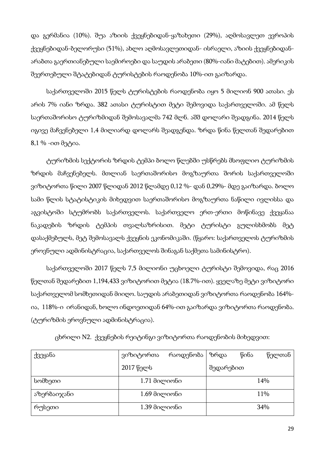და გერმანია (10%). შუა აზიის ქვეყნებიდან-ყაზახეთი (29%), აღმოსავლეთ ევროპის ქვეყნებიდან-ბელორუსი (51%), ახლო აღმოსავლეთიდან- ისრაელი, აზიის ქვეყნებიდანარაბთა გაერთიანებული საემიროები და საუდის არაბეთი (80%-იანი მატებით). ამერიკის შეერთებული შტატებიდან ტურისტების რაოდენობა 10%-ით გაიზარდა.

საქართველოში 2015 წელს ტურისტების რაოდენობა იყო 5 მილიონ 900 ათასი. ეს არის 7% იანი ზრდა. 382 ათასი ტურისტით მეტი შემოვიდა საქართველოში. ამ წელს საერთაშორისო ტურიზმიდან შემოსავალმა 742 მლნ. აშშ დოლარი შეადგინა. 2014 წელს იგივე მაჩვენებელი 1,4 მილიარდ დოლარს შეადგენდა. ზრდა წინა წელთან შედარებით  $8,1\%$  -ით მეტია.

ტურიზმის სექტორის ზრდის ტემპი ბოლო წლებში უსწრებს მსოფლიო ტურიზმის ზრდის მაჩვენებელს. მთლიან საერთაშორისო მოგზაურთა შორის საქართველოში ვიზიტორთა წილი 2007 წლიდან 2012 წლამდე 0,12 %- დან 0,29%- მდე გაიზარდა. ბოლო სამი წლის სტატისტიკის მიხედვით საერთაშორისო მოგზაურთა ნაწილი ივლისსა და აგვისტოში სტუმრობს საქართველოს. საქართველო ერთ-ერთი მოწინავე ქვეყანაა ნაკადების ზრდის ტემპის თვალსაზრისით. მეტი ტურისტი გულისხმობს მეტ დასაქმებულს, მეტ შემოსავალს ქვეყნის ეკონომიკაში. (წყარო: საქართველოს ტურიზმის ეროვნული ადმინისტრაცია, საქართველოს შინაგან საქმეთა სამინისტრო).

საქართველოში 2017 წელს 7,5 მილიონი უცხოელი ტურისტი შემოვიდა, რაც 2016 წელთან შედარებით 1,194,433 ვიზიტორით მეტია (18.7%-ით). ყველაზე მეტი ვიზიტორი საქართველომ სომხეთიდან მიიღო. საუდის არაბეთიდან ვიზიტორთა რაოდენობა 164% ია, 118%-ი ირანიდან, ხოლო ინდოეთიდან 64%-ით გაიზარდა ვიზიტორთა რაოდენობა. (ტურიზმის ეროვნული ადმინისტრაცია).

| ქვეყანა     | ვიზიტორთა      | რაოდენობა | ზრდა      | წინა | წელთან |
|-------------|----------------|-----------|-----------|------|--------|
|             | 2017 წელს      |           | შედარებით |      |        |
| სომხეთი     | $1.71$ მილიონი |           |           |      | 14%    |
| აზერბაიჯანი | $1.69$ მილიონი |           |           |      | 11%    |
| რუსეთი      | $1.39$ მილიონი |           |           |      | 34%    |

ცხრილი N2. ქვეყნების რეიტინგი ვიზიტორთა რაოდენობის მიხედვით: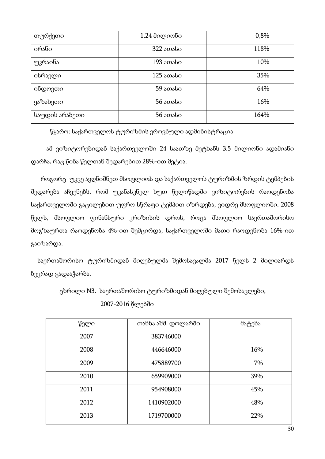| თურქეთი        | $1.24$ достотбо | 0,8% |
|----------------|-----------------|------|
| ირანი          | $322$ sosbo     | 118% |
| უკრაინა        | $193$ sonsbo    | 10%  |
| ისრაელი        | $125$ ათასი     | 35%  |
| ინდოეთი        | 59 ათასი        | 64%  |
| ყაზახეთი       | $56$ sossbo     | 16%  |
| საუდის არაბეთი | $56$ sossbo     | 164% |

წყარო: საქართველოს ტურიზმის ეროვნული ადმინისტრაცია

ამ ვიზიტორებიდან საქართველოში 24 საათზე მეტხანს 3.5 მილიონი ადამიანი დარჩა, რაც წინა წელთან შედარებით 28%-ით მეტია.

 როგორც უკვე ავღნიშნეთ მსოფლიოს და საქართველოს ტურიზმის ზრდის ტემპების შედარება აჩვენებს, რომ უკანასკნელ ხუთ წელიწადში ვიზიტორების რაოდენობა საქართველოში გაცილებით უფრო სწრაფი ტემპით იზრდება, ვიდრე მსოფლიოში. 2008 წელს, მსოფლიო ფინანსური კრიზისის დროს, როცა მსოფლიო საერთაშორისო მოგზაურთა რაოდენობა 4%-ით შემცირდა, საქართველოში მათი რაოდენობა 16%-ით გაიზარდა.

 საერთაშორისო ტურიზმიდან მიღებულმა შემოსავალმა 2017 წელს 2 მილიარდს ბევრად გადააჭარბა.

ცხრილი N3. საერთაშორისო ტურიზმიდან მიღებული შემოსავლები,

2007-2016 წლებში

| წელი | თანხა აშშ. დოლარში | მატება |
|------|--------------------|--------|
| 2007 | 383746000          |        |
| 2008 | 446646000          | 16%    |
| 2009 | 475889700          | 7%     |
| 2010 | 659909000          | 39%    |
| 2011 | 954908000          | 45%    |
| 2012 | 1410902000         | 48%    |
| 2013 | 1719700000         | 22%    |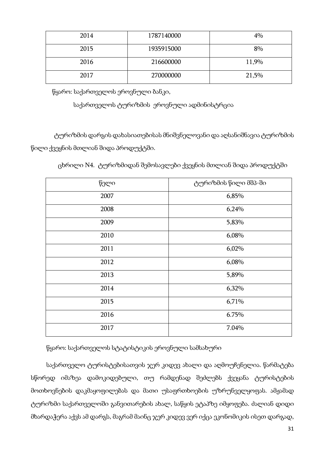| 2014 | 1787140000 | 4%    |
|------|------------|-------|
| 2015 | 1935915000 | 8%    |
| 2016 | 216600000  | 11,9% |
| 2017 | 270000000  | 21,5% |

წყარო: საქართველოს ეროვნული ბანკი,

საქართველოს ტურიზმის ეროვნული ადმინისტრცია

ტურიზმის დარგის დახასიათებისას მნიშვნელოვანი და აღსანიშნავია ტურიზმის წილი ქვეყნის მთლიან შიდა პროდუქტში.

ცხრილი N4. ტურიზმიდან შემოსავლები ქვეყნის მთლიან შიდა პროდუქტში

| წელი | ტურიზმის წილი მშპ-ში |
|------|----------------------|
| 2007 | 6,85%                |
| 2008 | 6,24%                |
| 2009 | 5,83%                |
| 2010 | 6,08%                |
| 2011 | 6,02%                |
| 2012 | 6,08%                |
| 2013 | 5,89%                |
| 2014 | 6,32%                |
| 2015 | 6,71%                |
| 2016 | 6.75%                |
| 2017 | 7.04%                |

წყარო: საქართველოს სტატისტიკის ეროვნული სამსახური

საქართველო ტურისტებისათვის ჯერ კიდევ ახალი და აღმოუჩენელია. წარმატება სწორედ იმაზეა დამოკიდებული, თუ რამდენად შეძლებს ქვეყანა ტურისტების მოთხოვნების დაკმაყოფილებას და მათი უსაფრთხოების უზრუნველყოფას. ამჟამად ტურიზმი საქართველოში განვითარების ახალ, საწყის ეტაპზე იმყოფება. ძალიან დიდი მხარდაჭერა აქვს ამ დარგს, მაგრამ მაინც ჯერ კიდევ ვერ იქცა ეკონომიკის ისეთ დარგად,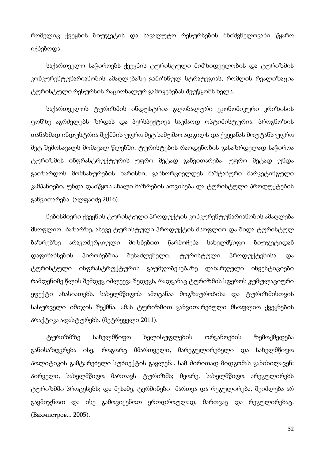რომელიც ქვეყნის ბიუჯეტის და სავალუტო რესურსების მნიშვნელოვანი წყარო იქნებოდა.

საქართველო საჭიროებს ქვეყნის ტურისტული მიმზიდველობის და ტურიზმის კონკურენტუნარიანობის ამაღლებაზე გამიზნულ სტრატეგიას, რომლის რეალიზაცია ტურისტული რესურსის რაციონალურ გამოყენებას შეუწყობს ხელს.

საქართველოს ტურიზმის ინდუსტრია გლობალური ეკონომიკური კრიზისის ფონზე აგრძელებს ზრდას და პერსპექტივა საკმაოდ ოპტიმისტურია. პროგნოზის თანახმად ინდუსტრია შექმნის უფრო მეტ სამუშაო ადგილს და ქვეყანას მოუტანს უფრო მეტ შემოსავალს მომავალ წლებში. ტურისტების რაოდენობის გასაზრდელად საჭიროა ტურიზმის ინფრასტრუქტურის უფრო მეტად განვითარება, უფრო მეტად უნდა გაიზარდოს მომსახურების ხარისხი, განხორციელდეს მაშტაბური მარკეტინგული კამპანიები, უნდა დაიწყოს ახალი ბაზრების ათვისება და ტურისტული პროდუქტების განვითარება. (ალფაიძე 2016).

ნებისმიერი ქვეყნის ტურისტული პროდუქტის კონკურენტუნარიანობის ამაღლება მსოფლიო ბაზარზე, ასევე ტურისტული პროდუქტის მსოფლიო და შიდა ტურისტულ ბაზრებზე არაკომერციული მიზნებით წარმოჩენა სახელმწიფო ბიუჯეტიდან დაფინანსების პირობებშია შესაძლებელი. ტურისტული პროდუქტებისა და ტურისტული ინფრასტრუქტურის გაუმჯობესებაზე დახარჯული ინვესტიციები რამდენიმე წლის შემდეგ იძლეევა შედეგს, რადგანაც ტურიზმის სფეროს კუმულაციური ეფექტი ახასიათებს. სახელმწიფოს ამოცანაა მოგზაურობისა და ტურიზმისთვის სასურველი იმიჯის შექმნა. ამას ტურიზმით განვითარებული მსოფლიო ქვეყნების პრაქტიკა ადასტურებს. (მეტრეველი 2011).

ტურიზმზე სახელმწიფო ხელისუფლების ორგანოების ზემოქმედება განისაზღვრება ისე, როგორც მმართველი, მარეგულირებელი და სახელმწიფო პოლიტიკის გამტარებელი სუბიექტის გავლენა. სამ ძირითად მიდგომას განიხილავენ: პირველი, სახელმწიფო მართავს ტურიზმს; მეორე, სახელმწიფო არეგულირებს ტურიზმში პროცესებს; და მესამე, ტერმინები- მართვა და რეგულირება, შეიძლება არ გავმიჯნოთ და ისე გამოვიყენოთ ერთდროულად, მართვაც და რეგულირებაც. (Вахмистров... 2005).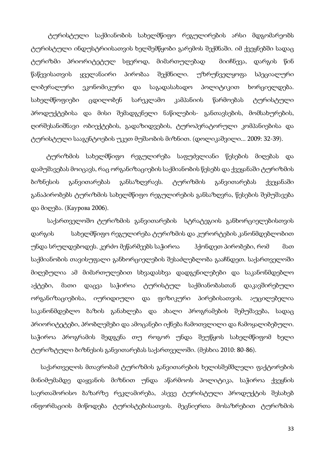ტურისტული საქმიანობის სახელმწიფო რეგულირების არსი მდგომარეობს ტურისტული ინდუსტრიისათვის ხელშემწყობი გარემოს შექმნაში. იმ ქვეყნებში სადაც ტურიზმი პრიორიტეტულ სფეროდ, მიმართულებად მიიჩნევა, დარგის წინ წაწევისათვის ყველანაირი პირობაა შექმნილი. უზრუნველყოფა სპეციალური ლიბერალური ეკონომიკური და საგადასახადო პოლიტიკით ხორციელდება. სახელმწოფიები ცდილობენ სარეკლამო კამპანიის წარმოებას ტურისტული პროდუქტებისა და მისი შემადგენელი ნაწილების- განთავსების, მომსახურების, ღირშესანიშნავი ობიექტების, გადაზიდვების, ტუროპერატორული კომპანიებისა და ტურისტული სააგენტოების უკეთ მუშაობის მიზნით. (დოლიკაშვილი... 2009: 32-39).

ტურიზმის სახელმწიფო რეგულირება საფუძვლიანი წესების მიღებას და დამუშავებას მოიცავს, რაც ორგანიზაციების საქმიანობის წესებს და ქვეყანაში ტურიზმის ბიზნესის განვითარებას განსაზღვრავს. ტურიზმის განვითარებას ქვეყანაში განაპირობებს ტურიზმის სახელმწიფო რეგულირების განსაზღვრა, წესების შემუშავება და მიღება. (Каурова 2006).

 საქართველოშო ტურიზმის განვითარების სტრატეგიის განხორციელებისთვის დარგის სახელმწიფო რეგულირება ტურიზმის და კურორტების კანონმდებლობით უნდა სრულდებოდეს. კერძო მეწარმეებს საჭიროა ჰქონდეთ პირობები, რომ მათ საქმიანობის თავისუფალი განხორციელების შესაძლებლობა გააჩნდეთ. საქართველოში მიღებულია ამ მიმართულებით სხვადასხვა დადგენილებები და საკანონმდებლო აქტები, მათი დაცვა საჭიროა ტურისტულ საქმიანობასთან დაკავშირებული ორგანიზაციებისა, იურიდიული და ფიზიკური პირებისათვის. აუცილებელია საკანონმდებლო ბაზის განახლება და ახალი პროგრამების შემუშავება, სადაც პრიორიტეტები, პრობლემები და ამოცანები იქნება ჩამოთვლილი და ჩამოყალიბებული. საჭიროა პროგრამის შედგენა თუ როგორ უნდა შეუწყოს სახელმწიფომ ხელი ტურიზტული ბიზნესის განვითარებას საქართველოში. (მესხია 2010: 80-86).

 საქართველოს მთავრობამ ტურიზმის განვითარების ხელისშემშლელი ფაქტორების მინიმუმამდე დაყვანის მიზნით უნდა აწარმოოს პოლიტიკა, საჭიროა ქვეყნის საერთაშორისო ბაზარზე რეკლამირება, ასევე ტურისტული პროდუქტის შესახებ ინფორმაციის მიწოდება ტურისტებისათვის. მეცნიერთა მოსაზრებით ტურიზმის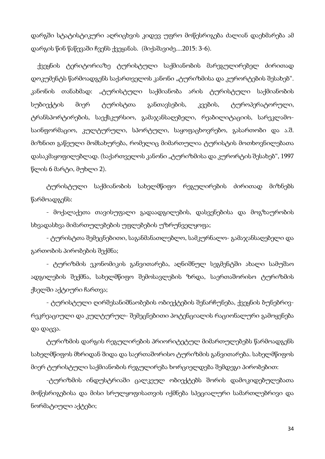დარგში სტატისტიკური აღრიცხვის კიდევ უფრო მოწესრიგება ძალიან დაეხმარება ამ დარგის წინ წაწევაში ჩვენს ქვეყანას. (მიქაშავიძე....2015: 3-6).

 ქვეყნის ტერიტორიაზე ტურისტული საქმიანობის მარეგულირებელ ძირითად დოკუმენტს წარმოადგენს საქართველოს კანონი "ტურიზმისა და კურორტების შესახებ". კანონის თანახმად: "ტურისტული საქმიანობა არის ტურისტული საქმიანობის სუბიექტის მიერ ტურისტთა განთავსების, კვების, ტუროპერატორული, ტრანსპორტირების, საექსკურსიო, გამაჯანსაღებელი, რეაბილიტაციის, სარეკლამოსაინფორმაციო, კულტურული, სპორტული, საყოფაცხოვრებო, გასართობი და ა.შ. მიზნით გაწეული მომსახურება, რომელიც მიმართულია ტურისტის მოთხოვნილებათა დასაკმაყოფილებლად. (საქართველოს კანონი "ტურიზმისა და კურორტის შესახებ", 1997 წლის 6 მარტი, მუხლი 2).

ტურისტული საქმიანობის სახელმწიფო რეგულირების ძირითად მიზნებს წარმოადგენს:

- მოქალაქეთა თავისუფალი გადაადგილების, დასვენებისა და მოგზაურობის სხვადასხვა მიმართულებების უფლებების უზრუნველყოფა;

- ტურისტთა შემეცნებითი, საგანმანათლებლო, სამკურნალო- გამაჯანსაღებელი და გართობის პირობების შექმნა;

- ტურიზმის ეკონომიკის განვითარება, აღნიშნულ სეგმენტში ახალი სამუშაო ადგილების შექმნა, სახელმწიფო შემოსავლების ზრდა, საერთაშორისო ტურიზმის ქსელში აქტიური ჩართვა;

- ტურისტული ღირშესანიშნაობების ობიექტების შენარჩუნება, ქვეყნის ბუნებრივრეკრეაციული და კულტურულ- შემეცნებითი პოტენციალის რაციონალური გამოყენება და დაცვა.

ტურიზმის დარგის რეგულირების პრიორიტეტულ მიმართულებებს წარმოადგენს სახელმწიფოს მხრიდან შიდა და საერთაშორისო ტურიზმის განვითარება. სახელმწიფოს მიერ ტურისტული საქმიანობის რეგულირება ხორციელდება შემდეგი პირობებით:

-ტურიზმის ინდუსტრიაში ცალკეულ ობიექტებს შორის დამოკიდებულებათა მოწესრიგებისა და მისი სრულყოფისათვის იქმნება სპეციალური სამართლებრივი და ნორმატიული აქტები;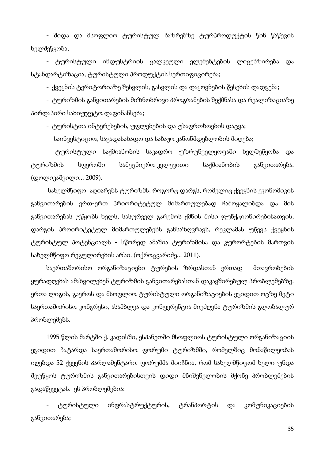- შიდა და მსოფლიო ტურისტულ ბაზრებზე ტურპროდუქტის წინ წაწევის ხელშეწყობა;

- ტურისტული ინდუსტრიის ცალკეული ელემენტების ლიცენზირება და სტანდარტიზაცია, ტურისტული პროდუქტის სერთიფიცირება;

- ქვეყნის ტერიტორიაზე შესვლის, გასვლის და დაყოვნების წესების დადგენა;

- ტურიზმის განვითარების მიზნობრივი პროგრამების შექმნასა და რეალიზაციაზე პირდაპირი საბიუჯეტო დაფინანსება;

- ტურისტთა ინტერესების, უფლებების და უსაფრთხოების დაცვა;

- საინვესტიციო, საგადასახადო და საბაჟო კანონმდებლობის მიღება;

- ტურისტული საქმიანობის საკადრო უზრუნველყოფაში ხელშეწყობა და ტურიზმის სფეროში სამეცნიერო-კვლევითი საქმიანობის განვითარება. (დოლიკაშვილი... 2009).

 სახელმწიფო აღიარებს ტურიზმს, როგორც დარგს, რომელიც ქვეყნის ეკონომიკის განვითარების ერთ-ერთ პრიორიტეტულ მიმართულებად ჩამოყალიბდა და მის განვითარებას უწყობს ხელს, სასურველ გარემოს ქმნის მისი ფუნქციონირებისათვის, დარგის პროირიტეტულ მიმართულებებს განსაზღვრავს, რეკლამას უწევს ქვეყნის ტურისტულ პოტენციალს - სწორედ ამაშია ტურიზმისა და კურორტების მართვის სახელმწიფო რეგულირების არსი. (ოქროცვარიძე... 2011).

საერთაშორისო ორგანიზაციები ტურების ზრდასთან ერთად მთავრობების ყურადღებას ამახვილებენ ტურიზმის განვითარებასთან დაკავშირებულ პრობლემებზე. ერთა ლიგის, გაეროს და მსოფლიო ტურისტული ორგანიზაციების ეგიდით ოცზე მეტი საერთაშორისო კონგრესი, ასამბლეა და კონფერენცია მიეძღვნა ტურიზმის გლობალურ პრობლემებს.

1995 წლის მარტში ქ. კადისში, ესპანეთში მსოფლიოს ტურისტული ორგანიზაციის ეგიდით ჩატარდა საერთაშორისო ფორუმი ტურიზმში, რომელშიც მონაწილეობას იღებდა 52 ქვეყნის პარლამენტარი. ფორუმმა მიიჩნია, რომ სახელმწიფომ ხელი უნდა შეუწყოს ტურიზმის განვითარებისთვის დიდი მნიშვნელობის მქონე პრობლემების გადაწყვეტას. ეს პრობლემებია:

- ტურისტული ინფრასტრუქტურის, ტრანპორტის და კომუნიკაციების განვითარება;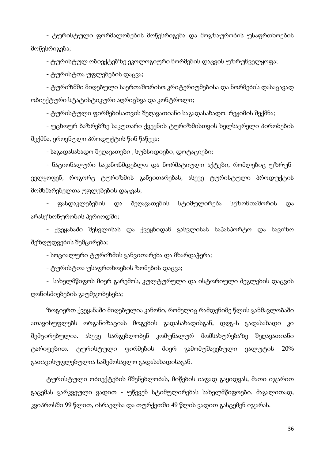- ტურისტული ფორმალობების მოწესრიგება და მოგზაურობის უსაფრთხოების მოწესრიგება;

- ტურისტულ ობიექტებზე ეკოლოგიური ნორმების დაცვის უზრუნველყოფა;

- ტურისტთა უფლებების დაცვა;

- ტურიზმში მიღებული საერთაშორისო კრიტერიუმებისა და ნორმების დასაცავად ობიექტური სტატისტიკური აღრიცხვა და კონტროლი;

- ტურისტული ფირმებისათვის შეღავათიანი საგადასახადო რეჟიმის შექმნა;

- უცხოურ ბაზრებზე საკუთარი ქვეყნის ტურიზმისთვის ხელსაყრელი პირობების შექმნა, ეროვნული პროდუქტის წინ წაწევა;

- საგადასახადო შეღავათები , სუბსიდიები, დოტაციები;

- ნაციონალური საკანონმდებლო და ნორმატიული აქტები, რომლებიც უზრუნველყოფენ, როგორც ტურიზმის განვითარებას, ასევე ტურისტული პროდუქტის მომხმარებელთა უფლებების დაცვას;

- ფასდაკლებების და შეღავათების სტიმულირება სეზონთაშორის და არასეზონურობის პერიოდში;

- ქვეყანაში შესვლისას და ქვეყნიდან გასვლისას საპასპორტო და სავიზო შეზღუდვების შემცირება;

- სოციალური ტურიზმის განვითარება და მხარდაჭერა;

- ტურისტთა უსაფრთხოების ზომების დაცვა;

- სახელმწიფოს მიერ გარემოს, კულტურული და ისტორიული ძეგლების დაცვის ღონისძიებების გაუმჯობესება;

ზოგიერთ ქვეყანაში მიღებულია კანონი, რომელიც რამდენიმე წლის განმავლობაში ათავისუფლებს ორგანიზაციას მოგების გადასახადისგან, დღგ-ს გადასახადი კი შემცირებულია. ასევე სარგებლობენ კომუნალურ მომსახურებაზე შეღავათიანი ტარიფებით. ტურისტული ფირმების მიერ გამომუშავებული ვალუტის 20% გათავისუფლებულია საშემოსავლო გადასახადისაგან.

ტურისტული ობიექტების მშენებლობას, მიწების იაფად გაყიდვას, მათი იჯარით გაცემას გარკვეული ვადით - უწევენ სტიმულირებას სახელმწიფოები. მაგალითად, კვიპროსში 99 წლით, ისრაელსა და თურქეთში 49 წლის ვადით გასცემენ იჯარას.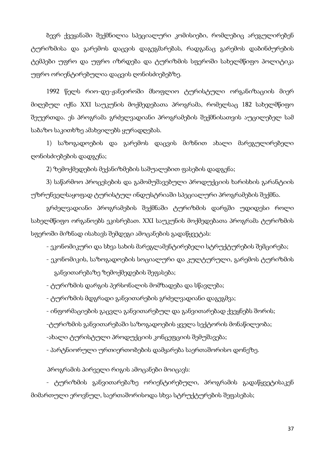ბევრ ქვეყანაში შექმნილია სპეციალური კომისიები, რომლებიც არეგულირებენ ტურიზმისა და გარემოს დაცვის დაგეგმარებას, რადგანაც გარემოს დაბინძურების ტემპები უფრო და უფრო იზრდება და ტურიზმის სფეროში სახელმწიფო პოლიტიკა უფრო ორიენტირებულია დაცვის ღონისძიებებზე.

1992 წელს რიო-დე-ჟანეიროში მსოფლიო ტურისტული ორგანიზაციის მიერ მიღებულ იქნა XXI საუკუნის მოქმედებათა პროგრამა, რომელსაც 182 სახელმწიფო შეუერთდა. ეს პროგრამა გრძელვადიანი პროგრამების შექმნისათვის აუცილებელ სამ საბაზო საკითხზე ამახვილებს ყურადღებას.

1) საზოგადოების და გარემოს დაცვის მიზნით ახალი მარეგულირებელი ღონისძიებების დადგენა;

2) ზემოქმედების მექანიზმების საშუალებით ფასების დადგენა;

3) საწარმოო პროცესების და გამომუშავებული პროდუქციის ხარისხის გარანტიის უზრუნველსაყოფად ტურისტულ ინდუსტრიაში სპეციალური პროგრამების შექმნა.

გრძელვადიანი პროგრამების შექმნაში ტურიზმის დარგში უდიდესი როლი სახელმწიფო ორგანოებს ეკისრებათ. XXI საუკუნის მოქმედებათა პროგრამა ტურიზმის სფეროში მიზნად ისახავს შემდეგი ამოცანების გადაწყვეტას:

- ეკონომიკური და სხვა სახის მარეგლამენტირებელი სტრუქტურების შემცირება;

- ეკონომიკის, საზოგადოების სოციალური და კულტურული, გარემოს ტურიზმის განვითარებაზე ზემოქმედების შეფასება;
- ტურიზმის დარგის პერსონალის მომზადება და სწავლება;
- ტურიზმის მდგრადი განვითარების გრძელვადიანი დაგეგმვა;
- ინფორმაციების გაცვლა განვითარებულ და განვითარებად ქვეყნებს შორის;
- -ტურიზმის განვითარებაში საზოგადოების ყველა სექტორის მონაწილეობა;
- -ახალი ტურისტული პროდუქციის კონცეფციის შემუშავება;
- პარტნიორული ურთიერთობების დამყარება საერთაშორისო დონეზე.

პროგრამის პირველი რიგის ამოცანები მოიცავს:

- ტურიზმის განვითარებაზე ორიენტირებული, პროგრამის გადაწყვეტისაკენ მიმართული ეროვნულ, საერთაშორისოდა სხვა სტრუქტურების შეფასებას;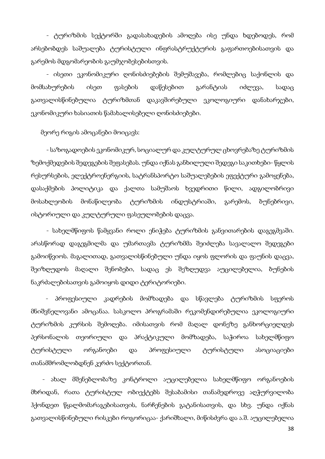- ტურიზმის სექტორში გადასახადების ამოღება ისე უნდა ხდებოდეს, რომ არსებობდეს საშუალება ტურისტული ინფრასტრუქტურის გაფართოებისათვის და გარემოს მდგომარეობის გაუმჯობესებისთვის.

- ისეთი ეკონომიკური ღონისძიებების შემუშავება, რომლებიც საქონლის და მომსახურების ისეთ ფასების დაწესებით გარანტიას იძლევა, სადაც გათვალისწინებულია ტურიზმთან დაკავშირებული ეკოლოგიური დანახარჯები, ეკონომიკური ხასიათის წამახალისებელი ღონისძიებები.

მეორე რიგის ამოცანები მოიცავს:

- საზოგადოების ეკონომიკურ, სოციალურ და კულტურულ ცხოვრებაზე ტურიზმის ზემოქმედების შედეგების შეფასებას. უნდა იქნას განხილული შედეგი საკითხები- წყლის რესურსების, ელექტროენერგიის, სატრანსპორტო საშუალებების ეფექტური გამოყენება, დასაქმების პოლიტიკა და ქალთა სამუშაოს ხვედრითი წილი, ადგილობრივი მოსახლეობის მონაწილეობა ტურიზმის ინდუსტრიაში, გარემოს, ბუნებრივი, ისტორიული და კულტურული ფასეულობების დაცვა.

- სახელმწიფოს წამყვანი როლი ენიჭება ტურიზმის განვითარების დაგეგმვაში. არასწორად დაგეგმილმა და უმართავმა ტურიზმმა შეიძლება სავალალო შედეგები გამოიწვიოს. მაგალითად, გათვალისწინებული უნდა იყოს ფლორის და ფაუნის დაცვა, შეიზღუდოს მაღალი შენობები, სადაც ეს შეზღუდვა აუცილებელია, ბუნების ნაკრძალებისათვის გამოიყოს დიდი ტერიტორიები.

 - პროფესიული კადრების მომზადება და სწავლება ტურიზმის სფეროს მნიშვნელოვანი ამოცანაა. სასკოლო პროგრამაში რეკომენდირებულია ეკოლოგიური ტურიზმის კურსის შემოღება. იმისათვის რომ მაღალ დონეზე განხორციელდეს პერსონალის თეორიული და პრაქტიკული მომზადება, საჭიროა სახელმწიფო ტურისტული ორგანოები და პროფესიული ტურისტული ასოციაციები თანამშრომლობდნენ კერძო სექტორთან.

 - ახალ მშენებლობაზე კონტროლი აუცილებელია სახელმწიფო ორგანოების მხრიდან, რათა ტურისტულ ობიექტებს შესაბამისი თანამედროვე აღჭურვილობა ჰქონდეთ წყალმომარაგებისათვის, ნარჩენების გატანისათვის, და სხვ. უნდა იქნას გათვალისწინებული რისკები როგორიცაა- ქარიშხალი, მიწისძვრა და ა.შ. აუცილებელია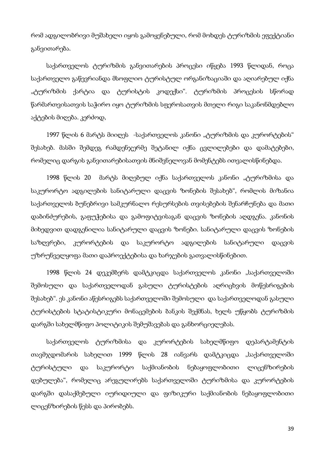რომ ადგილობრივი მუშახელი იყოს გამოყენებული, რომ მოხდეს ტურიზმის ეფექტიანი განვითარება.

საქართველოს ტურიზმის განვითარების პროცესი იწყება 1993 წლიდან, როცა საქართველო გაწევრიანდა მსოფლიო ტურისტულ ორგანიზაციაში და აღიარებულ იქნა "ტურიზმის ქარტია და ტურისტის კოდექსი". ტურიზმის პროცესის სწორად წარმართვისათვის საჭირო იყო ტურიზმის სფეროსათვის მთელი რიგი საკანონმდებლო აქტების მიღება. კერძოდ,

1997 წლის 6 მარტს მიიღეს -საქართველოს კანონი "ტურიზმის და კურორტების" შესახებ. მასში შემდეგ რამდენჯერმე შეტანილ იქნა ცვლილებები და დამატებები, რომელიც დარგის განვითარებისათვის მნიშვნელოვან მომენტებს ითვალისწინებდა.

1998 წლის 20 მარტს მიღებულ იქნა საქართველოს კანონი "ტურიზმისა და საკურორტო ადგილების სანიტარული დაცვის ზონების შესახებ", რომლის მიზანია საქართველოს ბუნებრივი სამკურნალო რესურსების თვისებების შენარჩუნება და მათი დაბინძურების, გაფუჭებისა და გამოფიტვისაგან დაცვის ზონების აღდგენა. კანონის მიხედვით დადგენილია სანიტარული დაცვის ზონები. სანიტარული დაცვის ზონების საზღვრები, კურორტების და საკურორტო ადგილების სანიტარული დაცვის უზრუნველყოფა მათი დაპროექტებისა და ხარჯების გათვალისწინებით.

1998 წლის 24 დეკემბერს დამტკიცდა საქართველოს კანონი "საქართველოში შემოსული და საქართველოდან გასული ტურისტების აღრიცხვის მოწესრიგების შესახებ". ეს კანონი აწესრიგებს საქართველოში შემოსული და საქართველოდან გასული ტურისტების სტატისტიკური მონაცემების ბანკის შექმნას, ხელს უწყობს ტურიზმის დარგში სახელმწიფო პოლიტიკის შემუშავებას და განხორციელებას.

საქართველოს ტურიზმისა და კურორტების სახელმწიფო დეპარტამენტის თავმჯდომარის სახელით 1999 წლის 28 იანვარს დამტკიცდა "საქართველოში ტურისტული და საკურორტო საქმიანობის ნებაყოფლობითი ლიცენზირების დებულება", რომელიც არეგულირებს საქართველოში ტურიზმისა და კურორტების დარგში დასაქმებული იურიდიული და ფიზიკური საქმიანობის ნებაყოფლობითი ლიცენზირების წესს და პირობებს.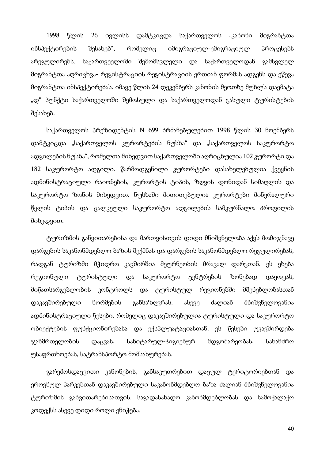1998 წლის 26 ივლისს დამტკიცდა საქართველოს "კანონი მიგრანტთა ინსპექტირების შესახებ", რომელიც იმიგრაციულ-ემიგრაციულ პროცესებს არეგულირებს. საქართვეელოში შემომსვლელი და საქართველოდან გამსვლელ მიგრანტთა აღრიცხვა- რეგისტრაციის რეგისტრაციის ერთიან ფორმას ადგენს და ეწევა მიგრანტთა ინსპექტირებას. იმავე წლის 24 დეკემბერს კანონის მეოთხე მუხლს დაემატა "დ" პუნქტი საქართველოში შემოსული და საქართველოდან გასული ტურისტების შესახებ.

საქართველოს პრეზიდენტის N 699 ბრძანებულებით 1998 წლის 30 ნოემბერს დამტკიცდა "საქართველოს კურორტების ნუსხა" და "საქართველოს საკურორტო ადგილების ნუსხა", რომელთა მიხედვით საქართველოში აღრიცხულია 102 კურორტი და 182 საკურორტო ადგილი. წარმოდგენილი კურორტები დასახელებულია ქვეყნის ადმინისტრაციული რაიონების, კურორტის ტიპის, ზღვის დონიდან სიმაღლის და საკურორტო ზონის მიხედვით. ნუსხაში მითითებულია კურორტები მინერალური წყლის ტიპის და ცალკეული საკურორტო ადგილების სამკურნალო პროფილის მიხედვით.

ტურიზმის განვითარებისა და მართვისთვის დიდი მნიშვნელობა აქვს მომიჯნავე დარგების საკანონმდებლო ბაზის შექმნას და დარგების საკანონმდებლო რეგულირებას, რადგან ტურიზმი მჭიდრო კავშირშია მეურნეობის მრავალ დარგთან. ეს ეხება რეგიონული ტურისტული და საკურორტო ცენტრების ზონებად დაყოფას, მიწათსარგებლობის კონტროლს და ტურისტულ რეგიონებში მშენებლობასთან დაკავშირებული ნორმების განსაზღვრას. ასევე ძალიან მნიშვნელოვანია ადმინისტრაციული წესები, რომელიც დაკავშირებულია ტურისტული და საკურორტო ობიექტების ფუნქციონირებასა და ექსპლუატაციასთან. ეს წესები უკავშირდება ჯანმრთელობის დაცვას, სანიტარულ-ჰიგიენურ მდგომარეობას, სახანძრო უსაფრთხოებას, სატრანსპორტო მომსახურებას.

გარემოსდაცვითი კანონების, განსაკუთრებით დაცულ ტერიტორიებთან და ეროვნულ პარკებთან დაკავშირებული საკანონმდებლო ბაზა ძალიან მნიშვნელოვანია ტურიზმის განვითარებისათვის. საგადასახადო კანონმდებლობას და სამოქალაქო კოდექსს ასევე დიდი როლი ენიჭება.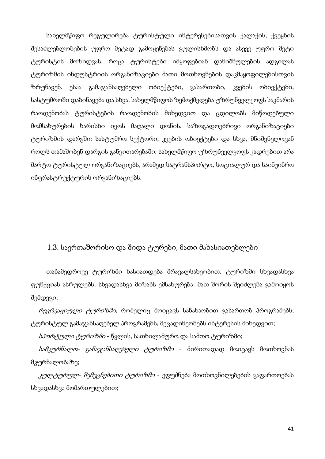სახელმწიფო რეგულირება ტურისტული ინტერესებისათვის ქალაქის, ქვეყნის შესაძლებლობების უფრო მეტად გამოყენებას გულისხმობს და ასევე უფრო მეტი ტურისტის მოზიდვას. როცა ტურისტები იმყოფებიან დანიშნულების ადგილას ტურიზმის ინდუსტრიის ორგანიზაციები მათი მოთხოვნების დაკმაყოფილებისთვის ზრუნავენ. ესაა გამაჯანსაღებელი ობიექტები, გასართობი, კვების ობიექტები, სასტუმროში დაბინავება და სხვა. სახელმწიფოს ზემოქმედება უზრუნველყოფს საკმარის რაოდენობას ტურისტების რაოდენობის მიხედვით და ცდილობს მიწოდებული მომსახურების ხარისხი იყოს მაღალი დონის. საზოგადოებრივი ორგანიზაციები ტურიზმის დარგში: სასტუმრო სექტორი, კვების ობიექტები და სხვა, მნიშვნელოვან როლს თამაშობენ დარგის განვითარებაში. სახელმწიფო უზრუნველყოფს კადრებით არა მარტო ტურისტულ ორგანიზაციებს, არამედ სატრანსპორტო, სოციალურ და საინჟინრო ინფრასტრუქტურის ორგანიზაციებს.

## 1.3. საერთაშორისო და შიდა ტურები, მათი მახასიათებლები

თანამედროვე ტურიზმი ხასიათდება მრავალსახეობით. ტურიზმი სხვადასხვა ფუნქციას ასრულებს, სხვადასხვა მიზანს ემსახურება. მათ შორის შეიძლება გამოიყოს შემდეგი;

რეკრეაციული ტურიზმი, რომელიც მოიცავს სანახაობით გასართობ პროგრამებს, ტურისტულ გამაჯანსაღებელ პროგრამებს, მეცადინეობებს ინტერესის მიხედვით;

სპორტული ტურიზმი - წყლის, სათხილამურო და სამთო ტურიზმი;

სამკურნალო- განაჯანსაღებელი ტურიზმი - ძირითადად მოიცავს მოთხოვნას მკურნალობაზე;

*კულტურულ- შემეცნებითი ტურიზმი* - ეფუძნება მოთხოვნილებების გაფართოებას სხვადასხვა მომართულებით;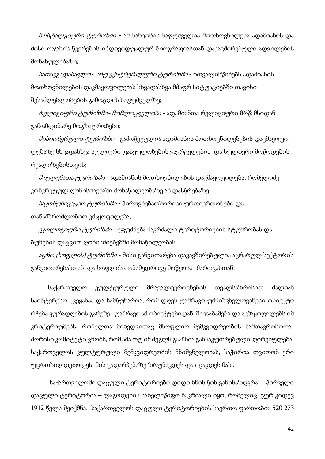ნოსტალგიური ტურიზმი - ამ სახეობის საფუძველია მოთხოვნილება ადამიანის და მისი ოჯახის წევრების ინდივიდუალურ ბიოგრაფიასთან დაკავშირებული ადგილების მონახულებაზე;

სათავგადასავლო- ანუ ექსტრემალური ტურიზმი - ითვალისწინებს ადამიანის მოთხოვნილების დაკმაყოფილებას სხვადასხვა მძაფრ სიტუაციებში თავისი შესაძლებლობების გამოცდის საფუძველზე;

რელიგიური ტურიზმი- მომლოცველობა - ადამიანთა რელიგიური მრწამსიდან გამომდინარე მოგზაურობები;

მისიონერული ტურიზმი - გამოწვეულია ადამიანის მოთხოვნილებების დაკმაყოფილებაზე სხვადასხვა სულიერი ფასეულობების გავრცელების და სულიერი მოწოდების რეალიზებისთვის;

*მოვლენათა ტურიზმი* - ადამიანის მოთხოვნილების დაკმაყოფილება, რომელიმე კონკრეტულ ღონისძიებაში მონაწილეობაზე ან დასწრებაზე;

საკომუნიკაციო ტურიზმი - პიროვნებათშორისი ურთიერთობები და თანამშრომლობით კმაყოფილება;

*ეკოლოგიური ტურიზმი* - ეფუძნება ნაკრძალი ტერიტორიების სტუმრობას და ბუნების დაცვით ღონისძიებებში მონაწილეობას.

*აგრო (სოფლის) ტურიზმი* - მისი განვითარება დაკავშირებულია აგრარულ სექტორის განვითარებასთან და სოფლის თანამედროვე მოწყობა- მართვასთან.

 საქართველო კულტურული მრავალფეროვნების თვალსაზრისით ძალიან საინტერესო ქვეყანაა და სამწუხაროა, რომ დღეს უამრავი უმნიშვნელოვანესი ობიექტი რჩება ყურადღების გარეშე. უამრავი ამ ობიექტებიდან შეესაბამება და აკმაყოფილებს იმ კრიტერიუმებს, რომელთა მიხედვითაც მსოფლიო მემკვიდრეობის სამთავრობოთაშორისი კომიტეტი ცნობს, რომ ამა თუ იმ ძეგლს გააჩნია განსაკუთრებული ღირებულება. საქართველოს კულტურული მემკვიდრეობის მნიშვნელობას, საჭიროა თვითონ ერი უფრთხილდებოდეს, მის გადარჩენაზე ზრუნავდეს და იცავდეს მას .

 საქართველოში დაცული ტერიტორიები დიდი ხნის წინ განისაზღვრა. პირველი დაცული ტერიტორია – ლაგოდეხის სახელმწიფო ნაკრძალი იყო, რომელიც ჯერ კიდევ 1912 წელს შეიქმნა. საქართველოს დაცული ტერიტორიების საერთო ფართობია 520 273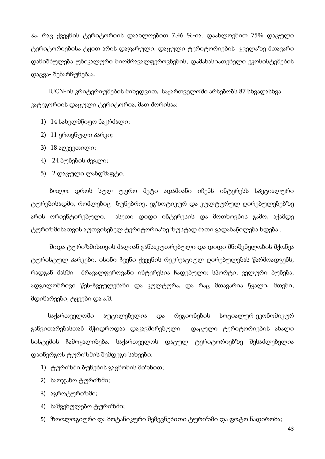ჰა, რაც ქვეყნის ტერიტორიის დაახლოებით 7,46 %-ია. დაახლოებით 75% დაცული ტერიტორიებისა ტყით არის დაფარული. დაცული ტერიტორიების ყველაზე მთავარი დანიშნულება უნიკალური ბიომრავალფეროვნების, დამახასიათებელი ეკოსისტემების დაცვა- შენარჩუნებაა.

 IUCN-ის კრიტერიუმების მიხედვით, საქართველოში არსებობს 87 სხვადასხვა კატეგორიის დაცული ტერიტორია, მათ შორისაა:

- 1) 14 სახელმწიფო ნაკრძალი;
- 2) 11 ეროვნული პარკი;
- 3) 18 აღკვეთილი;
- 4) 24 ბუნების ძეგლი;
- 5) 2 დაცული ლანდშაფტი.

 ბოლო დროს სულ უფრო მეტი ადამიანი იჩენს ინტერესს სპეციალური ტურებისადმი, რომლებიც ბუნებრივ, ეგზოტიკურ და კულტურულ ღირებულებებზე არის ორიენტირებული. ასეთი დიდი ინტერესის და მოთხოვნის გამო, აქამდე ტურიზმისათვის აუთვისებელ ტერიტორიაზე ზუსტად მათი გადანაწილება ხდება .

 შიდა ტურიზმისთვის ძალიან განსაკუთრებული და დიდი მნიშვნელობის მქონეა ტურისტულ პარკები. ისინი ჩვენი ქვეყნის რეკრეაციულ ღირებულებას წარმოადგენს, რადგან მასში მრავალფეროვანი ინტერესია ჩადებული: სპორტი, ველური ბუნება, ადგილობრივი წეს-ჩვეულებანი და კულტურა, და რაც მთავარია წყალი, მთები, მდინარეები, ტყეები და ა.შ.

 საქართველოში აუცილებელია და რეგიონების სოციალურ-ეკონომიკურ განვითარებასთან მჭიდროდაა დაკავშირებული დაცული ტერიტორიების ახალი სისტემის ჩამოყალიბება. საქართველოს დაცულ ტერიტორიებზე შესაძლებელია დაინერგოს ტურიზმის შემდეგი სახეები:

- 1) ტურიზმი ბუნების გაცნობის მიზნით;
- 2) საოჯახო ტურიზმი;
- 3) აგროტურიზმი;
- 4) საშვებულებო ტურიზმი;
- 5) ზოოლოგიური და ბოტანიკური შემეცნებითი ტურიზმი და ფოტო ნადირობა;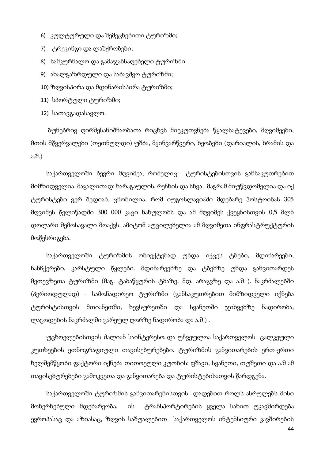- 6) კულტურული და შემეცნებითი ტურიზმი;
- 7) ტრეკინგი და ლაშქრობები;
- 8) სამკურნალო და გამაჯანსაღებელი ტურიზმი.
- 9) ახალგაზრდული და საბავშვო ტურიზმი;
- 10) ზღვისპირა და მდინარისპირა ტურიზმი;
- 11) სპორტული ტურიზმი;
- 12) სათავგადასავლო.

 ბუნებრივ ღირშესანიშნაობათა რიცხვს მიეკუთვნება წყალსატევები, მღვიმეები, მთის მწვერვალები (თეთნულდი) უშბა, მყინვარწვერი, ხეობები (დარიალის, ხრამის და ა.შ.)

საქართველოში ბევრი მღვიმეა, რომელიც ტურისტებისთვის განსაკუთრებით მიმზიდველია. მაგალითად: ხარაგაულის, რეჩხის და სხვა. მაგრამ მიუწვდომელია და იქ ტურისტები ვერ შედიან. ცნობილია, რომ იუგოსლავიაში მდებარე პოსტოინას 305 მღვიმეს წელიწადში 300 000 კაცი ნახულობს და ამ მღვიმეს ქვეყნისთვის 0,5 მლნ დოლარი შემოსავალი მოაქვს. ამიტომ აუცილებელია ამ მღვიმეთა ინფრასტრუქტურის მოწესრიგება.

საქართველოში ტურიზმის ობიექტებად უნდა იქცეს ტბები, მდინარეები, ჩანჩქერები, კარსტული წყლები. მდინარეებზე და ტბებზე უნდა განვითარდეს მეთევზეთა ტურიზმი (მაგ. ტაბაწყურის ტბაზე, მდ. არაგვზე და ა.შ ). ნაკრძალებში (პერიოდულად) - სამონადირეო ტურიზმი (განსაკუთრებით მიმზიდველი იქნება ტურისტისთვის მთიანეთში, ხევსურეთში და სვანეთში ჯიხვებზე ნადირობა, ლაგოდეხის ნაკრძალში გარეულ ღორზე ნადირობა და ა.შ ) .

უცხოელებისთვის ძალიან საინტერესო და უჩვეულოა საქართველოს ცალკეული კუთხეების ეთნოგრაფიული თავისებურებები. ტურიზმის განვითარების ერთ-ერთი ხელშემწყობი ფაქტორი იქნება თითოეული კუთხის: ფშავი, სვანეთი, თუშეთი და ა.შ ამ თავისებურებები გამოკვეთა და განვითარება და ტურისტებისათვის წარდგენა.

საქართველოში ტურიზმის განვითარებისთვის დადებით როლს ასრულებს მისი მოხერხებული მდებარეობა, ის ტრანსპორტირების ყველა სახით უკავშირდება ევროპასაც და აზიასაც, ზღვის საშუალებით საქართველოს ინტენსიური კავშირების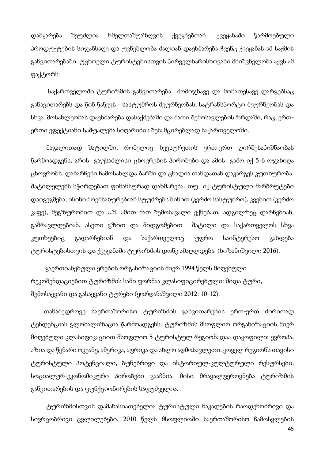დამყარება შეუძლია ხმელთაშუაზღვის ქვეყნებთან. ქვეყანაში წარმოებული პროდუქტების სიჯანსაღე და უვნებლობა ძალიან დაეხმარება ჩვენც ქვეყანას ამ საქმის განვითარებაში. უცხოელი ტურისტებისთვის პირველხარისხოვანი მნიშვნელობა აქვს ამ ფაქტორს.

 საქართველოში ტურიზმის განვითარება მომიჯნავე და მონათესავე დარგებსაც განავითარებს და წინ წაწევს - სასტუმროს მეურნეობას, სატრანსპორტო მეურნეობას და სხვა. მოსახლეობას დაეხმარება დასაქმებაში და მათი შემოსავლების ზრდაში, რაც ერთერთი ეფექტიანი საშუალება სიღარიბის შესამცირებლად საქართველოში.

მაგალითად შატილში, რომელიც ხევსურეთის ერთ-ერთ ღირშესანიშნაობას წარმოადგენს, არის გაუსაძლისი ცხოვრების პირობები და ამის გამო იქ 5-6 ოჯახიღა ცხოვრობს. დანარჩენი ჩამოსახლდა ბარში და ცხადია თანდათან დაკარგეს კუთხურობა. შატილელებს სჭირდებათ ფინანსურად დახმარება. თუ იქ ტურისტული მარშრუტები დაიგეგმება, ისინი მოემსახურებიან სტუმრებს ბინით (კერძო სასტუმრო), კვებით (კერძო კაფე), მეგზურობით და ა.შ. ამით მათ შემოსავალი ექნებათ, ადგილზეც დარჩებიან, გამრავლდებიან. ასეთი გზით და მიდგომებით შატილი და საქართველოს სხვა კუთხეებიც გადარჩებიან და საქართველოც უფრო საინტერესო გახდება ტურისტებისთვის და ქვეყანაში ტურიზმის დონე ამაღლდება. (ხიზანიშვილი 2016).

 გაერთიანებული ერების ორგანიზაციის მიერ 1994 წელს მიღებული რეკომენდაციებით ტურიზმის სამი ფორმაა კლასიფიცირებული: შიდა ტური, შემოსაყვანი და გასაყვანი ტურები (ყორღანაშვილი 2012: 10-12).

 თანამედროვე საერთაშორისო ტურიზმის განვითარების ერთ-ერთ ძირითად ტენდენციას გლობალიზაცია წარმოადგენს. ტურიზმის მსოფლიო ორგანიზაციის მიერ მიღებული კლასიფიკაციით მსოფლიო 5 ტურისტულ რეგიონადაა დაყოფილი: ევროპა, აზია და წყნარი ოკეანე, ამერიკა, აფრიკა და ახლო აღმოსავლეთი. ყოველ რეგიონს თავისი ტურისტული პოტენციალი, ბუნებრივი და ისტორიულ-კულტურული რესურსები, სოციალურ-ეკონომიკური პირობები გააჩნია. მისი მრავალფეროვნება ტურიზმის განვითარების და ფუნქციონირების საფუძველია.

ტურიზმისთვის დამახასიათებელია ტურისტული ნაკადების რაოდენობრივი და სივრცობრივი ცვლილებები. 2010 წელს მსოფლიოში საერთაშორისო ჩამოსვლების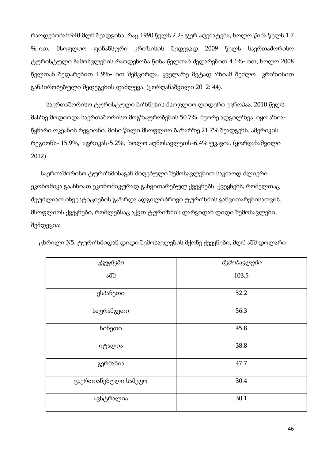რაოდენობამ 940 მლნ შეადგინა, რაც 1990 წელს 2.2- ჯერ აღემატება, ხოლო წინა წელს 1.7 %-ით. მსოფლიო ფინანსური კრიზისის შედეგად 2009 წელს საერთაშორისო ტურისტული ჩამოსვლების რაოდენობა წინა წელთან შედარებით 4.1%- ით, ხოლო 2008 წელთან შედარებით 1.9%- ით შემცირდა. ყველაზე მეტად აზიამ შეძლო კრიზისით განპირობებული შედეგების დაძლევა. (ყორღანაშვილი 2012: 44).

საერთაშორისო ტურისტული ბიზნესის მსოფლიო ლიდერი ევროპაა. 2010 წელს მასზე მოდიოდა საერთაშორისო მოგზაურობების 50.7%. მეორე ადგილზეა იყო აზიაწყნარი ოკეანის რეგიონი. მისი წილი მსოფლიო ბაზარზე 21.7% შეადგენს. ამერიკის რეგიონს- 15.9%, აფრიკას-5.2%, ხოლო აღმოსავლეთს-6.4% უკავია. (ყორღანაშვილი 2012).

 საერთაშორისო ტურიზმისაგან მიღებული შემოსავლებით საკმაოდ ძლიერი ეკონომიკა გააჩნიათ ეკონომიკურად განვითარებულ ქვეყნებს. ქვეყნებს, რომელთაც შეუძლიათ ინვესტიციების გაზრდა ადგილობრივი ტურიზმის განვითარებისათვის. მსოფლიოს ქვეყნები, რომლებსაც აქვთ ტურიზმის დარგიდან დიდი შემოსავლები, შემდეგია:

| ქვეყნები             | შემოსავლები |
|----------------------|-------------|
| აშშ                  | 103.5       |
| ესპანეთი             | 52.2        |
| საფრანგეთი           | 56.3        |
| ჩინეთი               | 45.8        |
| იტალია               | 38.8        |
| გერმანია             | 47.7        |
| გაერთიანებული სამეფო | 30.4        |
| ავსტრალია            | 30.1        |

ცხრილი N5. ტურიზმიდან დიდი შემოსავლების მქონე ქვეყნები, მლნ აშშ დოლარი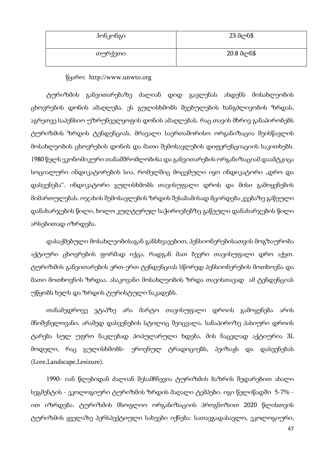| ჰონკონგი | 23 მლნ\$   |
|----------|------------|
| თურქეთი  | 20.8 მლნ\$ |

#### წყარო: http://www.unwto.org

ტურიზმის განვითარებაზე ძალიან დიდ გავლენას ახდენს მოსახლეობის ცხოვრების დონის ამაღლება. ეს გულისხმობს შვებულების ხანგძლივობის ზრდას, აგრეთვე საპენსიო უზრუნველყოფის დონის ამაღლებას. რაც თავის მხრივ განაპირობებს ტურიზმის ზრდის ტენდენციას. მრავალი საერთაშორისო ორგანიზაცია შეისწავლის მოსახლეობის ცხოვრების დონის და მათი შემოსავლების დიფერენციაციის საკითხებს. 1980 წელს ეკონომიკური თანამშრომლობისა და განვითარების ორგანიზაციამ დაამტკიცა სოციალური ინდიკატორების სია, რომელშიც მოცემული იყო ინდიკატორი "დრო და დასვენება". ინდიკატორი გულისხმობს თავისუფალი დროს და მისი გამოყენების მიმართულებას. ოჯახის შემოსავლების ზრდის შესაბამისად მცირდება კვებაზე გაწეული დანახარჯების წილი, ხოლო კულტურულ საჭიროებებზე გაწეული დანახარჯების წილი არსებითად იზრდება.

დასაქმებული მოსახლეობისაგან განსხვავებით, პენსიონერებისათვის მოგზაურობა აქტიური ცხოვრების ფორმად იქცა, რადგან მათ ბევრი თავისუფალი დრო აქვთ. ტურიზმის განვითარების ერთ-ერთ ტენდენციას სწორედ პენსიონერების მოთხოვნა და მათი მოთხოვნის ზრდაა. ასაკოვანი მოსახლეობის ზრდა თავისთავად ამ ტენდენციას უწყობს ხელს და ზრდის ტურისტული ნაკადებს.

თანამედროვე ეტაპზე არა მარტო თავისუფალი დროის გამოყენება არის მნიშვნელოვანი, არამედ დასვენების სტილიც შეიცვალა. სანაპიროზე პასიური დროის ტარება სულ უფრო ნაკლებად პოპულარული ხდება. მის ნაცვლად აქტიურია 3L მოდელი, რაც გულისხმობს- ეროვნულ ტრადიციებს, პეიზაჟს და დასვენებას (Lore,Landscape,Lesizure).

1990- იან წლებიდან ძალიან შესამჩნევია ტურიზმის ბაზრის შედარებით ახალი სეგმენტის - ეკოლოგიური ტურიზმის ზრდის მაღალი ტემპები. იგი წელიწადში 5-7% ით იზრდება. ტურიზმის მსოფლიო ორგანიზაციის პროგნოზით 2020 წლისთვის ტურიზმის ყველაზე პერსპექტიული სახეები იქნება: სათავგადასავლო, ეკოლოგიური,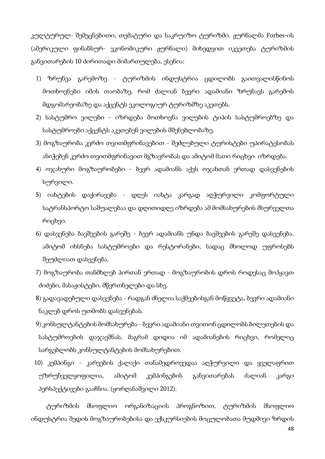კულტურულ- შემეცნებითი, თემატური და საკრუიზო ტურიზმი. ჟურნალმა Forbes-ის (ამერიკული ფინანსურ- ეკონომიკური ჟურნალი) მიხედვით იკვეთება ტურიზმის განვითარების 10 ძირითადი მიმართულება, ესენია:

- 1) ზრუნვა გარემოზე ტურიზმის ინდუსტრია ცდილობს გაითვალისწინოს მოთხოვნები იმის თაობაზე, რომ ძალიან ბევრი ადამიანი ზრუნავს გარემოს მდგომარეობაზე და აქცენტს ეკოლოგიურ ტურიზმზე აკეთებს.
- 2) სასტუმრო ვილები იზრდება მოთხოვნა ვილების ტიპის სასტუმროებზე და სასტუმროები აქცენტს აკეთებენ ვილების მშენებლობაზე.
- 3) მოგზაურობა კერძო თვითმფრინავებით შეძლებული ტურისტები უპირატესობას ანიჭებენ კერძო თვითმფრინავით მგზავრობას და ამიტომ მათი რიცხვი იზრდება.
- 4) ოჯახური მოგზაურობები ბევრ ადამიანს აქვს ოჯახთან ერთად დასვენების სურვილი.
- 5) იახტების დაქირავება დღეს იახტა კარგად აღჭურვილი კომფორტული სატრანსპორტო საშუალებაა და დღითიდღე იზრდება ამ მომსახურების მსურველთა რიცხვი.
- 6) დასვენება ბავშვების გარეშე ბევრ ადამიანს უნდა ბავშვების გარეშე დასვენება. ამიტომ იხსნება სასტუმროები და რესტორანები, სადაც მხოლოდ უფროსებს შეუძლიათ დასვენება.
- 7) მოგზაურობა თანმხლებ პირთან ერთად მოგზაურობის დროს როდესაც მოჰყავთ ძიძები, მასაჟისტები, მწვრთნელები და სხვ.
- 8) გადავადებული დასვენება რადგან ძნელია საქმეებისგან მოწყვეტა, ბევრი ადამიანი ნაკლებ დროს უთმობს დასვენებას.
- 9) კონსულტანტების მომსახურება ბევრი ადამიანი თვითონ ცდილობს ბილეთების და სასტუმროების დაჯავშნას, მაგრამ დიდია იმ ადამიანების რიცხვი, რომელიც სარგებლობს კონსულტანტების მომსახურებით.
- 10) კემპინგი კარვების ქალაქი თანამედროვედაა აღჭურვილი და ყველაფრით უზრუნველყოფილია, ამიტომ კემპინგების განვითარებას ძალიან კარგი პერსპექტივები გააჩნია. (ყორღანაშვილი 2012).

ტურიზმის მსოფლიო ორგანიზაციის პროგნოზით, ტურიზმის მსოფლიო ინდუსტრია შედის მოგზაურობებისა და ექსკურსიების მოცულობათა მუდმივი ზრდის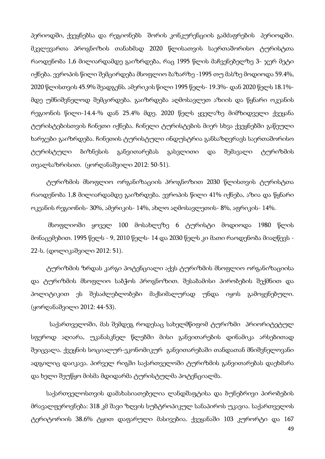პერიოდში, ქვეყნებსა და რეგიონებს შორის კონკურენციის გამძაფრების პერიოდში. მკვლევართა პროგნოზის თანახმად 2020 წლისათვის საერთაშორისო ტურისტთა რაოდენობა 1,6 მილიარდამდე გაიზრდება, რაც 1995 წლის მაჩვენებელზე 3- ჯერ მეტი იქნება. ევროპის წილი შემცირდება მსოფლიო ბაზარზე -1995 თუ მასზე მოდიოდა 59.4%, 2020 წლისთვის 45.9% შეადგენს. ამერიკის წილი 1995 წელს- 19.3%- დან 2020 წელს 18.1% მდე უმნიშვნელოდ შემცირდება. გაიზრდება აღმოსავლეთ აზიის და წყნარი ოკეანის რეგიონის წილი-14.4-% დან 25.4% მდე. 2020 წელს ყველაზე მიმზიდველი ქვეყანა ტურისტებისთვის ჩინეთი იქნება. ჩინელი ტურისტების მიერ სხვა ქვეყნებში გაწეული ხარჯები გაიზრდება. ჩინეთის ტურისტული ინდუსტრია განსაზღვრავს საერთაშორისო ტურისტული ბიზნესის განვითარებას გასვლითი და შემავალი ტურიზმის თვალსაზრისით. (ყორღანაშვილი 2012: 50-51).

ტურიზმის მსოფლიო ორგანიზაციის პროგნოზით 2030 წლისთვის ტურისტთა რაოდენობა 1,8 მილიარდამდე გაიზრდება. ევროპის წილი 41% იქნება, აზია და წყნარი ოკეანის რეგიონის- 30%, ამერიკის- 14%, ახლო აღმოსავლეთის- 8%, აფრიკის- 14%.

 მსოფლიოში ყოველ 100 მოსახლეზე 6 ტურისტი მოდიოდა 1980 წლის მონაცემებით. 1995 წელს - 9, 2010 წელს- 14 და 2030 წელს კი მათი რაოდენობა მიაღწევს - 22-ს. (დოლიკაშვილი 2012: 51).

ტურიზმის ზრდას კარგი პოტენციალი აქვს ტურიზმის მსოფლიო ორგანიზაციისა და ტურიზმის მსოფლიო საბჭოს პროგნოზით. შესაბამისი პირობების შექმნით და პოლიტიკით ეს შესაძლებლობები მაქსიმალურად უნდა იყოს გამოყენებული. (ყორღანაშვილი 2012: 44-53).

 საქართველოში, მას შემდეგ როდესაც სახელმწიფომ ტურიზმი პრიორიტეტულ სფეროდ აღიარა, უკანასკნელ წლებში მისი განვითარების დინამიკა არსებითად შეიცვალა. ქვეყნის სოციალურ-ეკონომიკურ განვითარებაში თანდათან მნიშვნელოვანი ადგილიც დაიკავა. პირველ რიგში საქართველოში ტურიზმის განვითარებას დაეხმარა და ხელი შეუწყო მისმა მდიდარმა ტურისტულმა პოტენციალმა.

საქართველოსთვის დამახასიათებელია ლანდშაფტისა და ბუნებრივი პირობების მრავალფეროვნება: 318 კმ შავი ზღვის სუბტროპიკულ სანაპიროს უკავია. საქართველოს ტერიტორიის 38.6% ტყით დაფარული მასივებია. ქვეყანაში 103 კურორტი და 167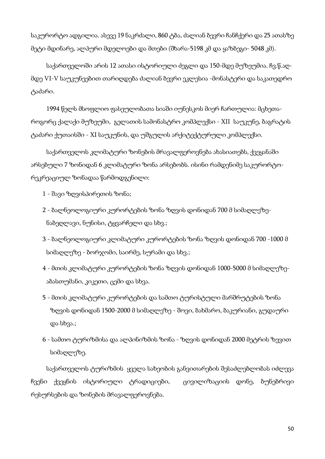საკურორტო ადგილია. ასევე 19 ნაკრძალი, 860 ტბა, ძალიან ბევრი ჩანჩქერი და 25 ათასზე მეტი მდინარე, ალპური მდელოები და მთები (შხარა-5198 კმ და ყაზბეგი- 5048 კმ).

საქართველოში არის 12 ათასი ისტორიული ძეგლი და 150-მდე მუზეუმია. ჩვ.წ.აღმდე VI-V საუკუნეებით თარიღდება ძალიან ბევრი ეკლესია -მონასტერი და საკათედრო ტაძარი.

1994 წელს მსოფლიო ფასეულობათა სიაში იუნესკოს მიერ ჩართულია: მცხეთაროგორც ქალაქი მუზეუმი, გელათის სამონასტრო კომპლექსი - XII საუკუნე, ბაგრატის ტაძარი ქუთაისში - XI საუკუნის, და უშგულის არქიტექტურული კომპლექსი.

საქართველოს კლიმატური ზონების მრავალფეროვნება ახასიათებს, ქვეყანაში არსებული 7 ზონიდან 6 კლიმატური ზონა არსებობს. ისინი რამდენიმე საკურორტორეკრეაციულ ზონადაა წარმოდგენილი:

1 - შავი ზღვისპირეთის ზონა;

- 2 ბალნეოლოგიური კურორტების ზონა ზღვის დონიდან 700 მ სიმაღლეზენაბეღლავი, ნუნისი, ტყვარჩელი და სხვ.;
- 3 ბალნეოლოგიური კლიმატური კურორტების ზონა ზღვის დონიდან 700 -1000 მ სიმაღლეზე - ბორჯომი, საირმე, სურამი და სხვ.;
- 4 მთის კლიმატური კურორტების ზონა ზღვის დონიდან 1000-5000 მ სიმაღლეზეაბასთუმანი, კიკეთი, ცემი და სხვა.
- 5 მთის კლიმატური კურორტების და სამთო ტურისტული მარშრუტების ზონა ზღვის დონიდან 1500-2000 მ სიმაღლეზე - შოვი, ბახმარო, ბაკურიანი, გუდაური და სხვა.;
- 6 სამთო ტურიზმისა და ალპინიზმის ზონა ზღვის დონიდან 2000 მეტრის ზევით სიმაღლეზე.

საქართველოს ტურიზმის ყველა სახეობის განვითარების შესაძლებლობას იძლევა ჩვენი ქვეყნის ისტორიული ტრადიციები, ცივილიზაციის დონე, ბუნებრივი რესურსების და ზონების მრავალფეროვნება.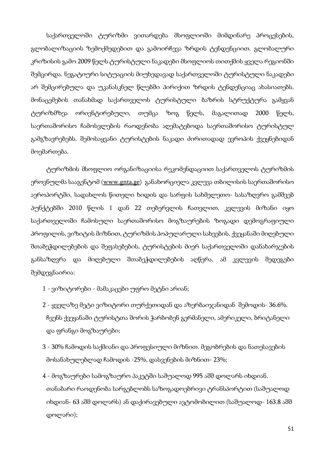საქართველოში ტურიზმი ვითარდება მსოფლიოში მიმდინარე პროცესების, გლობალიზაციის ზემოქმედებით და გამოირჩევა ზრდის ტენდენციით. გლობალური კრიზისის გამო 2009 წელს ტურისტული ნაკადები მსოფლიოს თითქმის ყველა რეგიონში შემცირდა. ნეგატიური სიტუაციის მიუხედავად საქართველოში ტურისტული ნაკადები არ შემცირებულა და უკანასკნელ წლებში პირიქით ზრდის ტენდენციაც ახასიათებს. მონაცემების თანახმად საქართველოს ტურისტული ბაზრის სტრუქტურა გამყვან ტურიზმზეა ორიენტირებული, თუმცა ზოგ წელს, მაგალითად 2000 წელს, საერთაშორისო ჩამოსვლების რაოდენობა აღემატებოდა საერთაშორისო ტურისტულ გამგზავრებებს. შემოსაყვანი ტურისტების ნაკადი ძირითადად ევროპის ქვეყნებიდან მოემართება.

ტურიზმის მსოფლიო ორგანიზაციისა რეკომენდაციით საქართველოს ტურიზმის ეროვნულმა სააგენტომ (www.gnta.ge) განახორციელა კვლევა თბილისის საერთაშორისო აეროპორტში, სადახლოს წითელი ხიდის და სარფის სახმელეთო- სასაზღვრო გამშვებ პუნქტებში 2010 წლის 1 დან 22 თებერვლის ჩათვლით. კვლევის მიზანი იყო საქართველოში ჩამოსული საერთაშორისო მოგზაურების ზოგადი დემოგრაფიული პროფილის, ვიზიტის მიზნით, ტურიზმის პოპულარული სახეების, ქვეყანაში მიღებული შთაბეჭდილებების და შეფასებების, ტურისტების მიერ საქართველოში დანახარჯების განსაზღვრა და მიღებული შთაბეჭდილებების აღწერა. ამ კვლევის შედეგები შემდეგნაირია:

- 1 ვიზიტორები მამაკაცები უფრო მეტნი არიან;
- 2 ყველაზე მეტი ვიზიტორი თურქეთიდან და აზერბაიჯანიდან შემოდის- 36.6%. ჩვენს ქვეყანაში ტურისტთა შორის ჭარბობენ გერმანელი, ამერიკელი, ბრიტანელი და ფრანგი მოგზაურები;
- 3 30% ჩამოდის საქმიანი და პროფესიული მიზნით. მეგობრების და ნათესავების მოსანახულებლად ჩამოდის -25%, დასვენების მიზნით- 23%;
- 4 მოგზაურები სამოგზაურო პაკეტში საშუალოდ 995 აშშ დოლარს იხდიან. თანაბარი რაოდენობა სარგებლობს საზოგადოებრივი ტრანსპორტით (საშუალოდ იხდიან- 63 აშშ დოლარს) ან დაქირავებული ავტომობილით (საშუალოდ- 163.8 აშშ დოლარი);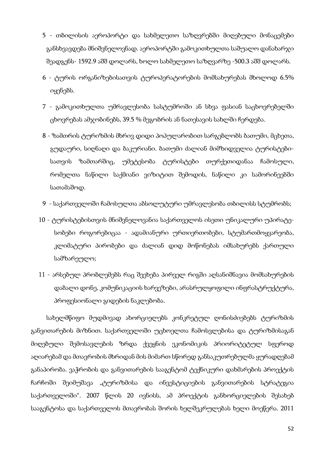- 5 თბილისის აეროპორტი და სახმელეთო საზღვრებში მიღებული მონაცემები განსხვავდება მნიშვნელოვნად. აეროპორტში გამოკითხულთა საშუალო დანახარჯი შეადგენს- 1592.9 აშშ დოლარს, ხოლო სახმელეთო საზღვარზე -500.3 აშშ დოლარს.
- 6 ტურის ორგანიზებისათვის ტუროპერატორების მომსახურებას მხოლოდ 6.5% იყენებს.
- 7 გამოკითხულთა უმრავლესობა სასტუმროში ან სხვა ფასიან საცხოვრებელში ცხოვრებას ამჯობინებს, 39.5 % მეგობრის ან ნათესავის სახლში ჩერდება.
- 8 ზამთრის ტურიზმის მხრივ დიდი პოპულარობით სარგებლობს ბათუმი, მცხეთა, გუდაური, სიღნაღი და ბაკურიანი. ბათუმი ძალიან მიმზიდველია ტურისტებისათვის ზამთარშიც, უმეტესობა ტურისტები თურქეთიდანაა ჩამოსული, რომელთა ნაწილი საქმიანი ვიზიტით შემოდის, ნაწილი კი სამორინეებში სათამაშოდ.
- 9 საქართველოში ჩამოსულთა აბსოლუტური უმრავლესობა თბილისს სტუმრობს;
- 10 ტურისტებისთვის მნიშვნელოვანია საქართველოს ისეთი უნიკალური უპირატესობები როგორებიცაა - ადამიანური ურთიერთობები, სტუმართმოყვარეობა, კლიმატური პირობები და ძალიან დიდ მოწონებას იმსახურებს ქართული სამზარეულო;
- 11 არსებულ პრობლემებს რაც შეეხება პირველ რიგში აღსანიშნავია მომსახურების დაბალი დონე, კომუნიკაციის ხარვეზები, არასრულყოფილი ინფრასტრუქტურა, პროფესიონალი გიდების ნაკლებობა.

სახელმწიფო მუდმივად ახორციელებს კონკრეტულ ღონისძიებებს ტურიზმის განვითარების მიზნით. საქართველოში უცხოელთა ჩამოსვლებისა და ტურიზმისაგან მიღებული შემოსავლების ზრდა ქვეყნის ეკონომიკის პრიორიტეტულ სფეროდ აღიარებამ და მთავრობის მხრიდან მის მიმართ სწორედ განსაკუთრებულმა ყურადღებამ განაპირობა. ვაჭრობის და განვითარების სააგენტომ ტექნიკური დახმარების პროექტის ჩარჩოში შეიმუშავა "ტურიზმისა და ინვესტიციების განვითარების სტრატეგია საქართველოში". 2007 წლის 20 ივნისს, ამ პროექტის განხორციელების შესახებ სააგენტოსა და საქართველოს მთავრობას შორის ხელშეკრულებას ხელი მოეწერა. 2011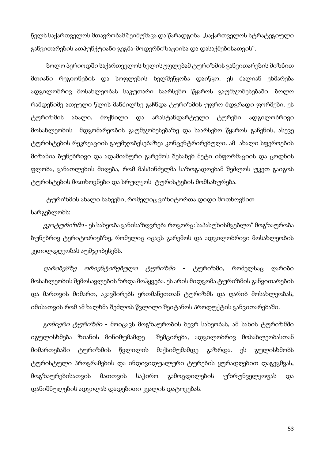წელს საქართველოს მთავრობამ შეიმუშავა და წარადგინა "საქართველოს სტრატეგიული განვითარების ათპუნქტიანი გეგმა-მოდერნიზაციისა და დასაქმებისათვის".

ბოლო პერიოდში საქართველოს ხელისუფლებამ ტურიზმის განვითარების მიზნით მთიანი რეგიონების და სოფლების ხელშეწყობა დაიწყო. ეს ძალიან ეხმარება ადგილობრივ მოსახლეობას საკუთარი საარსებო წყაროს გაუმჯობესებაში. ბოლო რამდენიმე ათეული წლის მანძილზე გაჩნდა ტურიზმის უფრო მდგრადი ფორმები. ეს ტურიზმის ახალი, მოქნილი და არასტანდარტული ტურები ადგილობრივი მოსახლეობის მდგომარეობის გაუმჯობესებაზე და საარსებო წყაროს გაჩენის, ასევე ტურისტების რეკრეაციის გაუმჯობესებაზეა კონცენტრირებული. ამ ახალი სფეროების მიზანია ბუნებრივი და ადამიანური გარემოს შესახებ მეტი ინფორმაციის და ცოდნის ფლობა, განათლების მიღება, რომ მასპინძელმა საზოგადოებამ შეძლოს უკეთ გაიგოს ტურისტების მოთხოვნები და სრულყოს ტურისტების მომსახურება.

ტურიზმის ახალი სახეები, რომელიც ვიზიტორთა დიდი მოთხოვნით სარგებლობს:

*ეკოტურიზმი* - ეს სახეობა განისაზღვრება როგორც: საპასუხისმგებლო" მოგზაურობა ბუნებრივ ტერიტორიებზე, რომელიც იცავს გარემოს და ადგილობრივი მოსახლეობის კეთილდღეობას აუმჯობესებს.

*ღარიბებზე ორიენტირებული ტურიზმი - ტ*ურიზმი, რომელსაც ღარიბი მოსახლეობის შემოსავლების ზრდა მოჰყვება. ეს არის მიდგომა ტურიზმის განვითარების და მართვის მიმართ, აკავშირებს ერთმანეთთან ტურიზმს და ღარიბ მოსახლეობას, იმისათვის რომ ამ ხალხმა შეძლოს წვლილი შეიტანოს პროდუქტის განვითარებაში.

გ*ონიერი ტურიზმი -* მოიცავს მოგზაურობის ბევრ სახეობას, ამ სახის ტურიზმში იგულისხმება ზიანის მინიმუმამდე შემცირება, ადგილობრივ მოსახლეობასთან მიმართებაში ტურიზმის წვლილის მაქსიმუმამდე გაზრდა. ეს გულისხმობს ტურისტული პროგრამების და ინდივიდუალური ტურების ყურადღებით დაგეგმვას, მოგზაურებისათვის მათთვის საჭირო გამოცდილების უზრუნველყოფას და დანიშნულების ადგილას დადებითი კვალის დატოვებას.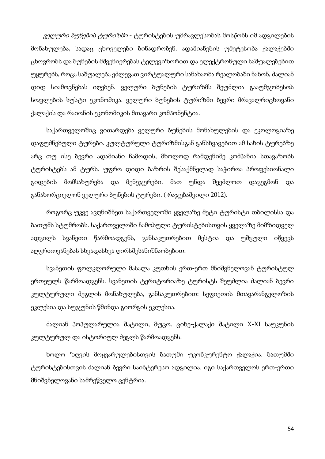*ველური ბუნების ტურიზმი* - ტურისტების უმრავლესობას მოსწონს იმ ადგილების მონახულება, სადაც ცხოველები ბინადრობენ. ადამიანების უმეტესობა ქალაქებში ცხოვრობს და ბუნების მშვენიერებას ტელევიზორით და ელექტრონული საშუალებებით უყურებს, როცა საშუალება ეძლევათ ვირტუალური სანახაობა რეალობაში ნახონ, ძალიან დიდ სიამოვნებას იღებენ. ველური ბუნების ტურიზმს შეუძლია გააუმჯობესოს სოფლების სუსტი ეკონომიკა. ველური ბუნების ტურიზმი ბევრი მრავალრიცხოვანი ქალაქის და რაიონის ეკონომიკის მთავარი კომპონენტია.

საქართველოშიც ვითარდება ველური ბუნების მონახულების და ეკოლოგიაზე დაფუძნებული ტურები. კულტურული ტურიზმისგან განსხვავებით ამ სახის ტურებზე არც თუ ისე ბევრი ადამიანი ჩამოდის, მხოლოდ რამდენიმე კომპანია სთავაზობს ტურისტებს ამ ტურს. უფრო დიდი ბაზრის შესაქმნელად საჭიროა პროფესიონალი გიდების მომსახურება და მენეჯერები. მათ უნდა შეეძლოთ დაგეგმონ და განახორციელონ ველური ბუნების ტურები. ( რაჯებაშვილი 2012).

როგორც უკვე ავღნიშნეთ საქართველოში ყველაზე მეტი ტურისტი თბილისსა და ბათუმს სტუმრობს. საქართველოში ჩამოსული ტურისტებისთვის ყველაზე მიმზიდველ ადგილს სვანეთი წარმოადგენს, განსაკუთრებით მესტია და უშგული იწვევს აღფრთოვანებას სხვადასხვა ღირსშესანიშნაობებით.

სვანეთის ფოლკლორული მასალა კუთხის ერთ-ერთ მნიშვნელოვან ტურისტულ ერთეულს წარმოადგენს. სვანეთის ტერიტორიაზე ტურისტს შეუძლია ძალიან ბევრი კულტურული ძეგლის მონახულება, განსაკუთრებით: სეფიეთის მთავარანგელოზის ეკლესია და სუჯუნის წმინდა გიორგის ეკლესია.

ძალიან პოპულარულია შატილი, მუცო. ციხე-ქალაქი შატილი X-XI საუკუნის კულტურულ და ისტორიულ ძეგლს წარმოადგენს.

ხოლო ზღვის მოყვარულებისთვის ბათუმი უკონკურენტო ქალაქია. ბათუმში ტურისტებისთვის ძალიან ბევრი საინტერესო ადგილია. იგი საქართველოს ერთ-ერთი მნიშვნელოვანი სამრეწველო ცენტრია.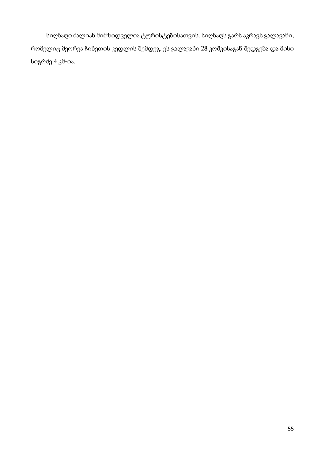სიღნაღი ძალიან მიმზიდველია ტურისტებისათვის. სიღნაღს გარს აკრავს გალავანი, რომელიც მეორეა ჩინეთის კედლის შემდეგ. ეს გალავანი 28 კოშკისაგან შედგება და მისი სიგრძე 4 კმ-ია.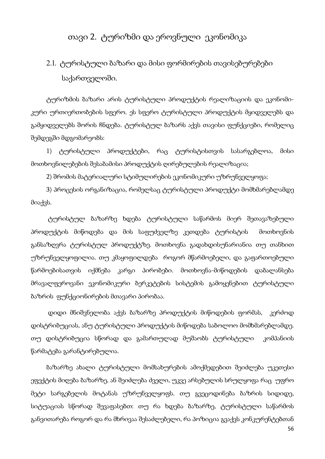# თავი 2. ტურიზმი და ეროვნული ეკონომიკა

# 2.1. ტურისტული ბაზარი და მისი ფორმირების თავისებურებები საქართველოში.

ტურიზმის ბაზარი არის ტურისტული პროდუქტის რეალიზაციის და ეკონომიკური ურთიერთობების სფერო. ეს სფერო ტურისტული პროდუქტის მყიდველებს და გამყიდველებს შორის ჩნდება. ტურისტულ ბაზარს აქვს თავისი ფუნქციები, რომელიც შემდეგში მდგომარეობს:

1) ტურისტული პროდუქტები, რაც ტურისტისთვის სასარგებლოა, მისი მოთხოვნილებების შესაბამისი პროდუქტის ღირებულების რეალიზაცია;

2) შრომის მატერიალური სტიმულირების ეკონომიკური უზრუნველყოფა;

3) პროცესის ორგანიზაცია, რომელსაც ტურისტული პროდუქტი მომხმარებლამდე მიაქვს.

 ტურისტულ ბაზარზე ხდება ტურისტული საწარმოს მიერ შეთავაზებული პროდუქტის მიწოდება და მის საფუძველზე კეთდება ტურისტის მოთხოვნის განსაზღვრა ტურისტულ პროდუქტზე. მოთხოვნა გადახდისუნარიანია თუ თანხით უზრუნველყოფილია. თუ კმაყოფილდება როგორ მწარმოებელი, და გაფართოებული წარმოებისათვის იქმნება კარგი პირობები. მოთხოვნა-მიწოდების დაბალანსება მრავალფეროვანი ეკონომიკური ბერკეტების სისტემის გამოყენებით ტურისტული ბაზრის ფუნქციონირების მთავარი პირობაა.

 დიდი მნიშვნელობა აქვს ბაზარზე პროდუქტის მიწოდების ფორმას, კერძოდ დისტრიბუციას, ანუ ტურისტული პროდუქტის მიწოდება საბოლოო მომხმარებლამდე. თუ დისტრიბუცია სწორად და გამართულად მუშაობს ტურისტული კომპანიის წარმატება გარანტირებულია.

ბაზარზე ახალი ტურისტული მომსახურების ამოქმედებით შეიძლება უკეთესი ეფექტის მიღება ბაზარზე, ან შეიძლება ძველი, უკვე არსებულის სრულყოფა რაც უფრო მეტი სარგებელის მოტანას უზრუნველყოფს. თუ გვეცოდინება ბაზრის სიდიდე, სიტუაციას სწორად შევაფასებთ: თუ რა ხდება ბაზარზე, ტურისტული საწარმოს განვითარება როგორ და რა მხრივაა შესაძლებელი, რა პოზიცია გვაქვს კონკურენტებთან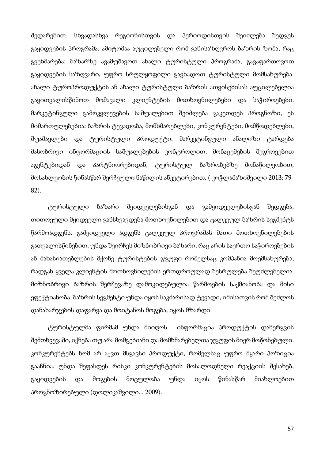შედარებით. სხვადასხვა რეგიონისთვის და პერიოდისთვის შეიძლება შედგეს გაყიდვების პროგრამა. ამიტომაა აუცილებელი რომ განისაზღვროს ბაზრის ზომა, რაც გვეხმარება: ბაზარზე ავამუშავოთ ახალი ტურისტული პროგრამა, გავაფართოვოთ გაყიდვების საზღვარი, უფრო სრულყოფილი გავხადოთ ტურისტული მომსახურება. ახალი ტუროპროდუქტის ან ახალი ტურისტული ბაზრის ათვისებისას აუცილებელია გავითვალისწინოთ მომავალი კლიენტების მოთხოვნილებები და საჭიროებები. მარკეტინგული გამოკვლევების საშუალებით შეიძლება გაკეთდეს პროგნოზი, ეს მიმართულებებია: ბაზრის ტევადობა, მომხმარებლები, კონკურენტები, მომწოდებლები, შუამავლები და ტურისტული პროდუქტი. მარკეტინგული ანალიზი ტარდება მასობრივი ინფორმაციის საშუალებების კონტროლით, მონაცემების შეგროვებით აგენტებიდან და პარტნიორებიდან, ტურისტულ ბაზრობებზე მონაწილეობით, მოსახლეობის წინასწარ შერჩეული ნაწილის ანკეტირებით. ( კოჭლამაზიშვილი 2013: 79- 82).

 ტურისტული ბაზარი მყიდველებისგან და გამყიდველებისგან შედგება, თითოეული მყიდველი განსხვავდება მოთხოვნილებით და ცალკეულ ბაზრის სეგმენტს წარმოადგენს. გამყიდველი ადგენს ცალკეულ პროგრამას მათი მოთხოვნილებების გათვალისწინებით. უნდა შეირჩეს მიზნობრივი ბაზარი, რაც არის საერთო საჭიროებების ან მახასიათებლების მქონე ტურისტების ჯგუფი რომელსაც კომპანია მოემსახურება, რადგან ყველა კლიენტის მოთხოვნილების ერთდროულად შესრულება შეუძლებელია. მიზნობრივი ბაზრის შერჩევაზე დამოკიდებულია წარმოების საქმიანობა და მისი ეფექტიანობა. ბაზრის სეგმენტი უნდა იყოს საკმარისად ტევადი, იმისათვის რომ შეძლოს დანახარჯების დაფარვა და მოიტანოს მოგება, იყოს მზარდი.

 ტურისტულმა ფირმამ უნდა მიიღოს ინფორმაცია პროდუქტის დანერგვის შემთხვევაში, იქნება თუ არა მომგებიანი და მომხმარებელთა ჯგუფის მიერ მოწონებული. კონკურენტებს ხომ არ აქვთ მსგავსი პროდუქტი, რომელსაც უფრო მყარი პოზიცია გააჩნია. უნდა შეფასდეს რისკი კონკურენტების მოსალოდნელი რეაქციის შესახებ, გაყიდვების და მოგების მოცულობა უნდა იყოს წინასწარ მიახლოებით პროგნოზირებული (დოლიკაშვილი... 2009).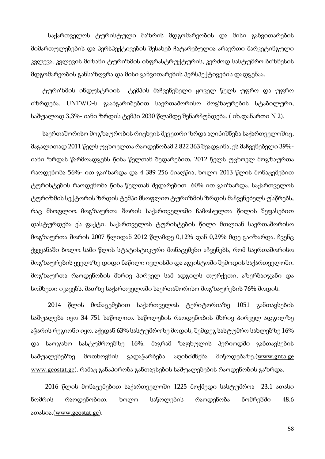საქართველოს ტურისტული ბაზრის მდგომარეობის და მისი განვითარების მიმართულებების და პერსპექტივების შესახებ ჩატარებულია არაერთი მარკეტინგული კვლევა. კვლევის მიზანი ტურიზმის ინფრასტრუქტურის, კერძოდ სასტუმრო ბიზნესის მდგომარეობის განსაზღვრა და მისი განვითარების პერსპექტივების დადგენაა.

 ტურიზმის ინდუსტრიის ტემპის მაჩვენებელი ყოველ წელს უფრო და უფრო იზრდება. UNTWO-ს გაანგარიშებით საერთაშორისო მოგზაურების სტაბილური, საშუალოდ 3,3%- იანი ზრდის ტემპი 2030 წლამდე შენარჩუნდება. ( იხ.დანართი N 2).

საერთაშორისო მოგზაურობის რიცხვის მკვეთრი ზრდა აღინიშნება საქართველოშიც, მაგალითად 2011 წელს უცხოელთა რაოდენობამ 2 822 363 შეადგინა, ეს მაჩვენებელი 39% იანი ზრდას წარმოადგენს წინა წელთან შედარებით, 2012 წელს უცხოელ მოგზაურთა რაოდენობა 56%- ით გაიზარდა და 4 389 256 მიაღწია, ხოლო 2013 წლის მონაცემებით ტურისტების რაოდენობა წინა წელთან შედარებით 60% ით გაიზარდა. საქართველოს ტურიზმის სექტორის ზრდის ტემპი მსოფლიო ტურიზმის ზრდის მაჩვენებელს უსწრებს, რაც მსოფლიო მოგზაურთა შორის საქართველოში ჩამოსულთა წილის შეფასებით დასტურდება ეს ფაქტი. საქართველოს ტურისტების წილი მთლიან საერთაშორისო მოგზაურთა შორის 2007 წლიდან 2012 წლამდე 0,12% დან 0,29% მდე გაიზარდა. ჩვენც ქვეყანაში ბოლო სამი წლის სტატისტიკური მონაცემები აჩვენებს, რომ საერთაშორისო მოგზაურების ყველაზე დიდი ნაწილი ივლისში და აგვისტოში შემოდის საქართველოში. მოგზაურთა რაოდენობის მხრივ პირველ სამ ადგილს თურქეთი, აზერბაიჯანი და სომხეთი იკავებს. მათზე საქართველოში საერთაშორისო მოგზაურების 76% მოდის.

 2014 წლის მონაცემებით საქართველოს ტერიტორიაზე 1051 განთავსების საშუალება იყო 34 751 საწოლით. საწოლების რაოდენობის მხრივ პირველ ადგილზე აჭარის რეგიონი იყო. აქედან 63% სასტუმროზე მოდის, შემდეგ სასტუმრო სახლებზე  $16\%$ და საოჯახო სასტუმროებზე 16%. მაგრამ ზაფხულის პერიოდში განთავსების საშუალებებზე მოთხოვნის გადაჭარბება აღინიშნება მიწოდებაზე.(www.gnta.ge www.geostat.ge). რამაც განაპირობა განთავსების საშუალებების რაოდენობის გაზრდა.

 2016 წლის მონაცემებით საქართველოში 1225 მოქმედი სასტუმროა 23.1 ათასი ნომრის რაოდენობით. ხოლო საწოლების რაოდენობა ნომრებში 48.6 ათასია.(www.geostat.ge).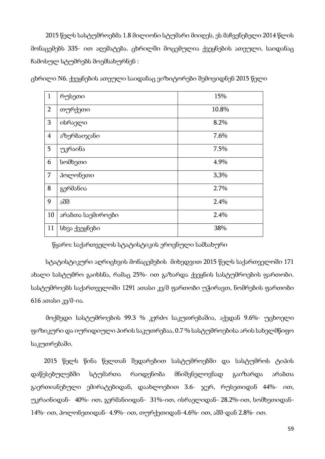2015 წელს სასტუმროებმა 1.8 მილიონი სტუმარი მიიღეს, ეს მაჩვენებელი 2014 წლის მონაცემებს 335- ით აღემატება. ცხრილში მოცემულია ქვეყნების ათეული, საიდანაც ჩამოსულ სტუმრებს მოემსახურნენ :

| $\mathbf{1}$   | რუსეთი            | 15%   |
|----------------|-------------------|-------|
| $\overline{2}$ | თურქეთი           | 10.8% |
| 3              | ისრაელი           | 8.2%  |
| $\overline{4}$ | აზერბაიჯანი       | 7.6%  |
| 5              | უკრაინა           | 7.5%  |
| 6              | სომხეთი           | 4.9%  |
| $\overline{7}$ | პოლონეთი          | 3,3%  |
| 8              | გერმანია          | 2.7%  |
| 9              | აშშ               | 2.4%  |
| 10             | არაბთა საემიროები | 2.4%  |
| 11             | სხვა ქვეყნები     | 38%   |

ცხრილი N6. ქვეყნების ათეული საიდანაც ვიზიტორები შემოვიდნენ 2015 წელი

წყარო: საქართველოს სტატისტიკის ეროვნული სამსახური

 სტატისტიკური აღრიცხვის მონაცემების მიხედვით 2015 წელს საქართველოში 171 ახალი სასტუმრო გაიხსნა, რამაც 25%- ით გაზარდა ქვეყნის სასტუმროების ფართობი. სასტუმროებს საქართველოში 1291 ათასი კვ/მ ფართობი უჭირავთ, ნომრების ფართობი 616 ათასი კვ/მ-ია.

 მოქმედი სასტუმროების 99.3 % კერძო საკუთრებაშია, აქედან 9.6%- უცხოელი ფიზიკური და იურიდიული პირის საკუთრებაა, 0.7 % სასტუმროებისა არის სახელმწიფო საკუთრებაში.

 2015 წელს წინა წელთან შედარებით სასტუმროებში და სასტუმროს ტიპის დაწესებულებში სტუმართა რაოდენობა მნიშვნელოვნად გაიზარდა არაბთა გაერთიანებული ემირატებიდან, დაახლოებით 3.6- ჯერ, რუსეთიდან 44%- ით, უკრაინიდან- 40%- ით, გერმანიიდან- 31%-ით, ისრაელიდან- 28.2%-ით, სომხეთიდან-14%- ით, პოლონეთიდან- 4.9%- ით, თურქეთიდან-4.6%- ით, აშშ-დან 2.8%- ით.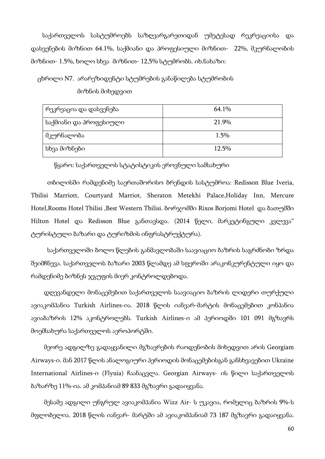საქართველოს სასტუმროებს საზღვარგარეთიდან უმეტესად რეკრეაციისა და დასვენების მიზნით 64.1%, საქმიანი და პროფესიული მიზნით- 22%, მკურნალობის მიზნით- 1.5%, ხოლო სხვა მიზნით- 12,5% სტუმრობს. იხ.ნახაზი:

ცხრილი N7. არარეზიდენტი სტუმრების განაწილება სტუმრობის

მიზნის მიხედვით

| რეკრეაცია და დასვენება | 64.1%    |
|------------------------|----------|
| საქმიანი და პროფესიული | 21.9%    |
| მკურნალობა             | 1.5%     |
| სხვა მიზნები           | $12.5\%$ |

წყარო: საქართველოს სტატისტიკის ეროვნული სამსახური

 თბილისში რამდენიმე საერთაშორისო ბრენდის სასტუმროა: Redisson Blue Iveria, Tbilisi Marriott, Courtyard Marriot, Sheraton Metekhi Palace,Holiday Inn, Mercure Hotel, Rooms Hotel Tbilisi, Best Western Tbilisi. ბორჯომში Rixos Borjomi Hotel და ბათუმში Hilton Hotel და Redisson Blue განთავსდა. (2014 წელი, მარკეტინგული კვლევა" ტურისტული ბაზარი და ტურიზმის ინფრასტრუქტურა).

 საქართველოში ბოლო წლების განმავლობაში საავიაციო ბაზრის საგრძნობი ზრდა შეიმჩნევა. საქართველოს ბაზარი 2003 წლამდე ამ სფეროში არაკონკურენტული იყო და რამდენიმე ბიზნეს ჯგუფის მიერ კონტროლდებოდა.

 დღევანდელი მონაცემებით საქართველოს საავიაციო ბაზრის ლიდერი თურქული ავიაკომპანია Turkish Airlines-ია. 2018 წლის იანვარ-მარტის მონაცემებით კონპანია ავიაბაზრის 12% აკონტროლებს. Turkish Airlines-ი ამ პერიოდში 101 091 მგზავრს მოემსახურა საქართველოს აეროპორტში.

 მეორე ადგილზე გადაყვანილი მგზავრების რაოდენობის მიხედვით არის Georgiam Airways-ი. მან 2017 წლის ანალოგიური პერიოდის მონაცემებისგან განსხვავებით Ukraine International Airlines-ი (Flyuia) ჩაანაცვლა. Georgian Airways- ის წილი საქართველოს ბაზარზე 11%-ია. ამ კომპანიამ 89 833 მგზავრი გადაიყვანა.

 მესამე ადგილი უნგრულ ავიაკომპანია Wizz Air- ს უკავია, რომელიც ბაზრის 9%-ს მფლობელია. 2018 წლის იანვარ- მარტში ამ ავიაკომპანიამ 73 187 მგზავრი გადაიყვანა.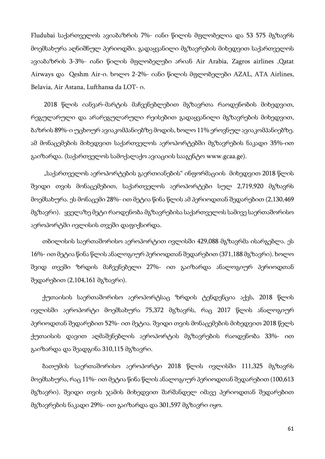Fludubai საქართველოს ავიაბაზრის 7%- იანი წილის მფლობელია და 53 575 მგზავრს მოემსახურა აღნიშნულ პერიოდში. გადაყვანილი მგზავრების მიხედვით საქართველოს ავიაბაზრის 3-3%- იანი წილის მფლობელები არიან Air Arabia, Zagros airlines ,Qatat Airways და Qeshm Air-ი. ხოლო 2-2%- იანი წილის მფლობელები AZAL, ATA Airlines, Belavia, Air Astana, Lufthansa da LOT- ი.

 2018 წლის იანვარ-მარტის მაჩვენებლებით მგზავრთა რაოდენობის მიხედვით, რეგულარული და არარეგულარული რეისებით გადაყვანილი მგზავრების მიხედვით, ბაზრის 89%-ი უცხოურ ავიაკომპანიებზე მოდის, ხოლო 11% ეროვნულ ავიაკომპანიებზე. ამ მონაცემების მიხედვით საქართველოს აეროპორტებში მგზავრების ნაკადი 35%-ით გაიზარდა. (საქართველოს სამოქალაქო ავიაციის სააგენტო www.gcaa.ge).

 "საქართველოს აეროპორტების გაერთიანების" ინფორმაციის მიხედვით 2018 წლის შვიდი თვის მონაცემებით, საქართველოს აეროპორტები სულ 2,719,920 მგზავრს მოემსახურა. ეს მონაცემი 28%- ით მეტია წინა წლის ამ პერიოდთან შედარებით (2,130,469 მგზავრი). ყველაზე მეტი რაოდენობა მგზავრებისა საქართველოს სამივე საერთაშორისო აეროპორტში ივლისის თვეში დაფიქსირდა.

 თბილისის საერთაშორისო აეროპორტით ივლისში 429,088 მგზავრმა ისარგებლა. ეს 16%- ით მეტია წინა წლის ანალოგიურ პერიოდთან შედარებით (371,188 მგზავრი). ხოლო შვიდ თვეში ზრდის მაჩვენებელი 27%- ით გაიზარდა ანალოგიურ პერიოდთან შედარებით (2,104,161 მგზავრი).

 ქუთაისის საერთაშორისო აეროპორტსაც ზრდის ტენდენცია აქვს, 2018 წლის ივლისში აეროპორტი მოემსახურა 75,372 მგზავრს, რაც 2017 წლის ანალოგიურ პერიოდთან შედარებით 52%- ით მეტია. შვიდი თვის მონაცემების მიხედვით 2018 წელს ქუთაისის დავით აღმაშენებლის აეროპორტის მგზავრების რაოდენობა 33%- ით გაიზარდა და შეადგინა 310,115 მგზავრი.

 ბათუმის საერთაშორისო აეროპორტი 2018 წლის ივლისში 111,325 მგზავრს მოემსახურა, რაც 11%- ით მეტია წინა წლის ანალოგიურ პერიოდთან შედარებით (100,613 მგზავრი). შვიდი თვის ჯამის მიხედვით შარშანდელ იმავე პერიოდთან შედარებით მგზავრების ნაკადი 29%- ით გაიზარდა და 301,597 მგზავრი იყო.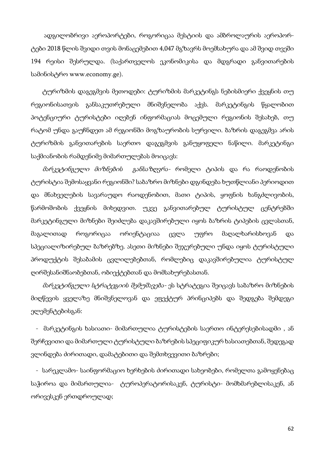ადგილობრივი აეროპორტები, როგორიცაა მესტიის და ამბროლაურის აეროპორტები 2018 წლის შვიდი თვის მონაცემებით 4,047 მგზავრს მოემსახურა და ამ შვიდ თვეში 194 რეისი შესრულდა. (საქართველოს ეკონომიკისა და მდგრადი განვითარების სამინისტრო www.economy.ge).

 ტურიზმის დაგეგმვის მეთოდები: ტურიზმის მარკეტინგს ნებისმიერი ქვეყნის თუ რეგიონისათვის განსაკუთრებული მნიშვნელობა აქვს. მარკეტინგის წყალობით პოტენციური ტურისტები იღებენ ინფორმაციას მოცემული რეგიონის შესახებ, თუ რატომ უნდა გაუჩნდეთ ამ რეგიონში მოგზაურობის სურვილი. ბაზრის დაგეგმვა არის ტურიზმის განვითარების საერთო დაგეგმვის განუყოფელი ნაწილი. მარკეტინგი საქმიანობის რამდენიმე მიმართულებას მოიცავს:

 მარკეტინგული მიზნების განსაზღვრა- რომელი ტიპის და რა რაოდენობის ტურისტია შემოსაყვანი რეგიონში? საბაზრო მიზნები დგინდება ხუთწლიანი პერიოდით და მნახველების სავარაუდო რაოდენობით, მათი ტიპის, ყოფნის ხანგძლივობის, წარმოშობის ქვეყნის მიხედვით. უკვე განვითარებულ ტურისტულ ცენტრებში მარკეტინგული მიზნები შეიძლება დაკავშირებული იყოს ბაზრის ტიპების ცვლასთან, მაგალითად როგორიცაა ორიენტაციაა ცვლა უფრო მაღალხარისხოვან და სპეციალიზირებულ ბაზრებზე. ასეთი მიზნები შეჯერებული უნდა იყოს ტურისტული პროდუქტის შესაბამის ცვლილებებთან, რომლებიც დაკავშირებულია ტურისტულ ღირშესანიშნაობებთან, ობიექტებთან და მომსახურებასთან.

 მარკეტინგული სტრატეგიის შემუშავება- ეს სტრატეგია შეიცავს საბაზრო მიზნების მიღწევის ყველაზე მნიშვნელოვან და ეფექტურ პრინციპებს და შედგება შემდეგი ელემენტებისგან:

 - მარკეტინგის ხასიათი- მიმართულია ტურისტების საერთო ინტერესებისადმი , ან შერჩევითი და მიმართული ტურისტული ბაზრების სპეციფიკურ ხასიათებთან, შედეგად ვლინდება ძირითადი, დამატებითი და შემთხვევითი ბაზრები;

 - სარეკლამო- საინფორმაციო ხერხების ძირითადი სახეობები, რომელთა გამოყენებაც საჭიროა და მიმართულია- ტუროპერატორისაკენ, ტურისტი- მომხმარებლისაკენ, ან ორივესკენ ერთდროულად;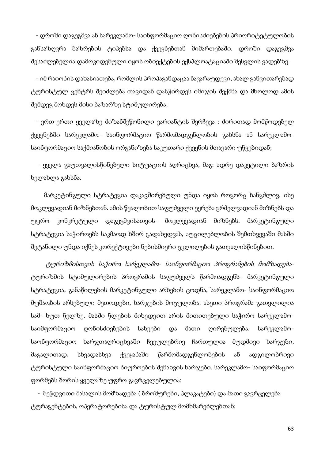- დროში დაგეგმვა ან სარეკლამო- საინფორმაციო ღონისძიებების პრიორიტეტულობის განსაზღვრა ბაზრების ტიპებსა და ქვეყნებთან მიმართებაში. დროში დაგეგმვა შესაძლებელია დამოკიდებული იყოს ობიექტების ექსპლოატაციაში შესვლის ვადებზე.

 - იმ რაიონის დახასიათება, რომლის პროპაგანდაცაა ნავარაუდევი, ახალ განვითარებად ტურისტულ ცენტრს შეიძლება თავიდან დასჭირდეს იმიჯის შექმნა და მხოლოდ ამის შემდეგ მოხდეს მისი ბაზარზე სტიმულირება;

 - ერთ-ერთი ყველაზე მიზანშეწონილი ვარიანტის შერჩევა : ძირითად მომწოდებელ ქვეყნებში სარეკლამო- საინფორმაციო წარმომადგენლობის გახსნა ან სარეკლამოსაინფორმაციო საქმიანობის ორგანიზება საკუთარი ქვეყნის მთავარი უწყებიდან;

 - ყველა გაუთვალისწინებელი სიტუაციის აღრიცხვა, მაგ: ადრე დაკეტილი ბაზრის ხელახლა გახსნა.

 მარკეტინგული სტრატეგია დაკავშირებული უნდა იყოს როგორც ხანგძლივ, ისე მოკლევადიან მიზნებთან. ამის წყალობით საფუძველი ეყრება გრძელვადიან მიზნებს და უფრო კონკრეტული დაგეგმვისათვის- მოკლევადიან მიზნებს. მარკეტინგული სტრატეგია საჭიროებს საკმაოდ ხშირ გადახედვას, აუცილებლობის შემთხვევაში მასში შეტანილი უნდა იქნეს კორექტივები ნებისმიერი ცვლილების გათვალისწინებით.

 ტურიზმისთვის საჭირო სარეკლამო- საინფორმაციო პროგრამების მომზადებატურიზმის სტიმულირების პროგრამის საფუძველს წარმოადგენს- მარკეტინგული სტრატეგია, განაწილების მარკეტინგული არხების ცოდნა, სარეკლამო- საინფორმაციო მუშაობის არსებული მეთოდები, ხარჯების მოცულობა. ასეთი პროგრამა გათვლილია სამ- ხუთ წელზე. მასში წლების მიხედვით არის მითითებული საჭირო სარეკლამოსაიმფორმაციო ღონისძიებების სახეები და მათი ღირებულება. სარეკლამოსაონფორმაციო ხარჯთაღრიცხვაში ჩვეულებრივ ჩართულია მუდმივი ხარჯები, მაგალითად, სხვადასხვა ქვეყანაში წარმომადგენლობების ან ადგილობრივი ტურისტული საინფორმაციო ბიუროების შენახვის ხარჯები. სარეკლამო- საიფორმაციო ფორმებს შორის ყველაზე უფრო გავრცელებულია:

 - ბეჭდვითი მასალის მომზადება ( ბროშურები, პლაკატები) და მათი გავრცელება ტურაგენტების, ოპერატორებისა და ტურისტულ მომხმარებლებთან;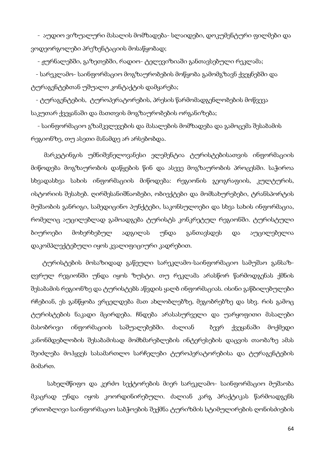- აუდიო ვიზუალური მასალის მომზადება- სლაიდები, დოკუმენტური ფილმები და ვოდეორგოლები პრეზენტაციის მოსაწყობად;

- ჟურნალებში, გაზეთებში, რადიო- ტელევიზიაში განთავსებული რეკლამა;

 - სარეკლამო- საინფორმაციო მოგზაურობების მოწყობა გამომგზავნ ქვეყნებში და ტურაგენტებთან უშუალო კონტაქტის დამყარება;

 - ტურაგენტების, ტუროპერატორების, პრესის წარმომადგენლობების მოწვევა საკუთარ ქვეყანაში და მათთვის მოგზაურობების ორგანიზება;

 - საინფორმაციო გზამკვლევების და მასალების მომზადება და გამოცემა შესაბამის რეგიონზე, თუ ასეთი მანამდე არ არსებობდა.

 მარკეტინგის უმნიშვნელოვანესი ელემენტია ტურისტებისათვის ინფორმაციის მიწოდება მოგზაურობის დაწყების წინ და ასევე მოგზაურობის პროცესში. საჭიროა სხვადასხვა სახის ინფორმაციის მიწოდება: რეგიონის გეოგრაფიის, კულტურის, ისტორიის შესახებ. ღირშესანიშნაობები, ობიექტები და მომსახურებები, ტრანსპორტის მუშაობის განრიგი, სამედიცინო პუნქტები, საკონსულოები და სხვა სახის ინფორმაცია, რომელიც აუცილებლად გამოადგება ტურისტს კონკრეტულ რეგიონში. ტურისტული ბიუროები მოხერხებულ ადგილას უნდა განთავსდეს და აუცილებელია დაკომპლექტებული იყოს კვალიფიციური კადრებით.

 ტურისტების მოსაზიდად გაწეული სარეკლამო-საინფორმაციო სამუშაო განსაზღვრულ რეგიონში უნდა იყოს ზუსტი. თუ რეკლამა არასწორ წარმოდგენას ქმნის შესაბამის რეგიონზე და ტურისტებს აწვდის ყალბ ინფორმაციას. ისინი გაწბილებულები რჩებიან, ეს განწყობა ვრცელდება მათ ახლობლებზე, მეგობრებზე და სხვ. რის გამოც ტურისტების ნაკადი მცირდება. ჩნდება არასასურველი და უარყოფითი მასალები მასობრივი ინფორმაციის საშუალებებში. ძალიან ბევრ ქვეყანაში მოქმედი კანონმდებლობის შესაბამისად მომხმარებლების ინტერესების დაცვის თაობაზე ამას შეიძლება მოჰყვეს სასამართლო სარჩელები ტუროპერატორებისა და ტურაგენტების მიმართ.

 სახელმწიფო და კერძო სექტორების მიერ სარეკლამო- საინფორმაციო მუშაობა მკაცრად უნდა იყოს კოორდინირებული. ძალიან კარგ პრაქტიკას წარმოადგენს ერთობლივი საინფორმაციო საბჭოების შექმნა ტურიზმის სტიმულირების ღონისძიების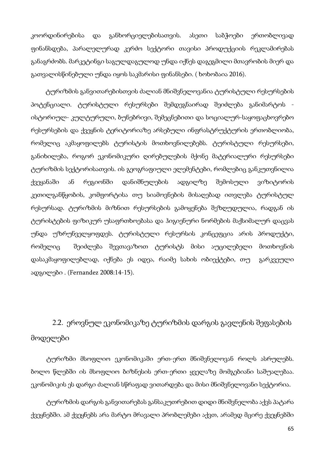კოორდინირებისა და განხორციელებისათვის. ასეთი საბჭოები ერთობლივად ფინანსდება, პარალელურად კერძო სექტორი თავისი პროდუქციის რეკლამირებას განაგრძობს. მარკეტინგი საგულდაგულოდ უნდა იქნეს დაგეგმილი მთავრობის მიერ და გათვალისწინებული უნდა იყოს საკმარისი ფინანსები. ( ხოხობაია 2016).

 ტურიზმის განვითარებისთვის ძალიან მნიშვნელოვანია ტურისტული რესურსების პოტენციალი. ტურისტული რესურსები შემდეგნაირად შეიძლება განიმარტოს ისტორიულ- კულტურული, ბუნებრივი, შემეცნებითი და სოციალურ-საყოფაცხოვრებო რესურსების და ქვეყნის ტერიტორიაზე არსებული ინფრასტრუქტურის ერთობლიობა, რომელიც აკმაყოფილებს ტურისტის მოთხოვნილებებს. ტურისტული რესურსები, განიხილება, როგორ ეკონომიკური ღირებულების მქონე მატერიალური რესურსები ტურიზმის სექტორისათვის. ის გეოგრაფიული ელემენტები, რომლებიც განკუთვნილია ქვეყანაში ან რეგიონში დანიშნულების ადგილზე შემოსული ვიზიტორის კეთილგანწყობის, კომფორტისა თუ სიამოვნების მისაღებად ითვლება ტურისტულ რესურსად. ტურიზმის მიზნით რესურსების გამოყენება შეზღუდულია, რადგან ის ტურისტების ფიზიკურ უსაფრთხოებასა და ჰიგიენური ნორმების მაქსიმალურ დაცვას უნდა უზრუნველყოფდეს. ტურისტული რესურსის კონცეფცია არის პროდუქტი, რომელიც შეიძლება შევთავაზოთ ტურისტს მისი აუცილებელი მოთხოვნის დასაკმაყოფილებლად, იქნება ეს იდეა, რაიმე სახის ობიექტები, თუ გარკვეული ადგილები . (Fernandez 2008:14-15).

 2.2. ეროვნულ ეკონომიკაზე ტურიზმის დარგის გავლენის შეფასების მოდელები

ტურიზმი მსოფლიო ეკონომიკაში ერთ-ერთ მნიშვნელოვან როლს ასრულებს. ბოლო წლებში ის მსოფლიო ბიზნესის ერთ-ერთი ყველაზე მომგებიანი საშუალებაა. ეკონომიკის ეს დარგი ძალიან სწრაფად ვითარდება და მისი მნიშვნელოვანი სექტორია.

ტურიზმის დარგის განვითარებას განსაკუთრებით დიდი მნიშვნელობა აქვს პატარა ქვეყნებში. ამ ქვეყნებს არა მარტო მრავალი პრობლემები აქვთ, არამედ მცირე ქვეყნებში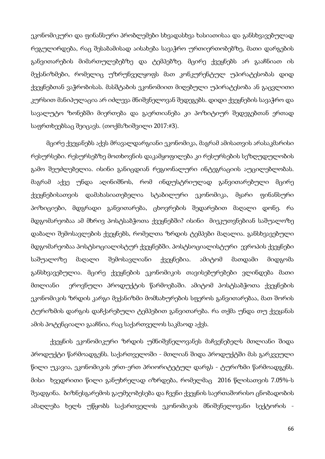ეკონომიკური და ფინანსური პრობლემები სხვადასხვა ხასიათისაა და განსხვავებულად რეგულირდება, რაც შესაბამისად აისახება სავაჭრო ურთიერთობებზე, მათი დარგების განვითარების მიმართულებებზე და ტემპებზე. მცირე ქვეყნებს არ გააჩნიათ ის მექანიზმები, რომელიც უზრუნველყოფს მათ კონკურენტულ უპირატესობას დიდ ქვეყნებთან ვაჭრობისას. მასშტაბის ეკონომიით მიღებული უპირატესობა ან გაცვლითი კურსით მანიპულაცია არ იძლევა მნიშვნელოვან შედეგებს. დიდი ქვეყნების სავაჭრო და სავალუტო ზონებში მიერთება და გაერთიანება კი პოზიტიურ შედეგებთან ერთად საფრთხეებსაც შეიცავს. (თოქმაზიშვილი 2017:#3).

მცირე ქვეყანებს აქვს მრავალდარგიანი ეკონომიკა, მაგრამ ამისათვის არასაკმარისი რესურსები. რესურსებზე მოთხოვნის დაკამყოფილება კი რესურსების სეზღუდულობის გამო შეუძლებელია. ისინი განიცდიან რეგიონალური ინტეგრაციის აუცილებლობას. მაგრამ აქვე უნდა აღინიშნოს, რომ ინდუსტრიულად განვითარებული მცირე ქვეყნებისათვის დამახასიათებელია სტაბილური ეკონომიკა, მყარი ფინანსური პოზიციები, მდგრადი განვითარება, ცხოვრების შედარებით მაღალი დონე. რა მდგომარეობაა ამ მხრივ პოსტსაბჭოთა ქვეყნებში? ისინი მიეკუთვნებიან საშუალოზე დაბალი შემოსავლების ქვეყნებს, რომელთა ზრდის ტემპები მაღალია. განსხვავებული მდგომარეობაა პოსტსოციალისტურ ქვეყნებში. პოსტსოციალისტური ევროპის ქვეყნები საშუალოზე მაღალი შემოსავლიანი ქვეყნებია. ამიტომ მათდამი მიდგომა განსხვავებულია. მცირე ქვეყნების ეკონომიკის თავისებურებები ვლინდება მათი მთლიანი ეროვნული პროდუქტის წარმოებაში. ამიტომ პოსტსაბჭოთა ქვეყნების ეკონომიკის ზრდის კარგი მექანიზმი მომსახურების სფეროს განვითარებაა, მათ შორის ტურიზმის დარგის დაჩქარებული ტემპებით განვითარება. რა თქმა უნდა თუ ქვეყანას ამის პოტენციალი გააჩნია, რაც საქართველოს საკმაოდ აქვს.

ქვეყნის ეკონომიკური ზრდის უმნიშვნელოვანეს მაჩვენებელს მთლიანი შიდა პროდუქტი წარმოადგენს. საქართველოში - მთლიან შიდა პროდუქტში მას გარკვეული წილი უკავია, ეკონომიკის ერთ-ერთ პრიორიტეტულ დარგს - ტურიზმი წარმოადგენს. მისი ხვედრითი წილი განუხრელად იზრდება, რომელმაც 2016 წლისათვის 7.05%-ს შეადგინა. ბიზნესგარემოს გაუმჯობესება და ჩვენი ქვეყნის საერთაშორისო ცნობადობის ამაღლება ხელს უწყობს საქართველოს ეკონომიკის მნიშვნელოვანი სექტორის -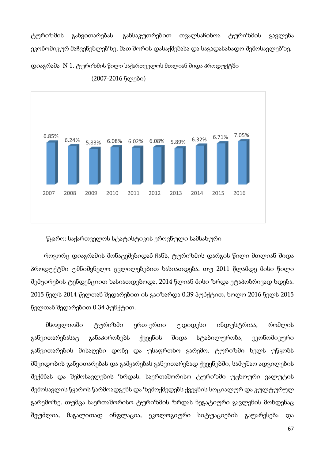ტურიზმის განვითარებას. განსაკუთრებით თვალსაჩინოა ტურიზმის გავლენა ეკონომიკურ მაჩვენებლებზე, მათ შორის დასაქმებასა და საგადასახადო შემოსავლებზე. დიაგრამა N 1. ტურიზმის წილი საქართველოს მთლიან შიდა პროდუქტში



(2007-2016 წლები)

### წყარო: საქართველოს სტატისტიკის ეროვნული სამსახური

 როგორც დიაგრამის მონაცემებიდან ჩანს, ტურიზმის დარგის წილი მთლიან შიდა პროდუქტში უმნიშვნელო ცვლილებებით ხასიათდება. თუ 2011 წლამდე მისი წილი შემცირების ტენდენციით ხასიათდებოდა, 2014 წლიან მისი ზრდა ეტაპობრივად ხდება. 2015 წელს 2014 წელთან შედარებით ის გაიზარდა 0.39 პუნქტით, ხოლო 2016 წელს 2015 წელთან შედარებით 0.34 პუნქტით.

 მსოფლიოში ტურიზმი ერთ-ერთი უდიდესი ინდუსტრიაა, რომლის განვითარებასაც განაპირობებს ქვეყნის შიდა სტაბილურობა, ეკონომიკური განვითარების მისაღები დონე და უსაფრთხო გარემო. ტურიზმი ხელს უწყობს მშვიდობის განვითარებას და გამყარებას განვითარებად ქვეყნებში, სამუშაო ადგილების შექმნას და შემოსავლების ზრდას. საერთაშორისო ტურიზმი უცხოური ვალუტის შემოსავლის წყაროს წარმოადგენს და ზემოქმედებს ქვეყნის სოციალურ და კულტურულ გარემოზე. თუმცა საერთაშორისო ტურიზმის ზრდას ნეგატიური გავლენის მოხდენაც შეუძლია, მაგალითად ინფლაცია, ეკოლოგიური სიტუაციების გაუარესება და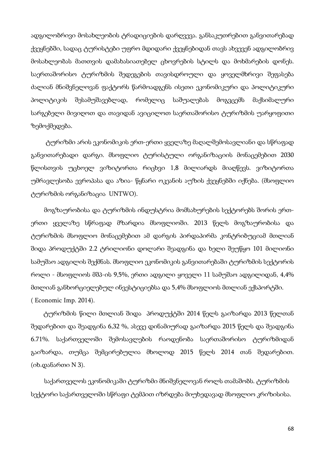ადგილობრივი მოსახლეობის ტრადიციების დარღვევა. განსაკუთრებით განვითარებად ქვეყნებში, სადაც ტურისტები უფრო მდიდარი ქვეყნებიდან თავს ახვევენ ადგილობრივ მოსახლეობას მათთვის დამახასიათებელ ცხოვრების სტილს და მოხმარების დონეს. საერთაშორისო ტურიზმის შედეგების თავისდროული და ყოველმხრივი შეფასება ძალიან მნიშვნელოვან ფაქტორს წარმოადგენს ისეთი ეკონომიკური და პოლიტიკური პოლიტიკის შესამუშავებლად, რომელიც საშუალებას მოგვცემს მაქსიმალური სარგებელი მივიღოთ და თავიდან ავიცილოთ საერთაშორისო ტურიზმის უარყოფითი ზემოქმედება.

 ტურიზმი არის ეკონომიკის ერთ-ერთი ყველაზე მაღალშემოსავლიანი და სწრაფად განვითარებადი დარგი. მსოფლიო ტურისტული ორგანიზაციის მონაცემებით 2030 წლისთვის უცხოელ ვიზიტორთა რიცხვი 1,8 მილიარდს მიაღწევს. ვიზიტორთა უმრავლესობა ევროპასა და აზია- წყნარი ოკეანის აუზის ქვეყნებში იქნება. (მსოფლიო ტურიზმის ორგანიზაცია UNTWO).

 მოგზაურობისა და ტურიზმის ინდუსტრია მომსახურების სექტორებს შორის ერთერთი ყველაზე სწრაფად მზარდია მსოფლიოში. 2013 წელს მოგზაურობისა და ტურიზმის მსოფლიო მონაცემებით ამ დარგის პირდაპირმა კონტრიბუციამ მთლიან შიდა პროდუქტში 2.2 ტრილიონი დოლარი შეადგინა და ხელი შეუწყო 101 მილიონი სამუშაო ადგილის შექმნას. მსოფლიო ეკონომიკის განვითარებაში ტურიზმის სექტორის როლი - მსოფლიოს მშპ-ის 9,5%, ერთი ადგილი ყოველი 11 სამუშაო ადგილიდან, 4,4% მთლიან განხორციელებულ ინვესტიციებსა და 5,4% მსოფლიოს მთლიან ექსპორტში. ( Economic Imp. 2014).

 ტურიზმის წილი მთლიან შიდა პროდუქტში 2014 წელს გაიზარდა 2013 წელთან შედარებით და შეადგინა 6,32 %, ასევე დინამიურად გაიზარდა 2015 წელს და შეადგინა 6.71%. საქართველოში შემოსავლების რაოდენობა საერთაშორისო ტურიზმიდან გაიზარდა, თუმცა შემცირებულია მხოლოდ 2015 წელს 2014 თან შედარებით. (იხ.დანართი N 3).

 საქართველოს ეკონომიკაში ტურიზმი მნიშვნელოვან როლს თამაშობს. ტურიზმის სექტორი საქართველოში სწრაფი ტემპით იზრდება მიუხედავად მსოფლიო კრიზისისა.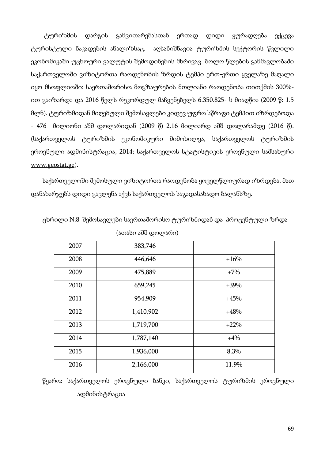ტურიზმის დარგის განვითარებასთან ერთად დიდი ყურადღება ექცევა ტურისტული ნაკადების ანალიზსაც. აღსანიშნავია ტურიზმის სექტორის წვლილი ეკონომიკაში უცხოური ვალუტის შემოდინების მხრივაც. ბოლო წლების განმავლობაში საქართველოში ვიზიტორთა რაოდენობის ზრდის ტემპი ერთ-ერთი ყველაზე მაღალი იყო მსოფლიოში: საერთაშორისო მოგზაურების მთლიანი რაოდენობა თითქმის 300% ით გაიზარდა და 2016 წელს რეკორდულ მაჩვენებელს 6.350.825- ს მიაღწია (2009 წ: 1.5 მლნ). ტურიზმიდან მიღებული შემოსავლები კიდევ უფრო სწრაფი ტემპით იზრდებოდა - 476 მილიონი აშშ დოლარიდან (2009 წ) 2.16 მილიარდ აშშ დოლარამდე (2016 წ). (საქართველოს ტურიზმის ეკონომიკური მიმოხილვა, საქართველოს ტურიზმის ეროვნული ადმინისტრაცია, 2014; საქართველოს სტატისტიკის ეროვნული სამსახური www.geostat.ge).

საქართველოში შემოსული ვიზიტორთა რაოდენობა ყოველწლიურად იზრდება. მათ დანახარჯებს დიდი გავლენა აქვს საქართველოს საგადასახადო ბალანსზე.

| 2007 | 383,746   |        |
|------|-----------|--------|
| 2008 | 446,646   | $+16%$ |
| 2009 | 475,889   | $+7%$  |
| 2010 | 659,245   | $+39%$ |
| 2011 | 954,909   | $+45%$ |
| 2012 | 1,410,902 | $+48%$ |
| 2013 | 1,719,700 | $+22%$ |
| 2014 | 1,787,140 | $+4%$  |
| 2015 | 1,936,000 | 8.3%   |
| 2016 | 2,166,000 | 11.9%  |

ცხრილი N:8 შემოსავლები საერთაშორისო ტურიზმიდან და პროცენტული ზრდა (ათასი აშშ დოლარი)

წყარო: საქართველოს ეროვნული ბანკი, საქართველოს ტურიზმის ეროვნული ადმინისტრაცია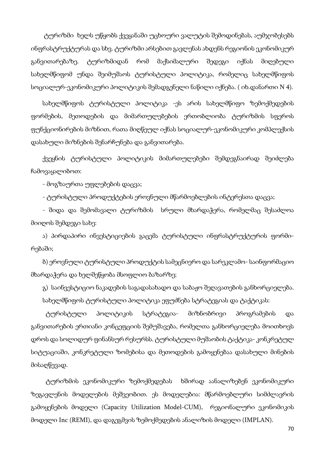ტურიზმი ხელს უწყობს ქვეყანაში უცხოური ვალუტის შემოდინებას, აუმჯობესებს ინფრასტრუქტურას და სხვ. ტურიზმი არსებით გავლენას ახდენს რეგიონის ეკონომიკურ განვითარებაზე. ტურიზმიდან რომ მაქსიმალური შედეგი იქნას მიღებული სახელმწიფომ უნდა შეიმუშაოს ტურისტული პოლიტიკა, რომელიც სახელმწიფოს სოციალურ-ეკონომიკური პოლიტიკის შემადგენელი ნაწილი იქნება. ( იხ.დანართი N 4).

სახელმწიფოს ტურისტული პოლიტიკა -ეს არის სახელმწიფო ზემოქმედების ფორმების, მეთოდების და მიმართულებების ერთობლიობა ტურიზმის სფეროს ფუნქციონირების მიზნით, რათა მიღწეულ იქნას სოციალურ-ეკონომიკური კომპლექსის დასახული მიზნების შენარჩუნება და განვითარება.

ქვეყნის ტურისტული პოლიტიკის მიმართულებები შემდეგნაირად შეიძლება ჩამოვაყალიბოთ:

- მოგზაურთა უფლებების დაცვა;

- ტურისტული პროდუქტების ეროვნული მწარმოებლების ინტერესთა დაცვა;

- შიდა და შემომავალი ტურიზმის სრული მხარდაჭერა, რომელმაც შესაძლოა მიიღოს შემდეგი სახე:

ა) პირდაპირი ინვესტიციების გაცემა ტურისტული ინფრასტრუქტურის ფორმირებაში;

ბ) ეროვნული ტურისტული პროდუქტის სამეცნიერო და სარეკლამო- საინფორმაციო მხარდაჭერა და ხელშეწყობა მსოფლიო ბაზარზე;

გ) საინვესტიციო ნაკადების საგადასახადო და საბაჟო შეღავათების განხორციელება. სახელმწიფოს ტურისტული პოლიტიკა ეფუძნება სტრატეგიას და ტაქტიკას:

 ტურისტული პოლიტიკის სტრატეგია- მიზნობრივი პროგრამების და განვითარების ერთიანი კონცეფციის შემუშავება, რომელთა განხორციელება მოითხოვს დროს და სოლიდურ ფინანსურ რესურსს. ტურისტული მუშაობის ტაქტიკა- კონკრეტულ სიტუაციაში, კონკრეტული ზომებისა და მეთოდების გამოყენებაა დასახული მინების მისაღწევად.

 ტურიზმის ეკონომიკური ზემოქმედებას ხშირად აანალიზებენ ეკონომიკური ზეგავლენის მოდელების მეშვეობით. ეს მოდელებია: მწარმოებლური სიმძლავრის გამოყენების მოდელი (Capacity Utilization Model-CUM), რეგიონალური ეკონომიკის მოდელი Inc (REMI), და დაგეგმვის ზემოქმედების ანალიზის მოდელი (IMPLAN).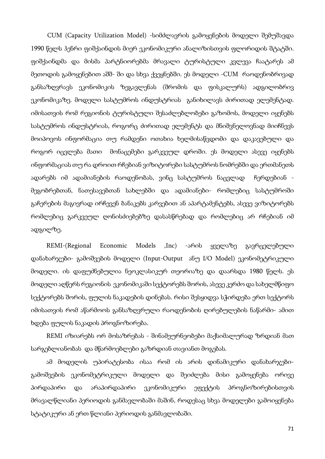CUM (Capacity Utilization Model) -სიმძლავრის გამოყენების მოდელი შემუშავდა 1990 წელს ჰენრი ფიშქაინდის მიერ ეკონომიკური ანალიზისთვის ფლორიდის შტატში. ფიშქაინდმა და მისმა პარტნიორებმა მრავალი ტურისტული კვლევა ჩაატარეს ამ მეთოდის გამოყენებით აშშ- ში და სხვა ქვეყნებში. ეს მოდელი -CUM რაოდენობრივად განსაზღვრავს ეკონომიკის ზეგავლენას (შრომის და ფისკალურს) ადგილობრივ ეკონომიკაზე. მოდელი სასტუმროს ინდუსტრიას განიხილავს ძირითად ელემენტად. იმისათვის რომ რეგიონის ტურისტული შესაძლებლობები გაზომოს, მოდელი იყენებს სასტუმროს ინდუსტრიას, როგორც ძირითად ელემენტს და მნიშვნელოვნად მიიჩნევს მოიპოვოს ინფორმაცია თუ რამდენი ოთახია ხელმისაწვდომი და დაკავებული და როგორ იცვლება მათი მონაცემები გარკვეულ დროში. ეს მოდელი ასევე იყენებს ინფორმაციას თუ რა დროით რჩებიან ვიზიტორები სასტუმროს ნომრებში და ერთმანეთს ადარებს იმ ადამიანების რაოდენობას, ვინც სასტუმროს ნაცვლად ჩერდებიან მეგობრებთან, ნათესავებთან სახლებში და ადამიანები- რომლებიც სასტუმროში გაჩერების მაგივრად ირჩევენ ბანაკებს კარვებით ან აპარტამენტებს, ასევე ვიზიტორებს რომლებიც გარკვეულ ღონისძიებებზე დასასწრებად და რომლებიც არ რჩებიან იმ ადგილზე.

REMI-(Regional Economic Models ,Inc) -არის ყველაზე გავრცელებული დანახარჯები- გამოშვების მოდელი (Input-Output ანუ I/O Model) ეკონომეტრიკული მოდელი. ის დაფუძნებულია ნეოკლასიკურ თეორიაზე და დაარსდა 1980 წელს. ეს მოდელი აღწერს რეგიონის ეკონომიკაში სექტორებს შორის, ასევე კერძო და სახელმწიფო სექტორებს შორის, ფულის ნაკადების დინებას. რისი შესყიდვა სჭირდება ერთ სექტორს იმისათვის რომ აწარმოოს განსაზღვრული რაოდენობის ღირებულების ნაწარმი- ამით ხდება ფულის ნაკადის პროგნოზირება.

REMI იზიარებს ორ მოსაზრებას - შინამეურნეობები მაქსიმალურად ზრდიან მათ სარგებლიანობას და მწარმოებლები გაზრდიან თავიანთ მოგებას.

ამ მოდელის უპირატესობა ისაა რომ ის არის დინამიკური დანახარჯებიგამოშვების ეკონომეტრიკული მოდელი და შეიძლება მისი გამოყენება ორივე პირდაპირი და არაპირდაპირი ეკონომიკური ეფექტის პროგნოზირებისთვის მრავალწლიანი პერიოდის განმავლობაში მაშინ, როდესაც სხვა მოდელები გამოიყენება სტატიკური ან ერთ წლიანი პერიოდის განმავლობაში.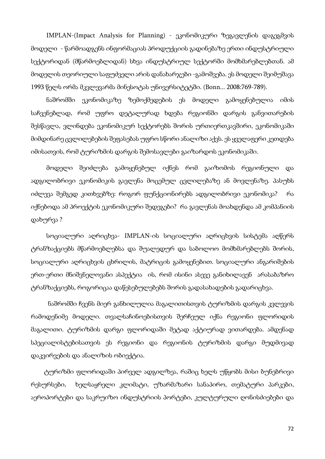IMPLAN-(Impact Analysis for Planning) - ეკონომიკური ზეგავლენის დაგეგმვის მოდელი - წარმოადგენს ინფორმაციას პროდუქციის გადინებაზე ერთი ინდუსტრიული სექტორიდან (მწარმოებლიდან) სხვა ინდუსტრიულ სექტორში მომხმარებლებთან. ამ მოდელის თეორიული საფუძველი არის დანახარჯები -გამოშვება. ეს მოდელი შეიმუშავა 1993 წელს ორმა მკვლევარმა მინესოტას უნივერსიტეტში. (Bonn... 2008:769-789).

ნაშრომში ეკონომიკაზე ზემოქმედების ეს მოდელი გამოყენებულია იმის საჩვენებლად, რომ უფრო დეტალურად ხდება რეგიონში დარგის განვითარების შესწავლა, ვლინდება ეკონომიკურ სექტორებს შორის ურთიერთკავშირი, ეკონომიკაში მიმდინარე ცვლილებების შეფასებას უფრო სწორი ანალიზი აქვს. ეს ყველაფერი კეთდება იმისათვის, რომ ტურიზმის დარგის შემოსავლები გაიზარდოს ეკონომიკაში.

მოდელი შეიძლება გამოყენებულ იქნეს რომ გაიზომოს რეგიონული და ადგილობრივი ეკონომიკის გავლენა მოცემულ ცვლილებაზე ან მოვლენაზე. პასუხს იძლევა შემგედ კითხვებზე: როგორ ფუნქციონირებს ადგილობრივი ეკონომიკა? რა იქნებოდა ამ პროექტის ეკონომიკური შედეგები? რა გავლენას მოახდენდა ამ კომპანიის დახურვა ?

სოციალური აღრიცხვა- IMPLAN-ის სოციალური აღრიცხვის სისტემა აღწერს ტრანზაქციებს მწარმოებლებსა და შუალედურ და საბოლოო მომხმარებლებს შორის, სოციალური აღრიცხვის ცხრილის, მატრიცის გამოყენებით. სოციალური ანგარიშების ერთ-ერთი მნიშვნელოვანი ასპექტია ის, რომ ისინი ასევე განიხილავენ არასაბაზრო ტრანზაქციებს, როგორიცაა დაწესებულებებს შორის გადასახადების გადარიცხვა.

 ნაშრომში ჩვენს მიერ განხილულია მაგალითისთვის ტურიზმის დარგის კვლევის რამოდენიმე მოდელი. თვალსაჩინოებისთვის შერჩეულ იქნა რეგიონი ფლორიდის მაგალითი. ტურიზმის დარგი ფლორიდაში მეტად აქტიურად ვითარდება. ამდენად სპეციალისტებისათვის ეს რეგიონი და რეგიონის ტურიზმის დარგი მუდმივად დაკვირვების და ანალიზის ობიექტია.

 ტურიზმი ფლორიდაში პირველ ადგილზეა, რაშიც ხელს უწყობს მისი ბუნებრივი რესურსები, ხელსაყრელი კლიმატი, უზარმაზარი სანაპირო, თემატური პარკები, აეროპორტები და საკრუიზო ინდუსტრიის პორტები, კულტურული ღონისძიებები და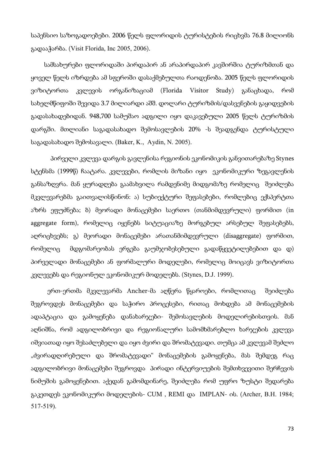საპენსიო საზოგადოებები. 2006 წელს ფლორიდის ტურისტების რიცხვმა 76.8 მილიონს გადააჭარბა. (Visit Florida, Inc 2005, 2006).

 სამსახურები ფლორიდაში პირდაპირ ან არაპირდაპირ კავშირშია ტურიზმთან და ყოველ წელს იზრდება ამ სფეროში დასაქმებულთა რაოდენობა. 2005 წელს ფლორიდის ვიზიტორთა კვლევის ორგანიზაციამ (Florida Visitor Study) განაცხადა, რომ სახელმწიფოში შევიდა 3.7 მილიარდი აშშ. დოლარი ტურიზმის/დასვენების გაყიდვების გადასახადებიდან. 948,700 სამუშაო ადგილი იყო დაკავებული 2005 წელს ტურიზმის დარგში. მთლიანი საგადასახადო შემოსავლების 20% -ს შეადგენდა ტურისტული საგადასახადო შემოსავალი. (Baker, K., Aydin, N. 2005).

პირველი კვლევა დარგის გავლენისა რეგიონის ეკონომიკის განვითარებაზე Stynes სტენსმა (1999წ) ჩაატარა. კვლევები, რომლის მიზანი იყო ეკონომიკური ზეგავლენის განსაზღვრა. მან ყურადღება გაამახვილა რამდენიმე მიდგომაზე რომელიც შეიძლება მკვლევარებმა გაითვალისწინონ: ა) სუბიექტური შეფასებები, რომლებიც ექსპერტთა აზრს ეფუძნება; ბ) მეორადი მონაცემები საერთო (თანმიმდევრული) ფორმით (in aggregate form), რომელიც იყენებს სიტუაციაზე მორგებულ არსებულ შეფასებებს, აღრიცხვებს; გ) მეორადი მონაცემები არათანმიმდევრული (disaggregate) ფორმით, რომელიც მდგომარეობას ერგება გაუმჯობესებული გადაწყვეტილებებით და დ) პირველადი მონაცემები ან ფორმალური მოდელები, რომელიც მოიცავს ვიზიტორთა კვლევებს და რეგიონულ ეკონომიკურ მოდელებს. (Stynes, D.J. 1999).

 ერთ-ერთმა მკვლევარმა Ancher-მა აღწერა წყაროები, რომლითაც შეიძლება შეგროვდეს მონაცემები და საჭირო პროცესები, რითაც მოხდება ამ მონაცემების ადაპტაცია და გამოყენება დანახარჯები- შემოსავლების მოდელირებისთვის. მან აღნიშნა, რომ ადგილობრივი და რეგიონალური სამომხმარებლო ხარჯების კვლევა იშვიათად იყო შესაძლებელი და იყო ძვირი და შრომატევადი. თუმცა ამ კვლევამ შეძლო "ძვირადღირებული და შრომატევადი" მონაცემების გამოყენება, მას შემდეგ რაც ადგილობრივი მონაცემები შეგროვდა პირადი ინტერვიუების შემთხვევითი შერჩევის ნიმუშის გამოყენებით. აქედან გამომდინარე, შეიძლება რომ უფრო ზუსტი შედარება გაკეთდეს ეკონომიკური მოდელების- CUM , REMI და IMPLAN- ის. (Archer, B.H. 1984; 517-519).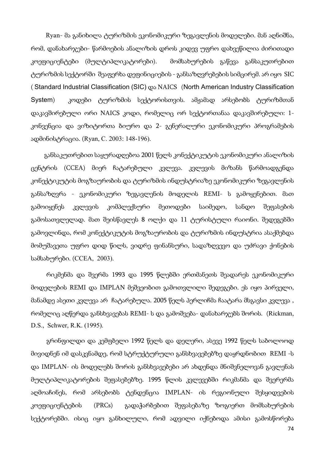Ryan- მა განიხილა ტურიზმის ეკონომიკური ზეგავლენის მოდელები. მან აღნიშნა, რომ, დანახარჯები- წარმოების ანალიზის დროს კიდევ უფრო დახვეწილია ძირითადი კოეფიციენტები (მულტიპლიკატორები). მომსახურების გაწევა განსაკუთრებით ტურიზმის სექტორში შეაფერხა დეფინიციების - განსაზღვრებების სიმცირემ. არ იყო SIC ( Standard Industrial Classification (SIC) და NAICS (North American Industry Classification System) კოდები ტურიზმის სექტორისთვის. ამჟამად არსებობს ტურიზმთან დაკავშირებული ორი NAICS კოდი, რომელიც ორ სექტორთანაა დაკავშირებული: 1 კონვენცია და ვიზიტორთა ბიურო და 2- გენერალური ეკონომიკური პროგრამების ადმინისტრაცია. (Ryan, C. 2003: 148-196).

 განსაკუთრებით საყურადღებოა 2001 წელს კონექტიკუტის ეკონომიკური ანალიზის ცენტრის (CCEA) მიერ ჩატარებული კვლევა. კვლევის მიზანს წარმოადგენდა კონექტიკუტის მოგზაურობის და ტურიზმის ინდუსტრიაზე ეკონომიკური ზეგავლენის განსაზღვრა - ეკონომიკური ზეგავლენის მოდელის REMI- ს გამოყენებით. მათ გამოიყენეს კვლევის კომპლექსური მეთოდები საიმედო, სანდო შეფასების გამოსათვლელად. მათ შეისწავლეს 8 ოლქი და 11 ტურისტული რაიონი. შედეგებში გამოვლინდა, რომ კონექტიკუტის მოგზაურობის და ტურიზმის ინდუსტრია ასაქმებდა მომუშავეთა უფრო დიდ წილს, ვიდრე ფინანსური, სადაზღვევო და უძრავი ქონების სამსახურები. (CCEA, 2003).

რიკმენმა და შვერმა 1993 და 1995 წლებში ერთმანეთს შეადარეს ეკონომიკური მოდელების REMI და IMPLAN მეშვეობით გამოთვლილი შედეგები. ეს იყო პირველი, მანამდე ასეთი კვლევა არ ჩატარებულა. 2005 წელს პერლიჩმა ჩაატარა მსგავსი კვლევა , რომელიც აღწერდა განსხვავებას REMI- ს და გამოშვება- დანახარჯებს შორის. (Rickman, D.S., Schwer, R.K. (1995).

გრინფილდი და კემფბელი 1992 წელს და დელერი, ასევე 1992 წელს საბოლოოდ მივიდნენ იმ დასკვნამდე, რომ სტრუქტურული განსხვავებებზე დაყრდნობით REMI -ს და IMPLAN- ის მოდელებს შორის განსხვავებები არ ახდენდა მნიშვნელოვან გავლენას მულტიპლიკატორების შეფასებებზე. 1995 წლის კვლევებში რიკმანმა და შვერერმა აღმოაჩინეს, რომ არსებობს ტენდენცია IMPLAN- ის რეგიონული შესყიდვების კოეფიციენტების (PRCs) გადაჭარბებით შეფასებაზე ზოგიერთ მომსახურების სექტორებში. ისიც იყო განხილული, რომ ადვილი იქნებოდა ამისი გამოსწორება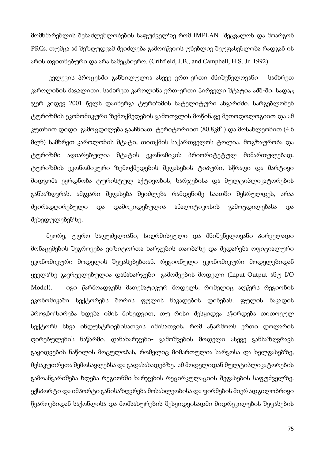მომხმარებლის შესაძლებლობების საფუძველზე რომ IMPLAN შეცვალონ და მოარგონ PRCs. თუმცა ამ შეზღუდვამ შეიძლება გამოიწვიოს უნებლიე შეუფასებლობა რადგან ის არის თვითნებური და არა სამეცნიერო. (Crihfield, J.B., and Campbell, H.S. Jr 1992).

 კვლევის პროცესში განხილულია ასევე ერთ-ერთი მნიშვნელოვანი - სამხრეთ კაროლინის მაგალითი. სამხრეთ კაროლინა ერთ-ერთი პირველი შტატია აშშ-ში, სადაც ჯერ კიდევ 2001 წელს დაინერგა ტურიზმის სატელიტური ანგარიში. სარგებლობენ ტურიზმის ეკონომიკური ზემოქმედების გამოთვლის მოწინავე მეთოდოლოგიით და ამ კუთხით დიდი გამოცდილება გააჩნიათ. ტერიტორიით (80.8კმ<sup>2</sup> ) და მოსახლეობით (4.6 მლნ) სამხრეთ კაროლონის შტატი, თითქმის საქართველოს ტოლია. მოგზაურობა და ტურიზმი აღიარებულია შტატის ეკონომიკის პრიორიტეტულ მიმართულებად. ტურიზმის ეკონომიკური ზემოქმედების შეფასების ტიპური, სწრაფი და მარტივი მიდგომა ეყრდნობა ტურისტულ აქტივობის, ხარჯებისა და მულტიპლიკატორების განსაზღვრას. ამგვარი შეფასება შეიძლება რამდენიმე საათში შესრულდეს, არაა ძვირადღირებული და დამოკიდებულია ანალიტიკოსის გამოცდილებასა და შეხედულებებზე.

მეორე, უფრო საფუძვლიანი, სიღრმისეული და მნიშვნელოვანი პირველადი მონაცემების შეგროვება ვიზიტორთა ხარჯების თაობაზე და შედარება ოფიციალური ეკონომიკური მოდელის შეფასებებთან. რეგიონული ეკონომიკური მოდელებიდან ყველაზე გავრცელებულია დანახარჯები- გამოშვების მოდელი (Input-Output ანუ I/O Model). იგი წარმოადგენს მათემატიკურ მოდელს, რომელიც აღწერს რეგიონის ეკონომიკაში სექტორებს შორის ფულის ნაკადების დინებას. ფულის ნაკადის პროგნოზირება ხდება იმის მიხედვით, თუ რისი შესყიდვა სჭირდება თითოეულ სექტორს სხვა ინდუსტრიებისათვის იმისათვის, რომ აწარმოოს ერთი დოლარის ღირებულების ნაწარმი. დანახარჯები- გამოშვების მოდელი ასევე განსაზღვრავს გაყიდვების ნაწილის მოცულობას, რომელიც მიმართულია სარგოსა და ხელფასებზე, მესაკუთრეთა შემოსავლებსა და გადასახადებზე. ამ მოდელიდან მულტიპლიკატორების გამოანგარიშება ხდება რეგიონში ხარჯების რეცირკულაციის შეფასების საფუძველზე. ექსპორტი და იმპორტი განისაზღვრება მოსახლეობისა და ფირმების მიერ ადგილობრივი წყაროებიდან საქონლისა და მომსახურების შესყიდვისადმი მიდრეკილების შეფასების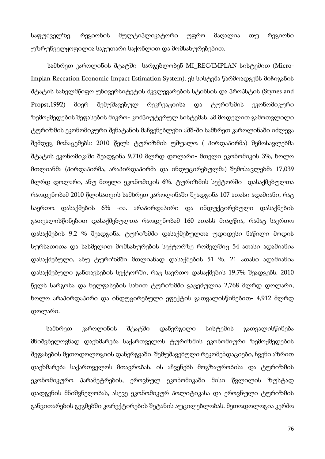საფუძველზე. რეგიონის მულტიპლიკატორი უფრო მაღალია თუ რეგიონი უზრუნველყოფილია საკუთარი საქონლით და მომსახურებებით.

 სამხრეთ კაროლინის შტატში სარგებლობენ MI\_REC/IMPLAN სისტემით (Micro-Implan Receation Economic Impact Estimation System). ეს სისტემა წარმოადგენს მიჩიგანის შტატის სახელმწიფო უნივერსიტეტის მკვლევარების სტინსის და პროპსტის (Stynes and Propst,1992) მიერ შემუშავებულ რეკრეაციისა და ტურიზმის ეკონომიკური ზემოქმედების შეფასების მიკრო- კომპიუტერულ სისტემას. ამ მოდელით გამოთვლილი ტურიზმის ეკონომიკური შენატანის მაჩვენებლები აშშ-ში სამხრეთ კაროლინაში იძლევა შემდეგ მონაცემებს: 2010 წელს ტურიზმის უშუალო ( პირდაპირმა) შემოსავლებმა შტატის ეკონომიკაში შეადგინა 9,710 მლრდ დოლარი- მთელი ეკონომიკის 3%, ხოლო მთლიანმა (პირდაპირმა, არაპირდაპირმა და ინდუცირებულმა) შემოსავლებმა 17,039 მლრდ დოლარი, ანუ მთელი ეკონომიკის 6%. ტურიზმის სექტორში დასაქმებულთა რაოდენობამ 2010 წლისათვის სამხრეთ კაროლინაში შეადგინა 107 ათასი ადამიანი, რაც საერთო დასაქმების 6% -ია. არაპირდაპირი და ინდუქცირებული დასაქმების გათვალისწინებით დასაქმებულთა რაოდენობამ 160 ათასს მიაღწია, რამაც საერთო დასაქმების 9,2 % შეადგინა. ტურიზმში დასაქმებულთა უდიდესი ნაწილი მოდის სურსათითა და სასმელით მომსახურების სექტორზე რომელშიც 54 ათასი ადამიანია დასაქმებული, ანუ ტურიზმში მთლიანად დასაქმების 51 %. 21 ათასი ადამიანია დასაქმებული განთავსების სექტორში, რაც საერთო დასაქმების 19,7% შეადგენს. 2010 წელს სარგოსა და ხელფასების სახით ტურიზმში გაცემულია 2,768 მლრდ დოლარი, ხოლო არაპირდაპირი და ინდუცირებული ეფექტის გათვალისწინებით- 4,912 მლრდ დოლარი.

სამხრეთ კაროლინის შტატში დანერგილი სისტემის გათვალისწინება მნიშვნელოვნად დაეხმარება საქართველოს ტურიზმის ეკონომიური ზემოქმედების შეფასების მეთოდოლოგიის დანერგვაში. შემუშავებული რეკომენდაციები, ჩვენი აზრით დაეხმარება საქართველოს მთავრობას. ის აჩვენებს მოგზაურობისა და ტურიზმის ეკონომიკურო პარამეტრების, ეროვნულ ეკონომიკაში მისი წვლილის ზუსტად დადგენის მნიშვნელობას, ასევე ეკონომიკურ პოლიტიკასა და ეროვნული ტურიზმის განვითარების გეგმებში კორექტირების შეტანის აუცილებლობას. მეთოდოლოგია კერძო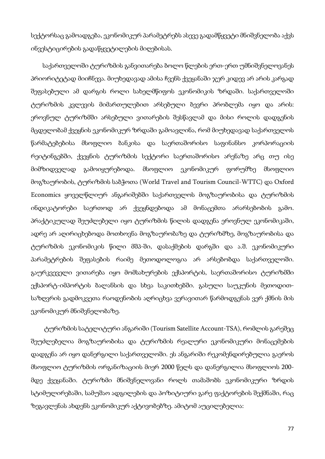სექტორსაც გამოადგება, ეკონომიკურ პარამეტრებს ასევე გადამწყვეტი მნიშვნელობა აქვს ინვესტიცირების გადაწყვეტილების მიღებისას.

საქართველოში ტურიზმის განვითარება ბოლო წლების ერთ-ერთ უმნიშვნელოვანეს პრიორიტეტად მიიჩნევა. მიუხედავად ამისა ჩვენს ქვეყანაში ჯერ კიდევ არ არის კარგად შეფასებული ამ დარგის როლი სახელმწიფოს ეკონომიკის ზრდაში. საქართველოში ტურიზმის კვლევის მიმართულებით არსებული ბევრი პრობლემა იყო და არის: ეროვნულ ტურიზმში არსებული ვითარების შესწავლამ და მისი როლის დადგენის მცდელობამ ქვეყნის ეკონომიკურ ზრდაში გამოავლინა, რომ მიუხედავად საქართველოს წარმატებებისა მსოფლიო ბანკისა და საერთაშორისო საფინანსო კორპორაციის რეიტინგებში, ქვეყნის ტურიზმის სექტორი საერთაშორისო არენაზე არც თუ ისე მიმზიდველად გამოიყურებოდა. მსოფლიო ეკონომიკურ ფორუმზე მსოფლიო მოგზაურობის, ტურიზმის საბჭოთა (World Travel and Tourism Council-WTTC) და Oxford Economics ყოველწლიურ ანგარიშებში საქართველოს მოგზაურობისა და ტურიზმის ინდიკატორები საერთოდ არ ქვეყნდებოდა ამ მონაცემთა არარსებობის გამო. პრაქტიკულად შეუძლებელი იყო ტურიზმის წილის დადგენა ეროვნულ ეკონომიკაში, ადრე არ აღირიცხებოდა მოთხოვნა მოგზაურობაზე და ტურიზმზე, მოგზაურობისა და ტურიზმის ეკონომიკის წილი მშპ-ში, დასაქმების დარგში და ა.შ. ეკონომიკური პარამეტრების შეფასების რაიმე მეთოდოლოგია არ არსებობდა საქართველოში. გაურკვეველი ვითარება იყო მომსახურების ექსპორტის, საერთაშორისო ტურიზმში ექსპორტ-იმპორტის ბალანსის და სხვა საკითხებში. გასული საუკუნის მეთოდითსაზღვრის გადმოკვეთა რაოდენობის აღრიცხვა ვერავითარ წარმოდგენას ვერ ქმნის მის ეკონომიკურ მნიშვნელობაზე.

 ტურიზმის სატელიტური ანგარიში (Tourism Satellite Account-TSA), რომლის გარეშეც შეუძლებელია მოგზაურობისა და ტურიზმის რეალური ეკონომიკური მონაცემების დადგენა არ იყო დანერგილი საქართველოში. ეს ანგარიში რეკომენდირებულია გაეროს მსოფლიო ტურიზმის ორგანიზაციის მიერ 2000 წელს და დანერგილია მსოფლიოს 200 მდე ქვეყანაში. ტურიზმი მნიშვნელოვანი როლს თამაშობს ეკონომიკური ზრდის სტიმულირებაში, სამუშაო ადგილების და პოზიტიური გარე ფაქტორების შექმნაში, რაც ზეგავლენას ახდენს ეკონომიკურ აქტივობებზე. ამიტომ აუცილებელია: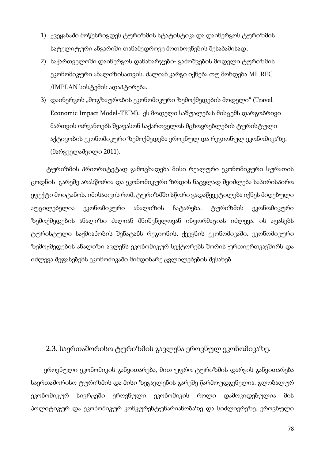- 1) ქვეყანაში მოწესრიგდეს ტურიზმის სტატისტიკა და დაინერგოს ტურიზმის სატელიტური ანგარიში თანამედროვე მოთხოვნების შესაბამისად;
- 2) საქართველოში დაინერგოს დანახარჯები- გამოშვების მოდელი ტურიზმის ეკონომიკური ანალიზისათვის. ძალიან კარგი იქნება თუ მოხდება MI\_REC /IMPLAN სისტემის ადაპტირება.
- 3) დაინერგოს "მოგზაურობის ეკონომიკური ზემოქმედების მოდელი" (Travel Economic Impact Model-TEIM). ეს მოდელი საშუალებას მისცემს დარგობრივი მართვის ორგანოებს შეაფასონ საქართველოს მცხოვრებლების ტურისტული აქტივობის ეკონომიკური ზემოქმედება ეროვნულ და რეგიონულ ეკონომიკაზე. (მარგველაშვილი 2011).

ტურიზმის პრიორიტეტად გამოცხადება მისი რეალური ეკონომიკური სურათის ცოდნის გარეშე არასწორია და ეკონომიკური ზრდის ნაცვლად შეიძლება საპირისპირო ეფექტი მოიტანოს. იმისათვის რომ, ტურიზმში სწორი გადაწყვეტილება იქნეს მიღებული აუცილებელია ეკონომიკური ანალიზის ჩატარება. ტურიზმის ეკონომიკური ზემოქმედების ანალიზი ძალიან მნიშვნელოვან ინფორმაციას იძლევა. ის აფასებს ტურისტული საქმიანობის შენატანს რეგიონის, ქვეყნის ეკონომიკაში. ეკონომიკური ზემოქმედების ანალიზი ავლენს ეკონომიკურ სექტორებს შორის ურთიერთკავშირს და იძლევა შეფასებებს ეკონომიკაში მიმდინარე ცვლილებების შესახებ.

#### 2.3. საერთაშორისო ტურიზმის გავლენა ეროვნულ ეკონომიკაზე.

 ეროვნული ეკონომიკის განვითარება, მით უფრო ტურიზმის დარგის განვითარება საერთაშორისო ტურიზმის და მისი ზეგავლენის გარეშე წარმოუდგენელია. გლობალურ ეკონომიკურ სივრცეში ეროვნული ეკონომიკის როლი დამოკიდებულია მის პოლიტიკურ და ეკონომიკურ კონკურენტუნარიანობაზე და სიძლიერეზე. ეროვნული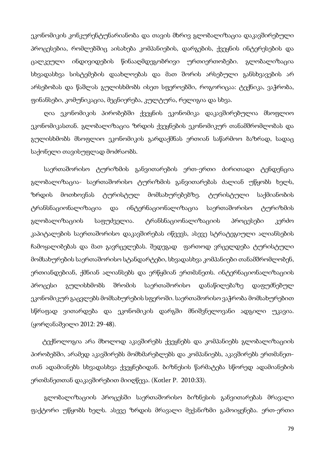ეკონომიკის კონკურენტუნარიანობა და თავის მხრივ გლობალიზაცია დაკავშირებული პროცესებია, რომლებშიც აისახება კომპანიების, დარგების, ქვეყნის ინტერესების და ცალკეული ინდივიდების წინააღმდეგობრივი ურთიერთობები. გლობალიზაცია სხვადასხვა სისტემების დაახლოებას და მათ შორის არსებული განსხვავების არ არსებობას და წაშლას გულისხმობს ისეთ სფეროებში, როგორიცაა: ტექნიკა, ვაჭრობა, ფინანსები, კომუნიკაცია, მეცნიერება, კულტურა, რელიგია და სხვა.

 ღია ეკონომიკის პირობებში ქვეყნის ეკონომიკა დაკავშირებულია მსოფლიო ეკონომიკასთან. გლობალიზაცია ზრდის ქვეყნების ეკონომიკურ თანამშრომლობას და გულისხმობს მსოფლიო ეკონომიკის გარდაქმნას ერთიან საწარმოო ბაზრად, სადაც საქონელი თავისუფლად მოძრაობს.

 საერთაშორისო ტურიზმის განვითარების ერთ-ერთი ძირითადი ტენდენცია გლობალიზაცია- საერთაშორისო ტურიზმის განვითარებას ძალიან უწყობს ხელს, ზრდის მოთხოვნას ტურისტულ მომსახურებებზე. ტურისტული საქმიანობის ტრანსნაციონალიზაცია და ინტერნაციონალიზაცია საერთაშორისო ტურიზმის გლობალიზაციის საფუძველია. ტრანსნაციონალიზაციის პროცესები კერძო კაპიტალების საერთაშორისო დაკავშირებას იწვევს, ასევე სტრატეგიული ალიანსების ჩამოყალიბებას და მათ გავრცელებას. შედეგად ფართოდ ვრცელდება ტურისტული მომსახურების საერთაშორისო სტანდარტები, სხვადასხვა კომპანიები თანამშრომლობენ, ერთიანდებიან, ქმნიან ალიანსებს და ერწყმიან ერთმანეთს. ინტერნაციონალიზაციის პროცესი გულისხმობს შრომის საერთაშორისო დანაწილებაზე დაფუძნებულ ეკონომიკურ გაცვლებს მომსახურების სფეროში. საერთაშორისო ვაჭრობა მომსახურებით სწრაფად ვითარდება და ეკონომიკის დარგში მნიშვნელოვანი ადგილი უკავია. (ყორღანაშვილი 2012: 29-48).

 ტექნოლოგია არა მხოლოდ აკავშირებს ქვეყნებს და კომპანიებს გლობალიზაციის პირობებში, არამედ აკავშირებს მომხმარებლებს და კომპანიებს, აკავშირებს ერთმანეთთან ადამიანებს სხვადასხვა ქვეყნებიდან. ბიზნესის წარმატება სწორედ ადამიანების ერთმანეთთან დაკავშირებით მიიღწევა. (Kotler P. 2010:33).

 გლობალიზაციის პროცესში საერთაშორისო ბიზნესის განვითარებას მრავალი ფაქტორი უწყობს ხელს. ასევე ზრდის მრავალი მექანიზმი გამოიყენება. ერთ-ერთი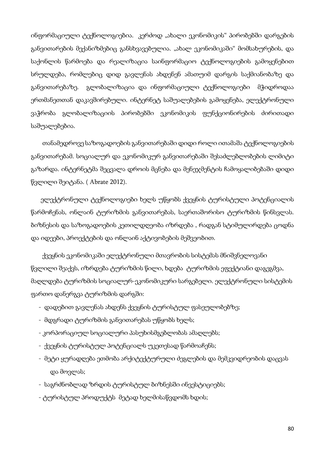ინფორმაციული ტექნოლოგიებია. კერძოდ "ახალი ეკონომიკის" პირობებში დარგების განვითარების მექანიზმებიც განსხვავებულია. "ახალ ეკონომიკაში" მომსახურების, და საქონლის წარმოება და რეალიზაცია საინფორმაციო ტექნოლოგიების გამოყენებით სრულდება, რომლებიც დიდ გავლენას ახდენენ ამათუიმ დარგის საქმიანობაზე და განვითარებაზე. გლობალიზაცია და ინფორმაციული ტექნოლოგიები მჭიდროდაა ერთმანეთთან დაკავშირებული. ინტერნეტ საშუალებების გამოყენება, ელექტრონული ვაჭრობა გლობალიზაციის პირობებში ეკონომიკის ფუნქციონირების ძირითადი საშუალებებია.

 თანამედროვე საზოგადოების განვითარებაში დიდი როლი ითამაშა ტექნოლოგიების განვითარებამ. სოციალურ და ეკონომიკურ განვითარებაში შესაძლებლობების ლიმიტი გაზარდა. ინტერნეტმა შეცვალა დროის მცნება და მენეჯმენტის ჩამოყალიბებაში დიდი წვლილი შეიტანა. ( Abrate 2012).

 ელექტრონული ტექნოლოგიები ხელს უწყობს ქვეყნის ტურისტული პოტენციალის წარმოჩენას, ონლაინ ტურიზმის განვითარებას, საერთაშორისო ტურიზმის წინსვლას. ბიზნესის და საზოგადოების კეთილდღეობა იზრდება , რადგან სტიმულირდება ცოდნა და იდეები, პროექტების და ონლაინ აქტივობების მეშვეობით.

 ქვეყნის ეკონომიკაში ელექტრონული მთავრობის სისტემას მნიშვნელოვანი წვლილი შეაქვს, იზრდება ტურიზმის წილი, ხდება ტურიზმის ეფექტიანი დაგეგმვა, მაღლდება ტურიზმის სოციალურ-ეკონომიკური სარგებელი. ელექტრონული სისტემის ფართო დანერგვა ტურიზმის დარგში:

- დადებით გავლენას ახდენს ქვეყნის ტურისტულ ფასეულობებზე;
- მდგრადი ტურიზმის განვითარებას უწყობს ხელს;
- კორპორაციულ სოციალური პასუხისმგებლობას ამაღლებს;
- ქვეყნის ტურისტულ პოტენციალს უკეთესად წარმოაჩენს;
- მეტი ყურადღება ეთმობა არქიტექტურული ძეგლების და მემკვიდრეობის დაცვას და მოვლას;
- საგრძნობლად ზრდის ტურისტულ ბიზნესში ინვესტიციებს;
- ტურისტულ პროდუქტს მეტად ხელმისაწვდომს ხდის;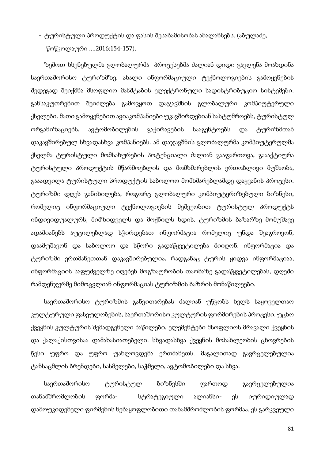- ტურისტული პროდუქტის და ფასის შესაბამისობას აბალანსებს. (აბულაძე, წოწკოლაური ....2016:154-157).

 ზემოთ ხსენებულმა გლობალურმა პროცესებმა ძალიან დიდი გავლენა მოახდინა საერთაშორისო ტურიზმზე. ახალი ინფორმაციული ტექნოლოგიების გამოყენების შედეგად შეიქმნა მსოფლიო მასშტაბის ელექტრონული სადისტრიბუციო სისტემები. განსაკუთრებით შეიძლება გამოვყოთ დაჯავშნის გლობალური კომპიუტერული ქსელები. მათი გამოყენებით ავიაკომპანიები უკავშირდებიან სასტუმროებს, ტურისტულ ორგანიზაციებს, ავტომობილების გაქირავების სააგენტოებს და ტურიზმთან დაკავშირებულ სხვადასხვა კომპანიებს. ამ დაჯავშნის გლობალურმა კომპიუტერულმა ქსელმა ტურისტული მომსახურების პოტენციალი ძალიან გააფართოვა, გაააქტიურა ტურისტული პროდუქტის მწარმოებლის და მომხმარებლის ერთობლივი მუშაობა, გააადვილა ტურისტული პროდუქტის საბოლოო მომხმარებლამდე დაყვანის პროცესი. ტურიზმი დღეს განიხილება, როგორც გლობალური კომპიუტერიზებული ბიზნესი, რომელიც ინფორმაციული ტექნოლოგიების მეშვეობით ტურისტულ პროდუქტს ინდივიდუალურს, მიმზიდველს და მოქნილს ხდის. ტურიზმის ბაზარზე მომუშავე ადამიანებს აუცილებლად სჭირდებათ ინფორმაცია რომელიც უნდა შეაგროვონ, დაამუშავონ და საბოლოო და სწორი გადაწყვეტილება მიიღონ. ინფორმაცია და ტურიზმი ერთმანეთთან დაკავშირებულია, რადგანაც ტურის ყიდვა ინფორმაციაა, ინფორმაციის საფუძველზე იღებენ მოგზაურობის თაობაზე გადაწყვეტილებას, დღეში რამდენჯერმე მიმოცვლიან ინფორმაციას ტურიზმის ბაზრის მონაწილეები.

 საერთაშორისო ტურიზმის განვითარებას ძალიან უწყობს ხელს საყოველთაო კულტურული ფასეულობების, საერთაშორისო კულტურის ფორმირების პროცესი. უცხო ქვეყნის კულტურის შემადგენელი ნაწილები, ელემენტები მსოფლიოს მრავალი ქვეყნის და ქალაქისთვისაა დამახასიათებელი. სხვადასხვა ქვეყნის მოსახლეობის ცხოვრების წესი უფრო და უფრო უახლოვდება ერთმანეთს. მაგალითად გავრცელებულია ტანსაცმლის ბრენდები, სასმელები, საჭმელი, ავტომობილები და სხვა.

 საერთაშორისო ტურისტულ ბიზნესში ფართოდ გავრცელებულია თანამშრომლობის ფორმა- სტრატეგიული ალიანსი- ეს იურიდიულად დამოუკიდებელი ფირმების ნებაყოფლობითი თანამშრომლობის ფორმაა. ეს გარკვეული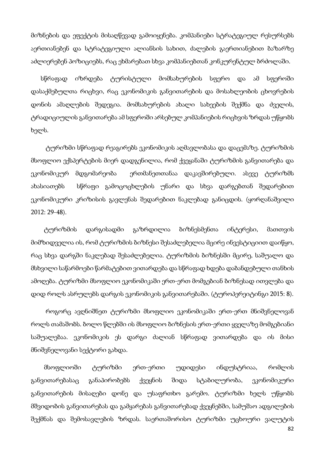მიზნების და ეფექტის მისაღწევად გამოიყენება. კომპანიები სტრატეგიულ რესურსებს აერთიანებენ და სტრატეგიული ალიანსის სახით, ძალების გაერთიანებით ბაზარზე აძლიერებენ პოზიციებს, რაც ეხმარებათ სხვა კომპანიებთან კონკურენტულ ბრძოლაში.

 სწრაფად იზრდება ტურისტული მომსახურების სფერო და ამ სფეროში დასაქმებულთა რიცხვი, რაც ეკონომიკის განვითარების და მოსახლეობის ცხოვრების დონის ამაღლების შედეგია. მომსახურების ახალი სახეების შექმნა და ძველის, ტრადიციულის განვითარება ამ სფეროში არსებულ კომპანიების რიცხვის ზრდას უწყობს ხელს.

 ტურიზმი სწრაფად რეაგირებს ეკონომიკის აღმავლობასა და დაცემაზე. ტურიზმის მსოფლიო ექსპერტების მიერ დადგენილია, რომ ქვეყანაში ტურიზმის განვითარება და ეკონომიკურ მდგომარეობა ერთმანეთთანაა დაკავშირებული. ასევე ტურიზმს ახასიათებს სწრაფი გამოცოცხლების უნარი და სხვა დარგებთან შედარებით ეკონომიკური კრიზისის გავლენას შედარებით ნაკლებად განიცდის. (ყორღანაშვილი 2012: 29-48).

 ტურიზმის დარგისადმი გაზრდილია ბიზნესმენთა ინტერესი, მათთვის მიმზიდველია ის, რომ ტურიზმის ბიზნესი შესაძლებელია მცირე ინვესტიციით დაიწყო, რაც სხვა დარგში ნაკლებად შესაძლებელია. ტურიზმის ბიზნესში მცირე, საშუალო და მსხვილი საწარმოები წარმატებით ვითარდება და სწრაფად ხდება დაბანდებული თანხის ამოღება. ტურიზმი მსოფლიო ეკონომიკაში ერთ-ერთ მომგებიან ბიზნესად ითვლება და დიდ როლს ასრულებს დარგის ეკონომიკის განვითარებაში. (ტუროპერეიტინგი 2015: 8).

 როგორც ავღნიშნეთ ტურიზმი მსოფლიო ეკონომიკაში ერთ-ერთ მნიშვნელოვან როლს თამაშობს. ბოლო წლებში ის მსოფლიო ბიზნესის ერთ-ერთი ყველაზე მომგებიანი საშუალებაა. ეკონომიკის ეს დარგი ძალიან სწრაფად ვითარდება და ის მისი მნიშვნელოვანი სექტორი გახდა.

 მსოფლიოში ტურიზმი ერთ-ერთი უდიდესი ინდუსტრიაა, რომლის განვითარებასაც განაპირობებს ქვეყნის შიდა სტაბილურობა, ეკონომიკური განვითარების მისაღები დონე და უსაფრთხო გარემო. ტურიზმი ხელს უწყობს მშვიდობის განვითარებას და გამყარებას განვითარებად ქვეყნებში, სამუშაო ადგილების შექმნას და შემოსავლების ზრდას. საერთაშორისო ტურიზმი უცხოური ვალუტის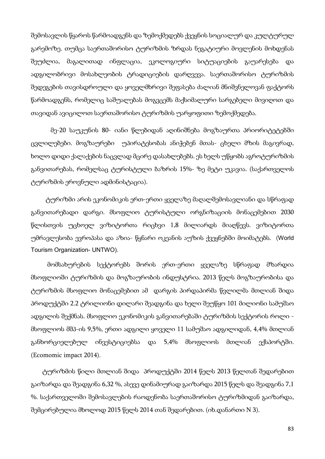შემოსავლის წყაროს წარმოადგენს და ზემოქმედებს ქვეყნის სოციალურ და კულტურულ გარემოზე. თუმცა საერთაშორისო ტურიზმის ზრდას ნეგატიური მოვლენის მოხდენას შეუძლია, მაგალითად ინფლაცია, ეკოლოგიური სიტუაციების გაუარესება და ადგილობრივი მოსახლეობის ტრადიციების დარღვევა. საერთაშორისო ტურიზმის შედეგების თავისდროული და ყოველმხრივი შეფასება ძალიან მნიშვნელოვან ფაქტორს წარმოადგენს, რომელიც საშუალებას მოგვცემს მაქსიმალური სარგებელი მივიღოთ და თავიდან ავიცილოთ საერთაშორისო ტურიზმის უარყოფითი ზემოქმედება.

 მე-20 საუკუნის 80- იანი წლებიდან აღინიშნება მოგზაურთა პრიორიტეტებში ცვლილებები. მოგზაურები უპირატესობას ანიჭებენ მთას- ცხელი მზის მაგივრად, ხოლო დიდი ქალაქების ნაცვლად მცირე დასახლებებს. ეს ხელს უწყობს აგროტურიზმის განვითარებას, რომელსაც ტურისტული ბაზრის 15%- ზე მეტი უკავია. (საქართველოს ტურიზმის ეროვნული ადმინისტაცია).

 ტურიზმი არის ეკონომიკის ერთ-ერთი ყველაზე მაღალშემოსავლიანი და სწრაფად განვითარებადი დარგი. მსოფლიო ტურისტული ორგნიზაციის მონაცემებით 2030 წლისთვის უცხოელ ვიზიტორთა რიცხვი 1,8 მილიარდს მიაღწევს. ვიზიტორთა უმრავლესობა ევროპასა და აზია- წყნარი ოკეანის აუზის ქვეყნებში მოიმატებს. (World Tourism Organization- UNTWO).

 მომსახურების სექტორებს შორის ერთ-ერთი ყველაზე სწრაფად მზარდია მსოფლიოში ტურიზმის და მოგზაურობის ინდუსტრია. 2013 წელს მოგზაურობისა და ტურიზმის მსოფლიო მონაცემებით ამ დარგის პირდაპირმა წვლილმა მთლიან შიდა პროდუქტში 2.2 ტრილიონი დილარი შეადგინა და ხელი შეუწყო 101 მილიონი სამუშაო ადგილის შექმნას. მსოფლიო ეკონომიკის განვითარებაში ტურიზმის სექტორის როლი მსოფლიოს მშპ-ის 9,5%, ერთი ადგილი ყოველი 11 სამუშაო ადგილიდან, 4,4% მთლიან განხორციელებულ ინვესტიციებსა და 5,4% მსოფლიოს მთლიან ექსპორტში. (Ecomomic impact 2014).

 ტურიზმის წილი მთლიან შიდა პროდუქტში 2014 წელს 2013 წელთან შედარებით გაიზარდა და შეადგინა 6,32 %, ასევე დინამიურად გაიზარდა 2015 წელს და შეადგინა 7,1 %. საქართველოში შემოსავლების რაოდენობა საერთაშორისო ტურიზმიდან გაიზარდა, შემცირებულია მხოლოდ 2015 წელს 2014 თან შედარებით. (იხ.დანართი N 3).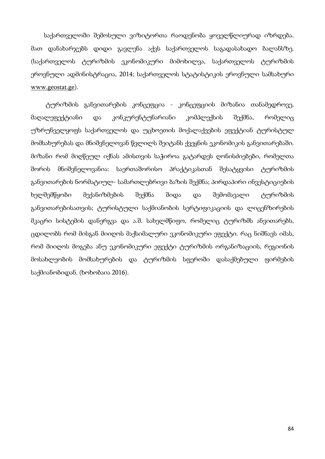საქართველოში შემოსული ვიზიტორთა რაოდენობა ყოველწლიურად იზრდება. მათ დანახარჯებს დიდი გავლენა აქვს საქართველოს საგადასახადო ბალანსზე. (საქართველოს ტურიზმის ეკონომიკური მიმოხილვა, საქართველოს ტურიზმის ეროვნული ადმინისტრაცია, 2014; საქართველოს სტატისტიკის ეროვნული სამსახური www.geostat.ge).

 ტურიზმის განვითარების კონცეფცია - კონცეფციის მიზანია თანამედროვე, მაღალეფექტიანი და კონკურენტუნარიანი კომპლექსის შექმნა, რომელიც უზრუნველყოფს საქართველოს და უცხოეთის მოქალაქეების ეფექტიან ტურისტულ მომსახურებას და მნიშვნელოვან წვლილს შეიტანს ქვეყნის ეკონომიკის განვითარებაში. მიზანი რომ მიღწეულ იქნას ამისთვის საჭიროა გატარდეს ღონისძიებები, რომელთა შორის მნიშვნელოვანია: საერთაშორისო პრაქტიკასთან შესატყვისი ტურიზმის განვითარების ნორმატიულ- სამართლებრივი ბაზის შექმნა; პირდაპირი ინვესტიციების ხელშემწყობი მექანიზმების შექმნა შიდა და შემომავალი ტურიზმის განვითარებისათვის; ტურისტული საქმიანობის სერტიფიკაციის და ლიცენზირების მკაცრი სისტემის დანერგვა და ა.შ. სახელმწიფო, რომელიც ტურიზმს ანვითარებს, ცდილობს რომ მისგან მიიღოს მაქსიმალური ეკონომიკური ეფექტი. რაც ნიშნავს იმას, რომ მიიღოს მოგება ანუ ეკონომიკური ეფექტი ტურიზმის ორგანიზაციის, რეგიონის მოსახლეობის მომსახურების და ტურიზმის სფეროში დასაქმებული ფირმების საქმიანობიდან. (ხოხობაია 2016).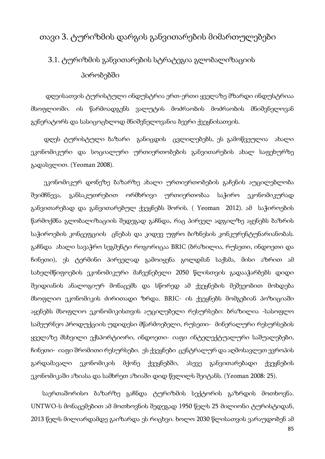### თავი 3. ტურიზმის დარგის განვითარების მიმართულებები

## 3.1. ტურიზმის განვითარების სტრატეგია გლობალიზაციის პირობებში

 დღეისათვის ტურისტული ინდუსტრია ერთ-ერთი ყველაზე მზარდი ინდუსტრიაა მსოფლიოში. ის წარმოადგენს ვალუტის მოძრაობის მოძრაობის მნიშვნელოვან გენერატორს და სასიცოცხლოდ მნიშვნელოვანია ბევრი ქვეყნისათვის.

 დღეს ტურისტული ბაზარი განიცდის ცვლილებებს, ეს გამოწვეულია ახალი ეკონომიკური და სოციალური ურთიერთობების განვითარების ახალ საფეხურზე გადასვლით. (Yeoman 2008).

 ეკონომიკურ დონეზე ბაზარზე ახალი ურთიერთობების გაჩენის აუცილებლობა შეიმჩნევა, განსაკუთრებით ორმხრივი ურთიერთობაა საჭირო ეკონომიკურად განვითარებად და განვითარებულ ქვეყნებს შორის. ( Yeoman 2012). ამ საჭიროების წარმოქმნა გლობალიზაციის შედეგად გაჩნდა, რაც პირველ ადგილზე აყენებს ბაზრის საჭიროების კონცეფციის ცნებას და კიდევ უფრო ბიზნესის კონკურენტუნარიანობას. გაჩნდა ახალი სავაჭრო სეგმენტი როგორიცაა BRIC (ბრაზილია, რუსეთი, ინდოეთი და ჩინეთი), ეს ტერმინი პირველად გამოიყენა გოლდმან საქსმა, მისი აზრით ამ სახელმწიფოების ეკონომიკური მაჩვენებელი 2050 წლისთვის გადააჭარბებს დიდი შვიდიანის ანალოგიურ მონაცემს და სწორედ ამ ქვეყნების მეშვეობით მოხდება მსოფლიო ეკონომიკის ძირითადი ზრდა. BRIC- ის ქვეყნებს მომგებიან პოზიციაში აყენებს მსოფლიო ეკონომიკისთვის აუცილებელი რესურსები: ბრაზილია -სასოფლო სამეურნეო პროდუქციის უდიდესი მწარმოებელი, რუსეთი- მინერალური რესურსების ყველაზე მსხვილი ექსპორტიორი, ინდოეთი- იაფი ინტელექტუალური საშუალებები, ჩინეთი- იაფი შრომითი რესურსები. ეს ქვეყნები ცენტრალურ და აღმოსავლეთ ევროპის გარდამავალი ეკონომიკის მქონე ქვეყნებში, ასევე განვითარებადი ქვეყნების ეკონომიკაში აზიასა და სამხრეთ აზიაში დიდ წვლილს შეიტანს. (Yeoman 2008: 25).

 საერთაშორისო ბაზარზე გაჩნდა ტურიზმის სექტორის გაზრდის მოთხოვნა. UNTWO-ს მონაცემებით ამ მოთხოვნის შედეგად 1950 წელს 25 მილიონი ტურისტიდან, 2013 წელს მილიარდამდე გაიზარდა ეს რიცხვი. ხოლო 2030 წლისათვის ვარაუდობენ ამ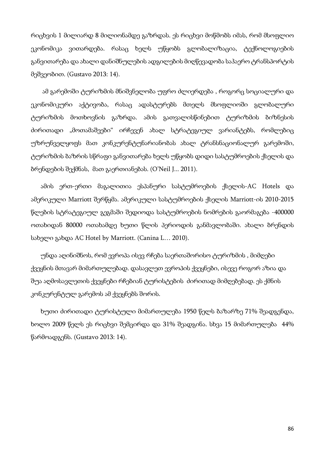რიცხვის 1 მილიარდ 8 მილიონამდე გაზრდას. ეს რიცხვი მოწმობს იმას, რომ მსოფლიო ეკონომიკა ვითარდება. რასაც ხელს უწყობს გლობალიზაცია, ტექნოლოგიების განვითარება და ახალი დანიშნულების ადგილების მიღწევადობა საჰაერო ტრანსპორტის მეშვეობით. (Gustavo 2013: 14).

 ამ გარემოში ტურიზმის მნიშვნელობა უფრო ძლიერდება , როგორც სოციალური და ეკონომიკური აქტივობა, რასაც ადასტურებს მთელს მსოფლიოში გლობალური ტურიზმის მოთხოვნის გაზრდა. ამის გათვალისწინებით ტურიზმის ბიზნესის ძირითადი "მოთამაშეები" ირჩევენ ახალ სტრატეგიულ ვარიანტებს, რომლებიც უზრუნველყოფს მათ კონკურენტუნარიანობას ახალ ტრანსნაციონალურ გარემოში, ტურიზმის ბაზრის სწრაფი განვითარება ხელს უწყობს დიდი სასტუმროების ქსელის და ბრენდების შექმნას, მათ გაერთიანებას. (O'Neil J... 2011).

 ამის ერთ-ერთი მაგალითია ესპანური სასტუმროების ქსელის-AC Hotels და ამერიკული Marriott შერწყმა. ამერიკული სასტუმროების ქსელის Marriott-ის 2010-2015 წლების სტრატეგიულ გეგმაში შედიოდა სასტუმროების ნომრების გაორმაგება -400000 ოთახიდან 80000 ოთახამდე ხუთი წლის პერიოდის განმავლობაში. ახალი ბრენდის სახელი გახდა AC Hotel by Marriott. (Canina L… 2010).

 უნდა აღინიშნოს, რომ ევროპა ისევ რჩება საერთაშორისო ტურიზმის , მიმღები ქვეყნის მთავარ მიმართულებად. დასავლეთ ევროპის ქვეყნები, ისევე როგორ აზია და შუა აღმოსავლეთის ქვეყნები რჩებიან ტურისტების ძირითად მიმღებებად. ეს ქმნის კონკურენტულ გარემოს ამ ქვეყნებს შორის.

 ხუთი ძირითადი ტურისტული მიმართულება 1950 წელს ბაზარზე 71% შეადგენდა, ხოლო 2009 წელს ეს რიცხვი შემცირდა და 31% შეადგინა. სხვა 15 მიმართულება 44% წარმოადგენს. (Gustavo 2013: 14).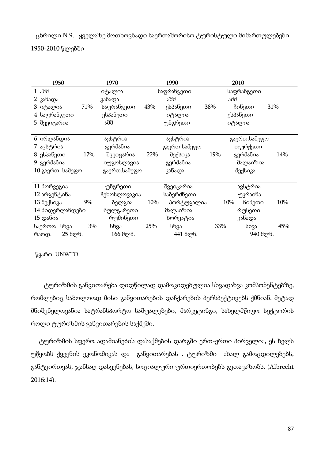ცხრილი N 9. ყველაზე მოთხოვნადი საერთაშორისო ტურისტული მიმართულებები

| 1950             |     | 1970         |     | 1990         | 2010       |     |              |     |
|------------------|-----|--------------|-----|--------------|------------|-----|--------------|-----|
| 1 აშშ            |     | იტალია       |     | საფრანგეთი   | საფრანგეთი |     |              |     |
| 2 კანადა         |     | კანადა       |     | აშშ          |            | აშშ |              |     |
| 3 იტალია         | 71% | საფრანგეთი   | 43% | ესპანეთი     | 38%        |     | ჩინეთი       | 31% |
| 4 საფრანგეთი     |     | ესპანეთი     |     | იტალია       |            |     | ესპანეთი     |     |
| 5 შვეიცარია      |     | აშშ          |     | უნგრეთი      |            |     | იტალია       |     |
|                  |     |              |     |              |            |     |              |     |
| 6 ირლანდია       |     | ავსტრია      |     | ავსტრია      |            |     | გაერთ.სამეფო |     |
| 7 ავსტრია        |     | გერმანია     |     | გაერთ.სამეფო |            |     | თურქეთი      |     |
| 8 ესპანეთი       | 17% | შვეიცარია    | 22% | მექსიკა      | 19%        |     | გერმანია     | 14% |
| 9 გერმანია       |     | იუგოსლავია   |     | გერმანია     |            |     | მალაიზია     |     |
| 10 გაერთ. სამეფო |     | გაერთ.სამეფო |     | კანადა       |            |     | მექსიკა      |     |
|                  |     |              |     |              |            |     |              |     |
| 11 ნორვეგია      |     | უნგრეთი      |     | შვეიცარია    |            |     | ავსტრია      |     |
| 12 არგენტინა     |     | ჩეხოსლოვაკია |     | საბერძნეთი   |            |     | უკრაინა      |     |
| 13 მექსიკა       | 9%  | ბელგია       | 10% | პორტუგალია   |            | 10% | ჩინეთი       | 10% |
| 14 ნიდერლანდები  |     | ბულგარეთი    |     | მალაიზია     |            |     | რუსეთი       |     |
| $15 \cos 60$ ა   |     | რუმინეთი     |     | ხორვატია     |            |     | კანადა       |     |
| საერთო სხვა      | 3%  | სხვა         | 25% | სხვა         | 33%        |     | სხვა         | 45% |
| 25 მლნ.<br>რაოდ. |     | 166 მლნ.     |     | 441 друб.    |            |     | 940 მლნ.     |     |

1950-2010 წლებში

წყარო: UNWTO

 ტურიზმის განვითარება დიდწილად დამოკიდებულია სხვადახვა კომპონენტებზე, რომლებიც საბოლოოდ მისი განვითარების დაჩქარების პერსპექტივებს ქმნიან. მეტად მნიშვნელოვანია სატრანსპორტო საშუალებები, მარკეტინგი, სახელმწიფო სექტორის როლი ტურიზმის განვითარების საქმეში.

 ტურიზმის სფერო ადამიანების დასაქმების დარგში ერთ-ერთი პირველია, ეს ხელს უწყობს ქვეყნის ეკონომიკას და განვითარებას . ტურიზმი ახალ გამოცდილებებს, განტვირთვას, ჯანსაღ დასვენებას, სოციალური ურთიერთობებს გვთავაზობს. (Albrecht 2016:14).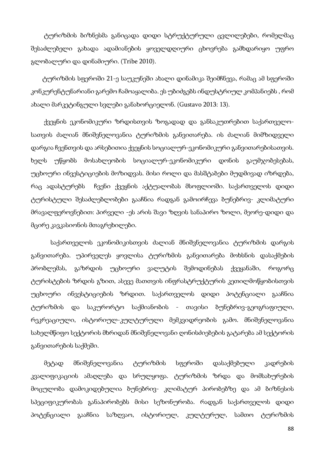ტურიზმის ბიზნესმა განიცადა დიდი სტრუქტურული ცვლილებები, რომელმაც შესაძლებელი გახადა ადამიანების ყოველდღიური ცხოვრება გამხდარიყო უფრო გლობალური და დინამიური. (Tribe 2010).

 ტურიზმის სფეროში 21-ე საუკუნეში ახალი დინამიკა შეიმჩნევა, რამაც ამ სფეროში კონკურენტუნარიანი გარემო ჩამოაყალიბა. ეს უბიძგებს ინდუსტრიულ კომპანიებს , რომ ახალი მარკეტინგული სვლები განახორციელონ. (Gustavo 2013: 13).

 ქვეყნის ეკონომიკური ზრდისთვის ზოგადად და განსაკუთრებით საქართველოსათვის ძალიან მნიშვნელოვანია ტურიზმის განვითარება. ის ძალიან მიმზიდველი დარგია ჩვენთვის და არსებითია ქვეყნის სოციალურ-ეკონომიკური განვითარებისათვის. ხელს უწყობს მოსახლეობის სოციალურ-ეკონომიკური დონის გაუმჯობესებას, უცხოური ინვესტიციების მოზიდვას. მისი როლი და მასშტაბები მუდმივად იზრდება, რაც ადასტურებს ჩვენი ქვეყნის აქტუალობას მსოფლიოში. საქართველოს დიდი ტურისტული შესაძლებლობები გააჩნია რადგან გამოირჩევა ბუნებრივ- კლიმატური მრავალფეროვნებით: პირველი -ეს არის შავი ზღვის სანაპირო ზოლი, მეორე-დიდი და მცირე კავკასიონის მთაგრეხილები.

 საქართველოს ეკონომიკისთვის ძალიან მნიშვნელოვანია ტურიზმის დარგის განვითარება. უპირველეს ყოვლისა ტურიზმის განვითარება მოხსნის დასაქმების პრობლემას, გაზრდის უცხოური ვალუტის შემოდინებას ქვეყანაში, როგორც ტურისტების ზრდის გზით, ასევე მათთვის ინფრასტრუქტურის კეთილმოწყობისთვის უცხოური ინვესტიციების ზრდით. საქართველოს დიდი პოტენციალი გააჩნია ტურიზმის და საკურორტო საქმიანობის - თავისი ბუნებრივ-გეოგრაფიული, რეკრეაციული, ისტორიულ-კულტურული მემკვიდრეობის გამო. მნიშვნელოვანია სახელმწიფო სექტორის მხრიდან მნიშვნელოვანი ღონისძიებების გატარება ამ სექტორის განვითარების საქმეში.

 მეტად მნიშვნელოვანია ტურიზმის სფეროში დასაქმებული კადრების კვალიფიკაციის ამაღლება და სრულყოფა. ტურიზმის ზრდა და მომსახურების მოცულობა დამოკიდებულია ბუნებრივ- კლიმატურ პირობებზე და ამ ბიზნესის სპეციფიკურობას განაპირობებს მისი სეზონურობა. რადგან საქართველოს დიდი პოტენციალი გააჩნია საზღვაო, ისტორიულ, კულტურულ, სამთო ტურიზმის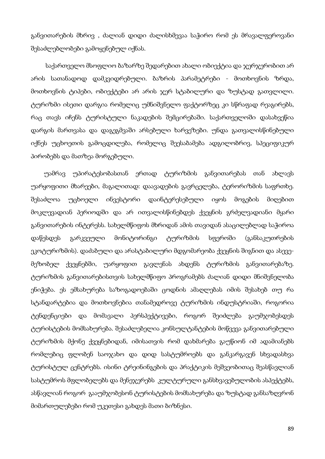განვითარების მხრივ , ძალიან დიდი ძალისხმევაა საჭირო რომ ეს მრავალფეროვანი შესაძლებლობები გამოყენებულ იქნას.

 საქართველო მსოფლიო ბაზარზე შედარებით ახალი ობიექტია და ჯერჯერობით არ არის სათანადოდ დამკვიდრებული. ბაზრის პარამეტრები - მოთხოვნის ზრდა, მოთხოვნის ტიპები, ობიექტები არ არის ჯერ სტაბილური და ზუსტად გათვლილი. ტურიზმი ისეთი დარგია რომელიც უმნიშვნელო ფაქტორზეც კი სწრაფად რეაგირებს, რაც თავს იჩენს ტურისტული ნაკადების შემცირებაში. საქართველოში დასახვეწია დარგის მართვასა და დაგეგმვაში არსებული ხარვეზები. უნდა გათვალისწინებული იქნეს უცხოეთის გამოცდილება, რომელიც შეესაბამება ადგილობრივ, სპეციფიკურ პირობებს და მათზეა მორგებული.

 უამრავ უპირატესობასთან ერთად ტურიზმის განვითარებას თან ახლავს უარყოფითი მხარეები, მაგალითად: დაავადების გავრცელება, ტერორიზმის საფრთხე. შესაძლოა უცხოელი ინვესტორი დაინტერესებული იყოს მოგების მიღებით მოკლევადიან პერიოდში და არ ითვალისწინებდეს ქვეყნის გრძელვადიანი მყარი განვითარების ინტერესს. სახელმწიფოს მხრიდან ამის თავიდან ასაცილებლად საჭიროა დაწესდეს გარკვეული მონიტორინგი ტურიზმის სფეროში (განსაკუთრების ეკოტურიზმის). დაძაბული და არასტაბილური მდგომარეობა ქვეყნის შიგნით და ასევემეზობელ ქვეყნებში, უარყოფით გავლენას ახდენს ტურიზმის განვითარებაზე. ტურიზმის განვითარებისთვის სახელმწიფო პროგრამებს ძალიან დიდი მნიშვნელობა ენიჭება. ეს ემსახურება საზოგადოებაში ცოდნის ამაღლებას იმის შესახებ თუ რა სტანდარტებია და მოთხოვნებია თანამედროვე ტურიზმის ინდუსტრიაში, როგორია ტენდენციები და მომავალი პერსპექტივები, როგორ შეიძლება გაუმჯობესდეს ტურისტების მომსახურება. შესაძლებელია კონსულტანტების მოწვევა განვითარებული ტურიზმის მქონე ქვეყნებიდან, იმისათვის რომ დახმარება გაუწიონ იმ ადამიანებს რომლებიც ფლობენ საოჯახო და დიდ სასტუმროებს და განკარგავენ სხვადასხვა ტურისტულ ცენტრებს. ისინი ტრეინინგების და პრაქტიკის მეშვეობითაც შეასწავლიან სასტუმროს მფლობელებს და მენეჯერებს კულტურული განსხვავებულობის ასპექტებს, ასწავლიან როგორ გააუმჯობესონ ტურისტების მომსახურება და ზუსტად განსაზღვრონ მიმართულებები რომ უკეთესი გახდეს მათი ბიზნესი.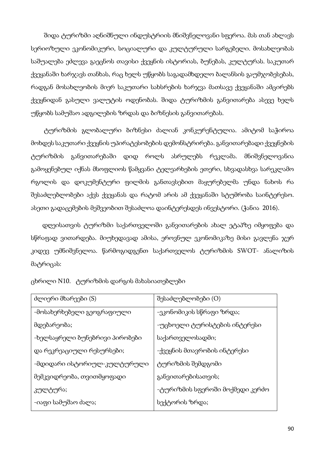შიდა ტურიზმი აღნიშნული ინდუსტრიის მნიშვნელოვანი სფეროა. მას თან ახლავს სერიოზული ეკონომიკური, სოციალური და კულტურული სარგებელი. მოსახლეობას საშუალება ეძლევა გაეცნოს თავისი ქვეყნის ისტორიას, ბუნებას, კულტურას. საკუთარ ქვეყანაში ხარჯავს თანხას, რაც ხელს უწყობს საგადამხდელო ბალანსის გაუმჯობესებას, რადგან მოსახლეობის მიერ საკუთარი სახსრების ხარჯვა მათსავე ქვეყანაში ამცირებს ქვეყნიდან გასული ვალუტის ოდენობას. შიდა ტურიზმის განვითარება ასევე ხელს უწყობს სამუშაო ადგილების ზრდას და ბიზნესის განვითარებას.

 ტურიზმის გლობალური ბიზნესი ძალიან კონკურენტულია. ამიტომ საჭიროა მოხდეს საკუთარი ქვეყნის უპირატესობების დემონსტრირება. განვითარებადი ქვეყნების ტურიზმის განვითარებაში დიდ როლს ასრულებს რეკლამა. მნიშვნელოვანია გამოყენებულ იქნას მსოფლიოს წამყვანი ტელეარხების ეთერი, სხვადასხვა სარეკლამო რგოლის და დოკუმენტური ფილმის განთავსებით მაყურებელმა უნდა ნახოს რა შესაძლებლობები აქვს ქვეყანას და რატომ არის ამ ქვეყანაში სტუმრობა საინტერესო. ასეთი გადაცემების მეშვეობით შესაძლოა დაინტერესდეს ინვესტორი. (ჭანია 2016).

 დღეისათვის ტურიზმი საქართველოში განვითარების ახალ ეტაპზე იმყოფება და სწრაფად ვითარდება. მიუხედავად ამისა, ეროვნულ ეკონომიკაზე მისი გავლენა ჯერ კიდევ უმნიშვნელოა. წარმოგიდგენთ საქართველოს ტურიზმის SWOT- ანალიზის მატრიცას:

| ძლიერი მხარეები (S)            | შესაძლებლობები (O)              |
|--------------------------------|---------------------------------|
| -მოსახერხებელი გეოგრაფიული     | -ეკონომიკის სწრაფი ზრდა;        |
| მდებარეობა;                    | -უცხოელი ტურისტების ინტერესი    |
| -ხელსაყრელი ბუნებრივი პირობები | საქართველოსადმი;                |
| და რეკრეაციული რესურსები;      | -ქვეყნის მთავრობის ინტერესი     |
| -მდიდარი ისტორიულ-კულტურული    | ტურიზმის შემდგომი               |
| მემკვიდრეობა, თვითმყოფადი      | განვითარებისათვის;              |
| კულტურა;                       | -ტურიზმის სფეროში მოქმედი კერძო |
| -იაფი სამუშაო ძალა;            | სექტორის ზრდა;                  |

ცხრილი N10. ტურიზმის დარგის მახასიათებლები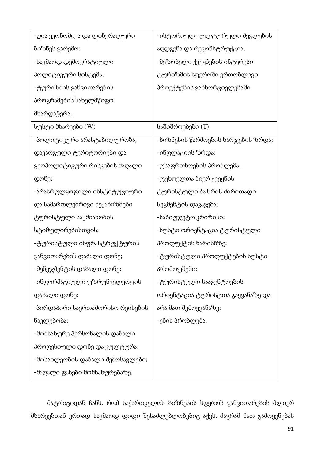| -ღია ეკონომიკა და ლიბერალური     | -ისტორიულ-კულტურული ძეგლების       |
|----------------------------------|------------------------------------|
| ბიზნეს გარემო;                   | აღდგენა და რეკონსტრუქცია;          |
| -საკმაოდ დემოკრატიული            | -მეზობელი ქვეყნების ინტერესი       |
| პოლიტიკური სისტემა;              | ტურიზმის სფეროში ერთობლივი         |
| -ტურიზმის განვითარების           | პროექტების განხორციელებაში.        |
| პროგრამების სახელმწიფო           |                                    |
| მხარდაჭერა.                      |                                    |
| სუსტი მხარეები (W)               | საშიშროებები (T)                   |
| -პოლიტიკური არასტაბილურობა,      | -ბიზნესის წარმოების ხარჯების ზრდა; |
| დაკარგული ტერიტორიები და         | -ინფლაციის ზრდა;                   |
| გეოპოლიტიკური რისკების მაღალი    | -უსაფრთხოების პრობლემა;            |
| დონე;                            | -უცხოელთა მიერ ქვეყნის             |
| -არასრულყოფილი ინსტიტუციური      | ტურისტული ბაზრის ძირითადი          |
| და სამართლებრივი მექანიზმები     | სეგმენტის დაკავება;                |
| ტურისტული საქმიანობის            | -საბიუჯეტო კრიზისი;                |
| სტიმულირებისთვის;                | -სუსტი ორიენტაცია ტურისტული        |
| -ტურისტული ინფრასტრუქტურის       | პროდუქტის ხარისხზე;                |
| განვითარების დაბალი დონე;        | -ტურისტული პროდუქტების სუსტი       |
| -მენეჯმენტის დაბალი დონე;        | პრომოუშენი;                        |
| -ინფორმაციული უზრუნველყოფის      | -ტურისტული სააგენტოების            |
| დაბალი დონე;                     | ორიენტაცია ტურისტთა გაყვანაზე და   |
| -პირდაპირი საერთაშორისო რეისების | არა მათ შემოყვანაზე;               |
| ნაკლებობა;                       | -ენის პრობლემა.                    |
| -მომსახურე პერსონალის დაბალი     |                                    |
| პროფესიული დონე და კულტურა;      |                                    |
| -მოსახლეობის დაბალი შემოსავლები; |                                    |
| -მაღალი ფასები მომსახურებაზე.    |                                    |

 მატრიციდან ჩანს, რომ საქართველოს ბიზნესის სფეროს განვითარების ძლიერ მხარეებთან ერთად საკმაოდ დიდი შესაძლებლობებიც აქვს, მაგრამ მათ გამოყენებას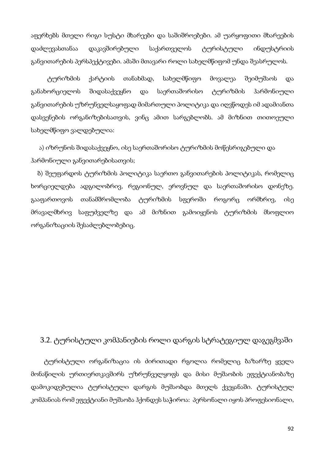აფერხებს მთელი რიგი სუსტი მხარეები და საშიშროებები. ამ უარყოფითი მხარეების დაძლევასთანაა დაკავშირებული საქართველოს ტურისტული ინდუსტრიის განვითარების პერსპექტივები. ამაში მთავარი როლი სახელმწიფომ უნდა შეასრულოს.

 ტურიზმის ქარტიის თანახმად, სახელმწიფო მოვალეა შეიმუშაოს და განახორციელოს შიდასაქვეყნო და საერთაშორისო ტურიზმის ჰარმონიული განვითარების უზრუნველსაყოფად მიმართული პოლიტიკა და იღვწოდეს იმ ადამიანთა დასვენების ორგანიზებისათვის, ვინც ამით სარგებლობს. ამ მიზნით თითოეული სახელმწიფო ვალდებულია:

 ა) იზრუნოს შიდასაქვეყნო, ისე საერთაშორისო ტურიზმის მოწესრიგებული და ჰარმონიული განვითარებისათვის;

 ბ) შეუფარდოს ტურიზმის პოლიტიკა საერთო განვითარების პოლიტიკას, რომელიც ხორციელდება ადგილობრივ, რეგიონულ, ეროვნულ და საერთაშორისო დონეზე. გააფართოვოს თანამშრომლობა ტურიზმის სფეროში როგორც ორმხრივ, ისე მრავალმხრივ საფუძველზე და ამ მიზნით გამოიყენოს ტურიზმის მსოფლიო ორგანიზაციის შესაძლებლობებიც.

### 3.2. ტურისტული კომპანიების როლი დარგის სტრატეგიულ დაგეგმვაში

 ტურისტული ორგანიზაცია ის ძირითადი რგოლია რომელიც ბაზარზე ყველა მონაწილის ურთიერთკავშირს უზრუნველყოფს და მისი მუშაობის ეფექტიანობაზე დამოკიდებულია ტურისტული დარგის მუშაობდა მთელს ქვეყანაში. ტურისტულ კომპანიას რომ ეფექტიანი მუშაობა ჰქონდეს საჭიროა: პერსონალი იყოს პროფესიონალი,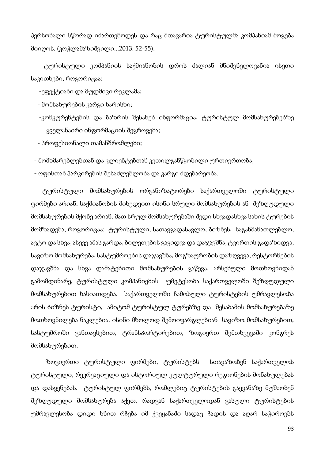პერსონალი სწორად იმართებოდეს და რაც მთავარია ტურისტულმა კომპანიამ მოგება მიიღოს. (კოჭლამაზიშვილი...2013: 52-55).

 ტურისტული კომპანიის საქმიანობის დროს ძალიან მნიშვნელოვანია ისეთი საკითხები, როგორიცაა:

-ეფექტიანი და მუდმივი რეკლამა;

- მომსახურების კარგი ხარისხი;

 -კონკურენტების და ბაზრის შესახებ ინფორმაცია, ტურისტულ მომსახურებებზე ყველანაირი ინფორმაციის შეგროვება;

- პროფესიონალი თამანშრომლები;

- მომხმარებლებთან და კლიენტებთან კეთილგანწყობილი ურთიერთობა;

- ოფისთან პარკირების შესაძლებლობა და კარგი მდებარეობა.

 ტურისტული მომსახურების ორგანიზატორები საქართველოში ტურისტული ფირმები არიან. საქმიანობის მიხედვით ისინი სრული მომსახურების ან შეზღუდული მომსახურების მქონე არიან. მათ სრულ მომსახურებაში შედი სხვადასხვა სახის ტურების მომზადება, როგორიცაა: ტურისტული, სათავგადასავლო, ბიზნეს, საგანმანათლებლო, ავტო და სხვა, ასევე ამას გარდა, ბილეთების გაყიდვა და დაჯავშნა, ტვირთის გადაზიდვა, სავიზო მომსახურება, სასტუმროების დაჯავშნა, მოგზაურობის დაზღვევა, რესტორნების დაჯავშნა და სხვა დამატებითი მომსახურების გაწევა. არსებული მოთხოვნიდან გამომდინარე, ტურისტული კომპანიების უმეტესობა საქართველოში შეზღუდული მომსახურებით ხასიათდება. საქართველოში ჩამოსული ტურისტების უმრავლესობა არის ბიზნეს ტურისტი, ამიტომ ტურისტულ ტურებზე და შესაბამის მომსახურებაზე მოთხოვნილება ნაკლებია. ისინი მხოლოდ შემოიფარგლებიან სავიზო მომსახურებით, სასტუმროში განთავსებით, ტრანსპორტირებით, ზოგიერთ შემთხვევაში კონგრეს მომსახურებით.

 ზოგიერთი ტურისტული ფირმები, ტურისტებს სთავაზობენ საქართველოს ტურისტული, რეკრეაციული და ისტორიულ-კულტურული რეგიონების მონახულებას და დასვენებას. ტურისტულ ფირმებს, რომლებიც ტურისტების გაყვანაზე მუშაობენ შეზღუდული მომსახურება აქვთ, რადგან საქართველოდან გასული ტურისტების უმრავლესობა დიდი ხნით რჩება იმ ქვეყანაში სადაც ჩადის და აღარ საჭიროებს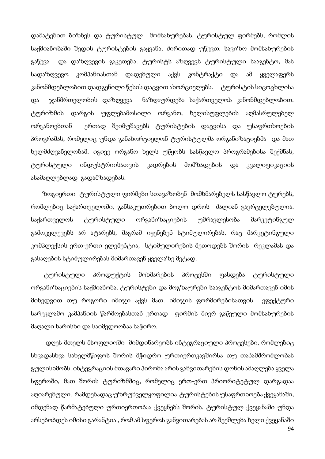დამატებით ბიზნეს და ტურისტულ მომსახურებას. ტურისტულ ფირმებს, რომლის საქმიანობაში შედის ტურისტების გაყვანა, ძირითად უწევთ: სავიზო მომსახურების გაწევა და დაზღვევის გაკეთება. ტურისტს აზღვევს ტურისტული სააგენტო, მას სადაზღვევო კომპანიასთან დადებული აქვს კონტრაქტი და ამ ყველაფერს კანონმდებლობით დადგენილი წესის დაცვით ახორციელებს. — ტურისტის სიცოცხლისა და ჯანმრთელობის დაზღვევა ნაზღაურდება საქართველოს კანონმდებლობით. ტურიზმის დარგის უფლებამოსილი ორგანო, ხელისუფლების აღმასრულებელ ორგანოებთან ერთად შეიმუშავებს ტურისტების დაცვისა და უსაფრთხოების პროგრამას, რომელიც უნდა განახორციელონ ტურისტულმა ორგანიზაციებმა და მათ ხელმძღვანელობამ. იგივე ორგანო ხელს უწყობს სასწავლო პროგრამებისა შექმნას, ტურისტული ინდუსტრიისათვის კადრების მომზადების და კვალიფიკაციის ასამაღლებლად გადამზადებას.

 ზოგიერთი ტურისტული ფირმები სთავაზობენ მომხმარებელს სასწავლო ტურებს, რომლებიც საქართველოში, განსაკუთრებით ბოლო დროს ძალიან გავრცელებულია. საქართველოს ტურისტული ორგანიზაციების უმრავლესობა მარკეტინგულ გამოკვლევებს არ ატარებს, მაგრამ იყენებენ სტიმულირებას, რაც მარკეტინგული კომპლექსის ერთ-ერთი ელემენტია, სტიმულირების მეთოდებს შორის რეკლამას და გასაღების სტიმულირებას მიმართავენ ყველაზე მეტად.

 ტურისტული პროდუქტის მოხმარების პროცესში ფასდება ტურისტული ორგანიზაციების საქმიანობა. ტურისტები და მოგზაურები სააგენტოს მიმართავენ იმის მიხედვით თუ როგორი იმიჯი აქვს მათ. იმიჯის ფორმირებისათვის ეფექტური სარეკლამო კამპანიის წარმოებასთან ერთად ფირმის მიერ გაწეული მომსახურების მაღალი ხარისხი და საიმედოობაა საჭირო.

94 დღეს მთელს მსოფლიოში მიმდინარეობს ინტეგრაციული პროცესები, რომლებიც სხვადასხვა სახელმწიფოს შორის მჭიდრო ურთიერთკავშირსა თუ თანამშრომლობას გულისხმობს. ინტეგრაციის მთავარი პირობა არის განვითარების დონის ამაღლება ყველა სფეროში, მათ შორის ტურიზმშიც, რომელიც ერთ-ერთ პრიორიტეტულ დარგადაა აღიარებული. რამდენადაც უზრუნველყოფილია ტურისტების უსაფრთხოება ქვეყანაში, იმდენად წარმატებული ურთიერთობაა ქვეყნებს შორის. ტურისტულ ქვეყანაში უნდა არსებობდეს იმისი გარანტია , რომ ამ სფეროს განვითარებას არ შეეშლება ხელი ქვეყანაში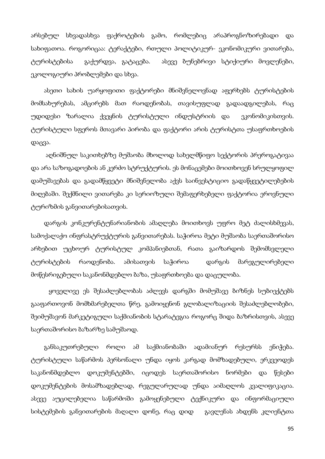არსებულ სხვადასხვა ფაქროტების გამო, რომლებიც არაპროგნოზირებადი და სახიფათოა. როგორიცაა: ტერაქტები, რთული პოლიტიკურ- ეკონომიკური ვითარება, ტურისტებისა გაქურდვა, გატაცება. ასევე ბუნებრივი სტიქიური მოვლენები, ეკოლოგიური პრობლემები და სხვა.

 ასეთი სახის უარყოფითი ფაქტორები მნიშვნელოვნად აფერხებს ტურისტების მომსახურებას, ამცირებს მათ რაოდენობას, თავისუფლად გადაადგილებას, რაც უდიდესი ზარალია ქვეყნის ტურისტული ინდუსტრიის და ეკონომიკისთვის. ტურისტული სფეროს მთავარი პირობა და ფაქტორი არის ტურისტთა უსაფრთხოების დაცვა.

 აღნიშნულ საკითხებზე მუშაობა მხოლოდ სახელმწიფო სექტორის პრეროგატივაა და არა საზოგადოების ან კერძო სტრუქტურის. ეს მონაცემები მოითხოვენ სრულყოფილ დამუშავებას და გადამწყვეტი მნიშვნელობა აქვს საინვესტიციო გადაწყვეტილებების მიღებაში. შექმნილი ვითარება კი სერიოზული შემაფერხებელი ფაქტორია ეროვნული ტურიზმის განვითარებისათვის.

 დარგის კონკურენტუნარიანობის ამაღლება მოითხოვს უფრო მეტ ძალისხმევას, სამოქალაქო ინფრასტრუქტურის განვითარებას. საჭიროა მეტი მუშაობა საერთაშორისო არხებით უცხოურ ტურისტულ კომპანიებთან, რათა გაიზარდოს შემომსვლელი ტურისტების რაოდენობა. ამისათვის საჭიროა დარგის მარეგულირებელი მოწესრიგებული საკანონმდებლო ბაზა, უსაფრთხოება და დაცულობა.

 ყოველივე ეს შესაძლებლობას აძლევს დარგში მომუშავე ბიზნეს სუბიექტებს გააფართოვონ მომხმარებელთა წრე, გამოიყენონ გლობალიზაციის შესაძლებლობები, შეიმუშავონ მარკეტიგული საქმიანობის სტარატეგია როგორც შიდა ბაზრისთვის, ასევე საერთაშორისო ბაზარზე სამუშაოდ.

 განსაკუთრებული როლი ამ საქმიანობაში ადამიანურ რესურსს ენიჭება. ტურისტული საწარმოს პერსონალი უნდა იყოს კარგად მომზადებული, ერკვეოდეს საკანონმდებლო დოკუმენტებში, იცოდეს საერთაშორისო ნორმები და წესები დოკუმენტების მოსამზადებლად, რეგულარულად უნდა აიმაღლოს კვალიფიკაცია. ასევე აუცილებელია საწარმოში გამოყენებული ტექნიკური და ინფორმაციული სისტემების განვითარების მაღალი დონე, რაც დიდ გავლენას ახდენს კლიენტთა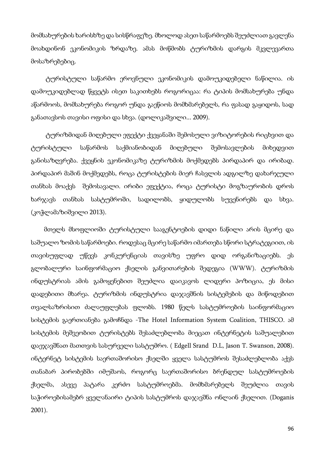მომსახურების ხარისხზე და სისწრაფეზე. მხოლოდ ასეთ საწარმოებს შეუძლიათ გავლენა მოახდინონ ეკონომიკის ზრდაზე. ამას მოწმობს ტურიზმის დარგის მკვლევართა მოსაზრებებიც.

 ტურისტული საწარმო ეროვნული ეკონომიკის დამოუკიდებელი ნაწილია. ის დამოუკიდებლად წყვეტს ისეთ საკითხებს როგორიცაა: რა ტიპის მომსახურება უნდა აწარმოოს, მომსახურება როგორ უნდა გაეწიოს მომხმარებელს, რა ფასად გაყიდოს, სად განათავსოს თავისი ოფისი და სხვა. (დოლიკაშვილი... 2009).

 ტურიზმიდან მიღებული ეფექტი ქვეყანაში შემოსული ვიზიტორების რიცხვით და ტურისტული საწარმოს საქმიანობიდან მიღებული შემოსავლების მიხედვით განისაზღვრება. ქვეყნის ეკონომიკაზე ტურიზმის მოქმედებს პირდაპირ და ირიბად. პირდაპირ მაშინ მოქმედებს, როცა ტურისტების მიერ ჩასვლის ადგილზე დახარჯული თანხას მოაქვს შემოსავალი. ირიბი ეფექტია, როცა ტურისტი მოგზაურობის დროს ხარჯავს თანხას სასტუმროში, სადილობს, ყიდულობს სუვენირებს და სხვა. (კოჭლამაზიშვილი 2013).

 მთელს მსოფლიოში ტურისტული სააგენტოების დიდი ნაწილი არის მცირე და საშუალო ზომის საწარმოები. როდესაც მცირე საწარმო იმართება სწორი სტრატეგიით, ის თავისუფლად უწევს კონკურენციას თავისზე უფრო დიდ ორგანიზაციებს. ეს გლობალური საინფორმაციო ქსელის განვითარების შედეგია (WWW). ტურიზმის ინდუსტრიას ამის გამოყენებით შეუძლია დაიკავოს ლიდერი პოზიცია, ეს მისი დადებითი მხარეა. ტურიზმის ინდუსტრია დაჯავშნის სისტემების და მიწოდებით თვალსაზრისით ძალაუფლებას ფლობს. 1980 წელს სასტუმროების საინფორმაციო სისტემის გაერთიანება გამოჩნდა -The Hotel Information System Coalition, THISCO. ამ სისტემის მეშვეობით ტურისტებს შესაძლებლობა მიეცათ ინტერნეტის საშუალებით დაეჯავშნათ მათთვის სასურველი სასტუმრო. ( Edgell Srand D.L, Jason T. Swanson, 2008). ინტერნეტ სისტემის საერთაშორისო ქსელში ყველა სასტუმროს შესაძლებლობა აქვს თანაბარ პირობებში იმუშაოს, როგორც საერთაშორისო ბრენდულ სასტუმროების ქსელმა, ასევე პატარა კერძო სასტუმროებმა. მომხმარებელს შეუძლია თავის საჭიროებისამებრ ყველანაირი ტიპის სასტუმროს დაჯავშნა ონლაინ ქსელით. (Doganis 2001).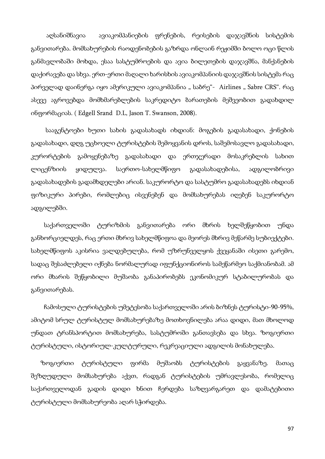აღსანიშნავია ავიაკომპანიების ფრენების, რეისების დაჯავშნის სისტემის განვითარება. მომსახურების რაოდენობების გაზრდა ონლაინ რეჟიმში ბოლო ოცი წლის განმავლობაში მოხდა, ესაა სასტუმროების და ავია ბილეთების დაჯავშნა, მანქანების დაქირავება და სხვა. ერთ-ერთი მაღალი ხარისხის ავიაკომპანიის დაჯავშნის სისტემა რაც პირველად დაინერგა იყო ამერიკული ავიაკომპანია " საბრე"- Airlines "Sabre CRS". რაც ასევე აგროვებდა მომხმარებლების საკრედიტო ბარათების მეშვეობით გადახდილ ინფორმაციას. ( Edgell Srand D.L, Jason T. Swanson, 2008).

 სააგენტოები ხუთი სახის გადასახადს იხდიან: მოგების გადასახადი, ქონების გადასახადი, დღგ უცხოელი ტურისტების შემოყვანის დროს, საშემოსავლო გადასახადი, კურორტების გამოყენებაზე გადასახადი და ერთჯერადი მოსაკრებლის სახით ლიცენზიის ყიდულვა. საერთო-სახელმწიფო გადასახადებისა, ადგილობრივი გადასახადების გადამხდელები არიან. საკურორტო და სასტუმრო გადასახადებს იხდიან ფიზიკური პირები, რომლებიც ისვენებენ და მომსახურებას იღებენ საკურორტო ადგილებში.

 საქართველოში ტურიზმის განვითარება ორი მხრის ხელშეწყობით უნდა განხორციელდეს, რაც ერთი მხრივ სახელმწიფოა და მეორეს მხრივ მეწარმე სუბიექტები. სახელმწიფოს აკისრია ვალდებულება, რომ უზრუნველყოს ქვეყანაში ისეთი გარემო, სადაც შესაძლებელი იქნება ნორმალურად იფუნქციონიროს სამეწარმეო საქმიანობამ. ამ ორი მხარის შეწყობილი მუშაობა განაპირობებს ეკონომიკურ სტაბილურობას და განვითარებას.

ჩამოსული ტურისტების უმეტესობა საქართველოში არის ბიზნეს ტურისტი-90-95%, ამიტომ სრულ ტურისტულ მომსახურებაზე მოთხოვნილება არაა დიდი, მათ მხოლოდ უნდათ ტრანსპორტით მომსახურება, სასტუმროში განთავსება და სხვა. ზოგიერთი ტურისტული, ისტორიულ-კულტურული, რეკრეაციული ადგილის მონახულება.

 ზოგიერთი ტურისტული ფირმა მუშაობს ტურისტების გაყვანაზე. მათაც შეზღუდული მომსახურება აქვთ, რადგან ტურისტების უმრავლესობა, რომელიც საქართველოდან გადის დიდი ხნით ჩერდება საზღვარგარეთ და დამატებითი ტურისტული მომსახურეობა აღარ სჭირდება.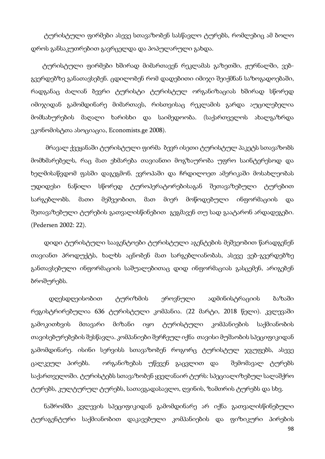ტურისტული ფირმები ასევე სთავაზობენ სასწავლო ტურებს, რომლებიც ამ ბოლო დროს განსაკუთრებით გავრცელდა და პოპულარული გახდა.

 ტურისტული ფირმები ხშირად მიმართავენ რეკლამას გაზეთში, ჟურნალში, ვებგვერდებზე განათავსებენ. ცდილობენ რომ დადებითი იმიჯი შეიქმნან საზოგადოებაში, რადგანაც ძალიან ბევრი ტურისტი ტურისტულ ორგანიზაციას ხშირად სწორედ იმიჯიდან გამომდინარე მიმართავს, რისთვისაც რეკლამის გარდა აუცილებელია მომსახურების მაღალი ხარისხი და საიმედოობა. (საქართველოს ახალგაზრდა ეკონომისტთა ასოციაცია, Economists.ge 2008).

 მრავალ ქვეყანაში ტურისტული ფირმა ბევრ ისეთი ტურისტულ პაკეტს სთავაზობს მომხმარებელს, რაც მათ ეხმარება თავიანთი მოგზაურობა უფრო საინტერესოდ და ხელმისაწვდომ ფასში დაგეგმონ. ევროპაში და ჩრდილოეთ ამერიკაში მოსახლეობას უდიდესი ნაწილი სწორედ ტუროპერატორებისაგან შეთავაზებული ტურებით სარგებლობს. მათი მეშვეობით, მათ მიერ მოწოდებული ინფორმაციის და შეთავაზებული ტურების გათვალისწინებით გეგმავენ თუ სად გაატარონ არდადეგები. (Pedersen 2002: 22).

 დიდი ტურისტული სააგენტოები ტურისტული აგენტების მეშვეობით წარადგენენ თავიანთ პროდუქტს, ხალხს აცნობენ მათ სარგებლიანობას, ასევე ვებ-გვერდებზე განთავსებული ინფორმაციის საშუალებითაც დიდ ინფორმაციას გასცემენ, არიგებენ ბროშურებს.

 დღესდღეისობით ტურიზმის ეროვნული ადმინისტრაციის ბაზაში რეგისტრირებულია 636 ტურისტული კომპანია. (22 მარტი, 2018 წელი). კვლევაში გამოკითხვის მთავარი მიზანი იყო ტურისტული კომპანიების საქმიანობის თავისებურებების შესწავლა. კომპანიები შერჩეულ იქნა თავისი მუშაობის სპეციფიკიდან გამომდინარე. ისინი სერვისს სთავაზობენ როგორც ტურისტულ ჯგუფებს, ასევე ცალკეულ პირებს. ორგანიზებას უწევენ გაცვლით და შემომავალ ტურებს საქართველოში. ტურისტებს სთავაზობენ ყველანაირ ტურს: სპეციალიზებულ სალაშქრო ტურებს, კულტურულ ტურებს, სათავგადასავლო, ღვინის, ზამთრის ტურებს და სხვ.

 ნაშრომში კვლევის სპეციფიკიდან გამომდინარე არ იქნა გათვალისწინებული ტურაგენტური საქმიანობით დაკავებული კომპანიების და ფიზიკური პირების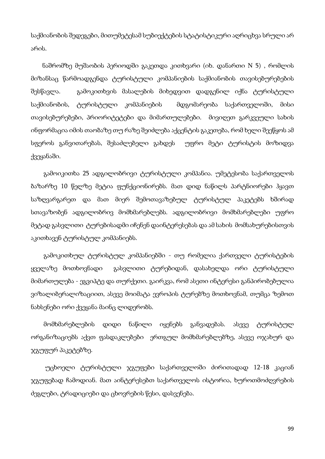საქმიანობის შედეგები, მითუმეტესამ სუბიექტების სტატისტიკური აღრიცხვა სრული არ არის.

 ნაშრომზე მუშაობის პერიოდში გაკეთდა კითხვარი (იხ. დანართი N 5) , რომლის მიზანსაც წარმოადგენდა ტურისტული კომპანიების საქმიანობის თავისებურებების შესწავლა. გამოკითხვის მასალების მიხედვით დადგენილ იქნა ტურისტული საქმიანობის, ტურისტული კომპანიების მდგომარეობა საქართველოში, მისი თავისებურებები, პრიორიტეტები და მიმართულებები. მივიღეთ გარკვეული სახის ინფორმაცია იმის თაობაზე თუ რაზე შეიძლება აქცენტის გაკეთება, რომ ხელი შეეწყოს ამ სფეროს განვითარებას, შესაძლებელი გახდეს უფრო მეტი ტურისტის მოზიდვა ქვეყანაში.

 გამოიკითხა 25 ადგილობრივი ტურისტული კომპანია. უმეტესობა საქართველოს ბაზარზე 10 წელზე მეტია ფუნქციონირებს. მათ დიდ ნაწილს პარტნიორები ჰყავთ საზღვარგარეთ და მათ მიერ შემოთავაზებულ ტურისტულ პაკეტებს ხშირად სთავაზობენ ადგილობრივ მომხმარებლებს. ადგილობრივი მომხმარებლები უფრო მეტად გასვლითი ტურებისადმი იჩენენ დაინტერესებას და ამ სახის მომსახურებისთვის აკითხავენ ტურისტულ კომპანიებს.

 გამოკითხულ ტურისტულ კომპანიებში - თუ რომელია ქართველი ტურისტების ყველაზე მოთხოვნადი გასვლითი ტურებიდან, დასახელდა ორი ტურისტული მიმართულება - ეგვიპტე და თურქეთი. გაირკვა, რომ ასეთი ინტერესი განპირობებულია ვიზალიბერალიზაციით, ასევე მოიმატა ევროპის ტურებზე მოთხოვნამ, თუმცა ზემოთ ნახსენები ორი ქვეყანა მაინც ლიდერობს.

 მომხმარებლების დიდი ნაწილი იყენებს განვადებას. ასევე ტურისტულ ორგანიზაციებს აქვთ ფასდაკლებები ერთგულ მომხმარებლებზე, ასევე ოჯახურ და ჯგუფურ პაკეტებზე.

 უცხოელი ტურისტული ჯგუფები საქართველოში ძირითადად 12-18 კაციან ჯგუფებად ჩამოდიან. მათ აინტერესებთ საქართველოს ისტორია, ხუროთმოძღვრების ძეგლები, ტრადიციები და ცხოვრების წესი, დასვენება.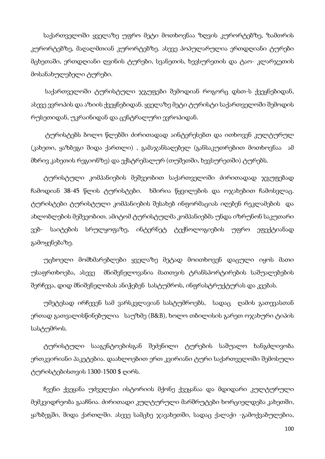საქართველოში ყველაზე უფრო მეტი მოთხოვნაა ზღვის კურორტებზე, ზამთრის კურორტებზე, მაღალმთიან კურორტებზე. ასევე პოპულარულია ერთდღიანი ტურები მცხეთაში, ერთდღიანი ღვინის ტურები, სვანეთის, ხევსურეთის და ტაო- კლარჯეთის მოსანახულებელი ტურები.

 საქართველოში ტურისტული ჯგუფები შემოდიან როგორც დსთ-ს ქვეყნებიდან, ასევე ევროპის და აზიის ქვეყნებიდან. ყველაზე მეტი ტურისტი საქართველოში შემოდის რუსეთიდან, უკრაინიდან და ცენტრალური ევროპიდან.

 ტურისტებს ბოლო წლებში ძირითადად აინტერესებთ და ითხოვენ კულტურულ (კახეთი, ყაზბეგი შიდა ქართლი) , გამაჯანსაღებელ (განსაკუთრებით მოთხოვნაა ამ მხრივ კახეთის რეგიონზე) და ექსტრემალურ (თუშეთში, ხევსურეთში) ტურებს.

 ტურისტული კომპანიების მეშვეობით საქართველოში ძირითადად ჯგუფებად ჩამოდიან 38-45 წლის ტურისტები. ხშირია წყვილების და ოჯახებით ჩამოსვლაც. ტურისტები ტურისტული კომპანიების შესახებ ინფორმაციას იღებენ რეკლამების და ახლობლების მეშვეობით. ამიტომ ტურისტულმა კომპანიებმა უნდა იზრუნონ საკუთარი ვებ- საიტების სრულყოფაზე, ინტერნეტ ტექნოლოგიების უფრო ეფექტიანად გამოყენებაზე.

 უცხოელი მომხმარებლები ყველაზე მეტად მოითხოვენ დაცული იყოს მათი უსაფრთხოება, ასევე მნიშვნელოვანია მათთვის ტრანსპორტირების საშუალებების შერჩევა, დიდ მნიშვნელობას ანიჭებენ სასტუმროს, ინფრასტრუქტურას და კვებას.

 უმეტესად ირჩევენ სამ ვარსკვლავიან სასტუმროებს, სადაც ღამის გათევასთან ერთად გათვალისწინებულია საუზმე (B&B), ხოლო თბილისის გარეთ ოჯახური ტიპის სასტუმროს.

 ტურისტული სააგენტოებისგან შეძენილი ტურების საშუალო ხანგძლივობა ერთკვირიანი პაკეტებია. დაახლოებით ერთ კვირიანი ტური საქართველოში შემოსული ტურისტებისთვის 1300-1500 \$ ღირს.

 ჩვენი ქვეყანა უძველესი ისტორიის მქონე ქვეყანაა და მდიდარი კულტურული მემკვიდრეობა გააჩნია. ძირითადი კულტურული მარშრუტები ხორციელდება კახეთში, ყაზბეგში, შიდა ქართლში. ასევე სამცხე ჯავახეთში, სადაც ქალაქი -გამოქვაბულებია,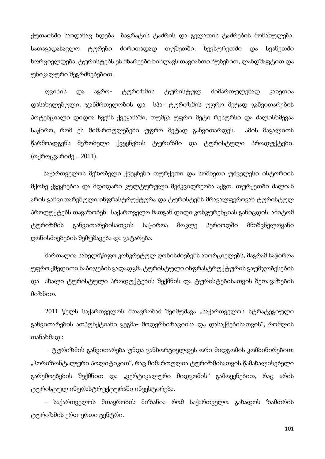ქუთაისში საიდანაც ხდება ბაგრატის ტაძრის და გელათის ტაძრების მონახულება. სათაგადასავლო ტურები ძირითადად თუშეთში, ხევსურეთში და სვანეთში ხორციელდება, ტურისტებს ეს მხარეები ხიბლავს თავიანთი ბუნებით, ლანდშაფტით და უნიკალური შეგრძნებებით.

 ღვინის და აგრო- ტურიზმის ტურისტულ მიმართულებად კახეთია დასახელებული. ჯანმრთელობის და სპა- ტურიზმის უფრო მეტად განვითარების პოტენციალი დიდია ჩვენს ქვეყანაში, თუმცა უფრო მეტი რესურსი და ძალისხმევაა საჭირო, რომ ეს მიმართულებები უფრო მეტად განვითარდეს. ამის მაგალითს წარმოადგენს მეზობელი ქვეყნების ტურიზმი და ტურისტული პროდუქტები. (ოქროცვარიძე ...2011).

 საქართველოს მეზობელი ქვეყნები თურქეთი და სომხეთი უძველესი ისტორიის მქონე ქვეყნებია და მდიდარი კულტურული მემკვიდრეობა აქვთ. თურქეთში ძალიან არის განვითარებული ინფრასტრუქტურა და ტურისტებს მრავალფეროვან ტურისტულ პროდუქტებს თავაზობენ. საქართველო მათგან დიდი კონკურენციას განიცდის. ამიტომ ტურიზმის განვითარებისათვის საჭიროა მოკლე პერიოდში მნიშვნელოვანი ღონისძიებების შემუშავება და გატარება.

 მართალია სახელმწიფო კონკრეტულ ღონისძიებებს ახორციელებს, მაგრამ საჭიროა უფრო ქმედითი ნაბიჯების გადადგმა ტურისტული ინფრასტრუქტურის გაუმჯობესების და ახალი ტურისტული პროდუქტების შექმნის და ტურისტებისათვის შეთავაზების მიზნით.

2011 წელს საქართველოს მთავრობამ შეიმუშავა "საქართველოს სტრატეგიული განვითარების ათპუნქტიანი გეგმა- მოდერნიზაციისა და დასაქმებისათვის", რომლის თანახმად :

 - ტურიზმის განვითარება უნდა განხორციელდეს ორი მიდგომის კომბინირებით: "ჰორიზონტალური პოლიტიკით", რაც მიმართულია ტურიზმისათვის წამახალისებელი გარემოებების შექმნით და "ვერტიკალური მიდგომის" გამოყენებით, რაც არის ტურისტულ ინფრასტრუქტურაში ინვესტირება.

 - საქართველოს მთავრობის მიზანია რომ საქართველო გახადოს ზამთრის ტურიზმის ერთ-ერთი ცენტრი.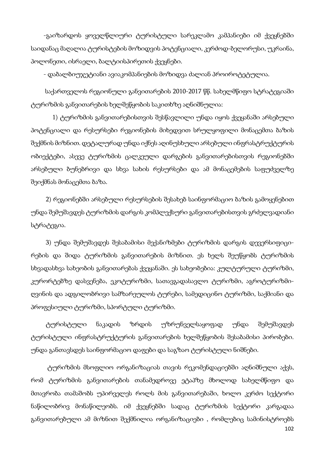-გაიზარდოს ყოველწლიური ტურისტული სარეკლამო კამპანიები იმ ქვეყნებში საიდანაც მაღალია ტურისტების მოზიდვის პოტენციალი, კერძოდ-ბელორუსი, უკრაინა, პოლონეთი, ისრაელი, ბალტიისპირეთის ქვეყნები.

- დაბალბიუჯეტიანი ავიაკომპანიების მოზიდვა ძალიან პროიროტეტულია.

 საქართველოს რეგიონული განვითარების 2010-2017 წწ. სახელმწიფო სტრატეგიაში ტურიზმის განვითარების ხელშეწყობის საკითხზე აღნიშნულია:

 1) ტურიზმის განვითარებისთვის შესწავლილი უნდა იყოს ქვეყანაში არსებული პოტენციალი და რესურსები რეგიონების მიხედვით სრულყოფილი მონაცემთა ბაზის შექმნის მიზნით. დეტალურად უნდა იქნეს აღინუსხული არსებული ინფრასტრუქტურის ობიექტები, ასევე ტურიზმის ცალკეული დარგების განვითარებისთვის რეგიონებში არსებული ბუნებრივი და სხვა სახის რესურსები და ამ მონაცემების საფუძველზე შეიქმნას მონაცემთა ბაზა.

 2) რეგიონებში არსებული რესურსების შესახებ საინფორმაციო ბაზის გამოყენებით უნდა შემუშავდეს ტურიზმის დარგის კომპლექსური განვითარებისთვის გრძელვადიანი სტრატეგია.

 3) უნდა შემუშავდეს შესაბამისი მექანიზმები ტურიზმის დარგის დევერსიფიცირების და შიდა ტურიზმის განვითარების მიზნით. ეს ხელს შეუწყობს ტურიზმის სხვადასხვა სახეობის განვითარებას ქვეყანაში. ეს სახეობებია: კულტურული ტურიზმი, კურორტებზე დასვენება, ეკოტურიზმი, სათავგადასავლო ტურიზმი, აგროტურიზმიღვინის და ადგილობრივი სამზარეულოს ტურები, სამედიცინო ტურიზმი, საქმიანი და პროფესიული ტურიზმი, სპორტული ტურიზმი.

 ტურისტული ნაკადის ზრდის უზრუნველსაყოფად უნდა შემუშავდეს ტურისტული ინფრასტრუქტურის განვითარების ხელშეწყობის შესაბამისი პირობები. უნდა განთავსდეს საინფორმაციო დაფები და საგზაო ტურისტული ნიშნები.

102 ტურიზმის მსოფლიო ორგანიზაციას თავის რეკომენდაციებში აღნიშნული აქვს, რომ ტურიზმის განვითარების თანამედროვე ეტაპზე მხოლოდ სახელმწიფო და მთავრობა თამაშობს უპირველეს როლს მის განვითარებაში, ხოლო კერძო სექტორი ნაწილობრივ მონაწილეობს. იმ ქვეყნებში სადაც ტურიზმის სექტორი კარგადაა განვითარებული ამ მიზნით შექმნილია ორგანიზაციები , რომლებიც სამინისტროებს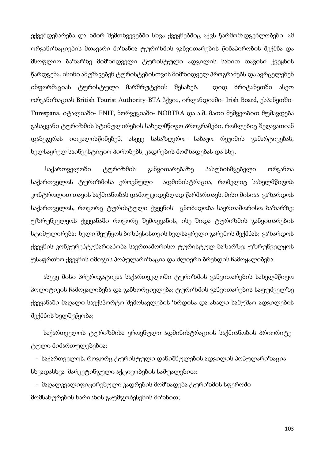ექვემდებარება და ხშირ შემთხვევებში სხვა ქვეყნებშიც აქვს წარმომადგენლობები. ამ ორგანიზაციების მთავარი მიზანია ტურიზმის განვითარების წინაპირობის შექმნა და მსოფლიო ბაზარზე მიმზიდველი ტურისტული ადგილის სახით თავისი ქვეყნის წარდგენა. ისინი ამუშავებენ ტურისტებისთვის მიმზიდველ პროგრამებს და ავრცელებენ ინფორმაციას ტურისტული მარშრუტების შესახებ. დიდ ბრიტანეთში ასეთ ორგანიზაციას British Tourist Authority-BTA ჰქვია, ირლანდიაში- Irish Board, ესპანეთში-Turespana, იტალიაში- ENIT, ნორვეგიაში- NORTRA და ა.შ. მათი მეშვეობით მუშავდება გასაყვანი ტურიზმის სტიმულირების სახელმწიფო პროგრამები, რომლებიც შეღავათიან დაბეგვრას ითვალისწინებენ, ასევე სასაზღვრო- საბაჟო რეჟიმის გამარტივებას, ხელსაყრელ საინვესტიციო პირობებს, კადრების მომზადებას და სხვ.

 საქართველოში ტურიზმის განვითარებაზე პასუხისმგებელი ორგანოა საქართველოს ტურიზმისა ეროვნული ადმინისტრაცია, რომელიც სახელმწიფოს კონტროლით თავის საქმიანობას დამოუკიდებლად წარმართავს. მისი მისიაა გაზარდოს საქართველოს, როგორც ტურისტული ქვეყნის ცნობადობა საერთაშორისო ბაზარზე; უზრუნველყოს ქვეყანაში როგორც შემოყვანის, ისე შიდა ტურიზმის განვითარების სტიმულირება; ხელი შეუწყოს ბიზნესისთვის ხელსაყრელი გარემოს შექმნას; გაზარდოს ქვეყნის კონკურენტუნარიანობა საერთაშორისო ტურისტულ ბაზარზე; უზრუნველყოს უსაფრთხო ქვეყნის იმიჯის პოპულარიზაცია და ძლიერი ბრენდის ჩამოყალიბება.

 ასევე მისი პრეროგატივაა საქართველოში ტურიზმის განვითარების სახელმწიფო პოლიტიკის ჩამოყალიბება და განხორციელება; ტურიზმის განვითარების საფუძველზე ქვეყანაში მაღალი საექსპორტო შემოსავლების ზრდისა და ახალი სამუშაო ადგილების შექმნის ხელშეწყობა;

 საქართველოს ტურიზმისა ეროვნული ადმინისტრაციის საქმიანობის პრიორიტეტული მიმართულებებია:

 - საქართველოს, როგორც ტურისტული დანიშნულების ადგილის პოპულარიზაცია სხვადასხვა მარკეტინგული აქტივობების საშუალებით;

 - მაღალკვალიფიცირებული კადრების მომზადება ტურიზმის სფეროში მომსახურების ხარისხის გაუმჯობესების მიზნით;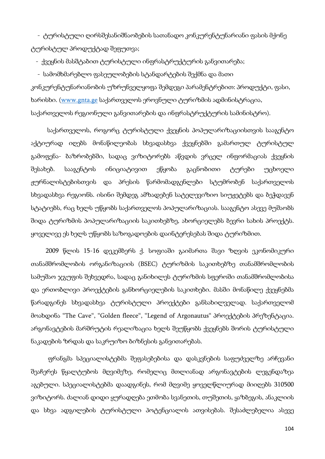- ტურისტული ღირსშესანიშნაობების სათანადო კონკურენტუნარიანი ფასის მქონე ტურისტულ პროდუქტად შეფუთვა;

- ქვეყნის მასშტაბით ტურისტული ინფრასტრუქტურის განვითარება;

- სამომხმარებლო ფასეულობების სტანდარტების შექმნა და მათი

კონკურენტუნარიანობის უზრუნველყოფა შემდეგი პარამენტრებით: პროდუქტი, ფასი, ხარისხი. (www.gnta.ge საქართველოს ეროვნული ტურიზმის ადმინისტრაცია, საქართველოს რეგიონული განვითარების და ინფრასტრუქტურის სამინისტრო).

 საქართველოს, როგორც ტურისტული ქვეყნის პოპულარიზაციისთვის სააგენტო აქტიურად იღებს მონაწილეობას სხვადასხვა ქვეყნებში გამართულ ტურისტულ გამოფენა- ბაზრობებში, სადაც ვიზიტორებს აწვდის ვრცელ ინფორმაციას ქვეყნის შესახებ. სააგენტოს ინიციატივით ეწყობა გაცნობითი ტურები უცხოელი ჟურნალისტებისთვის და პრესის წარმომადგენლები სტუმრობენ საქართველოს სხვადასხვა რეგიონს. ისინი შემდეგ ამზადებენ სატელევიზიო სიუჟეტებს და ბეჭდავენ სტატიებს, რაც ხელს უწყობს საქართველოს პოპულარიზაციას. სააგენტო ასევე მუშაობს შიდა ტურიზმის პოპულარიზაციის საკითხებზე, ახორციელებს ბევრი სახის პროექტს. ყოველივე ეს ხელს უწყობს საზოგადოების დაინტერესებას შიდა ტურიზმით.

 2009 წლის 15-16 დეკემბერს ქ. სოფიაში გაიმართა შავი ზღვის ეკონომიკური თანამშრომლობის ორგანიზაციის (BSEC) ტურიზმის საკითხებზე თანამშრომლობის სამუშაო ჯგუფის შეხვედრა, სადაც განიხილეს ტურიზმის სფეროში თანამშრომლობისა და ერთობლივი პროექტების განხორციელების საკითხები. მასში მონაწილე ქვეყნებმა წარადგინეს სხვადასხვა ტურისტული პროექტები განსახილველად. საქართველომ მოახდინა "The Cave", "Golden fleece", "Legend of Argonautus" პროექტების პრეზენტაცია. არგონავტების მარშრუტის რეალიზაცია ხელს შეუწყობს ქვეყნებს შორის ტურისტული ნაკადების ზრდას და საკრუიზო ბიზნესის განვითარებას.

 ფრანგმა სპეციალისტებმა შეფასებებისა და დასკვნების საფუძველზე არჩევანი შეაჩერეს წყალტუბოს მღვიმეზე, რომელიც მთლიანად არგონავტების ლეგენდაზეა აგებული. სპეციალისტებმა დაადგინეს, რომ მღვიმე ყოველწლიურად მიიღებს 310500 ვიზიტორს. ძალიან დიდი ყურადღება ეთმობა სვანეთის, თუშეთის, ყაზბეგის, ანაკლიის და სხვა ადგილების ტურისტული პოტენციალის ათვისებას. შესაძლებელია ასევე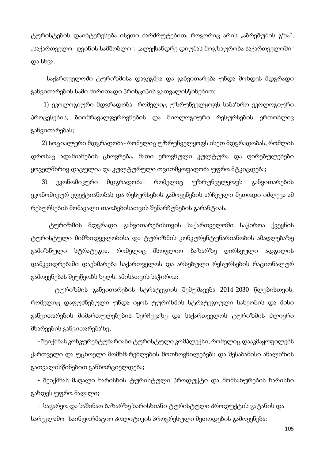ტურისტების დაინტერესება ისეთი მარშრუტებით, როგორიც არის "აბრეშუმის გზა", "საქართველო- ღვინის სამშობლო", "ალექსანდრე დიუმას მოგზაურობა საქართველოში" და სხვა.

 საქართველოში ტურიზმისა დაგეგმვა და განვითარება უნდა მოხდეს მდგრადი განვითარების სამი ძირითადი პრინციპის გათვალისწინებით:

 1) ეკოლოგიური მდგრადობა- რომელიც უზრუნველყოფს საბაზრო ეკოლოგიური პროცესების, ბიომრავალფეროვნების და ბიოლოგიური რესურსების ერთობლივ განვითარებას;

 2) სოციალური მდგრადობა- რომელიც უზრუნველყოფს ისეთ მდგრადობას, რომლის დროსაც ადამიანების ცხოვრება, მათი ეროვნული კულტურა და ღირებულებები ყოველმხრივ დაცულია და კულტურული თვითმყოფადობა უფრო მტკიცდება;

 3) ეკონომიკური მდგრადობა- რომელიც უზრუნველყოფს განვითარების ეკონომიკურ ეფექტიანობას და რესურსების გამოყენების არჩეული მეთოდი იძლევა ამ რესურსების მომავალი თაობებისათვის შენარჩუნების გარანტიას.

 ტურიზმის მდგრადი განვითარებისთვის საქართველოში საჭიროა ქვეყნის ტურისტული მიმზიდველობისა და ტურიზმის კონკურენტუნარიანობის ამაღლებაზე გამიზნული სტრატეგია, რომელიც მსოფლიო ბაზარზე ღირსეული ადგილის დამკვიდრებაში დაეხმარება საქართველოს და არსებული რესურსების რაციონალურ გამოყენებას შეუწყობს ხელს. ამისათვის საჭიროა:

 - ტურიზმის განვითარების სტრატეგიის შემუშავება 2014-2030 წლებისთვის, რომელიც დაფუძნებული უნდა იყოს ტურიზმის სტრატეგიული სახეობის და მისი განვითარების მიმართულებების შერჩევაზე და საქართველოს ტურიზმის ძლიერი მხარეების განვითარებაზე;

 - შეიქმნას კონკურენტუნარიანი ტურისტული კომპლექსი, რომელიც დააკმაყოფილებს ქართველი და უცხოელი მომხმარებლების მოთხოვნილებებს და შესაბამისი ანალიზის გათვალისწინებით განხორციელდება;

 - შეიქმნას მაღალი ხარისხის ტურისტული პროდუქტი და მომსახურების ხარისხი გახდეს უფრო მაღალი;

 - საგარეო და საშინაო ბაზარზე ხარისხიანი ტურისტული პროდუქტის გატანის და სარეკლამო- საინფორმაციო პოლიტიკის პროგრესული მეთოდების გამოყენება;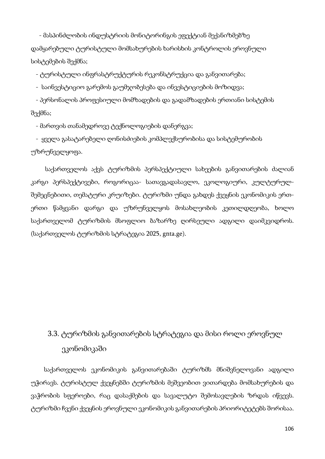- მასპინძლობის ინდუსტრიის მონიტორინგის ეფექტიან მექანიზმებზე დამყარებული ტურისტული მომსახურების ხარისხის კონტროლის ეროვნული სისტემების შექმნა;

- ტურისტული ინფრასტრუქტურის რეკონსტრუქცია და განვითარება;

- საინვესტიციო გარემოს გაუმჯობესება და ინვესტიციების მოზიდვა;

 - პერსონალის პროფესიული მომზადების და გადამზადების ერთიანი სისტემის შექმნა;

- მართვის თანამედროვე ტექნოლოგიების დანერგვა;

 - ყველა გასატარებელი ღონისძიების კომპლექსურობისა და სისტემურობის უზრუნველყოფა.

 საქართველოს აქვს ტურიზმის პერსპექტიული სახეების განვითარების ძალიან კარგი პერსპექტივები, როგორიცაა- სათავგადასავლო, ეკოლოგიური, კულტურულშემეცნებითი, თემატური კრუიზები. ტურიზმი უნდა გახდეს ქვეყნის ეკონომიკის ერთერთი წამყვანი დარგი და უზრუნველყოს მოსახლეობის კეთილდღეობა, ხოლო საქართველომ ტურიზმის მსოფლიო ბაზარზე ღირსეული ადგილი დაიმკვიდროს. (საქართველოს ტურიზმის სტრატეგია 2025, gnta.ge).

# 3.3. ტურიზმის განვითარების სტრატეგია და მისი როლი ეროვნულ ეკონომიკაში

 საქართველოს ეკონომიკის განვითარებაში ტურიზმს მნიშვნელოვანი ადგილი უჭირავს. ტურისტულ ქვეყნებში ტურიზმის მეშვეობით ვითარდება მომსახურების და ვაჭრობის სფეროები, რაც დასაქმების და სავალუტო შემოსავლების ზრდას იწვევს. ტურიზმი ჩვენი ქვეყნის ეროვნული ეკონომიკის განვითარების პრიორიტეტებს შორისაა.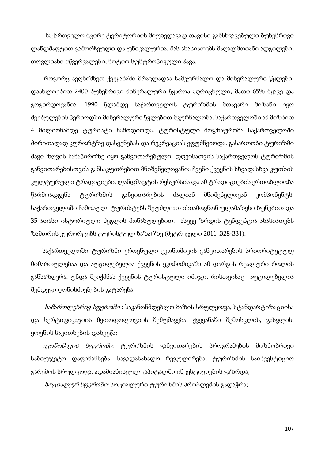საქართველო მცირე ტერიტორიის მიუხედავად თავისი განსხვავებული ბუნებრივი ლანდშაფტით გამორჩეული და უნიკალურია. მას ახასიათებს მაღალმთიანი ადგილები, თოვლიანი მწვერვალები, ნოტიო სუბტროპიკული ჰავა.

 როგორც ავღნიშნეთ ქვეყანაში მრავლადაა სამკურნალო და მინერალური წყლები, დაახლოებით 2400 ბუნებრივი მინერალური წყაროა აღრიცხული, მათი 65% მჟავე და გოგირდოვანია. 1990 წლამდე საქართველოს ტურიზმის მთავარი მიზანი იყო შვებულების პერიოდში მინერალური წყლებით მკურნალობა. საქართველოში ამ მიზნით 4 მილიონამდე ტურისტი ჩამოდიოდა. ტურისტული მოგზაურობა საქართველოში ძირითადად კურორტზე დასვენებას და რეკრეაციას ეფუძნებოდა. გასართობი ტურიზმი შავი ზღვის სანაპიროზე იყო განვითარებული. დღეისათვის საქართველოს ტურიზმის განვითარებისთვის განსაკუთრებით მნიშვნელოვანია ჩვენი ქვეყნის სხვადასხვა კუთხის კულტურული ტრადიციები. ლანდშაფტის რესურსის და ამ ტრადიციების ერთობლიობა წარმოადგენს ტურიზმის განვითარების ძალიან მნიშვნელოვან კომპონენტს. საქართველოში ჩამოსულ ტურისტებს შეუძლიათ ისიამოვნონ ულამაზესი ბუნებით და 35 ათასი ისტორიული ძეგლის მონახულებით. ასევე ზრდის ტენდენცია ახასიათებს ზამთრის კურორტებს ტურისტულ ბაზარზე (მეტრეველი 2011 :328-331).

 საქართველოში ტურიზმი ეროვნული ეკონომიკის განვითარების პრიორიტეტულ მიმართულებაა და აუცილებელია ქვეყნის ეკონომიკაში ამ დარგის რეალური როლის განსაზღვრა. უნდა შეიქმნას ქვეყნის ტურისტული იმიჯი, რისთვისაც აუცილებელია შემდეგი ღონისძიებების გატარება:

სა*მართლებრივ სფეროში* : საკანონმდებლო ბაზის სრულყოფა, სტანდარტიზაციისა და სერტიფიკაციის მეთოდოლოგიის შემუშავება, ქვეყანაში შემოსვლის, გასვლის, ყოფნის საკითხების დახვეწა;

 ეკონომიკის სფეროში: ტურიზმის განვითარების პროგრამების მიზნობრივი საბიუჯეტო დაფინანსება, საგადასახადო რეგულირება, ტურიზმის საინვესტიციო გარემოს სრულყოფა, ადამიანისეულ კაპიტალში ინვესტიციების გაზრდა;

სოციალურ სფეროში: სოციალური ტურიზმის პრობლემის გადაჭრა;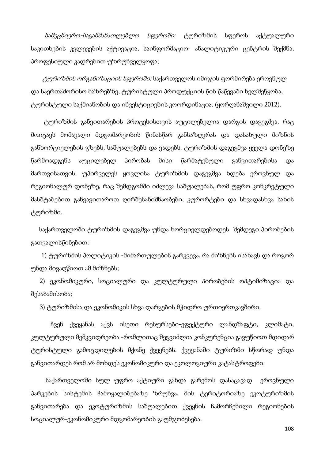სამეცნიერო-საგანმანათლებლო სფეროში: ტურიზმის სფეროს აქტუალური საკითხების კვლევების აქტივაცია, საინფორმაციო- ანალიტიკური ცენტრის შექმნა, პროფესიული კადრებით უზრუნველყოფა;

 ტურიზმის ორგანიზაციის სფეროში: საქართველოს იმიჯის ფორმირება ეროვნულ და საერთაშორისო ბაზრებზე, ტურისტული პროდუქციის წინ წაწევაში ხელშეწყობა, ტურისტული საქმიანობის და ინვესტიციების კოორდინაცია. (ყორღანაშვილი 2012).

 ტურიზმის განვითარების პროცესისთვის აუცილებელია დარგის დაგეგმვა, რაც მოიცავს მომავალი მდგომარეობის წინასწარ განსაზღვრას და დასახული მიზნის განხორციელების გზებს, საშუალებებს და ვადებს. ტურიზმის დაგეგმვა ყველა დონეზე წარმოადგენს აუცილებელ პირობას მისი წარმატებული განვითარებისა და მართვისათვის. უპირველეს ყოვლისა ტურიზმის დაგეგმვა ხდება ეროვნულ და რეგიონალურ დონეზე, რაც შემდგომში იძლევა საშუალებას, რომ უფრო კონკრეტული მასშტაბებით განვავითაროთ ღირშესანიშნაობები, კურორტები და სხვადასხვა სახის ტურიზმი.

 საქართველოში ტურიზმის დაგეგმვა უნდა ხორციელდებოდეს შემდეგი პირობების გათვალისწინებით:

 1) ტურიზმის პოლიტიკის -მიმართულების გარკვევა, რა მიზნებს ისახავს და როგორ უნდა მივაღწიოთ ამ მიზნებს;

 2) ეკონომიკური, სოციალური და კულტურული პირობების ოპტიმიზაცია და შესაბამისობა;

3) ტურიზმისა და ეკონომიკის სხვა დარგების მჭიდრო ურთიერთკავშირი.

 ჩვენ ქვეყანას აქვს ისეთი რესურსები-ეფექტური ლანდშაფტი, კლიმატი, კულტურული მემკვიდრეობა -რომლითაც შეგვიძლია კონკურენცია გავუწიოთ მდიდარ ტურისტული გამოცდილების მქონე ქვეყნებს. ქვეყანაში ტურიზმი სწორად უნდა განვითარდეს რომ არ მოხდეს ეკონომიკური და ეკოლოგიური კატასტროფები.

 საქართველოში სულ უფრო აქტიური გახდა გარემოს დასაცავად ეროვნული პარკების სისტემის ჩამოყალიბებაზე ზრუნვა, მის ტერიტორიაზე ეკოტურიზმის განვითარება და ეკოტურიზმის საშუალებით ქვეყნის ჩამორჩენილი რეგიონების სოციალურ-ეკონომიკური მდგომარეობის გაუმჯობესება.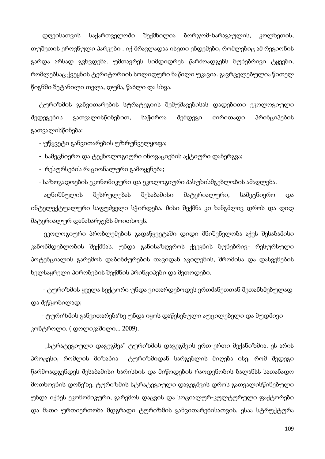დღეისათვის საქართველოში შექმნილია ბორჯომ-ხარაგაულის, კოლხეთის, თუშეთის ეროვნული პარკები . იქ მრავლადაა ისეთი ენდემები, რომლებიც ამ რეგიონის გარდა არსად გვხვდება. უმთავრეს სიმდიდრეს წარმოადგენს ბუნებრივი ტყეები, რომლებსაც ქვეყნის ტერიტორიის სოლიდური ნაწილი უკავია. გავრცელებულია წითელ წიგნში შეტანილი თელა, დუმა, წაბლი და სხვა.

 ტურიზმის განვითარების სტრატეგიის შემუშავებისას დადებითი ეკოლოგიული შედეგების გათვალისწინებით, საჭიროა შემდეგი ძირითადი პრინციპების გათვალისწინება:

- უწყვეტი განვითარების უზრუნველყოფა;

- სამეცნიერო და ტექნოლოგიური ინოვაციების აქტიური დანერგვა;

- რესურსების რაციონალური გამოყენება;

- საზოგადოების ეკონომიკური და ეკოლოგიური პასუხისმგებლობის ამაღლება.

 აღნიშნულის შესრულებას შესაბამისი მატერიალური, სამეცნიერო და ინტელექტუალური საფუძველი სჭირდება. მისი შექმნა კი ხანგძლივ დროს და დიდ მატერიალურ დანახარჯებს მოითხოვს.

 ეკოლოგიური პრობლემების გადაწყვეტაში დიდი მნიშვნელობა აქვს შესაბამისი კანონმდებლობის შექმნას. უნდა განისაზღვროს ქვეყნის ბუნებრივ- რესურსული პოტენციალის გარემოს დაბინძურების თავიდან აცილების, შრომისა და დასვენების ხელსაყრელი პირობების შექმნის პრინციპები და მეთოდები.

 - ტურიზმის ყველა სექტორი უნდა ვითარდებოდეს ერთმანეთთან შეთანხმებულად და შეწყობილად;

 - ტურიზმის განვითარებაზე უნდა იყოს დაწესებული აუცილებელი და მუდმივი კონტროლი. ( დოლიკაშილი... 2009).

"სტრატეგიული დაგეგმვა" ტურიზმის დაგეგმვის ერთ-ერთი მექანიზმია. ეს არის პროცესი, რომლის მიზანია ტურიზმიდან სარგებლის მიღება ისე, რომ შედეგი წარმოადგენდეს შესაბამისი ხარისხის და მიწოდების რაოდენობის ბალანსს სათანადო მოთხოვნის დონეზე. ტურიზმის სტრატეგიული დაგეგმვის დროს გათვალისწინებული უნდა იქნეს ეკონომიკური, გარემოს დაცვის და სოციალურ-კულტურული ფაქტორები და მათი ურთიერთობა მდგრადი ტურიზმის განვითარებისათვის. ესაა სტრუქტურა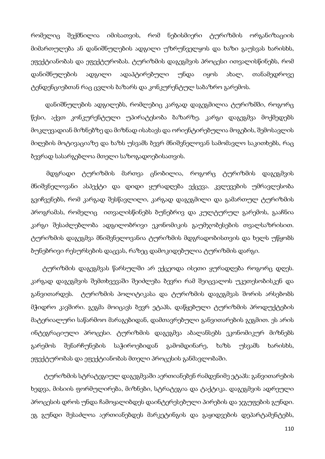რომელიც შექმნილია იმისათვის, რომ ნებისმიერი ტურიზმის ორგანიზაციის მიმართულება ან დანიშნულების ადგილი უზრუნველყოს და ხაზი გაუსვას ხარისხს, ეფექტიანობას და ეფექტურობას. ტურიზმის დაგეგმვის პროცესი ითვალისწინებს, რომ დანიშნულების ადგილი ადაპტირებული უნდა იყოს ახალ, თანამედროვე ტენდენციებთან რაც ცვლის ბაზარს და კონკურენტულ საბაზრო გარემოს.

 დანიშნულების ადგილებს, რომლებიც კარგად დაგეგმილია ტურიზმში, როგორც წესი, აქვთ კონკურენტული უპირატესობა ბაზარზე. კარგი დაგეგმვა მოქმედებს მოკლევადიან მიზნებზე და მიზნად ისახავს და ორიენტირებულია მოგების, შემოსავლის მიღების მოტივაციაზე და ხაზს უსვამს ბევრ მნიშვნელოვან სამომავლო საკითხებს, რაც ბევრად სასარგებლოა მთელი საზოგადოებისათვის.

მდგრადი ტურიზმის მართვა ცნობილია, როგორც ტურიზმის დაგეგმვის მნიშვნელოვანი ასპექტი და დიდი ყურადღება ექცევა. კვლევების უმრავლესობა გვიჩვენებს, რომ კარგად შესწავლილი, კარგად დაგეგმილი და გამართულ ტურიზმის პროგრამას, რომელიც ითვალისწინებს ბუნებრივ და კულტურულ გარემოს, გააჩნია კარგი შესაძლებლობა ადგილობრივი ეკონომიკის გაუმჯობესების თვალსაზრისით. ტურიზმის დაგეგმვა მნიშვნელოვანია ტურიზმის მდგრადობისთვის და ხელს უწყობს ბუნებრივი რესურსების დაცვას, რაზეც დამოკიდებულია ტურიზმის დარგი.

 ტურიზმის დაგეგმვას წარსულში არ ექცეოდა ისეთი ყურადღება როგორც დღეს. კარგად დაგეგმვის შემთხვევაში შეიძლება ბევრი რამ შეიცვალოს უკეთესობისკენ და განვითარდეს. ტურიზმის პოლიტიკასა და ტურიზმის დაგეგმვას შორის არსებობს მჭიდრო კავშირი. გეგმა მოიცავს ბევრ ეტაპს, დაწყებული ტურიზმის პროდუქტების მატერიალური საწარმოო მარაგებიდან, დამთავრებული განვითარების გეგმით. ეს არის ინტეგრაციული პროცესი. ტურიზმის დაგეგმვა აბალანსებს ეკონომიკურ მიზნებს გარემოს შენარჩუნების საჭიროებიდან გამომდინარე, ხაზს უსვამს ხარისხს, ეფექტურობას და ეფექტიანობას მთელი პროცესის განმავლობაში.

 ტურიზმის სტრატეგიულ დაგეგმვაში აერთიანებენ რამდენიმე ეტაპს: განვითარების ხედვა, მისიის ფორმულირება, მიზნები, სტრატეგია და ტაქტიკა. დაგეგმვის ადრეული პროცესის დროს უნდა ჩამოყალიბდეს დაინტერესებული პირების და ჯგუფების გუნდი. ეგ გუნდი შესაძლოა აერთიანებდეს მარკეტინგის და გაყიდვების დეპარტამენტებს,

110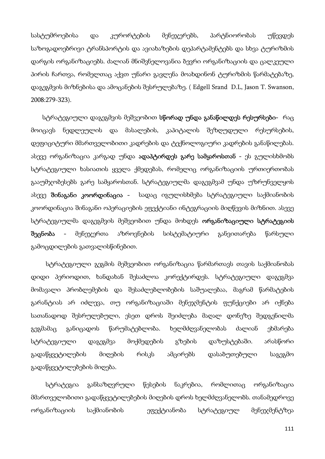სასტუმროებისა და კურორტების მენეჯერებს, პარტნიორობას უწევდეს საზოგადოებრივი ტრანსპორტის და ავიახაზების დეპარტამენტებს და სხვა ტურიზმის დარგის ორგანიზაციებს. ძალიან მნიშვნელოვანია ბევრი ორგანიზაციის და ცალკეული პირის ჩართვა, რომელთაც აქვთ უნარი გავლენა მოახდინონ ტურიზმის წარმატებაზე, დაგეგმვის მიზნებისა და ამოცანების შესრულებაზე. ( Edgell Srand D.L, Jason T. Swanson, 2008:279-323).

 სტრატეგიული დაგეგმვის მეშვეობით სწორად უნდა განაწილდეს რესურსები- რაც მოიცავს ნედლეულის და მასალების, კაპიტალის შეზღუდული რესურსების, დეფიციტური მმართველობითი კადრების და ტექნოლოგიური კადრების განაწილებას. ასევე ორგანიზაცია კარგად უნდა ადაპტირდეს გარე სამყაროსთან - ეს გულისხმობს სტრატეგიული ხასიათის ყველა ქმედებას, რომელიც ორგანიზაციის ურთიერთობას გააუმჯობესებს გარე სამყაროსთან. სტრატეგიულმა დაგეგმვამ უნდა უზრუნველყოს ასევე შინაგანი კოორდინაცია - სადაც იგულისხმება სტრატეგიული საქმიანობის კოორდინაცია შინაგანი ოპერაციების ეფექტიანი ინტეგრაციის მიღწევის მიზნით. ასევე სტრატეგიულმა დაგეგმვის მეშვეობით უნდა მოხდეს ორგანიზაციული სტრატეგიის შეცნობა - მენეჯერთა აზროვნების სისტემატიური განვითარება წარსული გამოცდილების გათვალისწინებით.

 სტრატეგიული გეგმის მეშვეობით ორგანიზაცია წარმართავს თავის საქმიანობას დიდი პერიოდით, ხანდახან შესაძლოა კორექტირდეს. სტრატეგიული დაგეგმვა მომავალი პრობლემების და შესაძლებლობების საშუალებაა, მაგრამ წარმატების გარანტიას არ იძლევა, თუ ორგანიზაციაში მენეჯმენტის ფუნქციები არ იქნება სათანადოდ შესრულებული, ესეთ დროს შეიძლება მაღალ დონეზე შედგენილმა გეგმამაც განიცადოს წარუმატებლობა. ხელმძღვანელობას ძალიან ეხმარება სტრატეგიული დაგეგმვა მოქმედების გზების დაზუსტებაში. არასწორი გადაწყვეტილების მიღების რისკს ამცირებს დასაბუთებული საგეგმო გადაწყვეტილებების მიღება.

 სტრატეგია განსაზღვრული წესების ნაკრებია, რომლითაც ორგანიზაცია მმართველობითი გადაწყვეტილებების მიღების დროს ხელმძღვანელობს. თანამედროვე ორგანიზაციის საქმიანობის ეფექტიანობა სტრატეგიულ მენეჯმენტზეა

111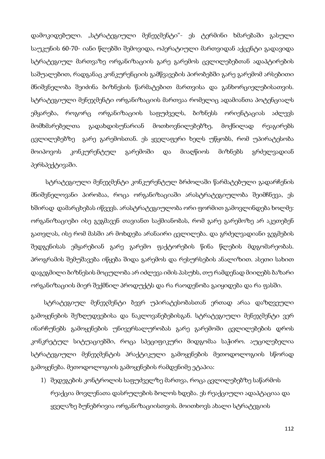დამოკიდებული. "სტრატეგიული მენეჯმენტი"- ეს ტერმინი ხმარებაში გასული საუკუნის 60-70- იანი წლებში შემოვიდა, ოპერატიული მართვიდან აქცენტი გადავიდა სტრატეგიულ მართვაზე ორგანიზაციის გარე გარემოს ცვლილებებთან ადაპტირების საშუალებით, რადგანაც კონკურენციის გამწვავების პირობებში გარე გარემომ არსებითი მნიშვნელობა შეიძინა ბიზნესის წარმატებით მართვისა და განხორციელებისათვის. სტრატეგიული მენეჯმენტი ორგანიზაციის მართვაა რომელიც ადამიანთა პოტენციალს ემყარება, როგორც ორგანიზაციის საფუძველს, ბიზნესს ორიენტაციას აძლევს მომხმარებელთა გადახდისუნარიან მოთხოვნილებებზე, მოქნილად რეაგირებს ცვლილებებზე გარე გარემოსთან. ეს ყველაფერი ხელს უწყობს, რომ უპირატესობა მოიპოვოს კონკურენტულ გარემოში და მიაღწიოს მიზნებს გრძელვადიან პერსპექტივაში.

 სტრატეგიული მენეჯმენტი კონკურენტულ ბრძოლაში წარმატებული გადარჩენის მნიშვნელოვანი პირობაა, როცა ორგანიზაციაში არასტრატეგიულობა შეიმჩნევა, ეს ხშირად დამარცხებას იწვევს. არასტრატეგიულობა ორი ფორმით გამოვლინდება ხოლმე: ორგანიზაციები ისე გეგმავენ თავიანთ საქმიანობას, რომ გარე გარემოზე არ აკეთებენ გათვლას, ისე რომ მასში არ მოხდება არანაირი ცვლილება. და გრძელვადიანი გეგმების შედგენისას ემყარებიან გარე გარემო ფაქტორების წინა წლების მდგომარეობას. პროგრამის შემუშავება იწყება შიდა გარემოს და რესურსების ანალიზით. ასეთი სახით დაგეგმილი ბიზნესის მოცულობა არ იძლევა იმის პასუხს, თუ რამდენად მიიღებს ბაზარი ორგანიზაციის მიერ შექმნილ პროდუქტს და რა რაოდენობა გაიყიდება და რა ფასში.

 სტრატეგიულ მენეჯმენტი ბევრ უპირატესობასთან ერთად არაა დაზღვეული გამოყენების შეზღუდვებისა და ნაკლოვანებებისგან. სტრატეგიული მენეჯმენტი ვერ ინარჩუნებს გამოყენების უნივერსალურობას გარე გარემოში ცვლილებების დროს კონკრეტულ სიტუაციებში, როცა სპეციფიკური მიდგომაა საჭირო. აუცილებელია სტრატეგიული მენეჯმენტის პრაქტიკული გამოყენების მეთოდოლოგიის სწორად გამოყენება. მეთოდოლოგიის გამოყენების რამდენიმე ეტაპია:

1) შედეგების კონტროლის საფუძველზე მართვა, როცა ცვლილებებზე საწარმოს რეაქცია მოვლენათა დასრულების ბოლოს ხდება. ეს რეაქციული ადაპტაციაა და ყველაზე ბუნებრივია ორგანიზაციისთვის. მოითხოვს ახალი სტრატეგიის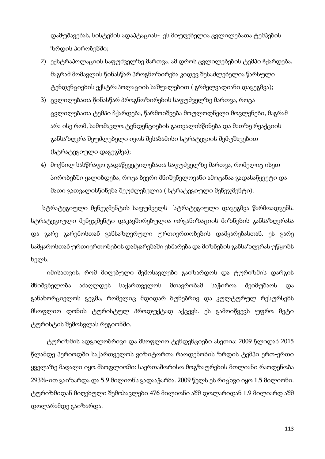დამუშავებას, სისტემის ადაპტაციას- ეს მიუღებელია ცვლილებათა ტემპების ზრდის პირობებში;

- 2) ექსტრაპოლაციის საფუძველზე მართვა. ამ დროს ცვლილებების ტემპი ჩქარდება, მაგრამ მომავლის წინასწარ პროგნოზირება კიდევ შესაძლებელია წარსული ტენდენციების ექსტრაპოლაციის საშუალებით ( გრძელვადიანი დაგეგმვა);
- 3) ცვლილებათა წინასწარ პროგნოზირების საფუძველზე მართვა, როცა ცვლილებათა ტემპი ჩქარდება, წარმოიშვება მოულოდნელი მოვლენები, მაგრამ არა ისე რომ, სამომავლო ტენდენციების გათვალისწინება და მათზე რეაქციის განსაზღვრა შეუძლებელი იყოს შესაბამისი სტრატეგიის შემუშავებით (სტრატეგიული დაგეგმვა);
- 4) მოქნილ სასწრაფო გადაწყვეტილებათა საფუძველზე მართვა, რომელიც ისეთ პირობებში ყალიბდება, როცა ბევრი მნიშვნელოვანი ამოცანაა გადასაწყვეტი და მათი გათვალისწინება შეუძლებელია ( სტრატეგიული მენე $\chi$ მენტი).

 სტრატეგიული მენეჯმენტის საფუძველს სტრატეგიული დაგეგმვა წარმოადგენს. სტრატეგიული მენეჯმენტი დაკავშირებულია ორგანიზაციის მიზნების განსაზღვრასა და გარე გარემოსთან განსაზღვრული ურთიერთობების დამყარებასთან. ეს გარე სამყაროსთან ურთიერთობების დამყარებაში ეხმარება და მიზნების განსაზღვრას უწყობს ხელს.

 იმისათვის, რომ მიღებული შემოსავლები გაიზარდოს და ტურიზმის დარგის მნიშვნელობა ამაღლდეს საქართველოს მთავრობამ საჭიროა შეიმუშაოს და განახორციელოს გეგმა, რომელიც მდიდარ ბუნებრივ და კულტურულ რესურსებს მსოფლიო დონის ტურისტულ პროდუქტად აქცევს. ეს გამოიწვევს უფრო მეტი ტურისტის შემოსვლას რეგიონში.

 ტურიზმის ადგილობრივი და მსოფლიო ტენდენციები ასეთია: 2009 წლიდან 2015 წლამდე პერიოდში საქართველოს ვიზიტორთა რაოდენობის ზრდის ტემპი ერთ-ერთი ყველაზე მაღალი იყო მსოფლიოში: საერთაშორისო მოგზაურების მთლიანი რაოდენობა 293%-ით გაიზარდა და 5.9 მილიონს გადააჭარბა. 2009 წელს ეს რიცხვი იყო 1.5 მილიონი. ტურიზმიდან მიღებული შემოსავლები 476 მილიონი აშშ დოლარიდან 1.9 მილიარდ აშშ დოლარამდე გაიზარდა.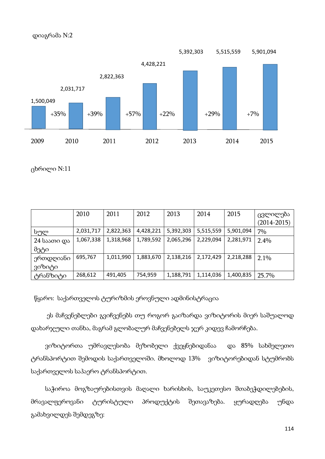

ცხრილი N:11

|             | 2010      | 2011      | 2012      | 2013      | 2014      | 2015      | ცვლილება<br>$(2014 - 2015)$ |
|-------------|-----------|-----------|-----------|-----------|-----------|-----------|-----------------------------|
| სულ         | 2,031,717 | 2,822,363 | 4,428,221 | 5,392,303 | 5,515,559 | 5,901,094 | 7%                          |
| 24 საათი და | 1,067,338 | 1,318,968 | 1,789,592 | 2,065,296 | 2,229,094 | 2,281,971 | 2.4%                        |
| მეტი        |           |           |           |           |           |           |                             |
| ერთდღიანი   | 695,767   | 1,011,990 | 1,883,670 | 2,138,216 | 2,172,429 | 2,218,288 | 2.1%                        |
| ვიზიტი      |           |           |           |           |           |           |                             |
| ტრანზიტი    | 268,612   | 491,405   | 754,959   | 1,188,791 | 1,114,036 | 1,400,835 | 25.7%                       |

წყარო: საქართველოს ტურიზმის ეროვნული ადმინისტრაცია

 ეს მაჩვენებლები გვიჩვენებს თუ როგორ გაიზარდა ვიზიტორის მიერ საშუალოდ დახარჯული თანხა, მაგრამ გლობალურ მაჩვენებელს ჯერ კიდევ ჩამორჩება.

 ვიზიტორთა უმრავლესობა მეზობელი ქვეყნებიდანაა და 85% სახმელეთო ტრანსპორტით შემოდის საქართველოში. მხოლოდ 13% ვიზიტორებიდან სტუმრობს საქართველოს საჰაერო ტრანსპორტით.

 საჭიროა მოგზაურებისთვის მაღალი ხარისხის, საუკეთესო შთაბეჭდილებების, მრავალფეროვანი ტურისტული პროდუქტის შეთავაზება. ყურადღება უნდა გამახვილდეს შემდეგზე: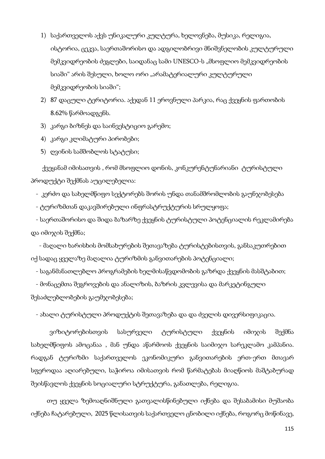- 1) საქართველოს აქვს უნიკალური კულტურა, ხელოვნება, მუსიკა, რელიგია, ისტორია, ცეკვა, საერთაშორისო და ადგილობრივი მნიშვნელობის კულტურული მემკვიდრეობის ძეგლები, საიდანაც სამი UNESCO-ს "მსოფლიო მემკვიდრეობის სიაში" არის შესული, ხოლო ორი "არამატერიალური კულტურული მემკვიდრეობის სიაში";
- 2) 87 დაცული ტერიტორია. აქედან 11 ეროვნული პარკია, რაც ქვეყნის ფართობის 8.62% წარმოადგენს.
- 3) კარგი ბიზნეს და საინვესტიციო გარემო;
- 4) კარგი კლიმატური პირობები;
- 5) ღვინის სამშობლოს სტატუსი;

 ქვეყანამ იმისათვის , რომ მსოფლიო დონის, კონკურენტუნარიანი ტურისტული პროდუქტი შექმნას აუცილებელია:

- კერძო და სახელმწიფო სექტორებს შორის უნდა თანამშრომლობის გაუნჯობესება
- ტურიზმთან დაკავშირებული ინფრასტრუქტურის სრულყოფა;

 - საერთაშორისო და შიდა ბაზარზე ქვეყნის ტურისტული პოტენციალის რეკლამირება და იმიჯის შექმნა;

 - მაღალი ხარისხის მომსახურების შეთავაზება ტურისტებისთვის, განსაკუთრებით იქ სადაც ყველაზე მაღალია ტურიზმის განვითარების პოტენციალი;

- საგანმანათლებლო პროგრამების ხელმისაწვდომობის გაზრდა ქვეყნის მასშტაბით;
- მონაცემთა შეგროვების და ანალიზის, ბაზრის კვლევისა და მარკეტინგული

შესაძლებლობების გაუმჯობესება;

- ახალი ტურისტული პროდუქტის შეთავაზება და და ძველის დივერსიფიკაცია.

 ვიზიტორებისთვის სასურველი ტურისტული ქვეყნის იმიჯის შექმნა სახელმწიფოს ამოცანაა , მან უნდა აწარმოოს ქვეყნის საიმიჯო სარეკლამო კამპანია. რადგან ტურიზმი საქართველოს ეკონომიკური განვითარების ერთ-ერთ მთავარ სფეროდაა აღიარებული, საჭიროა იმისათვის რომ წარმატებას მიაღწიოს მაშტაბურად შეისწავლოს ქვეყნის სოციალური სტრუქტურა, განათლება, რელიგია.

 თუ ყველა ზემოაღნიშნული გათვალისწინებული იქნება და შესაბამისი მუშაობა იქნება ჩატარებული, 2025 წლისათვის საქართველო ცნობილი იქნება, როგორც მოწინავე,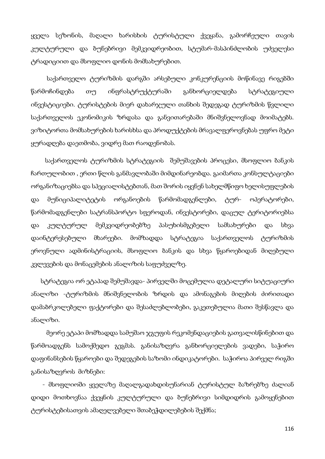ყველა სეზონის, მაღალი ხარისხის ტურისტული ქვეყანა, გამორჩეული თავის კულტურული და ბუნებრივი მემკვიდრეობით, სტუმარ-მასპინძლობის უძველესი ტრადიციით და მსოფლიო დონის მომსახურებით.

 საქართველო ტურიზმის დარგში არსებული კონკურენციის მოწინავე რიგებში წარმოჩინდება თუ ინფრასტრუქტურაში განხორციელდება სტრატეგიული ინვესტიციები. ტურისტების მიერ დახარჯული თანხის შედეგად ტურიზმის წვლილი საქართველოს ეკონომიკის ზრდასა და განვითარებაში მნიშვნელოვნად მოიმატებს. ვიზიტორთა მომსახურების ხარისხსა და პროდუქტების მრავალფეროვნებას უფრო მეტი ყურადღება დაეთმობა, ვიდრე მათ რაოდენობას.

 საქართველოს ტურიზმის სტრატეგიის შემუშავების პროცესი, მსოფლიო ბანკის ჩართულობით , ერთი წლის განმავლობაში მიმდინარეობდა. გაიმართა კონსულტაციები ორგანიზაციებსა და სპეციალისტებთან, მათ შორის იყვნენ სახელმწიფო ხელისუფლების და მუნიციპალიტეტის ორგანოების წარმომადგენლები, ტურ- ოპერატორები, წარმომადგენლები სატრანსპორტო სფეროდან, ინვესტორები, დაცულ ტერიტორიებსა და კულტურულ მემკვიდრეობებზე პასუხისმგებელი სამსახურები და სხვა დაინტერესებული მხარეები. მომზადდა სტრატეგია საქართველოს ტურიზმის ეროვნული ადმინისტრაციის, მსოფლიო ბანკის და სხვა წყაროებიდან მიღებული კვლევების და მონაცემების ანალიზის საფუძველზე.

 სტრატეგია ორ ეტაპად შემუშავდა- პირველში მოცემულია დეტალური სიტუაციური ანალიზი -ტურიზმის მნიშვნელობის ზრდის და ამონაგების მიღების ძირითადი დამაბრკოლებელი ფაქტორები და შესაძლებლობები, გაკეთებულია მათი შესწავლა და ანალიზი.

მეორე ეტაპი მომზადდა სამუშაო ჯგუფის რეკომენდაციების გათვალისწინებით და წარმოადგენს სამოქმედო გეგმას. განისაზღვრა განხორციელების ვადები, საჭირო დაფინანსების წყაროები და შედეგების საზომი ინდიკატორები. საჭიროა პირველ რიგში განისაზღვროს მიზნები:

- მსოფლიოში ყველაზე მაღალგადახდისუნარიან ტურისტულ ბაზრებზე ძალიან დიდი მოთხოვნაა ქვეყნის კულტურული და ბუნებრივი სიმდიდრის გამოყენებით ტურისტებისათვის ამაღელვებელი შთაბეჭდილებების შექმნა;

116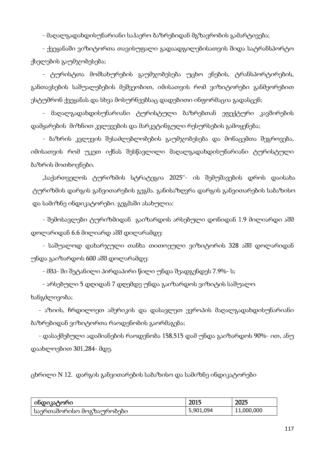- მაღალგადახდისუნარიანი საჰაერო ბაზრებიდან მგზავრობის გამარტივება;

- ქვეყანაში ვიზიტორთა თავისუფალი გადაადგილებისათვის შიდა სატრანსპორტო ქსელების გაუმჯობესება;

- ტურისტთა მომსახურების გაუმჯობესება უცხო ენების, ტრანსპორტირების, განთავსების საშუალებების მეშვეობით, იმისათვის რომ ვიზიტორები განმეორებით ესტუმრონ ქვეყანას და სხვა მოსურნეებსაც დადებითი ინფორმაცია გადასცენ;

- მაღალგადახდისუნარიანი ტურისტული ბაზრებთან ეფექტური კავშირების დამყარების მიზნით კვლევების და მარკეტინგული რესურსების გამოყენება;

- ბაზრის კვლევის შესაძლებლობების გაუმჯობესება და მონაცემთა შეგროვება, იმისათვის რომ უკეთ იქნას შესწავლილი მაღალგადახდისუნარიანი ტურისტული ბაზრის მოთხოვნები.

 "საქართველოს ტურიზმის სტრატეგია 2025"- ის შემუშავების დროს დაისახა ტურიზმის დარგის განვითარების გეგმა. განისაზღვრა დარგის განვითარების საბაზისო და სამიზნე ინდიკატორები. გეგმაში ასახულია:

- შემოსავლები ტურიზმიდან გაიზარდოს არსებული დონიდან 1.9 მილიარდი აშშ დოლარიდან 6.6 მილიარდ აშშ დილარამდე:

- საშუალოდ დახარჯული თანხა თითოეული ვიზიტორის 328 აშშ დოლარიდან უნდა გაიზარდოს 600 აშშ დოლარამდე:

- მშპ- ში შეტანილი პირდაპირი წილი უნდა შეადგენდეს 7.9%- ს;

- არსებული 5 დღიდან 7 დღემდე უნდა გაიზარდოს ვიზიტის საშუალო ხანგძლივობა;

- აზიის, ჩრდილოეთ ამერიკის და დასავლეთ ევროპის მაღალგადახდისუნარიანი ბაზრებიდან ვიზიტორთა რაოდენობის გაორმაგება;

- დასაქმებული ადამიანების რაოდენობა 158,515 დამ უნდა გაიზარდოს 90%- ით, ანუ დაახლოებით 301,284- მდე.

ცხრილი N 12. დარგის განვითარების საბაზისო და სამიზნე ინდიკატორები

| ინდიკატორი                | 2015      | 2025       |
|---------------------------|-----------|------------|
| საერთაშორისო მოგზაურობები | 5,901,094 | 11,000,000 |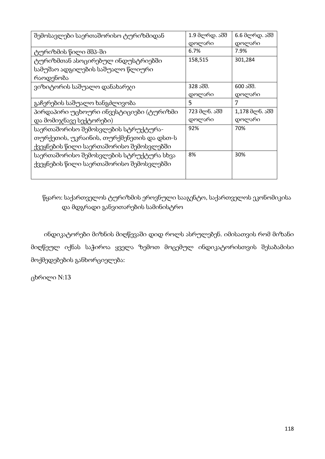| შემოსავლები საერთაშორისო ტურიზმიდან      | 1.9 მლრდ. აშშ | 6.6 მლრდ. აშშ  |
|------------------------------------------|---------------|----------------|
|                                          | დოლარი        | დოლარი         |
| ტურიზმის წილი მშპ-ში                     | 6.7%          | 7.9%           |
| ტურიზმთან ასოცირებულ ინდუსტრიებში        | 158,515       | 301,284        |
| სამუშაო ადგილების საშუალო წლიური         |               |                |
| რაოდენობა                                |               |                |
| ვიზიტორის საშუალო დანახარჯი              | 328 აშშ.      | 600 აშშ.       |
|                                          | დოლარი        | დოლარი         |
| გაჩერების საშუალო ხანგძლივობა            | 5             | 7              |
| პირდაპირი უცხოური ინვესტიციები (ტურიზმი  | 723 მლნ. აშშ  | 1,178 მლნ. აშშ |
| და მომიჯნავე სექტორები)                  | დოლარი        | დოლარი         |
| საერთაშორისო შემოსვლების სტრუქტურა-      | 92%           | 70%            |
| თურქეთის, უკრაინის, თურქმენეთის და დსთ-ს |               |                |
| ქვეყნების წილი საერთაშორისო შემოსვლებში  |               |                |
| საერთაშორისო შემოსვლების სტრუქტურა სხვა  | 8%            | 30%            |
| ქვეყნების წილი საერთაშორისო შემოსვლებში  |               |                |
|                                          |               |                |
|                                          |               |                |

წყარო: საქართველოს ტურიზმის ეროვნული სააგენტო, საქართველოს ეკონომიკისა და მდგრადი განვითარების სამინისტრო

 ინდიკატორები მიზნის მიღწევაში დიდ როლს ასრულებენ. იმისათვის რომ მიზანი მიღწეულ იქნას საჭიროა ყველა ზემოთ მოცემულ ინდიკატორისთვის შესაბამისი მოქმედებების განხორციელება:

ცხრილი N:13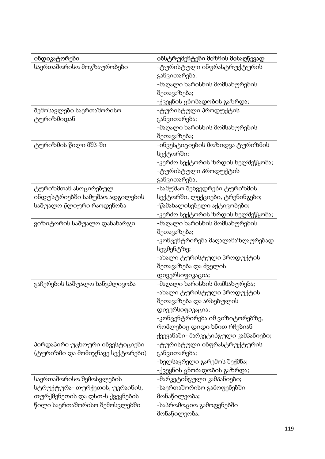| ინდიკატორები                     | ინსტრუმენტები მიზნის მისაღწევად     |
|----------------------------------|-------------------------------------|
| საერთაშორისო მოგზაურობები        | -ტურისტული ინფრასტრუქტურის          |
|                                  | განვითარება:                        |
|                                  | -მაღალი ხარისხის მომსახურების       |
|                                  | შეთავაზება;                         |
|                                  | -ქვეყნის ცნობადობის გაზრდა;         |
| შემოსავლები საერთაშორისო         | -ტურისტული პროდუქტის                |
| ტურიზმიდან                       | განვითარება;                        |
|                                  | -მაღალი ხარისხის მომსახურების       |
|                                  | შეთავაზება;                         |
| ტურიზმის წილი მშპ-ში             | -ინვესტიციების მოზიდვა ტურიზმის     |
|                                  | სექტორში;                           |
|                                  | -კერძო სექტორის ზრდის ხელშეწყობა;   |
|                                  | -ტურისტული პროდუქტის                |
|                                  | განვითარება;                        |
| ტურიზმთან ასოცირებულ             | -სამუშაო შეხვედრები ტურიზმის        |
| ინდუსტრიებში სამუშაო ადგილების   | სექტორში, ლექციები, ტრენინგები;     |
| საშუალო წლიური რაოდენობა         | -წამახალისებელი აქტივობები;         |
|                                  | -კერძო სექტორის ზრდის ხელშეწყობა;   |
| ვიზიტორის საშუალო დანახარჯი      | -მაღალი ხარისხის მომსახურების       |
|                                  | შეთავაზება;                         |
|                                  | -კონცენტრირება მაღალანაზღაურებად    |
|                                  | სეგმენტზე;                          |
|                                  | -ახალი ტურისტული პროდუქტის          |
|                                  | შეთავაზება და ძველის                |
|                                  | დივერსიფიკაცია;                     |
| გაჩერების საშუალო ხანგძლივობა    | -მაღალი ხარისხის მომსახურება;       |
|                                  | -ახალი ტურისტული პროდუქტის          |
|                                  | შეთავაზება და არსებულის             |
|                                  | დივერსიფიკაცია;                     |
|                                  | -კონცენტრირება იმ ვიზიტორებზე,      |
|                                  | რომლებიც დიდი ხნით რჩებიან          |
|                                  | ქვეყანაში- მარკეტინგული კამპანიები; |
| პირდაპირი უცხოური ინვესტიციები   | -ტურისტული ინფრასტრუქტურის          |
| (ტურიზმი და მომიჯნავე სექტორები) | განვითარება;                        |
|                                  | -ხელსაყრელი გარემოს შექმნა;         |
|                                  | -ქვეყნის ცნობადობის გაზრდა;         |
| საერთაშორისო შემოსვლების         | -მარკეტინგული კამპანიები;           |
| სტრუქტურა- თურქეთის, უკრაინის,   | -საერთაშორისო გამოფენებში           |
| თურქმენეთის და დსთ-ს ქვეყნების   | მონაწილეობა;                        |
| წილი საერთაშორისო შემოსვლებში    | -საპრომოციო გამოფენებში             |
|                                  | მონაწილეობა.                        |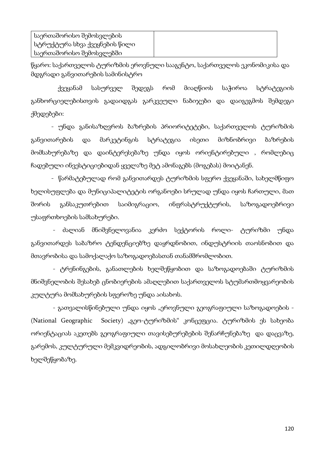| _საერთაშორისო შემოსვლების     |  |
|-------------------------------|--|
| სტრუქტურა სხვა ქვეყნების წილი |  |
| საერთაშორისო შემოსვლებში      |  |

წყარო: საქართველოს ტურიზმის ეროვნული სააგენტო, საქართველოს ეკონომიკისა და მდგრადი განვითარების სამინისტრო

 ქვეყანამ სასურველ შედეგს რომ მიაღწიოს საჭიროა სტრატეგიის განხორციელებისთვის გადაიდგას გარკვეული ნაბიჯები და დაიგეგმოს შემდეგი ქმედებები:

 - უნდა განისაზღვროს ბაზრების პრიორიტეტები, საქართველოს ტურიზმის განვითარების და მარკეტინგის სტრატეგია ისეთი მიზნობრივი ბაზრების მომსახურებაზე და დაინტერესებაზე უნდა იყოს ორიენტირებული , რომლებიც ჩადებული ინვესტიციებიდან ყველაზე მეტ ამონაგებს (მოგებას) მოიტანენ.

 - წარმატებულად რომ განვითარდეს ტურიზმის სფერო ქვეყანაში, სახელმწიფო ხელისუფლება და მუნიციპალიტეტის ორგანოები სრულად უნდა იყოს ჩართული, მათ შორის განსაკუთრებით საიმიგრაციო, ინფრასტრუქტურის, საზოგადოებრივი უსაფრთხოების სამსახურები.

 - ძალიან მნიშვნელოვანია კერძო სექტორის როლი- ტურიზმი უნდა განვითარდეს საბაზრო ტენდენციებზე დაყრდნობით, ინდუსტრიის თაოსნობით და მთავრობისა და სამოქალაქო საზოგადოებასთან თანამშრომლობით.

 - ტრენინგების, განათლების ხელშეწყობით და საზოგადოებაში ტურიზმის მნიშვნელობის შესახებ ცნობიერების ამაღლებით საქართველოს სტუმართმოყვარეობის კულტურა მომსახურების სფეროზე უნდა აისახოს.

- გათვალისწინებული უნდა იყოს "ეროვნული გეოგრაფიული საზოგადოების -(National Geographic Society) "გეო-ტურიზმის" კონცეფცია. ტურიზმის ეს სახეობა ორიენტაციას აკეთებს გეოგრაფიული თავისებურებების შენარჩუნებაზე და დაცვაზე, გარემოს, კულტურული მემკვიდრეობის, ადგილობრივი მოსახლეობის კეთილდღეობის ხელშეწყობაზე.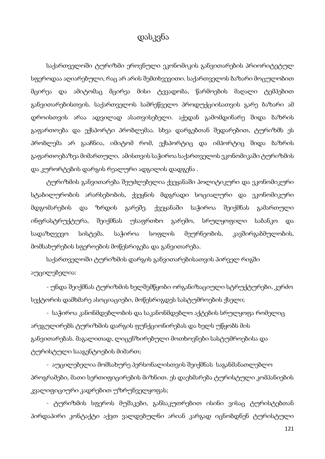# დასკვნა

საქართველოში ტურიზმი ეროვნული ეკონომიკის განვითარების პრიორიტეტულ სფეროდაა აღიარებული, რაც არ არის შემთხვევითი. საქართველოს ბაზარი მოცულობით მცირეა და ამიტომაც მცირეა მისი ტევადობა, წარმოების მაღალი ტემპებით განვითარებისთვის. საქართველოს სამრეწველო პროდუქციისათვის გარე ბაზარი ამ დროისთვის არაა ადვილად ასათვისებელი. აქედან გამომდინარე შიდა ბაზრის გაფართოება და ექსპორტი პრობლემაა. სხვა დარგებთან შედარებით, ტურიზმს ეს პრობლემა არ გააჩნია, იმიტომ რომ, ექსპორტიც და იმპორტიც შიდა ბაზრის გაფართოებაზეა მიმართული. ამისთვის საჭიროა საქართველოს ეკონომიკაში ტურიზმის და კურორტების დარგის რეალური ადგილის დადგენა .

ტურიზმის განვითარება შეუძლებელია ქვეყანაში პოლიტიკური და ეკონომიკური სტაბილურობის არარსებობის, ქვეყნის მდგრადი სოციალური და ეკონომიკური მდგომარების და ზრდის გარეშე. ქვეყანაში საჭიროა შეიქმნას გამართული ინფრასტრუქტურა, შეიქმნას უსაფრთხო გარემო, სრულყოფილი საბანკო და სადაზღვევო სისტემა. საჭიროა სოფლის მეურნეობის, კავშირგაბმულობის, მომსახურების სფეროების მოწესრიგება და განვითარება.

საქართველოში ტურიზმის დარგის განვითარებისათვის პირველ რიგში აუცილებელია:

- უნდა შეიქმნას ტურიზმის ხელშემწყობი ორგანიზაციული სტრუქტურები, კერძო სექტორის დამხმარე ასოციაციები, მოწესრიგდეს სასტუმროების ქსელი;

- საჭიროა კანონმდებლობის და საკანონმდებლო აქტების სრულყოფა რომელიც არეგულირებს ტურიზმის დარგის ფუნქციონირებას და ხელს უწყობს მის განვითარებას. მაგალითად, ლიცენზირებული მოთხოვნები სასტუმროებისა და ტურისტული სააგენტოების მიმართ;

- აუცილებელია მომსახურე პერსონალისთვის შეიქმნას საგანმანათლებლო პროგრამები, მათი სერთიფიცირების მიზნით. ეს დაეხმარება ტურისტული კომპანიების კვალიფიციური კადრებით უზრუნველყოფას;

- ტურიზმის სფეროს მუშაკები, განსაკუთრებით ისინი ვისაც ტურისტებთან პირდაპირი კონტაქტი აქვთ ვალდებულნი არიან კარგად იცნობდნენ ტურისტული

121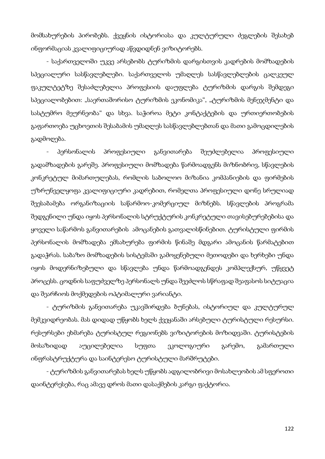მომსახურების პირობებს. ქვეყნის ისტორიასა და კულტურული ძეგლების შესახებ ინფორმაციას კვალიფიციურად აწვდიდნენ ვიზიტორებს.

- საქართველოში უკვე არსებობს ტურიზმის დარგისთვის კადრების მომზადების სპეციალური სასწავლებლები. საქართველოს უმაღლეს სასწავლებლების ცალკეულ ფაკულტეტზე შესაძლებელია პროფესიის დაუფლება ტურიზმის დარგის შემდეგი სპეციალობებით: "საერთაშორისო ტურიზმის ეკონომიკა", "ტურიზმის მენეჯმენტი და სასტუმრო მეურნეობა" და სხვა. საჭიროა მეტი კონტაქტების და ურთიერთობების გაფართოება უცხოეთის შესაბამის უმაღლეს სასწავლებლებთან და მათი გამოცდილების გადმოღება.

- პერსონალის პროფესიული განვითარება შეუძლებელია პროფესიული გადამზადების გარეშე. პროფესიული მომზადება წარმოადგენს მიზნობრივ, სწავლების კონკრეტულ მიმართულებას, რომლის საბოლოო მიზანია კომპანიების და ფირმების უზრუნველყოფა კვალიფიციური კადრებით, რომელთა პროფესიული დონე სრულიად შეესაბამება ორგანიზაციის საწარმოო-კომერციულ მიზნებს. სწავლების პროგრამა შედგენილი უნდა იყოს პერსონალის სტრუქტურის კონკრეტული თავისებურებებისა და ყოველი საწარმოს განვითარების ამოცანების გათვალისწინებით. ტურისტული ფირმის პერსონალის მომზადება ემსახურება ფირმის წინაშე მდგარი ამოცანის წარმატებით გადაჭრას. საბაზო მომზადების სისტემაში გამოყენებული მეთოდები და ხერხები უნდა იყოს მოდერნიზებული და სწავლება უნდა წარმოადგენდეს კომპლექსურ, უწყვეტ პროცესს. ცოდნის საფუძველზე პერსონალს უნდა შეეძლოს სწრაფად შეაფასოს სიტუაცია და შეარჩიოს მოქმედების ოპტიმალური ვარიანტი.

- ტურიზმის განვითარება უკავშირდება ბუნებას, ისტორიულ და კულტურულ მემკვიდრეობას. მას დიდად უწყობს ხელს ქვეყანაში არსებული ტურისტული რესურსი. რესურსები ეხმარება ტურისტულ რეგიონებს ვიზიტორების მოზიდვაში. ტურისტების მოსაზიდად აუცილებელია სუფთა ეკოლოგიური გარემო, გამართული ინფრასტრუქტურა და საინტერესო ტურისტული მარშრუტები.

- ტურიზმის განვითარებას ხელს უწყობს ადგილობრივი მოსახლეობის ამ სფეროთი დაინტერესება, რაც ამავე დროს მათი დასაქმების კარგი ფაქტორია.

122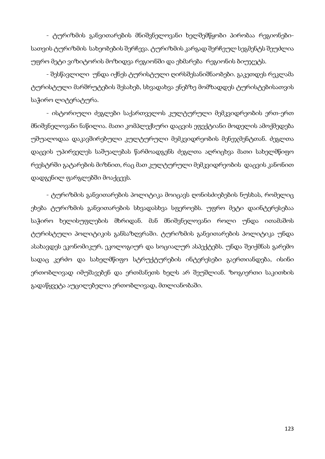- ტურიზმის განვითარების მნიშვნელოვანი ხელშემწყობი პირობაა რეგიონებისათვის ტურიზმის სახეობების შერჩევა. ტურიზმის კარგად შერჩეულ სეგმენტს შეუძლია უფრო მეტი ვიზიტორის მოზიდვა რეგიონში და ეხმარება რეგიონის ბიუჯეტს.

- შესწავლილი უნდა იქნეს ტურისტული ღირსშესანიშნაობები. გაკეთდეს რეკლამა ტურისტული მარშრუტების შესახებ, სხვადახვა ენებზე მომზადდეს ტურისტებისათვის საჭირო ლიტერატურა.

- ისტორიული ძეგლები საქართველოს კულტურული მემკვიდრეობის ერთ-ერთ მნიშვნელოვანი ნაწილია. მათი კომპლექსური დაცვის ეფექტიანი მოდელის ამოქმედება უშუალოდაა დაკავშირებული კულტურული მემკვიდრეობის მენეჯმენტთან. ძეგლთა დაცვის უპირველეს საშუალებას წარმოადგენს ძეგლთა აღრიცხვა მათი სახელმწიფო რეესტრში გატარების მიზნით, რაც მათ კულტურული მემკვიდრეობის დაცვის კანონით დადგენილ ფარგლებში მოაქცევს.

- ტურიზმის განვითარების პოლიტიკა მოიცავს ღონისძიებების ნუსხას, რომელიც ეხება ტურიზმის განვითარების სხვადასხვა სფეროებს. უფრო მეტი დაინტერესებაა საჭირო ხელისუფლების მხრიდან. მან მნიშვნელოვანი როლი უნდა ითამაშოს ტურისტული პოლიტიკის განსაზღვრაში. ტურიზმის განვითარების პოლიტიკა უნდა ასახავდეს ეკონომიკურ, ეკოლოგიურ და სოციალურ ასპექტებს. უნდა შეიქმნას გარემო სადაც კერძო და სახელმწიფო სტრუქტურების ინტერესები გაერთიანდება, ისინი ერთობლივად იმუშავებენ და ერთმანეთს ხელს არ შეუშლიან. ზოგიერთი საკითხის გადაწყვეტა აუცილებელია ერთობლივად, მთლიანობაში.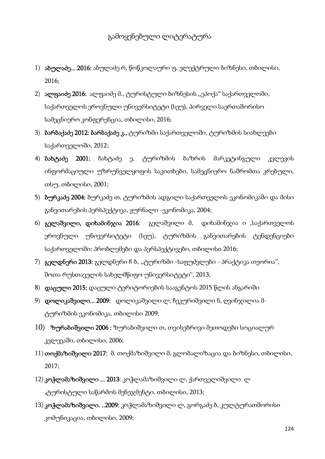- 1) აბულაძე... 2016: აბულაძე რ, წოწკოლაური ფ, ელექტრული ბიზნესი, თბილისი, 2016;
- 2) ალფაიძე 2016: ალფაიძე მ., ტურისტული ბიზნესის ,,ეპოქა" საქართველოში, საქართველოს ეროვნული უნივერსიტეტი (სეუ), პირველი საერთაშორისო სამეცნიერო კონფერენცია, თბილისი, 2016;
- 3) ბარბაქაძე 2012: ბარბაქაძე კ., ტურიზმი საქართველოში, ტურიზმის სიახლეები საქართველოში, 2012;
- 4) **ბახტაძე 2001:** ბახტაძე ე, ტურიზმის ბაზრის მარკეტინგული კვლევის ინფორმაციული უზრუნველყოფის საკითხები, სამეცნიერო ნაშრომთა კრებული, თსუ, თბილისი, 2001;
- 5) ბურკაძე 2004: ბურკაძე თ, ტურიზმის ადგილი საქართველოს ეკონომიკაში და მისი განვითარების პერსპექტივა, ჟურნალი -ეკონომიკა, 2004;
- 6) გელაშვილი, დიხამინჯია 2016: გელაშვილი მ, დიხამინჯია ი ,საქართველოს ეროვნული უნივერსიტეტი (სეუ), ტურიზმის განვითარების ტენდენციები საქართველოში: პრობლემები და პერსპექტივები, თბილისი 2016;
- 7) გელდნერი 2013: გელდნერი ჩ ბ, ,,ტურიზმი -საფუძვლები პრაქტიკა თეორია", შოთა რუსთაველის სახელმწიფო უნივერსიტეტი", 2013;
- 8) დაცული 2015: დაცული ტერიტორიების სააგენტოს 2015 წლის ანგარიში
- 9) **დოლიკაშვილი... 2009:** დოლიკაშვილი ლ, ჩეკურიშვილი ნ, ღვინჯილია მტურიზმის ეკონომიკა, თბილისი 2009;
- $10$ ) ზურაბიშვილი 2006 : ზურაბიშვილი თ, თვისებრივი მეთოდები სოციალურ კვლევაში, თბილისი, 2006;
- 11) თოქმაზიშვილი 2017: მ. თოქმაზიშვილი მ, გლობალიზაცია და ბიზნესი, თბილისი, 2017;
- 12) კოჭლამაზიშვილი ... 2013: კოჭლამაზიშვილი ლ, ქართველიშვილი ლ  $\alpha$ ,ტურისტული საწარმოს მენეჯმენტი, თბილისი, 2013;
- 13) **კოჭლამაზიშვილი. ..2009:** კოჭლამაზიშვილი ლ, გორგაძე ბ, კულტურათშორისი კომუნიკაცია, თბილისი, 2009;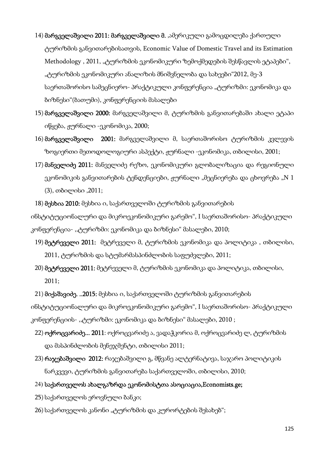- 14) მარგველაშვილი 2011: მარგველაშვილი მ. ,ამერიკული გამოცდილება ქართული ტურიზმის განვითარებისათვის, Economic Value of Domestic Travel and its Estimation Methodology, 2011, "ტურიზმის ეკონომიკური ზემოქმედების შესწავლის ეტაპები", "ტურიზმის ეკონომიკური ანალიზის მნიშვნელობა და სახეები"2012, მე-3 საერთაშორისო სამეცნიერო- პრაქტიკული კონფერენცია "ტურიზმი: ეკონომიკა და ბიზნესი"(ბათუმი), კონფერენციის მასალები
- 15) მარგველაშვილი 2000: მარგველაშვილი მ, ტურიზმის განვითარებაში ახალი ეტაპი იწყება, ჟურნალი -ეკონომიკა, 2000;
- 16) მარგველაშვილი 2001: მარგველაშვილი მ, საერთაშორისო ტურიზმის კვლევის ზოგიერთი მეთოდოლოგიური ასპექტი, ჟურნალი -ეკონომიკა, თბილისი, 2001;
- 17) მანველიძე 2011: მანველიძე რეზო, ეკონომიკური გლობალიზაცია და რეგიონული ეკონომიკის განვითარების ტენდენციები, ჟურნალი "მეცნიერება და ცხოვრება "N 1 (3), თბილისი ,2011;
- 18) მესხია 2010: მესხია ი, საქართველოში ტურიზმის განვითარების

ინსტიტუციონალური და მიკროეკონომიკური გარემო", I საერთაშორისო- პრაქტიკული კონფერენცია- ,,ტურიზმი: ეკონომიკა და ბიზნესი" მასალები, 2010;

- 19) მეტრეველი 2011: მეტრეველი მ, ტურიზმის ეკონომიკა და პოლიტიკა, თბილისი, 2011, ტურიზმის და სტუმარმასპინძლობის საფუძვლები, 2011;
- 20) მეტრეველი 2011: მეტრეველი მ, ტურიზმის ეკონომიკა და პოლიტიკა, თბილისი, 2011;
- 21) მიქაშავიძე. ..2015: მესხია ი, საქართველოში ტურიზმის განვითარების

ინსტიტუციონალური და მიკროეკონომიკური გარემო", I საერთაშორისო- პრაქტიკული კონფერენციის- ,,ტურიზმი: ეკონომიკა და ბიზნესი" მასალები, 2010 ;

- 22) **ოქროცვარიძე... 2011**: ოქროცვარიძე ა, ვადაჭკორია მ, ოქროცვარიძე ლ, ტურიზმის და მასპინძლობის მენეჯმენტი, თბილისი 2011;
- 23) რაჯებაშვილი 2012: რაჯებაშვილი გ, მწვანე ალტერნატივა, საჯარო პოლიტიკის ნარკვევი, ტურიზმის განვითარება საქართველოში, თბილისი, 2010;
- 24) საქართველოს ახალგაზრდა ეკონომისტთა ასოციაცია,Economists.ge;
- 25) საქართველოს ეროვნული ბანკი;
- 26) საქართველოს კანონი "ტურიზმის და კურორტების შესახებ";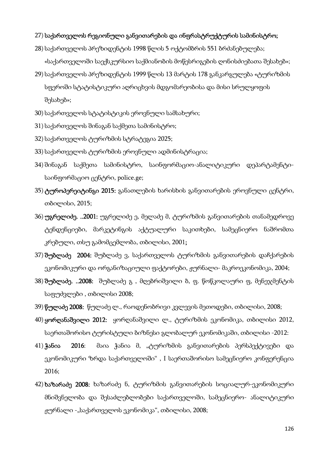#### 27) საქართველოს რეგიონული განვითარების და ინფრასტრუქტურის სამინისტრო;

- 28) საქართველოს პრეზიდენტის 1998 წლის 5 ოქტომბრის 551 ბრძანებულება; «საქართველოში საექსკურსიო საქმიანობის მოწესრიგების ღონისძიებათა შესახებ»;
- 29) საქართველოს პრეზიდენტის 1999 წლის 13 მარტის 178 განკარგულება «ტურიზმის სფეროში სტატისტიკური აღრიცხვის მდგომარეობისა და მისი სრულყოფის შესახებ»;
- 30) საქართველოს სტატისტიკის ეროვნული სამსახური;
- 31) საქართველოს შინაგან საქმეთა სამინისტრო;
- 32) საქართველოს ტურიზმის სტრატეგია 2025;
- 33) საქართველოს ტურიზმის ეროვნული ადმინისტრაცია;
- 34) შინაგან საქმეთა სამინისტრო, საინფორმაციო-ანალიტიკური დეპარტამენტისაინფორმაციო ცენტრი, police.ge;
- 35) ტუროპერეიტინგი 2015: განათლების ხარისხის განვითარების ეროვნული ცენტრი, თბილისი, 2015;
- 36) უგრელიძე. ..2001: უგრელიძე ე, მელაძე მ, ტურიზმის განვითარების თანამედროვე ტენდენციები, მარკეტინგის აქტუალური საკითხები, სამეცნიერო ნაშრომთა კრებული, თსუ გამომცემლობა, თბილისი, 2001;
- 37) შუბლაძე 2004: შუბლაძე ვ, საქართველოს ტურიზმის განვითარების დაჩქარების ეკონომიკური და ორგანიზაციული ფაქტორები, ჟურნალი- მაკროეკონომიკა, 2004;
- 38) **შუბლაძე. ..2008:** შუბლაძე გ , მღებრიშვილი ბ, ფ. წოწკოლაური ფ, მენეჯმენტის საფუძვლები , თბილისი 2008;
- 39) წულაძე 2008: წულაძე ლ., რაოდენობრივი კვლევის მეთოდები, თბილისი, 2008;
- 40) ყორღანაშვილი 2012: ყორღანაშვილი ლ., ტურიზმის ეკონომიკა, თბილისი 2012, საერთაშორისო ტურისტული ბიზნესი გლობალურ ეკონომიკაში, თბილისი -2012:
- 41) ჭანია 2016: მაია ჭანია მ, "ტურიზმის განვითარების პერსპექტივები და ეკონომიკური ზრდა საქართველოში" , I საერთაშორისო სამეცნიერო კონფერენცია 2016;
- 42) ხაზარაძე 2008: ხაზარაძე ნ, ტურიზმის განვითარების სოციალურ-ეკონომიკური მნიშვნელობა და შესაძლებლობები საქართველოში, სამეცნიერო- ანალიტიკური  $q$ ურნალი -"საქართველოს ეკონომიკა", თბილისი, 2008;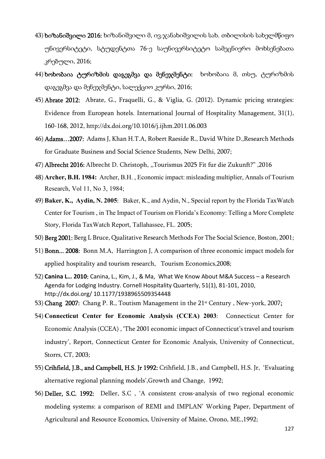- $43$ ) ხიზანიშვილი 2016: ხიზანიშვილი მ, ივ. $\chi$ ანახიშვილის სახ. თბილისის სახელმწიფო უნივერსიტეტი, სტუდენტთა 76-ე საუნივერსიტეტო სამეცნიერო მოხსენებათა კრებული, 2016;
- 44) ხოხობაია ტურიზმის დაგეგმვა და მენეჯმენტი: ხოხობაია მ, თსუ, ტურიზმის დაგეგმვა და მენეჯმენტი, სალექციო კურსი, 2016;
- 45) Abrate 2012: Abrate, G., Fraquelli, G., & Viglia, G. (2012). Dynamic pricing strategies: Evidence from European hotels. International Journal of Hospitality Management, 31(1), 160-168, 2012, http://dx.doi.org/10.1016/j.ijhm.2011.06.003
- 46) Adams…2007: Adams J, Khan H.T.A, Robert Raeside R., David White D.,Research Methods for Graduate Business and Social Science Students, New Delhi, 2007;
- 47) Albrecht 2016: Albrecht D. Christoph, ,,Tourismus 2025 Fit fur die Zukunft?" ,2016
- 48) **Archer, B.H. 1984:** Archer, B.H. , Economic impact: misleading multiplier, Annals of Tourism Research, Vol 11, No 3, 1984;
- 49) **Baker, K., Aydin, N. 2005**: Baker, K., and Aydin, N., Special report by the Florida TaxWatch Center for Tourism , in The Impact of Tourism on Florida's Economy: Telling a More Complete Story, Florida TaxWatch Report, Tallahassee, FL. 2005;
- 50) Berg 2001: Berg L Bruce, Qualitative Research Methods For The Social Science, Boston, 2001;
- 51) Bonn... 2008: Bonn M.A, Harrington J, A comparison of three economic impact models for applied hospitality and tourism research, Tourism Economics,2008;
- 52) **Canina L… 2010**: Canina, L., Kim, J., & Ma, What We Know About M&A Success a Research Agenda for Lodging Industry. Cornell Hospitality Quarterly, 51(1), 81-101, 2010, http://dx.doi.org/ 10.1177/1938965509354448
- 53) Chang 2007: Chang P. R., Toutism Management in the  $21<sup>st</sup>$  Century, New-york, 2007;
- 54) **Connecticut Center for Economic Analysis (CCEA) 2003**: Connecticut Center for Economic Analysis (CCEA) , 'The 2001 economic impact of Connecticut's travel and tourism industry', Report, Connecticut Center for Economic Analysis, University of Connecticut, Storrs, CT, 2003;
- 55) Crihfield, J.B., and Campbell, H.S. Jr 1992: Crihfield, J.B., and Campbell, H.S. Jr, 'Evaluating alternative regional planning models',Growth and Change, 1992;
- 56) Deller, S.C. 1992: Deller, S.C , 'A consistent cross-analysis of two regional economic modeling systems: a comparison of REMI and IMPLAN' Working Paper, Department of Agricultural and Resource Economics, University of Maine, Orono, ME.,1992;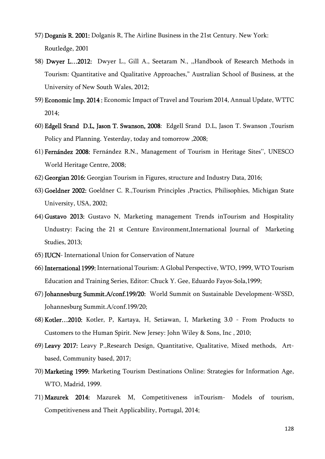- 57) Doganis R. 2001: Dolganis R, The Airline Business in the 21st Century. New York: Routledge, 2001
- 58) Dwyer L…2012: Dwyer L., Gill A., Seetaram N., ,,Handbook of Research Methods in Tourism: Quantitative and Qualitative Approaches," Australian School of Business, at the University of New South Wales, 2012;
- 59) Economic Imp. 2014 : Economic Impact of Travel and Tourism 2014, Annual Update, WTTC 2014;
- 60) Edgell Srand D.L, Jason T. Swanson, 2008: Edgell Srand D.L, Jason T. Swanson ,Tourism Policy and Planning. Yesterday, today and tomorrow ,2008;
- 61) Fernández 2008: Fernández R.N., Management of Tourism in Heritage Sites'', UNESCO World Heritage Centre, 2008;
- 62) Georgian 2016: Georgian Tourism in Figures, structure and Industry Data, 2016;
- 63) Goeldner 2002: Goeldner C. R.,Tourism Principles ,Practics, Philisophies, Michigan State University, USA, 2002;
- 64) Gustavo 2013: Gustavo N, Marketing management Trends inTourism and Hospitality Undustry: Facing the 21 st Centure Environment,International Journal of Marketing Studies, 2013;
- 65) IUCN- International Union for Conservation of Nature
- 66) International 1999: International Tourism: A Global Perspective, WTO, 1999, WTO Tourism Education and Training Series, Editor: Chuck Y. Gee, Eduardo Fayos-Sola,1999;
- 67) Johannesburg Summit.A/conf.199/20: World Summit on Sustainable Development-WSSD, Johannesburg Summit.A/conf.199/20;
- 68) Kotler…2010: Kotler, P, Kartaya, H, Setiawan, I, Marketing 3.0 From Products to Customers to the Human Spirit. New Jersey: John Wiley & Sons, Inc , 2010;
- 69) Leavy 2017: Leavy P.,Research Design, Quantitative, Qualitative, Mixed methods, Artbased, Community based, 2017;
- 70) Marketing 1999: Marketing Tourism Destinations Online: Strategies for Information Age, WTO, Madrid, 1999.
- 71) Mazurek 2014: Mazurek M, Competitiveness inTourism- Models of tourism, Competitiveness and Theit Applicability, Portugal, 2014;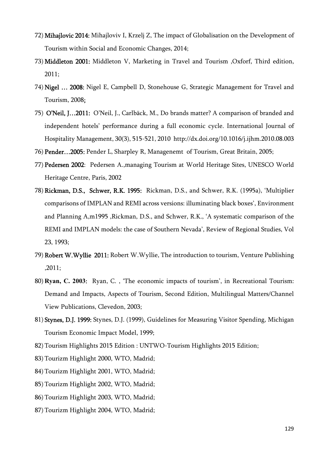- 72) Mihajlovic 2014: Mihajloviv I, Krzelj Z, The impact of Globalisation on the Development of Tourism within Social and Economic Changes, 2014;
- 73) Middleton 2001: Middleton V, Marketing in Travel and Tourism ,Oxforf, Third edition, 2011;
- 74) Nigel … 2008: Nigel E, Campbell D, Stonehouse G, Strategic Management for Travel and Tourism, 2008;
- 75) O'Neil, J…2011: O'Neil, J., Carlbäck, M., Do brands matter? A comparison of branded and independent hotels' performance during a full economic cycle. International Journal of Hospitality Management, 30(3), 515-521, 2010 http://dx.doi.org/10.1016/j.ijhm.2010.08.003
- 76) Pender…2005: Pender L, Sharpley R, Managenemt of Tourism, Great Britain, 2005;
- 77) Pedersen 2002: Pedersen A.,managing Tourism at World Heritage Sites, UNESCO World Heritage Centre, Paris, 2002
- 78) Rickman, D.S., Schwer, R.K. 1995: Rickman, D.S., and Schwer, R.K. (1995a), 'Multiplier comparisons of IMPLAN and REMI across versions: illuminating black boxes', Environment and Planning A,m1995 ,Rickman, D.S., and Schwer, R.K., 'A systematic comparison of the REMI and IMPLAN models: the case of Southern Nevada', Review of Regional Studies, Vol 23, 1993;
- 79) Robert W.Wyllie 2011: Robert W.Wyllie, The introduction to tourism, Venture Publishing ,2011;
- 80) **Ryan, C. 2003**: Ryan, C. , 'The economic impacts of tourism', in Recreational Tourism: Demand and Impacts, Aspects of Tourism, Second Edition, Multilingual Matters/Channel View Publications, Clevedon, 2003;
- 81) Stynes, D.J. 1999: Stynes, D.J. (1999), Guidelines for Measuring Visitor Spending, Michigan Tourism Economic Impact Model, 1999;
- 82) Tourism Highlights 2015 Edition : UNTWO-Tourism Highlights 2015 Edition;
- 83) Tourizm Highlight 2000, WTO, Madrid;
- 84) Tourizm Highlight 2001, WTO, Madrid;
- 85) Tourizm Highlight 2002, WTO, Madrid;
- 86) Tourizm Highlight 2003, WTO, Madrid;
- 87) Tourizm Highlight 2004, WTO, Madrid;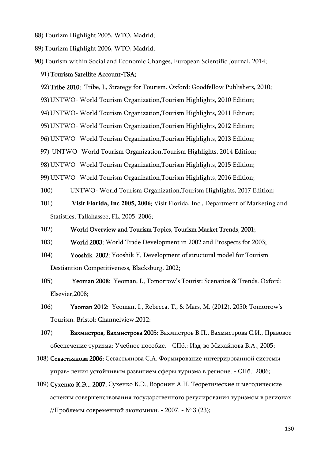- 88) Tourizm Highlight 2005, WTO, Madrid;
- 89) Tourizm Highlight 2006, WTO, Madrid;
- 90) Tourism within Social and Economic Changes, European Scientific Journal, 2014;

#### 91) Tourism Satellite Account-TSA;

92) Tribe 2010: Tribe, J., Strategy for Tourism. Oxford: Goodfellow Publishers, 2010;

93) UNTWO- World Tourism Organization,Tourism Highlights, 2010 Edition;

94) UNTWO- World Tourism Organization,Tourism Highlights, 2011 Edition;

95) UNTWO- World Tourism Organization,Tourism Highlights, 2012 Edition;

96) UNTWO- World Tourism Organization,Tourism Highlights, 2013 Edition;

97) UNTWO- World Tourism Organization,Tourism Highlights, 2014 Edition;

98) UNTWO- World Tourism Organization,Tourism Highlights, 2015 Edition;

99) UNTWO- World Tourism Organization,Tourism Highlights, 2016 Edition;

- 100) UNTWO- World Tourism Organization,Tourism Highlights, 2017 Edition;
- 101) **Visit Florida, Inc 2005, 2006**: Visit Florida, Inc , Department of Marketing and Statistics, Tallahassee, FL. 2005, 2006;

#### 102) World Overview and Tourism Topics, Tourism Market Trends, 2001;

- 103) World 2003: World Trade Development in 2002 and Prospects for 2003;
- 104) Yooshik 2002: Yooshik Y, Development of structural model for Tourism Destiantion Competitiveness, Blacksburg, 2002;
- 105) Yeoman 2008: Yeoman, I., Tomorrow's Tourist: Scenarios & Trends. Oxford: Elsevier,2008;
- 106) Yaoman 2012: Yeoman, I., Rebecca, T., & Mars, M. (2012). 2050: Tomorrow's Tourism. Bristol: Channelview,2012:

107) Вахмистров, Вахмистрова 2005: Вахмистров В.П., Вахмистрова С.И., Правовое обеспечение туризма: Учебное пособие. - СПб.: Изд-во Михайлова В.А., 2005;

- 108) Севастьянова 2006: Севастьянова С.А. Формирование интегрированной системы управ- ления устойчивым развитием сферы туризма в регионе. - СПб.: 2006;
- 109) Сухенко К.Э... 2007: Сухенко К.Э., Воронин А.Н. Теоретические и методические аспекты совершенствования государственного регулирования туризмом в регионах //Проблемы современной экономики. - 2007. - № 3 (23);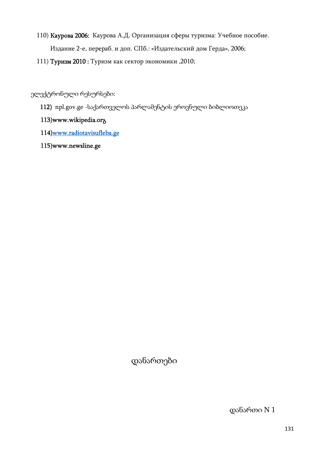- 110) Каурова 2006: Каурова А.Д. Организация сферы туризма: Учебное пособие. Издание 2-е, перераб. и доп. СПб.: «Издательский дом Герда», 2006;
- 111) Туризм 2010 : Туризм как сектор экономики ,2010;

ელექტრონული რესურსები:

112) npl.gov.ge -საქართველოს პარლამენტის ეროვნული ბიბლიოთეკა

### 113)www.wikipedia.orგ

- 114)www.radiotavisufleba.ge
- 115)www.newsline.ge

დანართები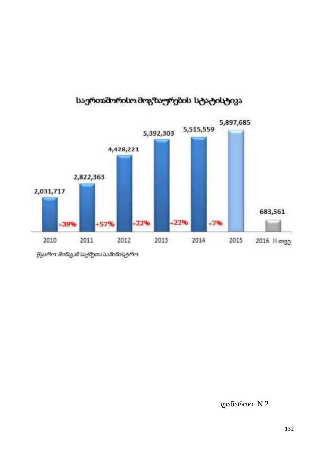

# საერთაშორისო მოგზაურების სტატისტიკა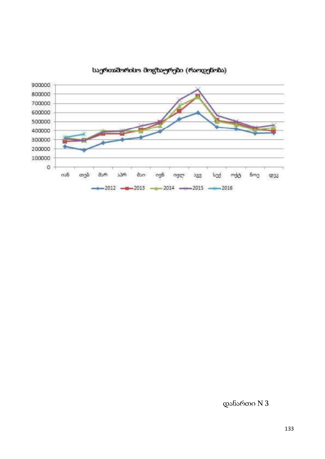

**საერთაშორისო მოგზაურები (რაოდენობა)**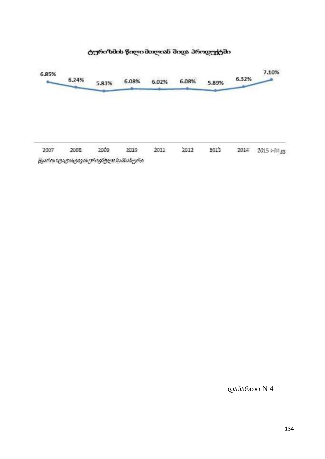

### ტურიზმის წილი მთლიან შიდა პროდუქტში

წყარო (ტატისკიკის*ურიენულს სამ*სახური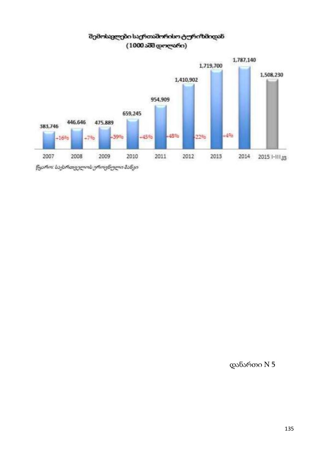

### შემოსვლები საერთაშორისო ტურიზმიდან  $(1000 s\overline{d}\overline{d}$  დოლარი)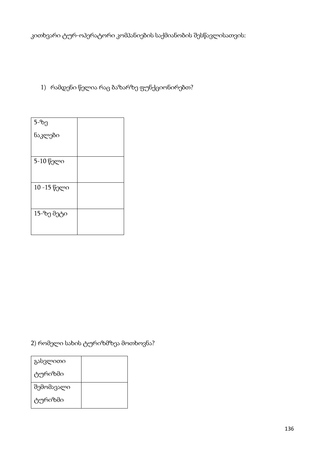კითხვარი ტურ-ოპერატორი კომპანიების საქმიანობის შესწავლისათვის:

## 1) რამდენი წელია რაც ბაზარზე ფუნქციონირებთ?

| 5-ზე        |  |
|-------------|--|
| ნაკლები     |  |
|             |  |
| 5-10 წელი   |  |
|             |  |
| 10 -15 წელი |  |
|             |  |
| 15-ზე მეტი  |  |
|             |  |

2) რომელი სახის ტურიზმზეა მოთხოვნა?

| გასვლითი   |  |
|------------|--|
| ტურიზმი    |  |
| შემომავალი |  |
| ტურიზმი    |  |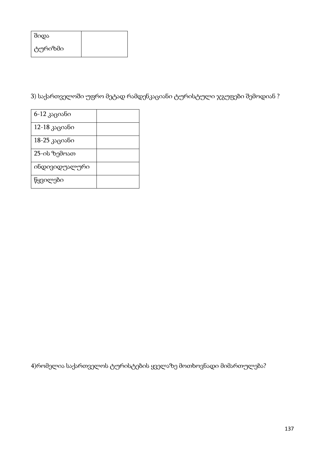| შიდა    |  |
|---------|--|
| ტურიზმი |  |

3) საქართველოში უფრო მეტად რამდენკაციანი ტურისტული ჯგუფები შემოდიან ?

| 6-12 კაციანი  |  |
|---------------|--|
| 12-18 კაციანი |  |
| 18-25 კაციანი |  |
| 25-ის ზემოათ  |  |
| ინდივიდუალური |  |
| წყვილები      |  |

4)რომელია საქართველოს ტურისტების ყველაზე მოთხოვნადი მიმართულება?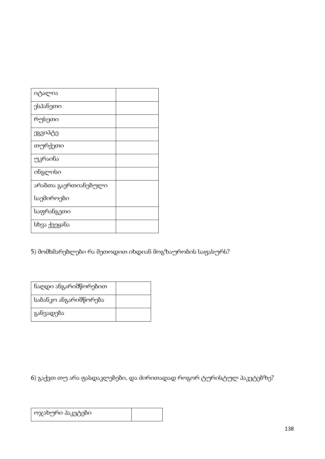| იტალია               |  |
|----------------------|--|
| ესპანეთი             |  |
| რუსეთი               |  |
| ეგვიპტე              |  |
| თურქეთი              |  |
| უკრაინა              |  |
| ინგლისი              |  |
| არაბთა გაერთიანებული |  |
| საემიროები           |  |
| საფრანგეთი           |  |
| სხვა ქვეყანა         |  |

5) მომხმარებლები რა მეთოდით იხდიან მოგზაურობის საფასურს?

| ნაღდი ანგარიშწორებით  |  |
|-----------------------|--|
| საბანკო ანგარიშწორება |  |
| განვადება             |  |

6) გაქვთ თუ არა ფასდაკლებები, და ძირითადად როგორ ტურისტულ პაკეტებზე?

| ოჯახური პაკეტები |  |
|------------------|--|
|------------------|--|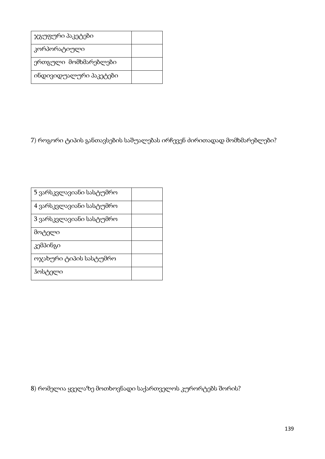| ჯგუფური პაკეტები       |  |
|------------------------|--|
| კორპორატიული           |  |
| ერთგული მომხმარებლები  |  |
| იხდივიდუალური პაკეტები |  |

7) როგორი ტიპის განთავსების საშუალებას ირჩევენ ძირითადად მომხმარებლები?

| 5 ვარსკვლავიანი სასტუმრო |  |
|--------------------------|--|
| 4 ვარსკვლავიანი სასტუმრო |  |
| 3 ვარსკვლავიანი სასტუმრო |  |
| მოტელი                   |  |
| კემპინგი                 |  |
| ოჯახური ტიპის სასტუმრო   |  |
| ჰოსტელი                  |  |

8) რომელია ყველაზე მოთხოვნადი საქართველოს კურორტებს შორის?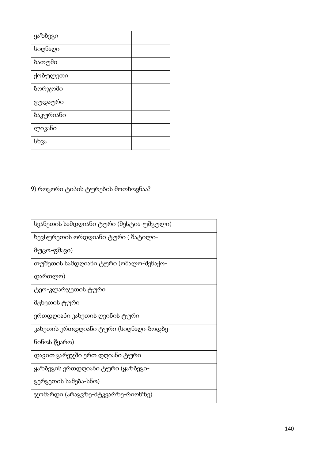| სვანეთის სამდღიანი ტური (მესტია-უშგული) |
|-----------------------------------------|
| ხევსურეთის ორდღიანი ტური ( შატილი-      |
| მუცო-ფშავი)                             |
| თუშეთის სამდღიანი ტური (ომალო-შენაქო-   |
| დართლო)                                 |
| ტეო-კლარჯეთის ტური                      |
| მცხეთის ტური                            |
| ერთდღიანი კახეთის ღვინის ტური           |
| კახეთის ერთდღიანი ტური (სიღნაღი-ბოდბე-  |
| ნინოს წყარო)                            |
| დავით გარეჯში ერთ დღიანი ტური           |
| ყაზბეგის ერთდღიანი ტური (ყაზბეგი-       |
| გერგეთის სამება-სნო)                    |
| ჯომარდი (არაგვზე-მტკვარზე-რიონზე)       |

# 9) როგორი ტიპის ტურების მოთხოვნაა?

| ყაზბეგი   |  |
|-----------|--|
| სიღნაღი   |  |
| ზათუმი    |  |
| ქობულეთი  |  |
| ბორჯომი   |  |
| გუდაური   |  |
| ბაკურიანი |  |
| ლიკანი    |  |
| სხვა      |  |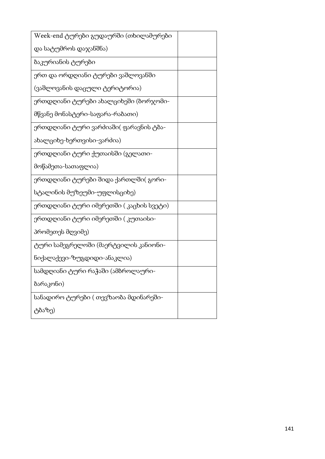| Week-end ტურები გუდაურში (თხილამურები   |  |
|-----------------------------------------|--|
| და სატუმროს დაჯანშნა)                   |  |
| ბაკურიანის ტურები                       |  |
| ერთ და ორდღიანი ტურები ვაშლოვანში       |  |
| (ვაშლოვანის დაცული ტერიტორია)           |  |
| ერთდღიანი ტურები ახალციხეში (ბორჯომი-   |  |
| მწვანე მონასტერი-საფარა-რაბათი)         |  |
| ერთდღიანი ტური ვარძიაში( ფარავნის ტბა-  |  |
| ახალციხე-ხერთვისი-ვარძია)               |  |
| ერთდღიანი ტური ქუთაისში (გელათი-        |  |
| მოწამეთა-სათაფლია)                      |  |
| ერთდღიანი ტურები შიდა ქართლში( გორი-    |  |
| სტალინის მუზეუმი-უფლისციხე)             |  |
| ერთდღიანი ტური იმერეთში ( კაცხის სვეტი) |  |
| ერთდღიანი ტური იმერეთში ( კუთაისი-      |  |
| პრომეთეს მღვიმე)                        |  |
| ტური სამეგრელოში (მაერტვილის კანიონი-   |  |
| ნიქალაქევი-ზუგდიდი-ანაკლია)             |  |
| სამდღიანი ტური რაჭაში (ამბროლაური-      |  |
| ბარაკონი)                               |  |
| სანადირო ტურები ( თევზაობა მდინარეში-   |  |
| ტბაზე)                                  |  |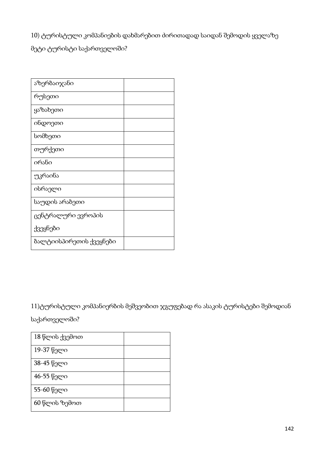10) ტურისტული კომპანიების დახმარებით ძირითადად საიდან შემოდის ყველაზე

მეტი ტურისტი საქართველოში?

| აზერბაიჯანი             |  |
|-------------------------|--|
| რუსეთი                  |  |
| ყაზახეთი                |  |
| ინდოეთი                 |  |
| სომხეთი                 |  |
| თურქეთი                 |  |
| ირანი                   |  |
| უკრაინა                 |  |
| ისრაელი                 |  |
| საუდის არაბეთი          |  |
| ცენტრალური ევროპის      |  |
| ქვეყნები                |  |
| ბალტიისპირეთის ქვეყნები |  |

11)ტურისტული კომპანიერბის მეშვეობით ჯგუფებად რა ასაკის ტურისტები შემოდიან

საქართველოში?

| 18 წლის ქვემოთ |  |
|----------------|--|
| 19-37 წელი     |  |
| 38-45 წელი     |  |
| 46-55 წელი     |  |
| 55-60 წელი     |  |
| 60 წლის ზემოთ  |  |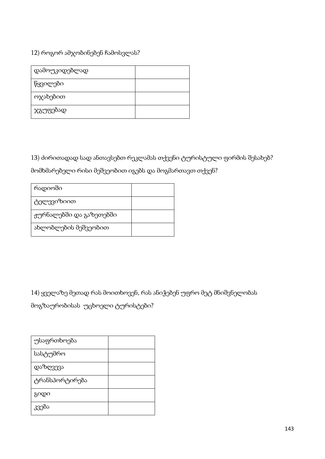12) როგორ ამჯობინებენ ჩამოსვლას?

| დამოუკიდებლად |  |
|---------------|--|
| წყვილები      |  |
| ოჯახებით      |  |
| ჯგუფებად      |  |

13) ძირითადად სად ანთავსებთ რეკლამას თქვენი ტურისტული ფირმის შესახებ?

მომხმარებელი რისი მეშვეობით იგებს და მოგმართავთ თქვენ?

| რადიოში                 |  |
|-------------------------|--|
| ტელევიზიით              |  |
| ჟურნალებში და გაზეთებში |  |
| ახლობლების მეშვეობით    |  |

14) ყველაზე მეთად რას მოითხოვენ, რას ანიჭებენ უფრო მეტ მნიშვნელობას

მოგზაურობისას უცხოელი ტურისტები?

| უსაფრთხოება    |  |
|----------------|--|
| სასტუმრო       |  |
| დაზღვევა       |  |
| ტრანსპორტირება |  |
| გიდი           |  |
| კვება          |  |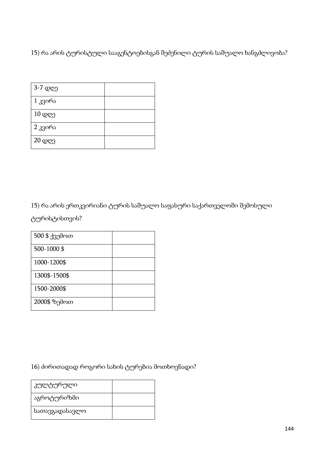15) რა არის ტურისტული სააგენტოებისგან შეძენილი ტურის საშუალო ხანგძლივობა?

| 3-7 დღე           |  |
|-------------------|--|
| 1 კვირა           |  |
| $10 \, \text{QC}$ |  |
| 2 კვირა           |  |
| 20 დღე            |  |

15) რა არის ერთკვირიანი ტურის საშუალო საფასური საქართველოში შემოსული

ტურისტისთვის?

| 500 \$ ქვემოთ |  |
|---------------|--|
| 500-1000\$    |  |
| 1000-1200\$   |  |
| 1300\$-1500\$ |  |
| 1500-2000\$   |  |
| 2000\$ ზემოთ  |  |

# 16) ძირითადად როგორი სახის ტურებია მოთხოვნადი?

| კულტურული      |  |
|----------------|--|
| აგროტურიზმი    |  |
| სათავგადასავლო |  |